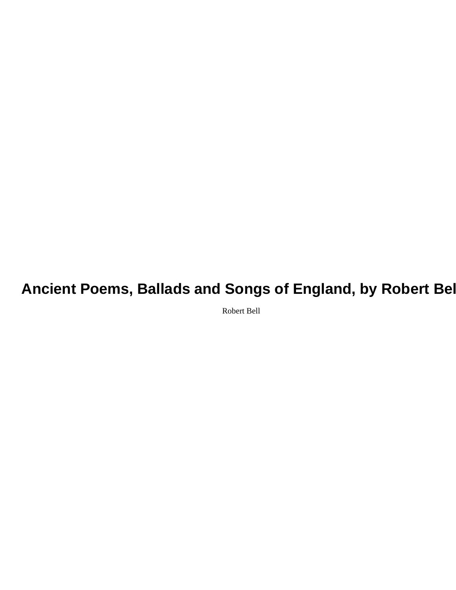# **Ancient Poems, Ballads and Songs of England, by Robert Bell**

Robert Bell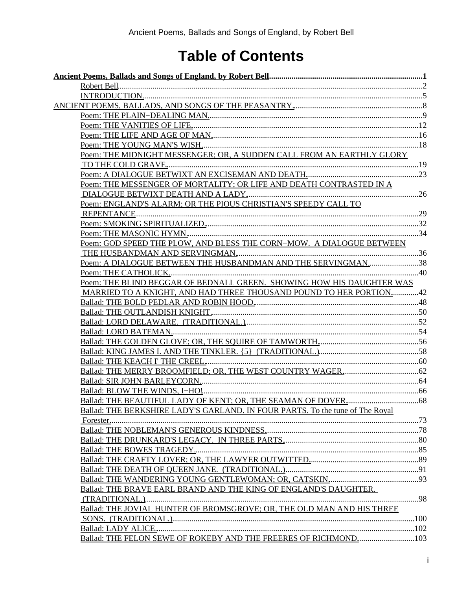# **Table of Contents**

| Poem: THE MIDNIGHT MESSENGER; OR, A SUDDEN CALL FROM AN EARTHLY GLORY         |  |
|-------------------------------------------------------------------------------|--|
|                                                                               |  |
|                                                                               |  |
| Poem: THE MESSENGER OF MORTALITY; OR LIFE AND DEATH CONTRASTED IN A           |  |
|                                                                               |  |
| Poem: ENGLAND'S ALARM; OR THE PIOUS CHRISTIAN'S SPEEDY CALL TO                |  |
|                                                                               |  |
|                                                                               |  |
|                                                                               |  |
| Poem: GOD SPEED THE PLOW, AND BLESS THE CORN-MOW. A DIALOGUE BETWEEN          |  |
|                                                                               |  |
| Poem: A DIALOGUE BETWEEN THE HUSBANDMAN AND THE SERVINGMAN38                  |  |
|                                                                               |  |
| Poem: THE BLIND BEGGAR OF BEDNALL GREEN. SHOWING HOW HIS DAUGHTER WAS         |  |
| MARRIED TO A KNIGHT, AND HAD THREE THOUSAND POUND TO HER PORTION42            |  |
|                                                                               |  |
|                                                                               |  |
|                                                                               |  |
|                                                                               |  |
|                                                                               |  |
|                                                                               |  |
|                                                                               |  |
|                                                                               |  |
|                                                                               |  |
|                                                                               |  |
|                                                                               |  |
| Ballad: THE BERKSHIRE LADY'S GARLAND. IN FOUR PARTS. To the tune of The Royal |  |
|                                                                               |  |
|                                                                               |  |
|                                                                               |  |
|                                                                               |  |
|                                                                               |  |
|                                                                               |  |
|                                                                               |  |
| Ballad: THE BRAVE EARL BRAND AND THE KING OF ENGLAND'S DAUGHTER.              |  |
|                                                                               |  |
| Ballad: THE JOVIAL HUNTER OF BROMSGROVE; OR, THE OLD MAN AND HIS THREE        |  |
|                                                                               |  |
|                                                                               |  |
| Ballad: THE FELON SEWE OF ROKEBY AND THE FREERES OF RICHMOND 103              |  |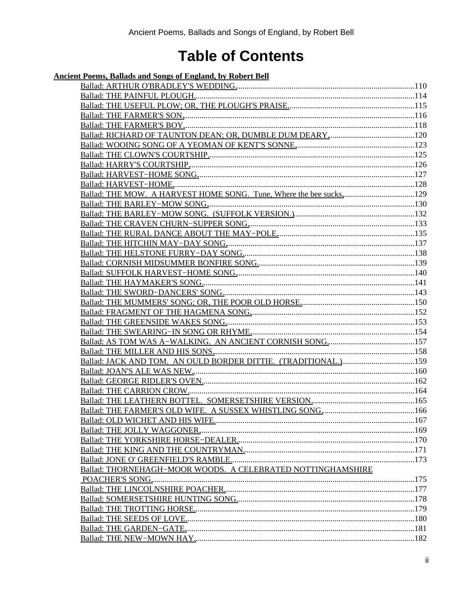# **Table of Contents**

| <b>Ancient Poems, Ballads and Songs of England, by Robert Bell</b> |  |
|--------------------------------------------------------------------|--|
|                                                                    |  |
|                                                                    |  |
|                                                                    |  |
|                                                                    |  |
|                                                                    |  |
|                                                                    |  |
|                                                                    |  |
|                                                                    |  |
|                                                                    |  |
|                                                                    |  |
|                                                                    |  |
|                                                                    |  |
|                                                                    |  |
|                                                                    |  |
|                                                                    |  |
|                                                                    |  |
|                                                                    |  |
|                                                                    |  |
|                                                                    |  |
|                                                                    |  |
|                                                                    |  |
|                                                                    |  |
|                                                                    |  |
|                                                                    |  |
|                                                                    |  |
|                                                                    |  |
|                                                                    |  |
|                                                                    |  |
|                                                                    |  |
|                                                                    |  |
|                                                                    |  |
|                                                                    |  |
|                                                                    |  |
|                                                                    |  |
|                                                                    |  |
|                                                                    |  |
|                                                                    |  |
|                                                                    |  |
|                                                                    |  |
| Ballad: THORNEHAGH-MOOR WOODS. A CELEBRATED NOTTINGHAMSHIRE        |  |
|                                                                    |  |
|                                                                    |  |
|                                                                    |  |
|                                                                    |  |
|                                                                    |  |
|                                                                    |  |
|                                                                    |  |
|                                                                    |  |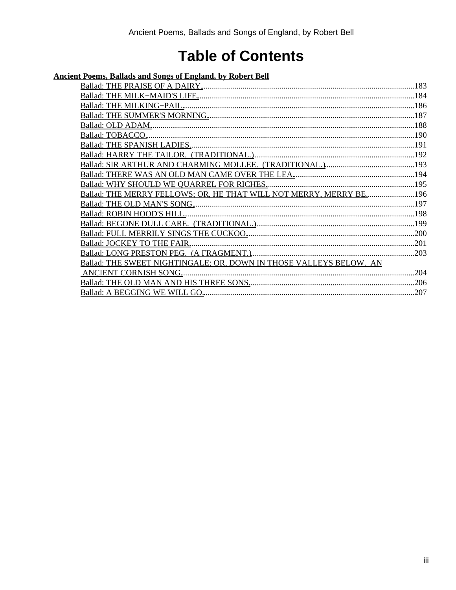# **Table of Contents**

## **Ancient Poems, Ballads and Songs of England, by Robert Bell**

| Ballad: THE MERRY FELLOWS; OR, HE THAT WILL NOT MERRY, MERRY BE196 |     |
|--------------------------------------------------------------------|-----|
|                                                                    |     |
|                                                                    |     |
|                                                                    |     |
|                                                                    |     |
|                                                                    |     |
|                                                                    |     |
| Ballad: THE SWEET NIGHTINGALE; OR, DOWN IN THOSE VALLEYS BELOW. AN |     |
|                                                                    |     |
|                                                                    |     |
|                                                                    | 207 |
|                                                                    |     |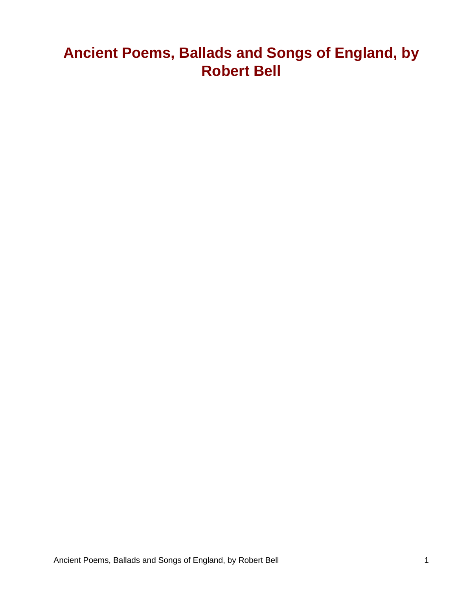# <span id="page-5-0"></span>**Ancient Poems, Ballads and Songs of England, by Robert Bell**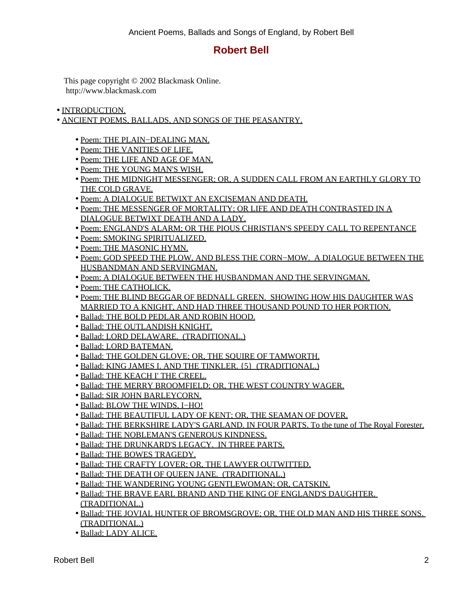# **Robert Bell**

<span id="page-6-0"></span> This page copyright © 2002 Blackmask Online. http://www.blackmask.com

• [INTRODUCTION.](#page-9-0)

• [ANCIENT POEMS, BALLADS, AND SONGS OF THE PEASANTRY.](#page-12-0)

- [Poem: THE PLAIN−DEALING MAN.](#page-13-0)
- [Poem: THE VANITIES OF LIFE.](#page-16-0)
- [Poem: THE LIFE AND AGE OF MAN.](#page-20-0)
- [Poem: THE YOUNG MAN'S WISH.](#page-22-0)
- **[Poem: THE MIDNIGHT MESSENGER; OR, A SUDDEN CALL FROM AN EARTHLY GLORY TO](#page-23-0)** [THE COLD GRAVE.](#page-23-0)
- [Poem: A DIALOGUE BETWIXT AN EXCISEMAN AND DEATH.](#page-27-0)
- **[Poem: THE MESSENGER OF MORTALITY; OR LIFE AND DEATH CONTRASTED IN A](#page-30-0)** [DIALOGUE BETWIXT DEATH AND A LADY.](#page-30-0)
- [Poem: ENGLAND'S ALARM; OR THE PIOUS CHRISTIAN'S SPEEDY CALL TO REPENTANCE](#page-33-0)
- [Poem: SMOKING SPIRITUALIZED.](#page-36-0)
- [Poem: THE MASONIC HYMN.](#page-38-0)
- Poem: GOD SPEED THE PLOW, AND BLESS THE CORN-MOW. A DIALOGUE BETWEEN THE [HUSBANDMAN AND SERVINGMAN.](#page-40-0)
- [Poem: A DIALOGUE BETWEEN THE HUSBANDMAN AND THE SERVINGMAN.](#page-42-0)
- [Poem: THE CATHOLICK.](#page-44-0)
- **[Poem: THE BLIND BEGGAR OF BEDNALL GREEN. SHOWING HOW HIS DAUGHTER WAS](#page-46-0)** [MARRIED TO A KNIGHT, AND HAD THREE THOUSAND POUND TO HER PORTION.](#page-46-0)
- [Ballad: THE BOLD PEDLAR AND ROBIN HOOD.](#page-52-0)
- [Ballad: THE OUTLANDISH KNIGHT.](#page-54-0)
- [Ballad: LORD DELAWARE. \(TRADITIONAL.\)](#page-56-0)
- [Ballad: LORD BATEMAN.](#page-58-0)
- · Ballad: THE GOLDEN GLOVE; OR, THE SOUIRE OF TAMWORTH.
- [Ballad: KING JAMES I. AND THE TINKLER. {5} \(TRADITIONAL.\)](#page-62-1)
- [Ballad: THE KEACH I' THE CREEL.](#page-64-0)
- [Ballad: THE MERRY BROOMFIELD; OR, THE WEST COUNTRY WAGER.](#page-66-0)
- [Ballad: SIR JOHN BARLEYCORN.](#page-68-0)
- [Ballad: BLOW THE WINDS, I−HO!](#page-70-0)
- [Ballad: THE BEAUTIFUL LADY OF KENT; OR, THE SEAMAN OF DOVER.](#page-72-0)
- [Ballad: THE BERKSHIRE LADY'S GARLAND. IN FOUR PARTS. To the tune of The Royal Forester.](#page-77-0)
- [Ballad: THE NOBLEMAN'S GENEROUS KINDNESS.](#page-82-0)
- [Ballad: THE DRUNKARD'S LEGACY. IN THREE PARTS.](#page-84-0)
- [Ballad: THE BOWES TRAGEDY.](#page-89-0)
- [Ballad: THE CRAFTY LOVER; OR, THE LAWYER OUTWITTED.](#page-93-1)
- [Ballad: THE DEATH OF QUEEN JANE. \(TRADITIONAL.\)](#page-95-0)
- [Ballad: THE WANDERING YOUNG GENTLEWOMAN; OR, CATSKIN.](#page-97-0)
- **Ballad: THE BRAVE EARL BRAND AND THE KING OF ENGLAND'S DAUGHTER.** [\(TRADITIONAL.\)](#page-102-0)
- [Ballad: THE JOVIAL HUNTER OF BROMSGROVE; OR, THE OLD MAN AND HIS THREE SONS.](#page-104-0)  [\(TRADITIONAL.\)](#page-104-0)
- [Ballad: LADY ALICE.](#page-106-0)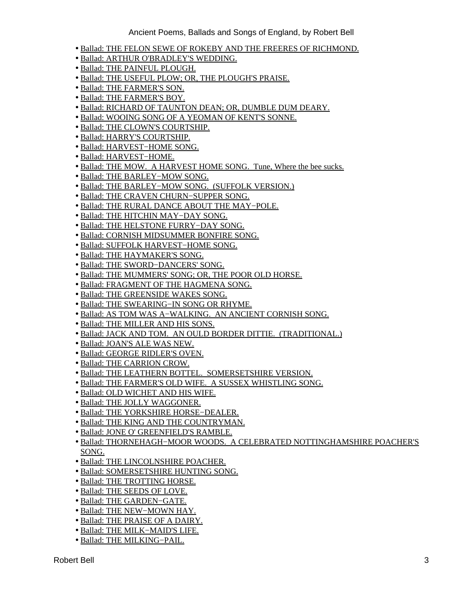- [Ballad: THE FELON SEWE OF ROKEBY AND THE FREERES OF RICHMOND.](#page-107-0)
- [Ballad: ARTHUR O'BRADLEY'S WEDDING.](#page-114-0)
- [Ballad: THE PAINFUL PLOUGH.](#page-118-0)
- [Ballad: THE USEFUL PLOW; OR, THE PLOUGH'S PRAISE.](#page-119-0)
- [Ballad: THE FARMER'S SON.](#page-120-0)
- [Ballad: THE FARMER'S BOY.](#page-122-0)
- [Ballad: RICHARD OF TAUNTON DEAN; OR, DUMBLE DUM DEARY.](#page-124-0)
- [Ballad: WOOING SONG OF A YEOMAN OF KENT'S SONNE.](#page-127-0)
- [Ballad: THE CLOWN'S COURTSHIP.](#page-129-0)
- [Ballad: HARRY'S COURTSHIP.](#page-130-0)
- [Ballad: HARVEST−HOME SONG.](#page-131-0)
- [Ballad: HARVEST−HOME.](#page-132-0)
- [Ballad: THE MOW. A HARVEST HOME SONG. Tune, Where the bee sucks.](#page-133-0)
- [Ballad: THE BARLEY−MOW SONG.](#page-134-0)
- [Ballad: THE BARLEY−MOW SONG. \(SUFFOLK VERSION.\)](#page-136-0)
- [Ballad: THE CRAVEN CHURN−SUPPER SONG.](#page-137-0)
- [Ballad: THE RURAL DANCE ABOUT THE MAY−POLE.](#page-139-1)
- [Ballad: THE HITCHIN MAY−DAY SONG.](#page-141-0)
- [Ballad: THE HELSTONE FURRY−DAY SONG.](#page-142-1)
- [Ballad: CORNISH MIDSUMMER BONFIRE SONG.](#page-143-0)
- [Ballad: SUFFOLK HARVEST−HOME SONG.](#page-144-1)
- [Ballad: THE HAYMAKER'S SONG.](#page-145-0)
- [Ballad: THE SWORD−DANCERS' SONG.](#page-147-0)
- [Ballad: THE MUMMERS' SONG; OR, THE POOR OLD HORSE.](#page-154-0)
- [Ballad: FRAGMENT OF THE HAGMENA SONG.](#page-156-0)
- [Ballad: THE GREENSIDE WAKES SONG.](#page-157-0)
- [Ballad: THE SWEARING−IN SONG OR RHYME.](#page-158-0)
- [Ballad: AS TOM WAS A−WALKING. AN ANCIENT CORNISH SONG.](#page-161-1)
- [Ballad: THE MILLER AND HIS SONS.](#page-162-0)
- [Ballad: JACK AND TOM. AN OULD BORDER DITTIE. \(TRADITIONAL.\)](#page-163-0)
- [Ballad: JOAN'S ALE WAS NEW.](#page-164-0)
- [Ballad: GEORGE RIDLER'S OVEN.](#page-166-0)
- [Ballad: THE CARRION CROW.](#page-168-0)
- [Ballad: THE LEATHERN BOTTEL. SOMERSETSHIRE VERSION.](#page-169-0)
- [Ballad: THE FARMER'S OLD WIFE. A SUSSEX WHISTLING SONG.](#page-170-0)
- [Ballad: OLD WICHET AND HIS WIFE.](#page-171-1)
- [Ballad: THE JOLLY WAGGONER.](#page-173-1)
- [Ballad: THE YORKSHIRE HORSE−DEALER.](#page-174-1)
- [Ballad: THE KING AND THE COUNTRYMAN.](#page-175-0)
- [Ballad: JONE O' GREENFIELD'S RAMBLE.](#page-177-1)
- [Ballad: THORNEHAGH−MOOR WOODS. A CELEBRATED NOTTINGHAMSHIRE POACHER'S](#page-179-0) [SONG.](#page-179-0)
- [Ballad: THE LINCOLNSHIRE POACHER.](#page-181-1)
- [Ballad: SOMERSETSHIRE HUNTING SONG.](#page-182-0)
- [Ballad: THE TROTTING HORSE.](#page-183-0)
- [Ballad: THE SEEDS OF LOVE.](#page-184-1)
- [Ballad: THE GARDEN−GATE.](#page-185-1)
- [Ballad: THE NEW−MOWN HAY.](#page-186-0)
- [Ballad: THE PRAISE OF A DAIRY.](#page-187-1)
- [Ballad: THE MILK−MAID'S LIFE.](#page-188-0)
- [Ballad: THE MILKING−PAIL.](#page-190-0)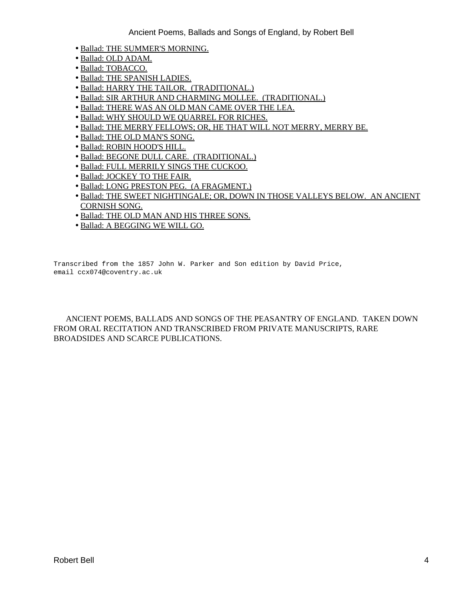- [Ballad: THE SUMMER'S MORNING.](#page-191-0)
- [Ballad: OLD ADAM.](#page-192-0)
- [Ballad: TOBACCO.](#page-194-0)
- [Ballad: THE SPANISH LADIES.](#page-195-1)
- [Ballad: HARRY THE TAILOR. \(TRADITIONAL.\)](#page-196-0)
- [Ballad: SIR ARTHUR AND CHARMING MOLLEE. \(TRADITIONAL.\)](#page-197-0)
- [Ballad: THERE WAS AN OLD MAN CAME OVER THE LEA.](#page-198-1)
- [Ballad: WHY SHOULD WE QUARREL FOR RICHES.](#page-199-0)
- [Ballad: THE MERRY FELLOWS; OR, HE THAT WILL NOT MERRY, MERRY BE.](#page-200-0)
- [Ballad: THE OLD MAN'S SONG.](#page-201-0)
- [Ballad: ROBIN HOOD'S HILL.](#page-202-0)
- [Ballad: BEGONE DULL CARE. \(TRADITIONAL.\)](#page-203-1)
- [Ballad: FULL MERRILY SINGS THE CUCKOO.](#page-204-0)
- [Ballad: JOCKEY TO THE FAIR.](#page-205-0)
- [Ballad: LONG PRESTON PEG. \(A FRAGMENT.\)](#page-207-1)
- [Ballad: THE SWEET NIGHTINGALE; OR, DOWN IN THOSE VALLEYS BELOW. AN ANCIENT](#page-208-0) [CORNISH SONG.](#page-208-0)
- [Ballad: THE OLD MAN AND HIS THREE SONS.](#page-210-1)
- [Ballad: A BEGGING WE WILL GO.](#page-211-0)

Transcribed from the 1857 John W. Parker and Son edition by David Price, email ccx074@coventry.ac.uk

 ANCIENT POEMS, BALLADS AND SONGS OF THE PEASANTRY OF ENGLAND. TAKEN DOWN FROM ORAL RECITATION AND TRANSCRIBED FROM PRIVATE MANUSCRIPTS, RARE BROADSIDES AND SCARCE PUBLICATIONS.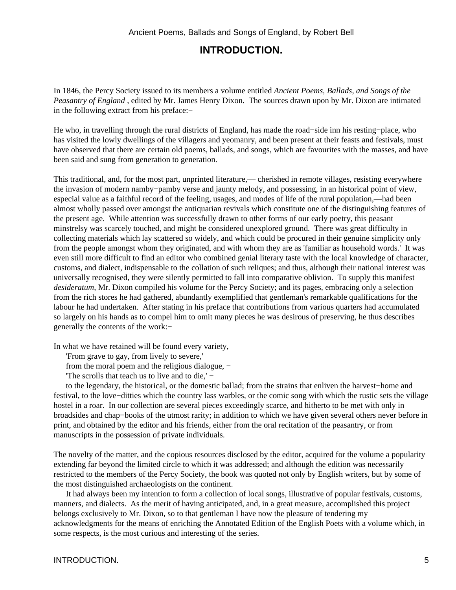## **INTRODUCTION.**

<span id="page-9-0"></span>In 1846, the Percy Society issued to its members a volume entitled *Ancient Poems, Ballads, and Songs of the Peasantry of England* , edited by Mr. James Henry Dixon. The sources drawn upon by Mr. Dixon are intimated in the following extract from his preface:−

He who, in travelling through the rural districts of England, has made the road−side inn his resting−place, who has visited the lowly dwellings of the villagers and yeomanry, and been present at their feasts and festivals, must have observed that there are certain old poems, ballads, and songs, which are favourites with the masses, and have been said and sung from generation to generation.

This traditional, and, for the most part, unprinted literature,— cherished in remote villages, resisting everywhere the invasion of modern namby−pamby verse and jaunty melody, and possessing, in an historical point of view, especial value as a faithful record of the feeling, usages, and modes of life of the rural population,—had been almost wholly passed over amongst the antiquarian revivals which constitute one of the distinguishing features of the present age. While attention was successfully drawn to other forms of our early poetry, this peasant minstrelsy was scarcely touched, and might be considered unexplored ground. There was great difficulty in collecting materials which lay scattered so widely, and which could be procured in their genuine simplicity only from the people amongst whom they originated, and with whom they are as 'familiar as household words.' It was even still more difficult to find an editor who combined genial literary taste with the local knowledge of character, customs, and dialect, indispensable to the collation of such reliques; and thus, although their national interest was universally recognised, they were silently permitted to fall into comparative oblivion. To supply this manifest *desideratum*, Mr. Dixon compiled his volume for the Percy Society; and its pages, embracing only a selection from the rich stores he had gathered, abundantly exemplified that gentleman's remarkable qualifications for the labour he had undertaken. After stating in his preface that contributions from various quarters had accumulated so largely on his hands as to compel him to omit many pieces he was desirous of preserving, he thus describes generally the contents of the work:−

In what we have retained will be found every variety,

'From grave to gay, from lively to severe,'

from the moral poem and the religious dialogue, −

'The scrolls that teach us to live and to die,' −

 to the legendary, the historical, or the domestic ballad; from the strains that enliven the harvest−home and festival, to the love−ditties which the country lass warbles, or the comic song with which the rustic sets the village hostel in a roar. In our collection are several pieces exceedingly scarce, and hitherto to be met with only in broadsides and chap−books of the utmost rarity; in addition to which we have given several others never before in print, and obtained by the editor and his friends, either from the oral recitation of the peasantry, or from manuscripts in the possession of private individuals.

The novelty of the matter, and the copious resources disclosed by the editor, acquired for the volume a popularity extending far beyond the limited circle to which it was addressed; and although the edition was necessarily restricted to the members of the Percy Society, the book was quoted not only by English writers, but by some of the most distinguished archaeologists on the continent.

 It had always been my intention to form a collection of local songs, illustrative of popular festivals, customs, manners, and dialects. As the merit of having anticipated, and, in a great measure, accomplished this project belongs exclusively to Mr. Dixon, so to that gentleman I have now the pleasure of tendering my acknowledgments for the means of enriching the Annotated Edition of the English Poets with a volume which, in some respects, is the most curious and interesting of the series.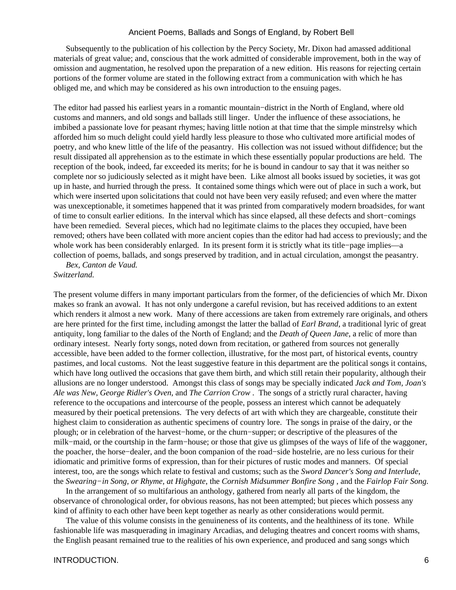#### Ancient Poems, Ballads and Songs of England, by Robert Bell

 Subsequently to the publication of his collection by the Percy Society, Mr. Dixon had amassed additional materials of great value; and, conscious that the work admitted of considerable improvement, both in the way of omission and augmentation, he resolved upon the preparation of a new edition. His reasons for rejecting certain portions of the former volume are stated in the following extract from a communication with which he has obliged me, and which may be considered as his own introduction to the ensuing pages.

The editor had passed his earliest years in a romantic mountain−district in the North of England, where old customs and manners, and old songs and ballads still linger. Under the influence of these associations, he imbibed a passionate love for peasant rhymes; having little notion at that time that the simple minstrelsy which afforded him so much delight could yield hardly less pleasure to those who cultivated more artificial modes of poetry, and who knew little of the life of the peasantry. His collection was not issued without diffidence; but the result dissipated all apprehension as to the estimate in which these essentially popular productions are held. The reception of the book, indeed, far exceeded its merits; for he is bound in candour to say that it was neither so complete nor so judiciously selected as it might have been. Like almost all books issued by societies, it was got up in haste, and hurried through the press. It contained some things which were out of place in such a work, but which were inserted upon solicitations that could not have been very easily refused; and even where the matter was unexceptionable, it sometimes happened that it was printed from comparatively modern broadsides, for want of time to consult earlier editions. In the interval which has since elapsed, all these defects and short−comings have been remedied. Several pieces, which had no legitimate claims to the places they occupied, have been removed; others have been collated with more ancient copies than the editor had had access to previously; and the whole work has been considerably enlarged. In its present form it is strictly what its title−page implies—a collection of poems, ballads, and songs preserved by tradition, and in actual circulation, amongst the peasantry.

 *Bex, Canton de Vaud. Switzerland.*

The present volume differs in many important particulars from the former, of the deficiencies of which Mr. Dixon makes so frank an avowal. It has not only undergone a careful revision, but has received additions to an extent which renders it almost a new work. Many of there accessions are taken from extremely rare originals, and others are here printed for the first time, including amongst the latter the ballad of *Earl Brand*, a traditional lyric of great antiquity, long familiar to the dales of the North of England; and the *Death of Queen Jane*, a relic of more than ordinary intesest. Nearly forty songs, noted down from recitation, or gathered from sources not generally accessible, have been added to the former collection, illustrative, for the most part, of historical events, country pastimes, and local customs. Not the least suggestive feature in this department are the political songs it contains, which have long outlived the occasions that gave them birth, and which still retain their popularity, although their allusions are no longer understood. Amongst this class of songs may be specially indicated *Jack and Tom, Joan's Ale was New, George Ridler's Oven*, and *The Carrion Crow* . The songs of a strictly rural character, having reference to the occupations and intercourse of the people, possess an interest which cannot be adequately measured by their poetical pretensions. The very defects of art with which they are chargeable, constitute their highest claim to consideration as authentic specimens of country lore. The songs in praise of the dairy, or the plough; or in celebration of the harvest−home, or the churn−supper; or descriptive of the pleasures of the milk−maid, or the courtship in the farm−house; or those that give us glimpses of the ways of life of the waggoner, the poacher, the horse−dealer, and the boon companion of the road−side hostelrie, are no less curious for their idiomatic and primitive forms of expression, than for their pictures of rustic modes and manners. Of special interest, too, are the songs which relate to festival and customs; such as the *Sword Dancer's Song and Interlude*, the *Swearing−in Song, or Rhyme, at Highgate*, the *Cornish Midsummer Bonfire Song* , and the *Fairlop Fair Song.*

 In the arrangement of so multifarious an anthology, gathered from nearly all parts of the kingdom, the observance of chronological order, for obvious reasons, has not been attempted; but pieces which possess any kind of affinity to each other have been kept together as nearly as other considerations would permit.

 The value of this volume consists in the genuineness of its contents, and the healthiness of its tone. While fashionable life was masquerading in imaginary Arcadias, and deluging theatres and concert rooms with shams, the English peasant remained true to the realities of his own experience, and produced and sang songs which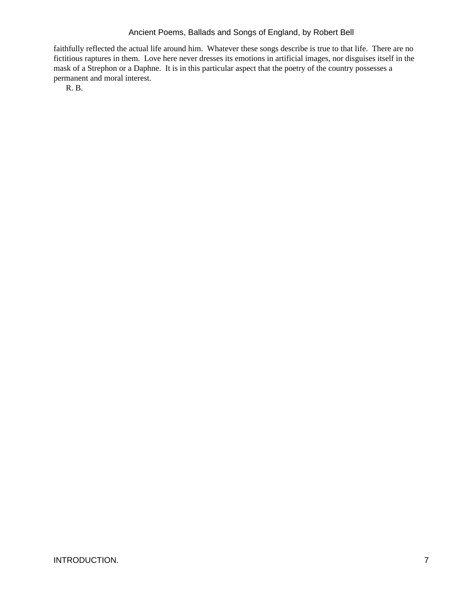## Ancient Poems, Ballads and Songs of England, by Robert Bell

faithfully reflected the actual life around him. Whatever these songs describe is true to that life. There are no fictitious raptures in them. Love here never dresses its emotions in artificial images, nor disguises itself in the mask of a Strephon or a Daphne. It is in this particular aspect that the poetry of the country possesses a permanent and moral interest.

R. B.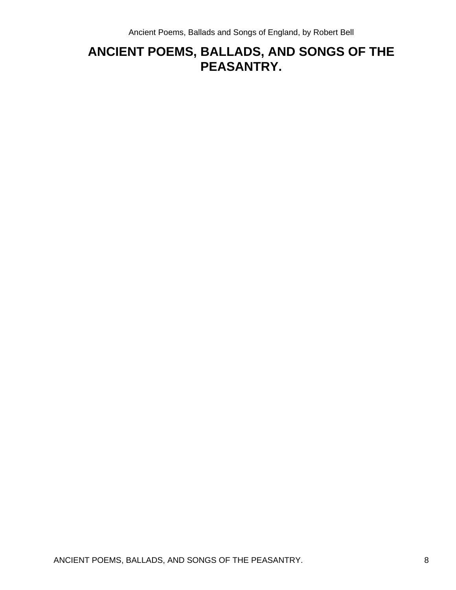# <span id="page-12-0"></span>**ANCIENT POEMS, BALLADS, AND SONGS OF THE PEASANTRY.**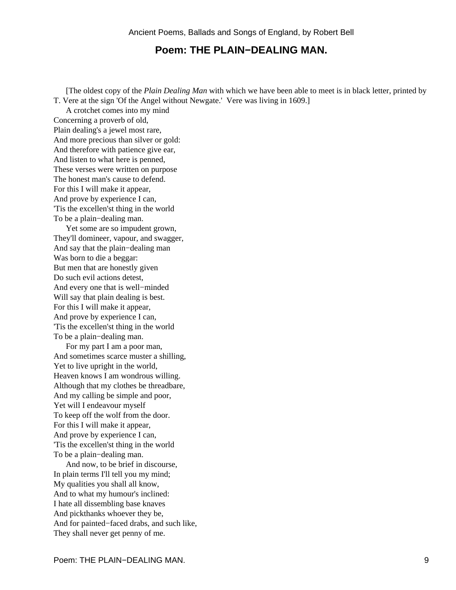## **Poem: THE PLAIN−DEALING MAN.**

<span id="page-13-0"></span> [The oldest copy of the *Plain Dealing Man* with which we have been able to meet is in black letter, printed by T. Vere at the sign 'Of the Angel without Newgate.' Vere was living in 1609.]

 A crotchet comes into my mind Concerning a proverb of old, Plain dealing's a jewel most rare, And more precious than silver or gold: And therefore with patience give ear, And listen to what here is penned, These verses were written on purpose The honest man's cause to defend. For this I will make it appear, And prove by experience I can, 'Tis the excellen'st thing in the world To be a plain−dealing man.

 Yet some are so impudent grown, They'll domineer, vapour, and swagger, And say that the plain−dealing man Was born to die a beggar: But men that are honestly given Do such evil actions detest, And every one that is well−minded Will say that plain dealing is best. For this I will make it appear, And prove by experience I can, 'Tis the excellen'st thing in the world To be a plain−dealing man.

 For my part I am a poor man, And sometimes scarce muster a shilling, Yet to live upright in the world, Heaven knows I am wondrous willing. Although that my clothes be threadbare, And my calling be simple and poor, Yet will I endeavour myself To keep off the wolf from the door. For this I will make it appear, And prove by experience I can, 'Tis the excellen'st thing in the world To be a plain−dealing man.

 And now, to be brief in discourse, In plain terms I'll tell you my mind; My qualities you shall all know, And to what my humour's inclined: I hate all dissembling base knaves And pickthanks whoever they be, And for painted−faced drabs, and such like, They shall never get penny of me.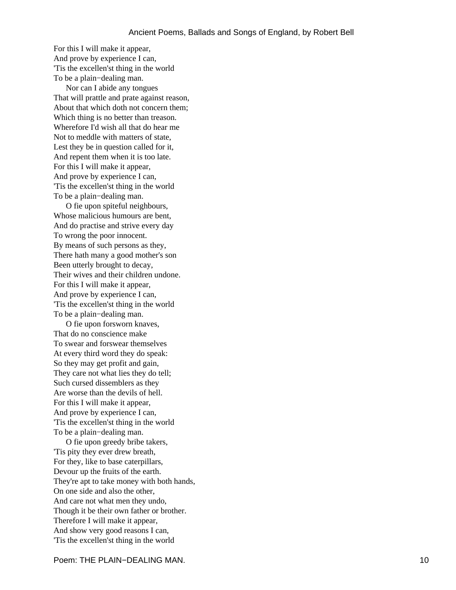For this I will make it appear, And prove by experience I can, 'Tis the excellen'st thing in the world To be a plain−dealing man.

 Nor can I abide any tongues That will prattle and prate against reason, About that which doth not concern them; Which thing is no better than treason. Wherefore I'd wish all that do hear me Not to meddle with matters of state, Lest they be in question called for it, And repent them when it is too late. For this I will make it appear, And prove by experience I can, 'Tis the excellen'st thing in the world To be a plain−dealing man.

 O fie upon spiteful neighbours, Whose malicious humours are bent, And do practise and strive every day To wrong the poor innocent. By means of such persons as they, There hath many a good mother's son Been utterly brought to decay, Their wives and their children undone. For this I will make it appear, And prove by experience I can, 'Tis the excellen'st thing in the world To be a plain−dealing man.

 O fie upon forsworn knaves, That do no conscience make To swear and forswear themselves At every third word they do speak: So they may get profit and gain, They care not what lies they do tell; Such cursed dissemblers as they Are worse than the devils of hell. For this I will make it appear, And prove by experience I can, 'Tis the excellen'st thing in the world To be a plain−dealing man.

 O fie upon greedy bribe takers, 'Tis pity they ever drew breath, For they, like to base caterpillars, Devour up the fruits of the earth. They're apt to take money with both hands, On one side and also the other, And care not what men they undo, Though it be their own father or brother. Therefore I will make it appear, And show very good reasons I can, 'Tis the excellen'st thing in the world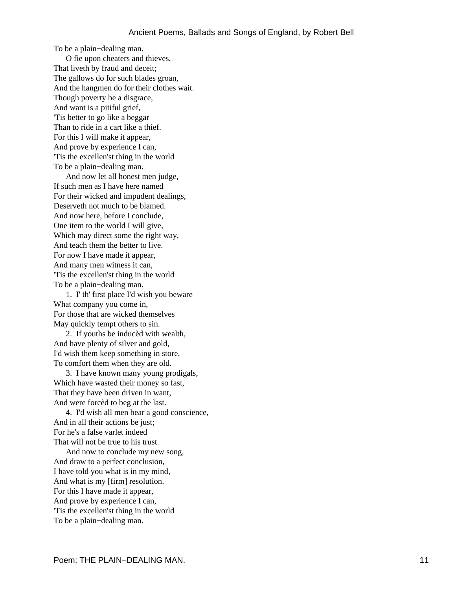To be a plain−dealing man.

 O fie upon cheaters and thieves, That liveth by fraud and deceit; The gallows do for such blades groan, And the hangmen do for their clothes wait. Though poverty be a disgrace, And want is a pitiful grief, 'Tis better to go like a beggar Than to ride in a cart like a thief. For this I will make it appear, And prove by experience I can, 'Tis the excellen'st thing in the world To be a plain−dealing man.

 And now let all honest men judge, If such men as I have here named For their wicked and impudent dealings, Deserveth not much to be blamed. And now here, before I conclude, One item to the world I will give, Which may direct some the right way, And teach them the better to live. For now I have made it appear, And many men witness it can, 'Tis the excellen'st thing in the world To be a plain−dealing man.

 1. I' th' first place I'd wish you beware What company you come in, For those that are wicked themselves May quickly tempt others to sin.

 2. If youths be inducèd with wealth, And have plenty of silver and gold, I'd wish them keep something in store, To comfort them when they are old.

 3. I have known many young prodigals, Which have wasted their money so fast, That they have been driven in want, And were forcèd to beg at the last.

 4. I'd wish all men bear a good conscience, And in all their actions be just; For he's a false varlet indeed That will not be true to his trust.

 And now to conclude my new song, And draw to a perfect conclusion, I have told you what is in my mind, And what is my [firm] resolution. For this I have made it appear, And prove by experience I can, 'Tis the excellen'st thing in the world To be a plain−dealing man.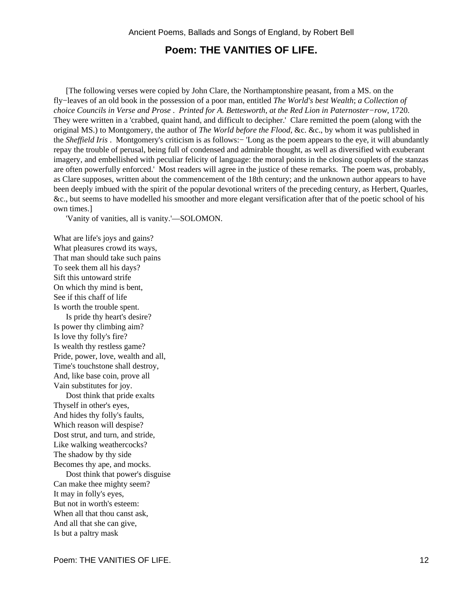## **Poem: THE VANITIES OF LIFE.**

<span id="page-16-0"></span> [The following verses were copied by John Clare, the Northamptonshire peasant, from a MS. on the fly−leaves of an old book in the possession of a poor man, entitled *The World's best Wealth*; *a Collection of choice Councils in Verse and Prose* . *Printed for A. Bettesworth, at the Red Lion in Paternoster−row*, 1720. They were written in a 'crabbed, quaint hand, and difficult to decipher.' Clare remitted the poem (along with the original MS.) to Montgomery, the author of *The World before the Flood*, &c. &c., by whom it was published in the *Sheffield Iris* . Montgomery's criticism is as follows:− 'Long as the poem appears to the eye, it will abundantly repay the trouble of perusal, being full of condensed and admirable thought, as well as diversified with exuberant imagery, and embellished with peculiar felicity of language: the moral points in the closing couplets of the stanzas are often powerfully enforced.' Most readers will agree in the justice of these remarks. The poem was, probably, as Clare supposes, written about the commencement of the 18th century; and the unknown author appears to have been deeply imbued with the spirit of the popular devotional writers of the preceding century, as Herbert, Quarles, &c., but seems to have modelled his smoother and more elegant versification after that of the poetic school of his own times.]

'Vanity of vanities, all is vanity.'—SOLOMON.

What are life's joys and gains? What pleasures crowd its ways, That man should take such pains To seek them all his days? Sift this untoward strife On which thy mind is bent, See if this chaff of life Is worth the trouble spent.

 Is pride thy heart's desire? Is power thy climbing aim? Is love thy folly's fire? Is wealth thy restless game? Pride, power, love, wealth and all, Time's touchstone shall destroy, And, like base coin, prove all Vain substitutes for joy.

 Dost think that pride exalts Thyself in other's eyes, And hides thy folly's faults, Which reason will despise? Dost strut, and turn, and stride, Like walking weathercocks? The shadow by thy side Becomes thy ape, and mocks.

 Dost think that power's disguise Can make thee mighty seem? It may in folly's eyes, But not in worth's esteem: When all that thou canst ask, And all that she can give, Is but a paltry mask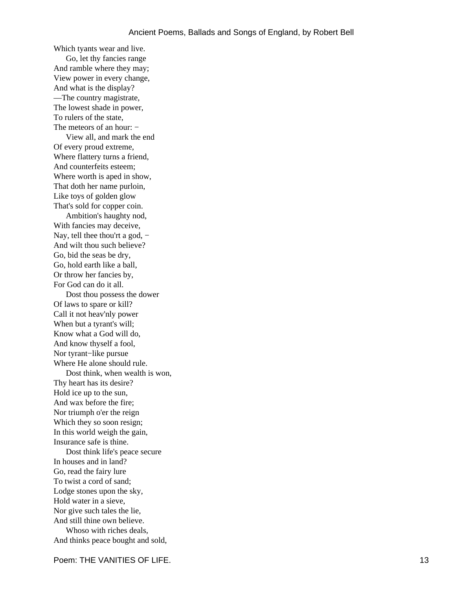Which tyants wear and live.

 Go, let thy fancies range And ramble where they may; View power in every change, And what is the display? —The country magistrate, The lowest shade in power, To rulers of the state, The meteors of an hour: −

 View all, and mark the end Of every proud extreme, Where flattery turns a friend, And counterfeits esteem; Where worth is aped in show, That doth her name purloin, Like toys of golden glow That's sold for copper coin.

 Ambition's haughty nod, With fancies may deceive, Nay, tell thee thou'rt a god, – And wilt thou such believe? Go, bid the seas be dry, Go, hold earth like a ball, Or throw her fancies by, For God can do it all.

 Dost thou possess the dower Of laws to spare or kill? Call it not heav'nly power When but a tyrant's will; Know what a God will do, And know thyself a fool, Nor tyrant−like pursue Where He alone should rule.

 Dost think, when wealth is won, Thy heart has its desire? Hold ice up to the sun, And wax before the fire; Nor triumph o'er the reign Which they so soon resign; In this world weigh the gain, Insurance safe is thine.

 Dost think life's peace secure In houses and in land? Go, read the fairy lure To twist a cord of sand; Lodge stones upon the sky, Hold water in a sieve, Nor give such tales the lie, And still thine own believe. Whoso with riches deals, And thinks peace bought and sold,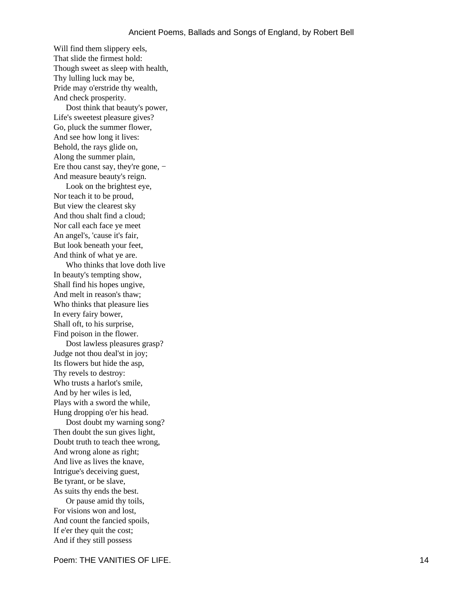Will find them slippery eels, That slide the firmest hold: Though sweet as sleep with health, Thy lulling luck may be, Pride may o'erstride thy wealth, And check prosperity.

 Dost think that beauty's power, Life's sweetest pleasure gives? Go, pluck the summer flower, And see how long it lives: Behold, the rays glide on, Along the summer plain, Ere thou canst say, they're gone, − And measure beauty's reign.

 Look on the brightest eye, Nor teach it to be proud, But view the clearest sky And thou shalt find a cloud; Nor call each face ye meet An angel's, 'cause it's fair, But look beneath your feet, And think of what ye are.

 Who thinks that love doth live In beauty's tempting show, Shall find his hopes ungive, And melt in reason's thaw; Who thinks that pleasure lies In every fairy bower, Shall oft, to his surprise, Find poison in the flower.

 Dost lawless pleasures grasp? Judge not thou deal'st in joy; Its flowers but hide the asp, Thy revels to destroy: Who trusts a harlot's smile, And by her wiles is led, Plays with a sword the while, Hung dropping o'er his head.

 Dost doubt my warning song? Then doubt the sun gives light, Doubt truth to teach thee wrong, And wrong alone as right; And live as lives the knave, Intrigue's deceiving guest, Be tyrant, or be slave, As suits thy ends the best.

 Or pause amid thy toils, For visions won and lost, And count the fancied spoils, If e'er they quit the cost; And if they still possess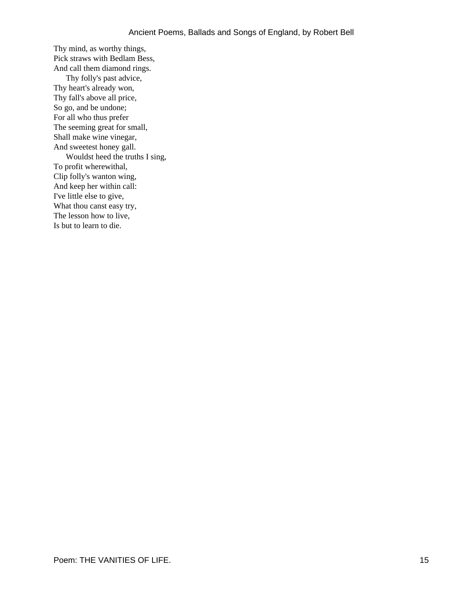Thy mind, as worthy things, Pick straws with Bedlam Bess, And call them diamond rings.

 Thy folly's past advice, Thy heart's already won, Thy fall's above all price, So go, and be undone; For all who thus prefer The seeming great for small, Shall make wine vinegar, And sweetest honey gall. Wouldst heed the truths I sing,

To profit wherewithal, Clip folly's wanton wing, And keep her within call: I've little else to give, What thou canst easy try, The lesson how to live, Is but to learn to die.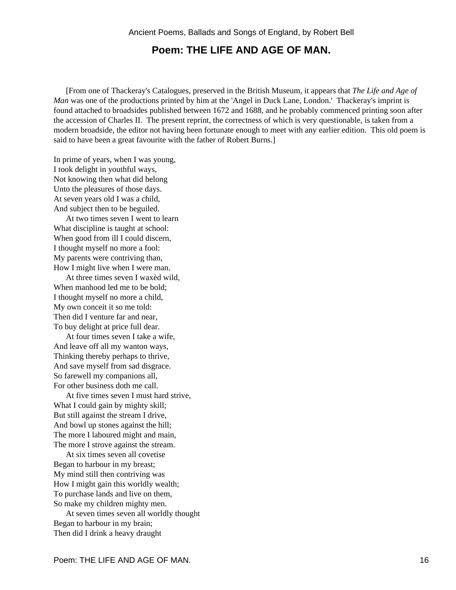## **Poem: THE LIFE AND AGE OF MAN.**

<span id="page-20-0"></span> [From one of Thackeray's Catalogues, preserved in the British Museum, it appears that *The Life and Age of Man* was one of the productions printed by him at the 'Angel in Duck Lane, London.' Thackeray's imprint is found attached to broadsides published between 1672 and 1688, and he probably commenced printing soon after the accession of Charles II. The present reprint, the correctness of which is very questionable, is taken from a modern broadside, the editor not having been fortunate enough to meet with any earlier edition. This old poem is said to have been a great favourite with the father of Robert Burns.]

In prime of years, when I was young, I took delight in youthful ways, Not knowing then what did belong Unto the pleasures of those days. At seven years old I was a child, And subject then to be beguiled.

 At two times seven I went to learn What discipline is taught at school: When good from ill I could discern, I thought myself no more a fool: My parents were contriving than, How I might live when I were man.

 At three times seven I waxèd wild, When manhood led me to be bold; I thought myself no more a child, My own conceit it so me told: Then did I venture far and near, To buy delight at price full dear.

 At four times seven I take a wife, And leave off all my wanton ways, Thinking thereby perhaps to thrive, And save myself from sad disgrace. So farewell my companions all, For other business doth me call.

 At five times seven I must hard strive, What I could gain by mighty skill; But still against the stream I drive, And bowl up stones against the hill; The more I laboured might and main, The more I strove against the stream.

 At six times seven all covetise Began to harbour in my breast; My mind still then contriving was How I might gain this worldly wealth; To purchase lands and live on them, So make my children mighty men.

 At seven times seven all worldly thought Began to harbour in my brain; Then did I drink a heavy draught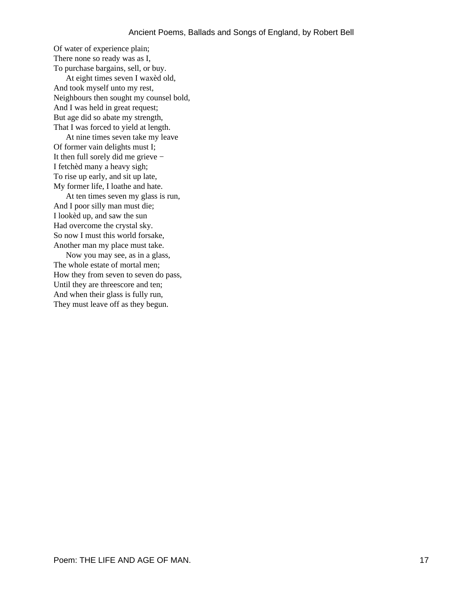Of water of experience plain; There none so ready was as I, To purchase bargains, sell, or buy.

 At eight times seven I waxèd old, And took myself unto my rest, Neighbours then sought my counsel bold, And I was held in great request; But age did so abate my strength, That I was forced to yield at length.

 At nine times seven take my leave Of former vain delights must I; It then full sorely did me grieve − I fetchèd many a heavy sigh; To rise up early, and sit up late, My former life, I loathe and hate.

 At ten times seven my glass is run, And I poor silly man must die; I lookèd up, and saw the sun Had overcome the crystal sky. So now I must this world forsake, Another man my place must take.

 Now you may see, as in a glass, The whole estate of mortal men; How they from seven to seven do pass, Until they are threescore and ten; And when their glass is fully run, They must leave off as they begun.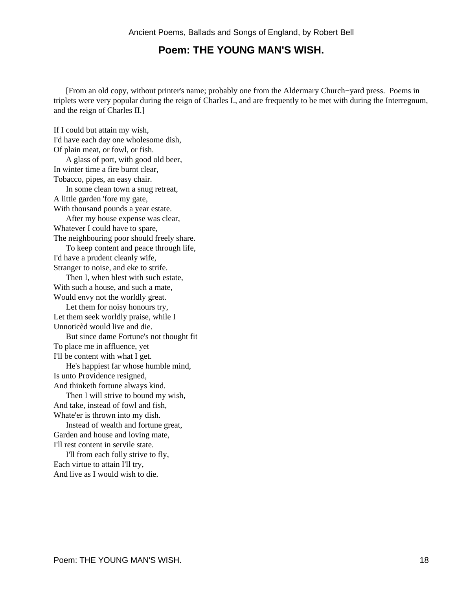## **Poem: THE YOUNG MAN'S WISH.**

<span id="page-22-0"></span> [From an old copy, without printer's name; probably one from the Aldermary Church−yard press. Poems in triplets were very popular during the reign of Charles I., and are frequently to be met with during the Interregnum, and the reign of Charles II.]

If I could but attain my wish, I'd have each day one wholesome dish, Of plain meat, or fowl, or fish. A glass of port, with good old beer, In winter time a fire burnt clear, Tobacco, pipes, an easy chair. In some clean town a snug retreat, A little garden 'fore my gate, With thousand pounds a year estate. After my house expense was clear, Whatever I could have to spare, The neighbouring poor should freely share. To keep content and peace through life, I'd have a prudent cleanly wife, Stranger to noise, and eke to strife. Then I, when blest with such estate, With such a house, and such a mate, Would envy not the worldly great. Let them for noisy honours try, Let them seek worldly praise, while I Unnoticèd would live and die. But since dame Fortune's not thought fit To place me in affluence, yet I'll be content with what I get. He's happiest far whose humble mind, Is unto Providence resigned, And thinketh fortune always kind. Then I will strive to bound my wish, And take, instead of fowl and fish, Whate'er is thrown into my dish. Instead of wealth and fortune great, Garden and house and loving mate, I'll rest content in servile state. I'll from each folly strive to fly, Each virtue to attain I'll try, And live as I would wish to die.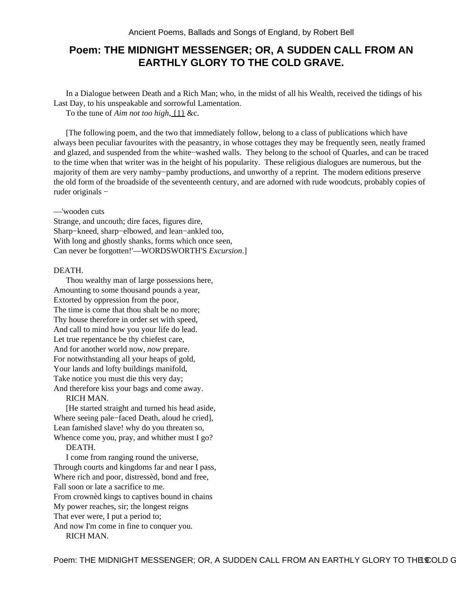## <span id="page-23-0"></span>**Poem: THE MIDNIGHT MESSENGER; OR, A SUDDEN CALL FROM AN EARTHLY GLORY TO THE COLD GRAVE.**

<span id="page-23-1"></span> In a Dialogue between Death and a Rich Man; who, in the midst of all his Wealth, received the tidings of his Last Day, to his unspeakable and sorrowful Lamentation.

To the tune of *Aim not too high*, [{1}](#page-212-0) &c.

 [The following poem, and the two that immediately follow, belong to a class of publications which have always been peculiar favourites with the peasantry, in whose cottages they may be frequently seen, neatly framed and glazed, and suspended from the white−washed walls. They belong to the school of Quarles, and can be traced to the time when that writer was in the height of his popularity. These religious dialogues are numerous, but the majority of them are very namby−pamby productions, and unworthy of a reprint. The modern editions preserve the old form of the broadside of the seventeenth century, and are adorned with rude woodcuts, probably copies of ruder originals −

#### —'wooden cuts

Strange, and uncouth; dire faces, figures dire, Sharp−kneed, sharp−elbowed, and lean−ankled too, With long and ghostly shanks, forms which once seen, Can never be forgotten!'—WORDSWORTH'S *Excursion*.]

#### DEATH.

 Thou wealthy man of large possessions here, Amounting to some thousand pounds a year, Extorted by oppression from the poor, The time is come that thou shalt be no more; Thy house therefore in order set with speed, And call to mind how you your life do lead. Let true repentance be thy chiefest care, And for another world now, *now* prepare. For notwithstanding all your heaps of gold, Your lands and lofty buildings manifold, Take notice you must die this very day; And therefore kiss your bags and come away.

## RICH MAN.

 [He started straight and turned his head aside, Where seeing pale−faced Death, aloud he cried], Lean famished slave! why do you threaten so, Whence come you, pray, and whither must I go?

### DEATH.

 I come from ranging round the universe, Through courts and kingdoms far and near I pass, Where rich and poor, distressèd, bond and free, Fall soon or late a sacrifice to me. From crownèd kings to captives bound in chains My power reaches, sir; the longest reigns That ever were, I put a period to; And now I'm come in fine to conquer you. RICH MAN.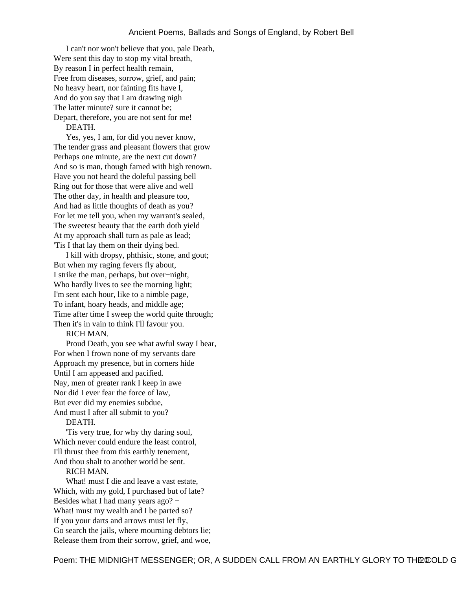I can't nor won't believe that you, pale Death, Were sent this day to stop my vital breath, By reason I in perfect health remain, Free from diseases, sorrow, grief, and pain; No heavy heart, nor fainting fits have I, And do you say that I am drawing nigh The latter minute? sure it cannot be; Depart, therefore, you are not sent for me!

DEATH.

 Yes, yes, I am, for did you never know, The tender grass and pleasant flowers that grow Perhaps one minute, are the next cut down? And so is man, though famed with high renown. Have you not heard the doleful passing bell Ring out for those that were alive and well The other day, in health and pleasure too, And had as little thoughts of death as you? For let me tell you, when my warrant's sealed, The sweetest beauty that the earth doth yield At my approach shall turn as pale as lead; 'Tis I that lay them on their dying bed.

 I kill with dropsy, phthisic, stone, and gout; But when my raging fevers fly about, I strike the man, perhaps, but over−night, Who hardly lives to see the morning light; I'm sent each hour, like to a nimble page, To infant, hoary heads, and middle age; Time after time I sweep the world quite through; Then it's in vain to think I'll favour you.

RICH MAN.

 Proud Death, you see what awful sway I bear, For when I frown none of my servants dare Approach my presence, but in corners hide Until I am appeased and pacified. Nay, men of greater rank I keep in awe Nor did I ever fear the force of law, But ever did my enemies subdue, And must I after all submit to you? DEATH.

 'Tis very true, for why thy daring soul, Which never could endure the least control, I'll thrust thee from this earthly tenement, And thou shalt to another world be sent.

### RICH MAN.

 What! must I die and leave a vast estate, Which, with my gold, I purchased but of late? Besides what I had many years ago? – What! must my wealth and I be parted so? If you your darts and arrows must let fly, Go search the jails, where mourning debtors lie; Release them from their sorrow, grief, and woe,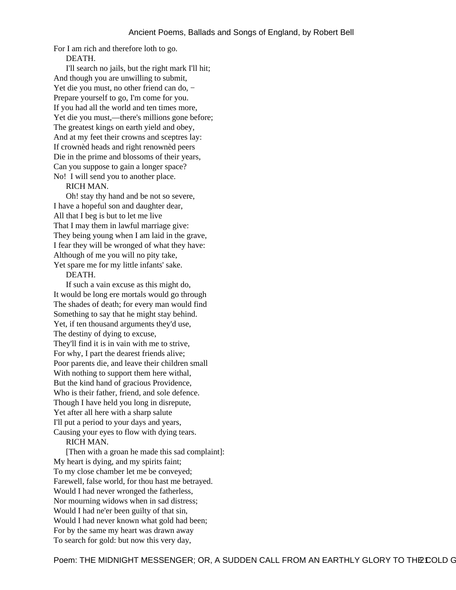For I am rich and therefore loth to go.

#### DEATH.

 I'll search no jails, but the right mark I'll hit; And though you are unwilling to submit, Yet die you must, no other friend can do, − Prepare yourself to go, I'm come for you. If you had all the world and ten times more, Yet die you must,—there's millions gone before; The greatest kings on earth yield and obey, And at my feet their crowns and sceptres lay: If crownèd heads and right renownèd peers Die in the prime and blossoms of their years, Can you suppose to gain a longer space? No! I will send you to another place.

RICH MAN.

 Oh! stay thy hand and be not so severe, I have a hopeful son and daughter dear, All that I beg is but to let me live That I may them in lawful marriage give: They being young when I am laid in the grave, I fear they will be wronged of what they have: Although of me you will no pity take, Yet spare me for my little infants' sake.

#### DEATH.

 If such a vain excuse as this might do, It would be long ere mortals would go through The shades of death; for every man would find Something to say that he might stay behind. Yet, if ten thousand arguments they'd use, The destiny of dying to excuse, They'll find it is in vain with me to strive, For why, I part the dearest friends alive; Poor parents die, and leave their children small With nothing to support them here withal, But the kind hand of gracious Providence, Who is their father, friend, and sole defence. Though I have held you long in disrepute, Yet after all here with a sharp salute I'll put a period to your days and years, Causing your eyes to flow with dying tears.

## RICH MAN.

 [Then with a groan he made this sad complaint]: My heart is dying, and my spirits faint; To my close chamber let me be conveyed; Farewell, false world, for thou hast me betrayed. Would I had never wronged the fatherless, Nor mourning widows when in sad distress; Would I had ne'er been guilty of that sin, Would I had never known what gold had been; For by the same my heart was drawn away To search for gold: but now this very day,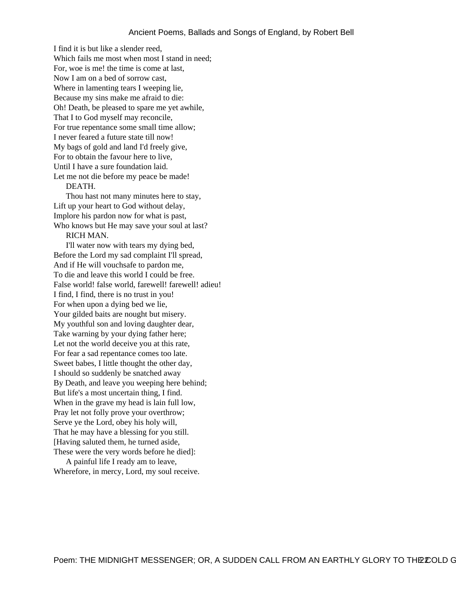I find it is but like a slender reed, Which fails me most when most I stand in need; For, woe is me! the time is come at last, Now I am on a bed of sorrow cast, Where in lamenting tears I weeping lie, Because my sins make me afraid to die: Oh! Death, be pleased to spare me yet awhile, That I to God myself may reconcile, For true repentance some small time allow; I never feared a future state till now! My bags of gold and land I'd freely give, For to obtain the favour here to live, Until I have a sure foundation laid. Let me not die before my peace be made! DEATH.

 Thou hast not many minutes here to stay, Lift up your heart to God without delay, Implore his pardon now for what is past, Who knows but He may save your soul at last?

RICH MAN.

 I'll water now with tears my dying bed, Before the Lord my sad complaint I'll spread, And if He will vouchsafe to pardon me, To die and leave this world I could be free. False world! false world, farewell! farewell! adieu! I find, I find, there is no trust in you! For when upon a dying bed we lie, Your gilded baits are nought but misery. My youthful son and loving daughter dear, Take warning by your dying father here; Let not the world deceive you at this rate, For fear a sad repentance comes too late. Sweet babes, I little thought the other day, I should so suddenly be snatched away By Death, and leave you weeping here behind; But life's a most uncertain thing, I find. When in the grave my head is lain full low, Pray let not folly prove your overthrow; Serve ye the Lord, obey his holy will, That he may have a blessing for you still. [Having saluted them, he turned aside, These were the very words before he died]:

 A painful life I ready am to leave, Wherefore, in mercy, Lord, my soul receive.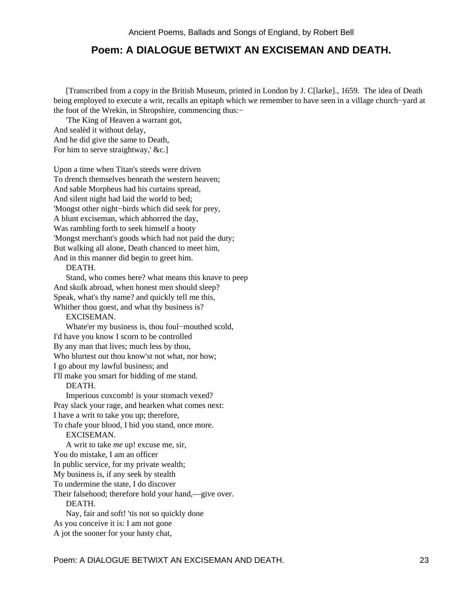#### Ancient Poems, Ballads and Songs of England, by Robert Bell

## **Poem: A DIALOGUE BETWIXT AN EXCISEMAN AND DEATH.**

<span id="page-27-0"></span> [Transcribed from a copy in the British Museum, printed in London by J. C[larke]., 1659. The idea of Death being employed to execute a writ, recalls an epitaph which we remember to have seen in a village church−yard at the foot of the Wrekin, in Shropshire, commencing thus:−

 'The King of Heaven a warrant got, And sealèd it without delay, And he did give the same to Death, For him to serve straightway,' &c.]

Upon a time when Titan's steeds were driven To drench themselves beneath the western heaven; And sable Morpheus had his curtains spread, And silent night had laid the world to bed; 'Mongst other night−birds which did seek for prey, A blunt exciseman, which abhorred the day, Was rambling forth to seek himself a booty 'Mongst merchant's goods which had not paid the duty; But walking all alone, Death chanced to meet him, And in this manner did begin to greet him.

#### DEATH.

 Stand, who comes here? what means this knave to peep And skulk abroad, when honest men should sleep? Speak, what's thy name? and quickly tell me this, Whither thou goest, and what thy business is?

### EXCISEMAN.

 Whate'er my business is, thou foul−mouthed scold, I'd have you know I scorn to be controlled By any man that lives; much less by thou, Who blurtest out thou know'st not what, nor how; I go about my lawful business; and

I'll make you smart for bidding of me stand. DEATH.

 Imperious coxcomb! is your stomach vexed? Pray slack your rage, and hearken what comes next: I have a writ to take you up; therefore, To chafe your blood, I bid you stand, once more. EXCISEMAN. A writ to take *me* up! excuse me, sir, You do mistake, I am an officer In public service, for my private wealth; My business is, if any seek by stealth

To undermine the state, I do discover

Their falsehood; therefore hold your hand,—give over.

DEATH.

Nay, fair and soft! 'tis not so quickly done

As you conceive it is: I am not gone

A jot the sooner for your hasty chat,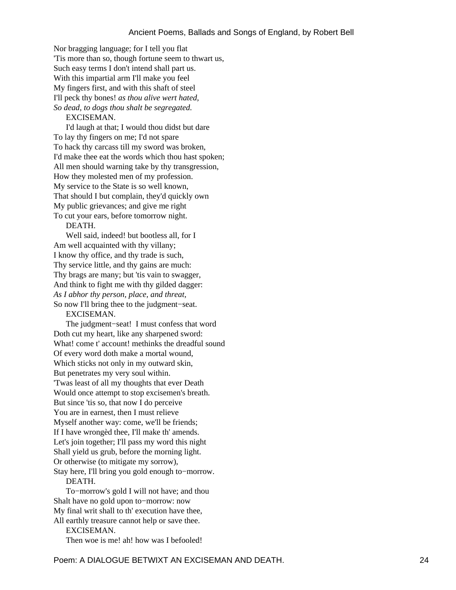Nor bragging language; for I tell you flat 'Tis more than so, though fortune seem to thwart us, Such easy terms I don't intend shall part us. With this impartial arm I'll make you feel My fingers first, and with this shaft of steel I'll peck thy bones! *as thou alive wert hated, So dead, to dogs thou shalt be segregated.* EXCISEMAN.

 I'd laugh at that; I would thou didst but dare To lay thy fingers on me; I'd not spare To hack thy carcass till my sword was broken, I'd make thee eat the words which thou hast spoken; All men should warning take by thy transgression, How they molested men of my profession. My service to the State is so well known, That should I but complain, they'd quickly own My public grievances; and give me right To cut your ears, before tomorrow night.

#### DEATH.

 Well said, indeed! but bootless all, for I Am well acquainted with thy villany; I know thy office, and thy trade is such, Thy service little, and thy gains are much: Thy brags are many; but 'tis vain to swagger, And think to fight me with thy gilded dagger: *As I abhor thy person, place, and threat,* So now I'll bring thee to the judgment−seat.

EXCISEMAN.

 The judgment−seat! I must confess that word Doth cut my heart, like any sharpened sword: What! come t' account! methinks the dreadful sound Of every word doth make a mortal wound, Which sticks not only in my outward skin, But penetrates my very soul within. 'Twas least of all my thoughts that ever Death Would once attempt to stop excisemen's breath. But since 'tis so, that now I do perceive You are in earnest, then I must relieve Myself another way: come, we'll be friends; If I have wrongèd thee, I'll make th' amends. Let's join together; I'll pass my word this night Shall yield us grub, before the morning light. Or otherwise (to mitigate my sorrow), Stay here, I'll bring you gold enough to−morrow. DEATH.

 To−morrow's gold I will not have; and thou Shalt have no gold upon to−morrow: now My final writ shall to th' execution have thee, All earthly treasure cannot help or save thee. EXCISEMAN. Then woe is me! ah! how was I befooled!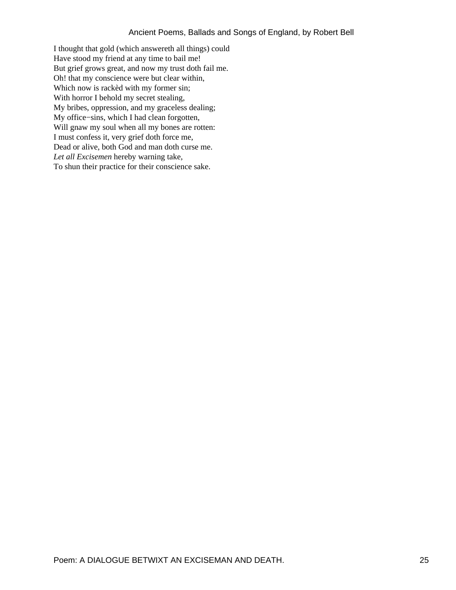I thought that gold (which answereth all things) could Have stood my friend at any time to bail me! But grief grows great, and now my trust doth fail me. Oh! that my conscience were but clear within, Which now is rackèd with my former sin; With horror I behold my secret stealing, My bribes, oppression, and my graceless dealing; My office−sins, which I had clean forgotten, Will gnaw my soul when all my bones are rotten: I must confess it, very grief doth force me, Dead or alive, both God and man doth curse me. *Let all Excisemen* hereby warning take, To shun their practice for their conscience sake.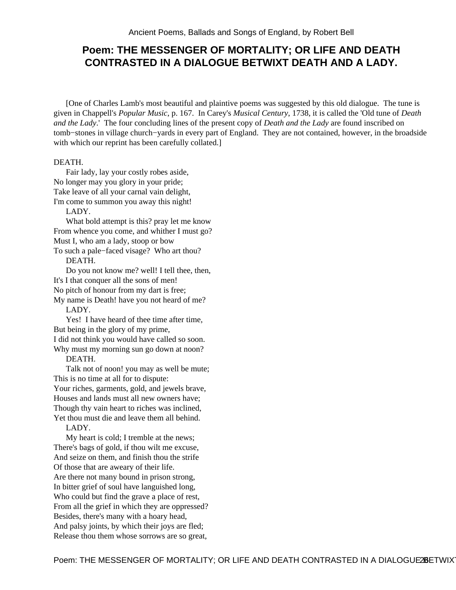# **Poem: THE MESSENGER OF MORTALITY; OR LIFE AND DEATH CONTRASTED IN A DIALOGUE BETWIXT DEATH AND A LADY.**

<span id="page-30-0"></span> [One of Charles Lamb's most beautiful and plaintive poems was suggested by this old dialogue. The tune is given in Chappell's *Popular Music*, p. 167. In Carey's *Musical Century*, 1738, it is called the 'Old tune of *Death and the Lady*.' The four concluding lines of the present copy of *Death and the Lady* are found inscribed on tomb−stones in village church−yards in every part of England. They are not contained, however, in the broadside with which our reprint has been carefully collated.]

#### DEATH.

Take leave of all your carnal vain delight, I'm come to summon you away this night! LADY. What bold attempt is this? pray let me know From whence you come, and whither I must go? Must I, who am a lady, stoop or bow To such a pale−faced visage? Who art thou? DEATH. Do you not know me? well! I tell thee, then, It's I that conquer all the sons of men! No pitch of honour from my dart is free; My name is Death! have you not heard of me? LADY. Yes! I have heard of thee time after time, But being in the glory of my prime, I did not think you would have called so soon. Why must my morning sun go down at noon? DEATH. Talk not of noon! you may as well be mute; This is no time at all for to dispute: Your riches, garments, gold, and jewels brave, Houses and lands must all new owners have; Though thy vain heart to riches was inclined, Yet thou must die and leave them all behind. LADY. My heart is cold; I tremble at the news; There's bags of gold, if thou wilt me excuse, And seize on them, and finish thou the strife Of those that are aweary of their life. Are there not many bound in prison strong, In bitter grief of soul have languished long, Who could but find the grave a place of rest, From all the grief in which they are oppressed? Besides, there's many with a hoary head, And palsy joints, by which their joys are fled; Release thou them whose sorrows are so great,

 Fair lady, lay your costly robes aside, No longer may you glory in your pride;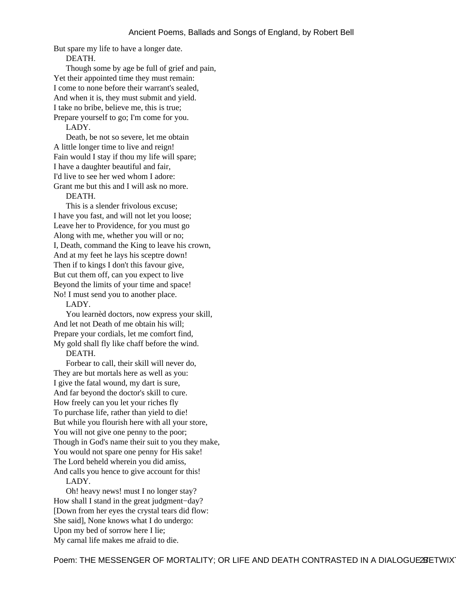But spare my life to have a longer date.

#### DEATH.

 Though some by age be full of grief and pain, Yet their appointed time they must remain: I come to none before their warrant's sealed, And when it is, they must submit and yield. I take no bribe, believe me, this is true; Prepare yourself to go; I'm come for you.

LADY.

 Death, be not so severe, let me obtain A little longer time to live and reign! Fain would I stay if thou my life will spare; I have a daughter beautiful and fair, I'd live to see her wed whom I adore: Grant me but this and I will ask no more.

### DEATH.

 This is a slender frivolous excuse; I have you fast, and will not let you loose; Leave her to Providence, for you must go Along with me, whether you will or no; I, Death, command the King to leave his crown, And at my feet he lays his sceptre down! Then if to kings I don't this favour give, But cut them off, can you expect to live Beyond the limits of your time and space! No! I must send you to another place.

#### LADY.

 You learnèd doctors, now express your skill, And let not Death of me obtain his will; Prepare your cordials, let me comfort find, My gold shall fly like chaff before the wind.

### DEATH.

 Forbear to call, their skill will never do, They are but mortals here as well as you: I give the fatal wound, my dart is sure, And far beyond the doctor's skill to cure. How freely can you let your riches fly To purchase life, rather than yield to die! But while you flourish here with all your store, You will not give one penny to the poor; Though in God's name their suit to you they make, You would not spare one penny for His sake! The Lord beheld wherein you did amiss, And calls you hence to give account for this!

### LADY.

 Oh! heavy news! must I no longer stay? How shall I stand in the great judgment−day? [Down from her eyes the crystal tears did flow: She said], None knows what I do undergo: Upon my bed of sorrow here I lie; My carnal life makes me afraid to die.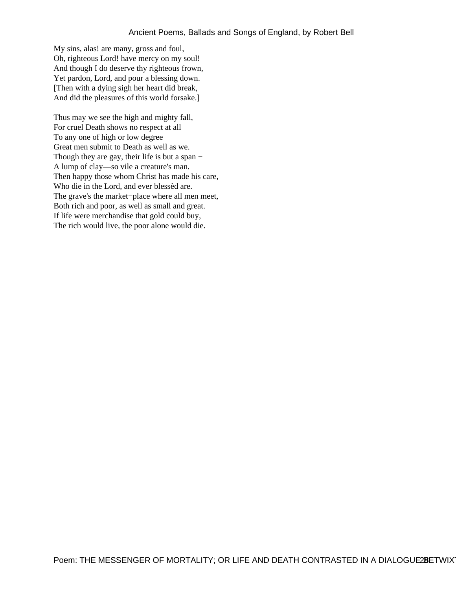My sins, alas! are many, gross and foul, Oh, righteous Lord! have mercy on my soul! And though I do deserve thy righteous frown, Yet pardon, Lord, and pour a blessing down. [Then with a dying sigh her heart did break, And did the pleasures of this world forsake.]

Thus may we see the high and mighty fall, For cruel Death shows no respect at all To any one of high or low degree Great men submit to Death as well as we. Though they are gay, their life is but a span  $-$ A lump of clay—so vile a creature's man. Then happy those whom Christ has made his care, Who die in the Lord, and ever blessèd are. The grave's the market−place where all men meet, Both rich and poor, as well as small and great. If life were merchandise that gold could buy, The rich would live, the poor alone would die.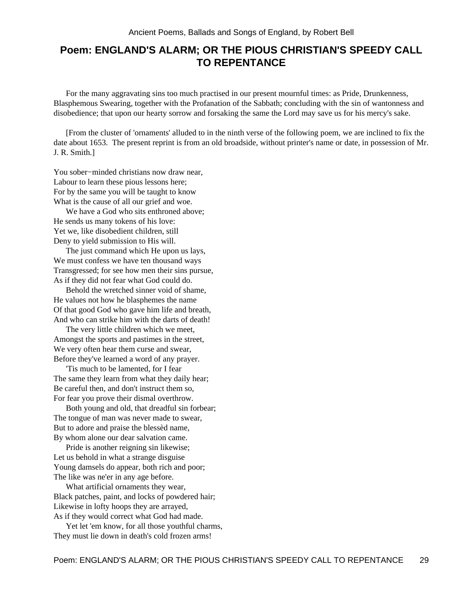## <span id="page-33-0"></span>**Poem: ENGLAND'S ALARM; OR THE PIOUS CHRISTIAN'S SPEEDY CALL TO REPENTANCE**

 For the many aggravating sins too much practised in our present mournful times: as Pride, Drunkenness, Blasphemous Swearing, together with the Profanation of the Sabbath; concluding with the sin of wantonness and disobedience; that upon our hearty sorrow and forsaking the same the Lord may save us for his mercy's sake.

 [From the cluster of 'ornaments' alluded to in the ninth verse of the following poem, we are inclined to fix the date about 1653. The present reprint is from an old broadside, without printer's name or date, in possession of Mr. J. R. Smith.]

You sober−minded christians now draw near, Labour to learn these pious lessons here; For by the same you will be taught to know What is the cause of all our grief and woe.

 We have a God who sits enthroned above; He sends us many tokens of his love: Yet we, like disobedient children, still Deny to yield submission to His will.

 The just command which He upon us lays, We must confess we have ten thousand ways Transgressed; for see how men their sins pursue, As if they did not fear what God could do.

 Behold the wretched sinner void of shame, He values not how he blasphemes the name Of that good God who gave him life and breath, And who can strike him with the darts of death!

 The very little children which we meet, Amongst the sports and pastimes in the street, We very often hear them curse and swear, Before they've learned a word of any prayer.

 'Tis much to be lamented, for I fear The same they learn from what they daily hear; Be careful then, and don't instruct them so, For fear you prove their dismal overthrow.

 Both young and old, that dreadful sin forbear; The tongue of man was never made to swear, But to adore and praise the blessèd name, By whom alone our dear salvation came.

 Pride is another reigning sin likewise; Let us behold in what a strange disguise Young damsels do appear, both rich and poor; The like was ne'er in any age before.

 What artificial ornaments they wear, Black patches, paint, and locks of powdered hair; Likewise in lofty hoops they are arrayed, As if they would correct what God had made.

 Yet let 'em know, for all those youthful charms, They must lie down in death's cold frozen arms!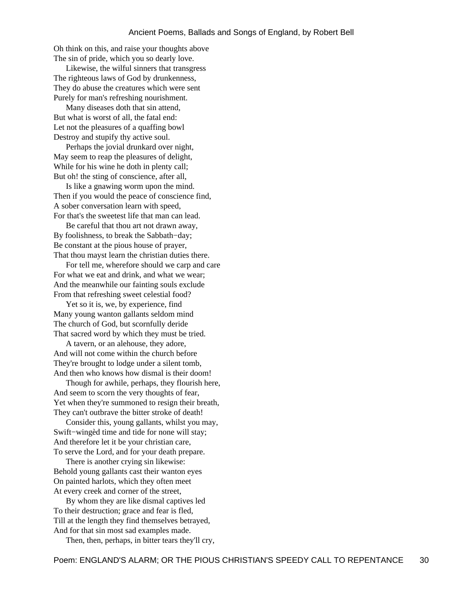Oh think on this, and raise your thoughts above The sin of pride, which you so dearly love.

 Likewise, the wilful sinners that transgress The righteous laws of God by drunkenness, They do abuse the creatures which were sent Purely for man's refreshing nourishment.

 Many diseases doth that sin attend, But what is worst of all, the fatal end: Let not the pleasures of a quaffing bowl Destroy and stupify thy active soul.

 Perhaps the jovial drunkard over night, May seem to reap the pleasures of delight, While for his wine he doth in plenty call; But oh! the sting of conscience, after all,

 Is like a gnawing worm upon the mind. Then if you would the peace of conscience find, A sober conversation learn with speed, For that's the sweetest life that man can lead.

 Be careful that thou art not drawn away, By foolishness, to break the Sabbath−day; Be constant at the pious house of prayer, That thou mayst learn the christian duties there.

 For tell me, wherefore should we carp and care For what we eat and drink, and what we wear; And the meanwhile our fainting souls exclude From that refreshing sweet celestial food?

 Yet so it is, we, by experience, find Many young wanton gallants seldom mind The church of God, but scornfully deride That sacred word by which they must be tried.

 A tavern, or an alehouse, they adore, And will not come within the church before They're brought to lodge under a silent tomb, And then who knows how dismal is their doom!

 Though for awhile, perhaps, they flourish here, And seem to scorn the very thoughts of fear, Yet when they're summoned to resign their breath, They can't outbrave the bitter stroke of death!

 Consider this, young gallants, whilst you may, Swift−wingèd time and tide for none will stay; And therefore let it be your christian care, To serve the Lord, and for your death prepare.

 There is another crying sin likewise: Behold young gallants cast their wanton eyes On painted harlots, which they often meet At every creek and corner of the street,

 By whom they are like dismal captives led To their destruction; grace and fear is fled, Till at the length they find themselves betrayed, And for that sin most sad examples made.

Then, then, perhaps, in bitter tears they'll cry,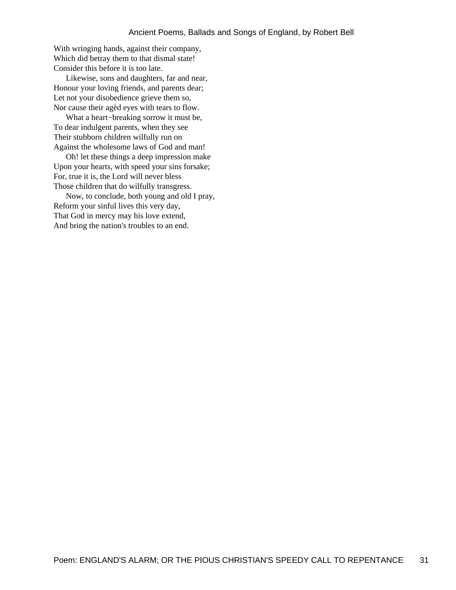With wringing hands, against their company, Which did betray them to that dismal state! Consider this before it is too late.

 Likewise, sons and daughters, far and near, Honour your loving friends, and parents dear; Let not your disobedience grieve them so, Nor cause their agèd eyes with tears to flow.

 What a heart−breaking sorrow it must be, To dear indulgent parents, when they see Their stubborn children wilfully run on Against the wholesome laws of God and man!

 Oh! let these things a deep impression make Upon your hearts, with speed your sins forsake; For, true it is, the Lord will never bless Those children that do wilfully transgress.

 Now, to conclude, both young and old I pray, Reform your sinful lives this very day, That God in mercy may his love extend, And bring the nation's troubles to an end.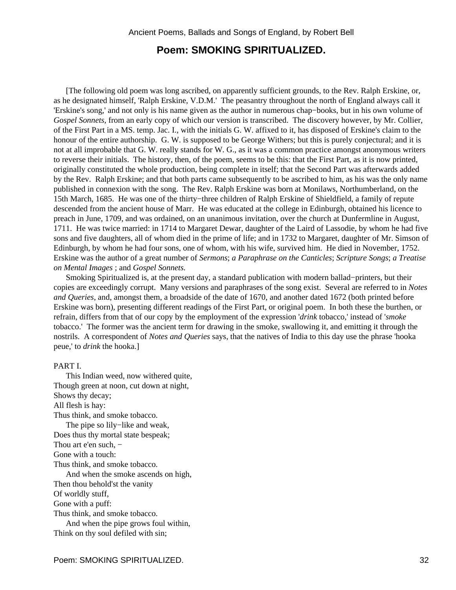### **Poem: SMOKING SPIRITUALIZED.**

 [The following old poem was long ascribed, on apparently sufficient grounds, to the Rev. Ralph Erskine, or, as he designated himself, 'Ralph Erskine, V.D.M.' The peasantry throughout the north of England always call it 'Erskine's song,' and not only is his name given as the author in numerous chap−books, but in his own volume of *Gospel Sonnets*, from an early copy of which our version is transcribed. The discovery however, by Mr. Collier, of the First Part in a MS. temp. Jac. I., with the initials G. W. affixed to it, has disposed of Erskine's claim to the honour of the entire authorship. G. W. is supposed to be George Withers; but this is purely conjectural; and it is not at all improbable that G. W. really stands for W. G., as it was a common practice amongst anonymous writers to reverse their initials. The history, then, of the poem, seems to be this: that the First Part, as it is now printed, originally constituted the whole production, being complete in itself; that the Second Part was afterwards added by the Rev. Ralph Erskine; and that both parts came subsequently to be ascribed to him, as his was the only name published in connexion with the song. The Rev. Ralph Erskine was born at Monilaws, Northumberland, on the 15th March, 1685. He was one of the thirty−three children of Ralph Erskine of Shieldfield, a family of repute descended from the ancient house of Marr. He was educated at the college in Edinburgh, obtained his licence to preach in June, 1709, and was ordained, on an unanimous invitation, over the church at Dunfermline in August, 1711. He was twice married: in 1714 to Margaret Dewar, daughter of the Laird of Lassodie, by whom he had five sons and five daughters, all of whom died in the prime of life; and in 1732 to Margaret, daughter of Mr. Simson of Edinburgh, by whom he had four sons, one of whom, with his wife, survived him. He died in November, 1752. Erskine was the author of a great number of *Sermons*; *a Paraphrase on the Canticles*; *Scripture Songs*; *a Treatise on Mental Images* ; and *Gospel Sonnets.*

 Smoking Spiritualized is, at the present day, a standard publication with modern ballad−printers, but their copies are exceedingly corrupt. Many versions and paraphrases of the song exist. Several are referred to in *Notes and Queries*, and, amongst them, a broadside of the date of 1670, and another dated 1672 (both printed before Erskine was born), presenting different readings of the First Part, or original poem. In both these the burthen, or refrain, differs from that of our copy by the employment of the expression '*drink* tobacco,' instead of '*smoke* tobacco.' The former was the ancient term for drawing in the smoke, swallowing it, and emitting it through the nostrils. A correspondent of *Notes and Queries* says, that the natives of India to this day use the phrase 'hooka peue,' to *drink* the hooka.]

#### PART I.

 This Indian weed, now withered quite, Though green at noon, cut down at night, Shows thy decay; All flesh is hay: Thus think, and smoke tobacco. The pipe so lily−like and weak, Does thus thy mortal state bespeak; Thou art e'en such, − Gone with a touch: Thus think, and smoke tobacco. And when the smoke ascends on high, Then thou behold'st the vanity Of worldly stuff, Gone with a puff: Thus think, and smoke tobacco. And when the pipe grows foul within, Think on thy soul defiled with sin;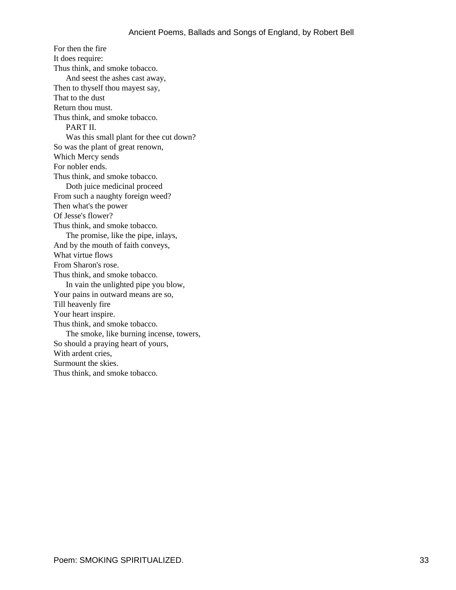For then the fire It does require: Thus think, and smoke tobacco. And seest the ashes cast away, Then to thyself thou mayest say, That to the dust Return thou must. Thus think, and smoke tobacco. PART II. Was this small plant for thee cut down? So was the plant of great renown, Which Mercy sends For nobler ends. Thus think, and smoke tobacco. Doth juice medicinal proceed From such a naughty foreign weed? Then what's the power Of Jesse's flower? Thus think, and smoke tobacco. The promise, like the pipe, inlays, And by the mouth of faith conveys, What virtue flows From Sharon's rose. Thus think, and smoke tobacco. In vain the unlighted pipe you blow, Your pains in outward means are so, Till heavenly fire Your heart inspire. Thus think, and smoke tobacco. The smoke, like burning incense, towers, So should a praying heart of yours, With ardent cries, Surmount the skies. Thus think, and smoke tobacco.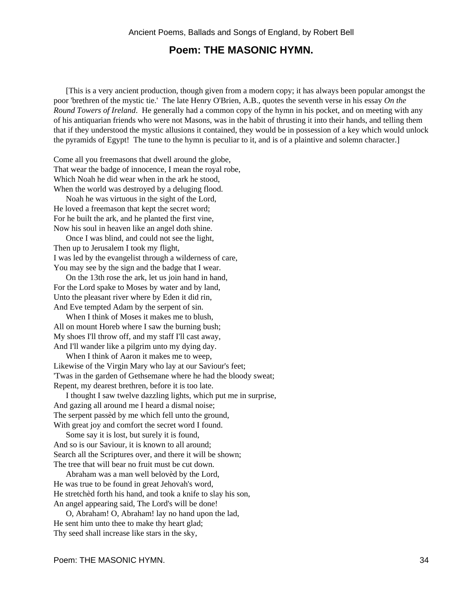### **Poem: THE MASONIC HYMN.**

 [This is a very ancient production, though given from a modern copy; it has always been popular amongst the poor 'brethren of the mystic tie.' The late Henry O'Brien, A.B., quotes the seventh verse in his essay *On the Round Towers of Ireland*. He generally had a common copy of the hymn in his pocket, and on meeting with any of his antiquarian friends who were not Masons, was in the habit of thrusting it into their hands, and telling them that if they understood the mystic allusions it contained, they would be in possession of a key which would unlock the pyramids of Egypt! The tune to the hymn is peculiar to it, and is of a plaintive and solemn character.]

Come all you freemasons that dwell around the globe, That wear the badge of innocence, I mean the royal robe, Which Noah he did wear when in the ark he stood, When the world was destroyed by a deluging flood.

 Noah he was virtuous in the sight of the Lord, He loved a freemason that kept the secret word; For he built the ark, and he planted the first vine, Now his soul in heaven like an angel doth shine.

 Once I was blind, and could not see the light, Then up to Jerusalem I took my flight, I was led by the evangelist through a wilderness of care, You may see by the sign and the badge that I wear.

 On the 13th rose the ark, let us join hand in hand, For the Lord spake to Moses by water and by land, Unto the pleasant river where by Eden it did rin, And Eve tempted Adam by the serpent of sin.

When I think of Moses it makes me to blush. All on mount Horeb where I saw the burning bush; My shoes I'll throw off, and my staff I'll cast away, And I'll wander like a pilgrim unto my dying day.

 When I think of Aaron it makes me to weep, Likewise of the Virgin Mary who lay at our Saviour's feet; 'Twas in the garden of Gethsemane where he had the bloody sweat; Repent, my dearest brethren, before it is too late.

 I thought I saw twelve dazzling lights, which put me in surprise, And gazing all around me I heard a dismal noise; The serpent passèd by me which fell unto the ground, With great joy and comfort the secret word I found.

 Some say it is lost, but surely it is found, And so is our Saviour, it is known to all around; Search all the Scriptures over, and there it will be shown; The tree that will bear no fruit must be cut down.

 Abraham was a man well belovèd by the Lord, He was true to be found in great Jehovah's word, He stretchèd forth his hand, and took a knife to slay his son, An angel appearing said, The Lord's will be done!

 O, Abraham! O, Abraham! lay no hand upon the lad, He sent him unto thee to make thy heart glad; Thy seed shall increase like stars in the sky,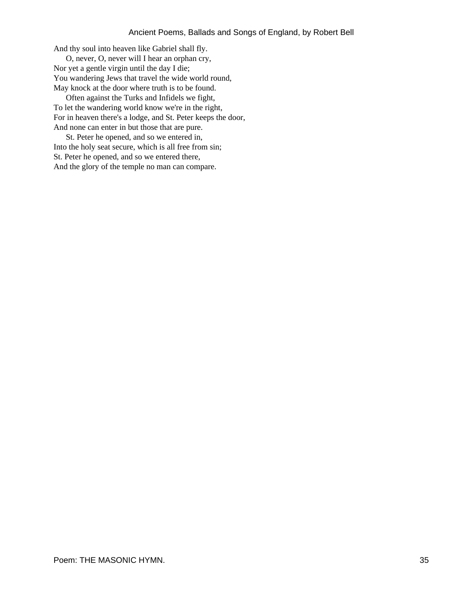And thy soul into heaven like Gabriel shall fly.

 O, never, O, never will I hear an orphan cry, Nor yet a gentle virgin until the day I die; You wandering Jews that travel the wide world round, May knock at the door where truth is to be found.

 Often against the Turks and Infidels we fight, To let the wandering world know we're in the right, For in heaven there's a lodge, and St. Peter keeps the door, And none can enter in but those that are pure.

 St. Peter he opened, and so we entered in, Into the holy seat secure, which is all free from sin; St. Peter he opened, and so we entered there, And the glory of the temple no man can compare.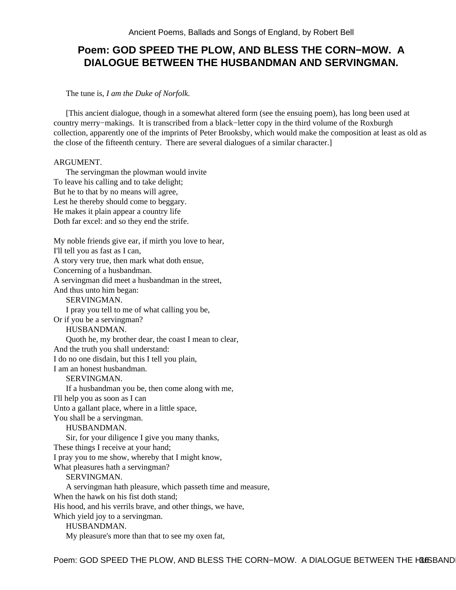# **Poem: GOD SPEED THE PLOW, AND BLESS THE CORN−MOW. A DIALOGUE BETWEEN THE HUSBANDMAN AND SERVINGMAN.**

The tune is, *I am the Duke of Norfolk.*

 [This ancient dialogue, though in a somewhat altered form (see the ensuing poem), has long been used at country merry−makings. It is transcribed from a black−letter copy in the third volume of the Roxburgh collection, apparently one of the imprints of Peter Brooksby, which would make the composition at least as old as the close of the fifteenth century. There are several dialogues of a similar character.]

#### ARGUMENT.

 The servingman the plowman would invite To leave his calling and to take delight; But he to that by no means will agree, Lest he thereby should come to beggary. He makes it plain appear a country life Doth far excel: and so they end the strife.

My noble friends give ear, if mirth you love to hear, I'll tell you as fast as I can, A story very true, then mark what doth ensue, Concerning of a husbandman. A servingman did meet a husbandman in the street, And thus unto him began: SERVINGMAN. I pray you tell to me of what calling you be, Or if you be a servingman? HUSBANDMAN. Quoth he, my brother dear, the coast I mean to clear, And the truth you shall understand: I do no one disdain, but this I tell you plain, I am an honest husbandman. SERVINGMAN. If a husbandman you be, then come along with me, I'll help you as soon as I can Unto a gallant place, where in a little space, You shall be a servingman. HUSBANDMAN. Sir, for your diligence I give you many thanks, These things I receive at your hand; I pray you to me show, whereby that I might know, What pleasures hath a servingman? SERVINGMAN. A servingman hath pleasure, which passeth time and measure, When the hawk on his fist doth stand; His hood, and his verrils brave, and other things, we have, Which yield joy to a servingman. HUSBANDMAN. My pleasure's more than that to see my oxen fat,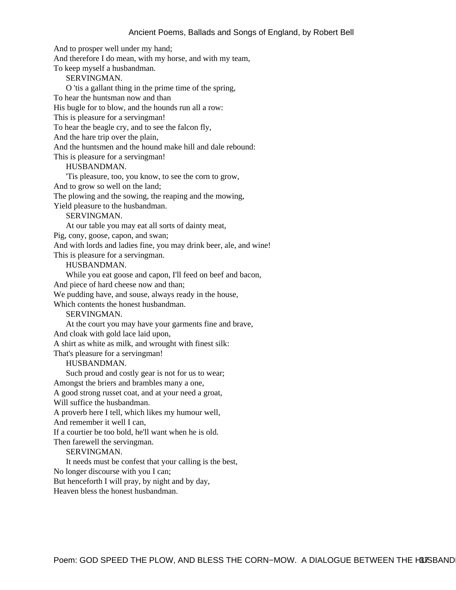And to prosper well under my hand;

And therefore I do mean, with my horse, and with my team,

To keep myself a husbandman.

#### SERVINGMAN.

O 'tis a gallant thing in the prime time of the spring,

To hear the huntsman now and than

His bugle for to blow, and the hounds run all a row:

This is pleasure for a servingman!

To hear the beagle cry, and to see the falcon fly,

And the hare trip over the plain,

And the huntsmen and the hound make hill and dale rebound:

This is pleasure for a servingman!

#### HUSBANDMAN.

'Tis pleasure, too, you know, to see the corn to grow,

And to grow so well on the land;

The plowing and the sowing, the reaping and the mowing,

Yield pleasure to the husbandman.

SERVINGMAN.

At our table you may eat all sorts of dainty meat,

Pig, cony, goose, capon, and swan;

And with lords and ladies fine, you may drink beer, ale, and wine!

This is pleasure for a servingman.

HUSBANDMAN.

While you eat goose and capon, I'll feed on beef and bacon,

And piece of hard cheese now and than;

We pudding have, and souse, always ready in the house,

Which contents the honest husbandman.

SERVINGMAN.

At the court you may have your garments fine and brave,

And cloak with gold lace laid upon,

A shirt as white as milk, and wrought with finest silk:

That's pleasure for a servingman!

HUSBANDMAN.

Such proud and costly gear is not for us to wear;

Amongst the briers and brambles many a one,

A good strong russet coat, and at your need a groat,

Will suffice the husbandman.

A proverb here I tell, which likes my humour well,

And remember it well I can,

If a courtier be too bold, he'll want when he is old.

Then farewell the servingman.

SERVINGMAN.

It needs must be confest that your calling is the best,

No longer discourse with you I can;

But henceforth I will pray, by night and by day,

Heaven bless the honest husbandman.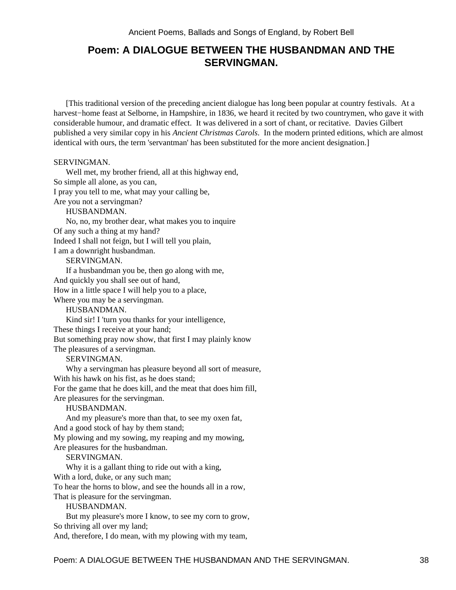# **Poem: A DIALOGUE BETWEEN THE HUSBANDMAN AND THE SERVINGMAN.**

 [This traditional version of the preceding ancient dialogue has long been popular at country festivals. At a harvest−home feast at Selborne, in Hampshire, in 1836, we heard it recited by two countrymen, who gave it with considerable humour, and dramatic effect. It was delivered in a sort of chant, or recitative. Davies Gilbert published a very similar copy in his *Ancient Christmas Carols*. In the modern printed editions, which are almost identical with ours, the term 'servantman' has been substituted for the more ancient designation.]

#### SERVINGMAN.

 Well met, my brother friend, all at this highway end, So simple all alone, as you can, I pray you tell to me, what may your calling be, Are you not a servingman? HUSBANDMAN. No, no, my brother dear, what makes you to inquire Of any such a thing at my hand? Indeed I shall not feign, but I will tell you plain, I am a downright husbandman. SERVINGMAN. If a husbandman you be, then go along with me, And quickly you shall see out of hand, How in a little space I will help you to a place, Where you may be a servingman. HUSBANDMAN. Kind sir! I 'turn you thanks for your intelligence, These things I receive at your hand; But something pray now show, that first I may plainly know The pleasures of a servingman. SERVINGMAN. Why a servingman has pleasure beyond all sort of measure, With his hawk on his fist, as he does stand: For the game that he does kill, and the meat that does him fill, Are pleasures for the servingman. HUSBANDMAN. And my pleasure's more than that, to see my oxen fat, And a good stock of hay by them stand; My plowing and my sowing, my reaping and my mowing, Are pleasures for the husbandman. SERVINGMAN. Why it is a gallant thing to ride out with a king, With a lord, duke, or any such man; To hear the horns to blow, and see the hounds all in a row, That is pleasure for the servingman. HUSBANDMAN. But my pleasure's more I know, to see my corn to grow, So thriving all over my land;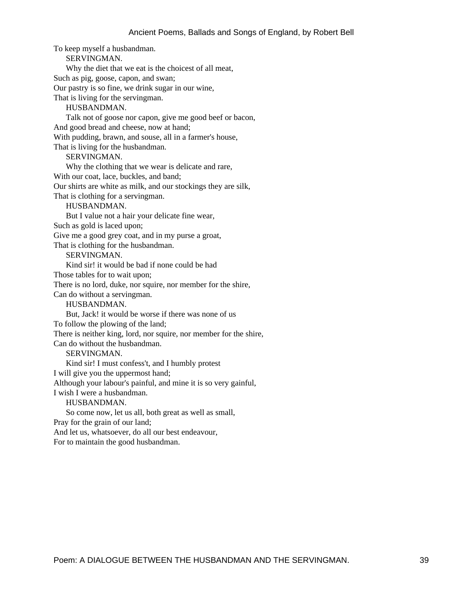To keep myself a husbandman. SERVINGMAN. Why the diet that we eat is the choicest of all meat, Such as pig, goose, capon, and swan; Our pastry is so fine, we drink sugar in our wine, That is living for the servingman. HUSBANDMAN. Talk not of goose nor capon, give me good beef or bacon, And good bread and cheese, now at hand; With pudding, brawn, and souse, all in a farmer's house, That is living for the husbandman. SERVINGMAN. Why the clothing that we wear is delicate and rare, With our coat, lace, buckles, and band; Our shirts are white as milk, and our stockings they are silk, That is clothing for a servingman. HUSBANDMAN. But I value not a hair your delicate fine wear, Such as gold is laced upon; Give me a good grey coat, and in my purse a groat, That is clothing for the husbandman. SERVINGMAN. Kind sir! it would be bad if none could be had Those tables for to wait upon; There is no lord, duke, nor squire, nor member for the shire, Can do without a servingman. HUSBANDMAN. But, Jack! it would be worse if there was none of us To follow the plowing of the land; There is neither king, lord, nor squire, nor member for the shire, Can do without the husbandman. SERVINGMAN. Kind sir! I must confess't, and I humbly protest I will give you the uppermost hand; Although your labour's painful, and mine it is so very gainful, I wish I were a husbandman. HUSBANDMAN. So come now, let us all, both great as well as small, Pray for the grain of our land; And let us, whatsoever, do all our best endeavour,

For to maintain the good husbandman.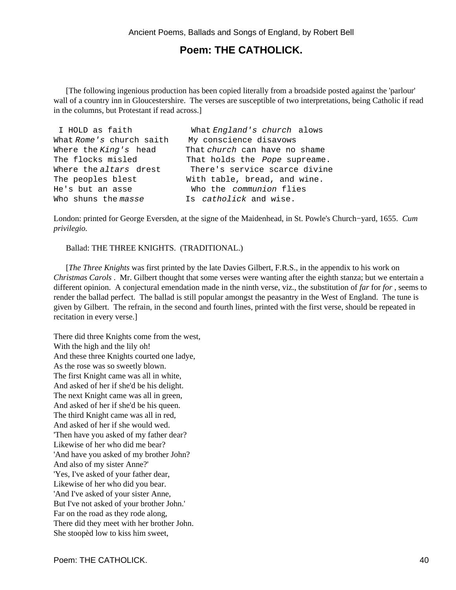## **Poem: THE CATHOLICK.**

 [The following ingenious production has been copied literally from a broadside posted against the 'parlour' wall of a country inn in Gloucestershire. The verses are susceptible of two interpretations, being Catholic if read in the columns, but Protestant if read across.]

| I HOLD as faith          | What England's church alows   |
|--------------------------|-------------------------------|
| What Rome's church saith | My conscience disavows        |
| Where the King's head    | That church can have no shame |
| The flocks misled        | That holds the Pope supreame. |
| Where the altars drest   | There's service scarce divine |
| The peoples blest        | With table, bread, and wine.  |
| He's but an asse         | Who the communion flies       |
| Who shuns the masse      | Is catholick and wise.        |

London: printed for George Eversden, at the signe of the Maidenhead, in St. Powle's Church−yard, 1655. *Cum privilegio.*

Ballad: THE THREE KNIGHTS. (TRADITIONAL.)

 [*The Three Knights* was first printed by the late Davies Gilbert, F.R.S., in the appendix to his work on *Christmas Carols* . Mr. Gilbert thought that some verses were wanting after the eighth stanza; but we entertain a different opinion. A conjectural emendation made in the ninth verse, viz., the substitution of *far* for *for* , seems to render the ballad perfect. The ballad is still popular amongst the peasantry in the West of England. The tune is given by Gilbert. The refrain, in the second and fourth lines, printed with the first verse, should be repeated in recitation in every verse.]

There did three Knights come from the west, With the high and the lily oh! And these three Knights courted one ladye, As the rose was so sweetly blown. The first Knight came was all in white, And asked of her if she'd be his delight. The next Knight came was all in green, And asked of her if she'd be his queen. The third Knight came was all in red, And asked of her if she would wed. 'Then have you asked of my father dear? Likewise of her who did me bear? 'And have you asked of my brother John? And also of my sister Anne?' 'Yes, I've asked of your father dear, Likewise of her who did you bear. 'And I've asked of your sister Anne, But I've not asked of your brother John.' Far on the road as they rode along, There did they meet with her brother John. She stoopèd low to kiss him sweet,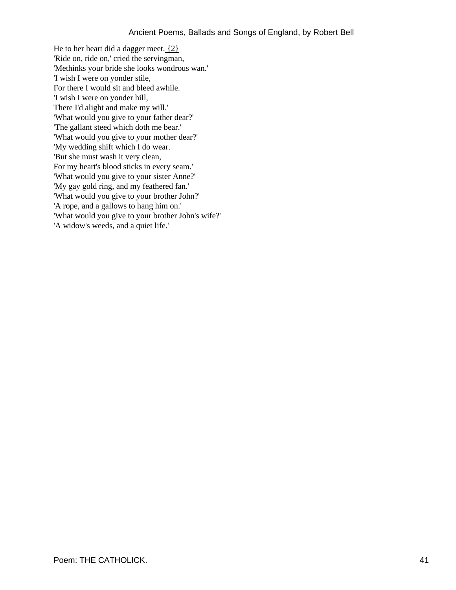He to her heart did a dagger meet.  $\{2\}$ 'Ride on, ride on,' cried the servingman, 'Methinks your bride she looks wondrous wan.' 'I wish I were on yonder stile, For there I would sit and bleed awhile. 'I wish I were on yonder hill, There I'd alight and make my will.' 'What would you give to your father dear?' 'The gallant steed which doth me bear.' 'What would you give to your mother dear?' 'My wedding shift which I do wear. 'But she must wash it very clean, For my heart's blood sticks in every seam.' 'What would you give to your sister Anne?' 'My gay gold ring, and my feathered fan.' 'What would you give to your brother John?' 'A rope, and a gallows to hang him on.' 'What would you give to your brother John's wife?' 'A widow's weeds, and a quiet life.'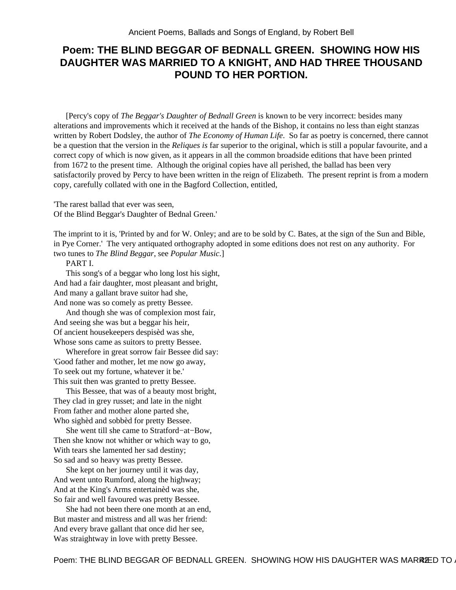# **Poem: THE BLIND BEGGAR OF BEDNALL GREEN. SHOWING HOW HIS DAUGHTER WAS MARRIED TO A KNIGHT, AND HAD THREE THOUSAND POUND TO HER PORTION.**

 [Percy's copy of *The Beggar's Daughter of Bednall Green* is known to be very incorrect: besides many alterations and improvements which it received at the hands of the Bishop, it contains no less than eight stanzas written by Robert Dodsley, the author of *The Economy of Human Life*. So far as poetry is concerned, there cannot be a question that the version in the *Reliques is* far superior to the original, which is still a popular favourite, and a correct copy of which is now given, as it appears in all the common broadside editions that have been printed from 1672 to the present time. Although the original copies have all perished, the ballad has been very satisfactorily proved by Percy to have been written in the reign of Elizabeth. The present reprint is from a modern copy, carefully collated with one in the Bagford Collection, entitled,

'The rarest ballad that ever was seen, Of the Blind Beggar's Daughter of Bednal Green.'

The imprint to it is, 'Printed by and for W. Onley; and are to be sold by C. Bates, at the sign of the Sun and Bible, in Pye Corner.' The very antiquated orthography adopted in some editions does not rest on any authority. For two tunes to *The Blind Beggar*, see *Popular Music*.]

#### PART I.

 This song's of a beggar who long lost his sight, And had a fair daughter, most pleasant and bright, And many a gallant brave suitor had she, And none was so comely as pretty Bessee.

 And though she was of complexion most fair, And seeing she was but a beggar his heir, Of ancient housekeepers despisèd was she, Whose sons came as suitors to pretty Bessee.

 Wherefore in great sorrow fair Bessee did say: 'Good father and mother, let me now go away, To seek out my fortune, whatever it be.' This suit then was granted to pretty Bessee.

 This Bessee, that was of a beauty most bright, They clad in grey russet; and late in the night From father and mother alone parted she, Who sighèd and sobbèd for pretty Bessee.

 She went till she came to Stratford−at−Bow, Then she know not whither or which way to go, With tears she lamented her sad destiny; So sad and so heavy was pretty Bessee.

 She kept on her journey until it was day, And went unto Rumford, along the highway; And at the King's Arms entertainèd was she, So fair and well favoured was pretty Bessee.

 She had not been there one month at an end, But master and mistress and all was her friend: And every brave gallant that once did her see, Was straightway in love with pretty Bessee.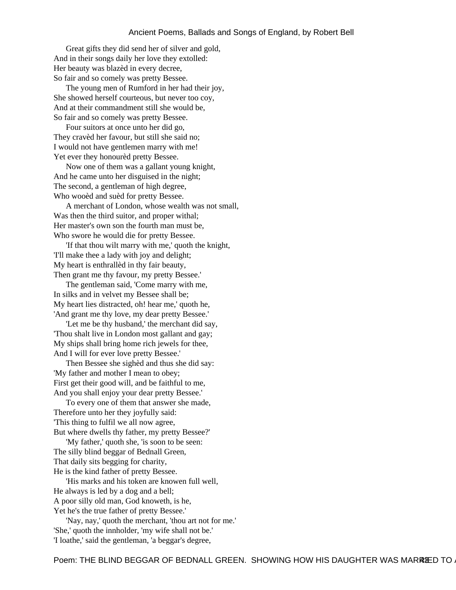Great gifts they did send her of silver and gold, And in their songs daily her love they extolled: Her beauty was blazèd in every decree, So fair and so comely was pretty Bessee.

 The young men of Rumford in her had their joy, She showed herself courteous, but never too coy, And at their commandment still she would be, So fair and so comely was pretty Bessee.

 Four suitors at once unto her did go, They cravèd her favour, but still she said no; I would not have gentlemen marry with me! Yet ever they honourèd pretty Bessee.

 Now one of them was a gallant young knight, And he came unto her disguised in the night; The second, a gentleman of high degree, Who wooèd and suèd for pretty Bessee.

 A merchant of London, whose wealth was not small, Was then the third suitor, and proper withal; Her master's own son the fourth man must be, Who swore he would die for pretty Bessee.

 'If that thou wilt marry with me,' quoth the knight, 'I'll make thee a lady with joy and delight; My heart is enthrallèd in thy fair beauty, Then grant me thy favour, my pretty Bessee.'

 The gentleman said, 'Come marry with me, In silks and in velvet my Bessee shall be; My heart lies distracted, oh! hear me,' quoth he, 'And grant me thy love, my dear pretty Bessee.'

 'Let me be thy husband,' the merchant did say, 'Thou shalt live in London most gallant and gay; My ships shall bring home rich jewels for thee, And I will for ever love pretty Bessee.'

 Then Bessee she sighèd and thus she did say: 'My father and mother I mean to obey; First get their good will, and be faithful to me, And you shall enjoy your dear pretty Bessee.'

 To every one of them that answer she made, Therefore unto her they joyfully said: 'This thing to fulfil we all now agree, But where dwells thy father, my pretty Bessee?'

 'My father,' quoth she, 'is soon to be seen: The silly blind beggar of Bednall Green, That daily sits begging for charity, He is the kind father of pretty Bessee.

 'His marks and his token are knowen full well, He always is led by a dog and a bell; A poor silly old man, God knoweth, is he, Yet he's the true father of pretty Bessee.'

 'Nay, nay,' quoth the merchant, 'thou art not for me.' 'She,' quoth the innholder, 'my wife shall not be.' 'I loathe,' said the gentleman, 'a beggar's degree,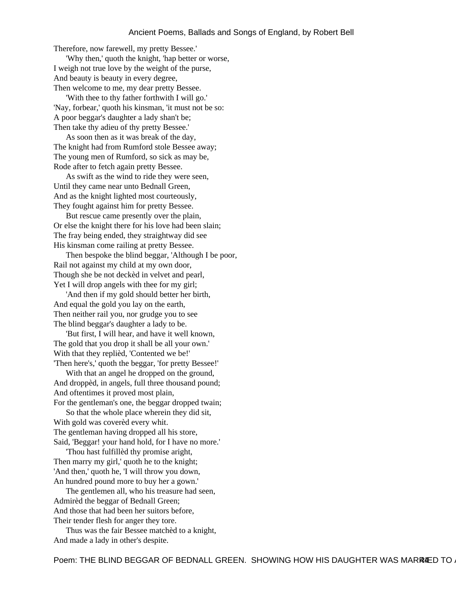Therefore, now farewell, my pretty Bessee.'

 'Why then,' quoth the knight, 'hap better or worse, I weigh not true love by the weight of the purse, And beauty is beauty in every degree, Then welcome to me, my dear pretty Bessee.

 'With thee to thy father forthwith I will go.' 'Nay, forbear,' quoth his kinsman, 'it must not be so: A poor beggar's daughter a lady shan't be; Then take thy adieu of thy pretty Bessee.'

 As soon then as it was break of the day, The knight had from Rumford stole Bessee away; The young men of Rumford, so sick as may be, Rode after to fetch again pretty Bessee.

 As swift as the wind to ride they were seen, Until they came near unto Bednall Green, And as the knight lighted most courteously, They fought against him for pretty Bessee.

 But rescue came presently over the plain, Or else the knight there for his love had been slain; The fray being ended, they straightway did see His kinsman come railing at pretty Bessee.

 Then bespoke the blind beggar, 'Although I be poor, Rail not against my child at my own door, Though she be not deckèd in velvet and pearl, Yet I will drop angels with thee for my girl;

 'And then if my gold should better her birth, And equal the gold you lay on the earth, Then neither rail you, nor grudge you to see The blind beggar's daughter a lady to be.

 'But first, I will hear, and have it well known, The gold that you drop it shall be all your own.' With that they replièd, 'Contented we be!' 'Then here's,' quoth the beggar, 'for pretty Bessee!'

 With that an angel he dropped on the ground, And droppèd, in angels, full three thousand pound; And oftentimes it proved most plain, For the gentleman's one, the beggar dropped twain;

 So that the whole place wherein they did sit, With gold was coverèd every whit. The gentleman having dropped all his store, Said, 'Beggar! your hand hold, for I have no more.'

 'Thou hast fulfillèd thy promise aright, Then marry my girl,' quoth he to the knight; 'And then,' quoth he, 'I will throw you down, An hundred pound more to buy her a gown.'

 The gentlemen all, who his treasure had seen, Admirèd the beggar of Bednall Green; And those that had been her suitors before, Their tender flesh for anger they tore.

 Thus was the fair Bessee matchèd to a knight, And made a lady in other's despite.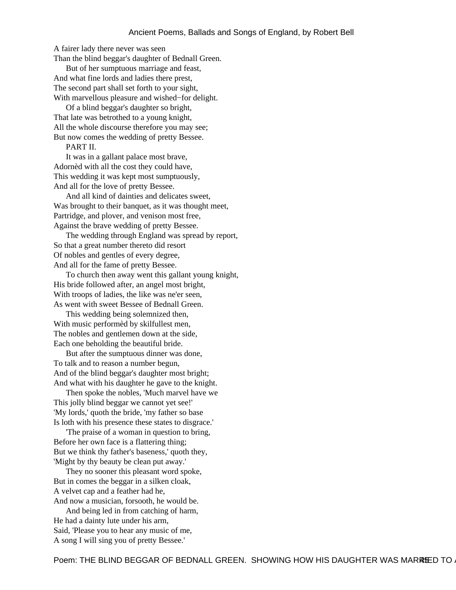A fairer lady there never was seen

Than the blind beggar's daughter of Bednall Green.

 But of her sumptuous marriage and feast, And what fine lords and ladies there prest, The second part shall set forth to your sight, With marvellous pleasure and wished−for delight.

 Of a blind beggar's daughter so bright, That late was betrothed to a young knight, All the whole discourse therefore you may see; But now comes the wedding of pretty Bessee.

PART II.

 It was in a gallant palace most brave, Adornèd with all the cost they could have, This wedding it was kept most sumptuously, And all for the love of pretty Bessee.

 And all kind of dainties and delicates sweet, Was brought to their banquet, as it was thought meet, Partridge, and plover, and venison most free, Against the brave wedding of pretty Bessee.

 The wedding through England was spread by report, So that a great number thereto did resort Of nobles and gentles of every degree, And all for the fame of pretty Bessee.

 To church then away went this gallant young knight, His bride followed after, an angel most bright, With troops of ladies, the like was ne'er seen, As went with sweet Bessee of Bednall Green.

 This wedding being solemnized then, With music performèd by skilfullest men, The nobles and gentlemen down at the side, Each one beholding the beautiful bride.

 But after the sumptuous dinner was done, To talk and to reason a number begun, And of the blind beggar's daughter most bright; And what with his daughter he gave to the knight.

 Then spoke the nobles, 'Much marvel have we This jolly blind beggar we cannot yet see!' 'My lords,' quoth the bride, 'my father so base Is loth with his presence these states to disgrace.'

 'The praise of a woman in question to bring, Before her own face is a flattering thing; But we think thy father's baseness,' quoth they, 'Might by thy beauty be clean put away.'

 They no sooner this pleasant word spoke, But in comes the beggar in a silken cloak, A velvet cap and a feather had he, And now a musician, forsooth, he would be.

 And being led in from catching of harm, He had a dainty lute under his arm, Said, 'Please you to hear any music of me, A song I will sing you of pretty Bessee.'

Poem: THE BLIND BEGGAR OF BEDNALL GREEN. SHOWING HOW HIS DAUGHTER WAS MARRIED TO .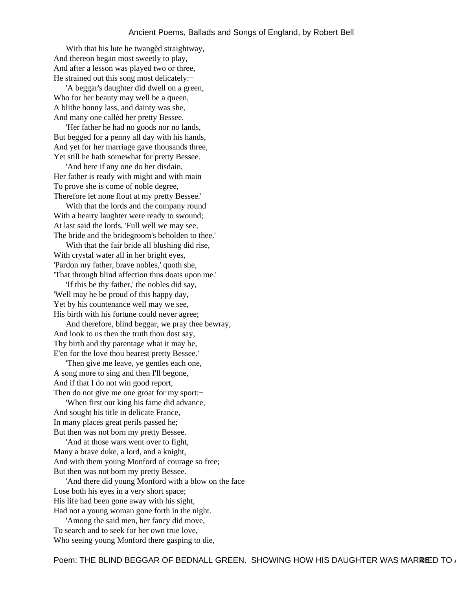With that his lute he twangèd straightway, And thereon began most sweetly to play, And after a lesson was played two or three, He strained out this song most delicately:−

 'A beggar's daughter did dwell on a green, Who for her beauty may well be a queen, A blithe bonny lass, and dainty was she, And many one callèd her pretty Bessee.

 'Her father he had no goods nor no lands, But begged for a penny all day with his hands, And yet for her marriage gave thousands three, Yet still he hath somewhat for pretty Bessee.

 'And here if any one do her disdain, Her father is ready with might and with main To prove she is come of noble degree, Therefore let none flout at my pretty Bessee.'

 With that the lords and the company round With a hearty laughter were ready to swound; At last said the lords, 'Full well we may see, The bride and the bridegroom's beholden to thee.'

 With that the fair bride all blushing did rise, With crystal water all in her bright eyes, 'Pardon my father, brave nobles,' quoth she, 'That through blind affection thus doats upon me.'

 'If this be thy father,' the nobles did say, 'Well may he be proud of this happy day, Yet by his countenance well may we see, His birth with his fortune could never agree;

 And therefore, blind beggar, we pray thee bewray, And look to us then the truth thou dost say, Thy birth and thy parentage what it may be, E'en for the love thou bearest pretty Bessee.'

 'Then give me leave, ye gentles each one, A song more to sing and then I'll begone, And if that I do not win good report, Then do not give me one groat for my sport:−

 'When first our king his fame did advance, And sought his title in delicate France, In many places great perils passed he; But then was not born my pretty Bessee.

 'And at those wars went over to fight, Many a brave duke, a lord, and a knight, And with them young Monford of courage so free; But then was not born my pretty Bessee.

 'And there did young Monford with a blow on the face Lose both his eyes in a very short space; His life had been gone away with his sight, Had not a young woman gone forth in the night.

 'Among the said men, her fancy did move, To search and to seek for her own true love, Who seeing young Monford there gasping to die,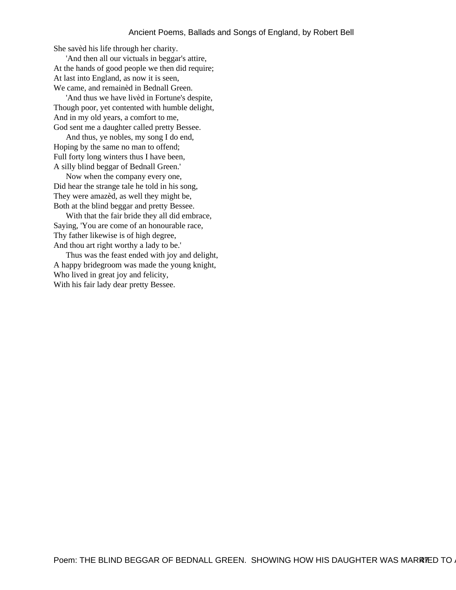She savèd his life through her charity.

 'And then all our victuals in beggar's attire, At the hands of good people we then did require; At last into England, as now it is seen, We came, and remainèd in Bednall Green.

 'And thus we have livèd in Fortune's despite, Though poor, yet contented with humble delight, And in my old years, a comfort to me, God sent me a daughter called pretty Bessee.

 And thus, ye nobles, my song I do end, Hoping by the same no man to offend; Full forty long winters thus I have been, A silly blind beggar of Bednall Green.'

 Now when the company every one, Did hear the strange tale he told in his song, They were amazèd, as well they might be, Both at the blind beggar and pretty Bessee.

 With that the fair bride they all did embrace, Saying, 'You are come of an honourable race, Thy father likewise is of high degree, And thou art right worthy a lady to be.'

 Thus was the feast ended with joy and delight, A happy bridegroom was made the young knight, Who lived in great joy and felicity, With his fair lady dear pretty Bessee.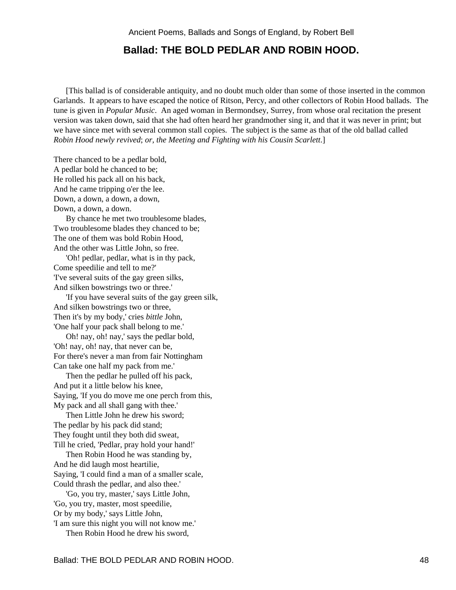### **Ballad: THE BOLD PEDLAR AND ROBIN HOOD.**

 [This ballad is of considerable antiquity, and no doubt much older than some of those inserted in the common Garlands. It appears to have escaped the notice of Ritson, Percy, and other collectors of Robin Hood ballads. The tune is given in *Popular Music*. An aged woman in Bermondsey, Surrey, from whose oral recitation the present version was taken down, said that she had often heard her grandmother sing it, and that it was never in print; but we have since met with several common stall copies. The subject is the same as that of the old ballad called *Robin Hood newly revived*; *or, the Meeting and Fighting with his Cousin Scarlett*.]

There chanced to be a pedlar bold, A pedlar bold he chanced to be; He rolled his pack all on his back, And he came tripping o'er the lee. Down, a down, a down, a down, Down, a down, a down. By chance he met two troublesome blades, Two troublesome blades they chanced to be; The one of them was bold Robin Hood, And the other was Little John, so free.

 'Oh! pedlar, pedlar, what is in thy pack, Come speedilie and tell to me?' 'I've several suits of the gay green silks, And silken bowstrings two or three.'

 'If you have several suits of the gay green silk, And silken bowstrings two or three, Then it's by my body,' cries *bittle* John, 'One half your pack shall belong to me.'

 Oh! nay, oh! nay,' says the pedlar bold, 'Oh! nay, oh! nay, that never can be, For there's never a man from fair Nottingham Can take one half my pack from me.'

 Then the pedlar he pulled off his pack, And put it a little below his knee, Saying, 'If you do move me one perch from this, My pack and all shall gang with thee.'

 Then Little John he drew his sword; The pedlar by his pack did stand; They fought until they both did sweat, Till he cried, 'Pedlar, pray hold your hand!'

 Then Robin Hood he was standing by, And he did laugh most heartilie, Saying, 'I could find a man of a smaller scale, Could thrash the pedlar, and also thee.'

 'Go, you try, master,' says Little John, 'Go, you try, master, most speedilie, Or by my body,' says Little John, 'I am sure this night you will not know me.' Then Robin Hood he drew his sword,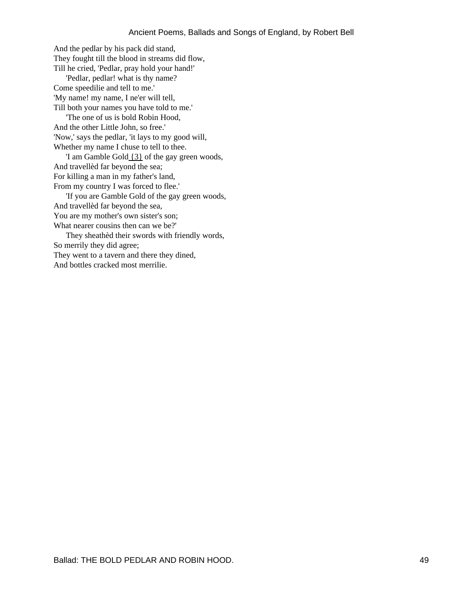And the pedlar by his pack did stand, They fought till the blood in streams did flow, Till he cried, 'Pedlar, pray hold your hand!' 'Pedlar, pedlar! what is thy name? Come speedilie and tell to me.' 'My name! my name, I ne'er will tell, Till both your names you have told to me.' 'The one of us is bold Robin Hood, And the other Little John, so free.' 'Now,' says the pedlar, 'it lays to my good will, Whether my name I chuse to tell to thee. 'I am Gamble Gold [{3}](#page-212-1) of the gay green woods, And travellèd far beyond the sea; For killing a man in my father's land, From my country I was forced to flee.' 'If you are Gamble Gold of the gay green woods, And travellèd far beyond the sea, You are my mother's own sister's son; What nearer cousins then can we be?' They sheathèd their swords with friendly words, So merrily they did agree; They went to a tavern and there they dined, And bottles cracked most merrilie.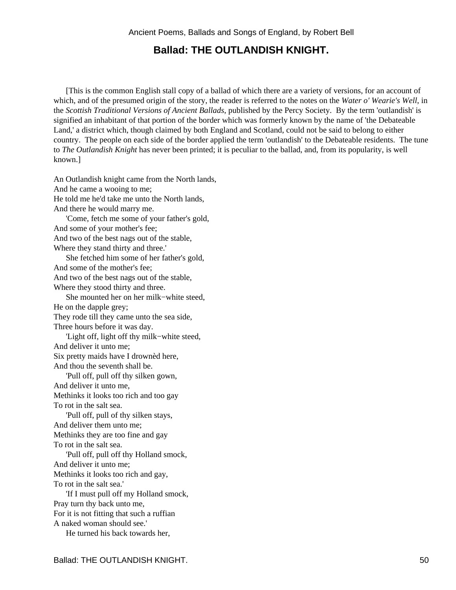## **Ballad: THE OUTLANDISH KNIGHT.**

 [This is the common English stall copy of a ballad of which there are a variety of versions, for an account of which, and of the presumed origin of the story, the reader is referred to the notes on the *Water o' Wearie's Well*, in the *Scottish Traditional Versions of Ancient Ballads*, published by the Percy Society. By the term 'outlandish' is signified an inhabitant of that portion of the border which was formerly known by the name of 'the Debateable Land,' a district which, though claimed by both England and Scotland, could not be said to belong to either country. The people on each side of the border applied the term 'outlandish' to the Debateable residents. The tune to *The Outlandish Knight* has never been printed; it is peculiar to the ballad, and, from its popularity, is well known.]

An Outlandish knight came from the North lands, And he came a wooing to me; He told me he'd take me unto the North lands, And there he would marry me. 'Come, fetch me some of your father's gold, And some of your mother's fee; And two of the best nags out of the stable, Where they stand thirty and three.' She fetched him some of her father's gold, And some of the mother's fee; And two of the best nags out of the stable, Where they stood thirty and three. She mounted her on her milk−white steed, He on the dapple grey; They rode till they came unto the sea side, Three hours before it was day. 'Light off, light off thy milk−white steed, And deliver it unto me; Six pretty maids have I drownèd here, And thou the seventh shall be. 'Pull off, pull off thy silken gown, And deliver it unto me, Methinks it looks too rich and too gay To rot in the salt sea. 'Pull off, pull of thy silken stays, And deliver them unto me; Methinks they are too fine and gay To rot in the salt sea. 'Pull off, pull off thy Holland smock, And deliver it unto me; Methinks it looks too rich and gay, To rot in the salt sea.' 'If I must pull off my Holland smock, Pray turn thy back unto me, For it is not fitting that such a ruffian A naked woman should see.' He turned his back towards her,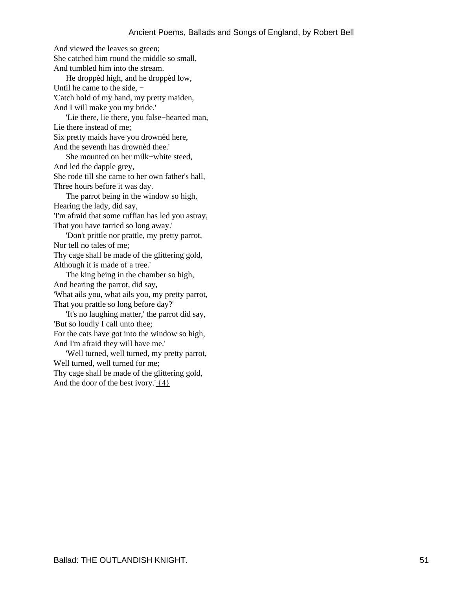And viewed the leaves so green; She catched him round the middle so small, And tumbled him into the stream.

 He droppèd high, and he droppèd low, Until he came to the side, – 'Catch hold of my hand, my pretty maiden, And I will make you my bride.'

 'Lie there, lie there, you false−hearted man, Lie there instead of me; Six pretty maids have you drownèd here, And the seventh has drownèd thee.'

 She mounted on her milk−white steed, And led the dapple grey, She rode till she came to her own father's hall, Three hours before it was day.

 The parrot being in the window so high, Hearing the lady, did say,

'I'm afraid that some ruffian has led you astray, That you have tarried so long away.'

 'Don't prittle nor prattle, my pretty parrot, Nor tell no tales of me; Thy cage shall be made of the glittering gold, Although it is made of a tree.'

 The king being in the chamber so high, And hearing the parrot, did say, 'What ails you, what ails you, my pretty parrot, That you prattle so long before day?'

 'It's no laughing matter,' the parrot did say, 'But so loudly I call unto thee; For the cats have got into the window so high, And I'm afraid they will have me.'

 'Well turned, well turned, my pretty parrot, Well turned, well turned for me; Thy cage shall be made of the glittering gold, And the door of the best ivory.'  $\{4\}$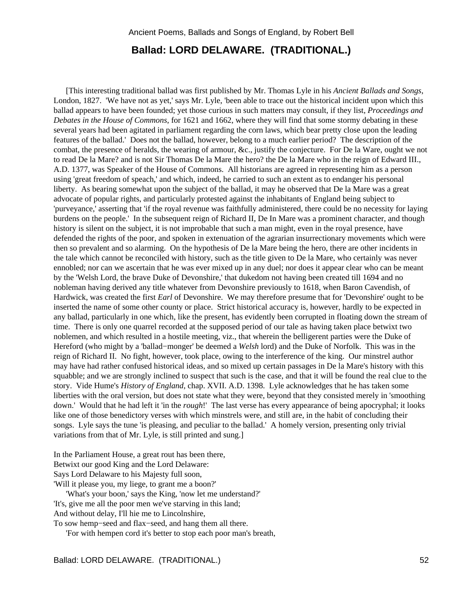#### Ancient Poems, Ballads and Songs of England, by Robert Bell

# **Ballad: LORD DELAWARE. (TRADITIONAL.)**

 [This interesting traditional ballad was first published by Mr. Thomas Lyle in his *Ancient Ballads and Songs*, London, 1827. 'We have not as yet,' says Mr. Lyle, 'been able to trace out the historical incident upon which this ballad appears to have been founded; yet those curious in such matters may consult, if they list, *Proceedings and Debates in the House of Commons*, for 1621 and 1662, where they will find that some stormy debating in these several years had been agitated in parliament regarding the corn laws, which bear pretty close upon the leading features of the ballad.' Does not the ballad, however, belong to a much earlier period? The description of the combat, the presence of heralds, the wearing of armour, &c., justify the conjecture. For De la Ware, ought we not to read De la Mare? and is not Sir Thomas De la Mare the hero? the De la Mare who in the reign of Edward III., A.D. 1377, was Speaker of the House of Commons. All historians are agreed in representing him as a person using 'great freedom of speach,' and which, indeed, he carried to such an extent as to endanger his personal liberty. As bearing somewhat upon the subject of the ballad, it may he observed that De la Mare was a great advocate of popular rights, and particularly protested against the inhabitants of England being subject to 'purveyance,' asserting that 'if the royal revenue was faithfully administered, there could be no necessity for laying burdens on the people.' In the subsequent reign of Richard II, De In Mare was a prominent character, and though history is silent on the subject, it is not improbable that such a man might, even in the royal presence, have defended the rights of the poor, and spoken in extenuation of the agrarian insurrectionary movements which were then so prevalent and so alarming. On the hypothesis of De la Mare being the hero, there are other incidents in the tale which cannot be reconciled with history, such as the title given to De la Mare, who certainly was never ennobled; nor can we ascertain that he was ever mixed up in any duel; nor does it appear clear who can be meant by the 'Welsh Lord, the brave Duke of Devonshire,' that dukedom not having been created till 1694 and no nobleman having derived any title whatever from Devonshire previously to 1618, when Baron Cavendish, of Hardwick, was created the first *Earl* of Devonshire. We may therefore presume that for 'Devonshire' ought to be inserted the name of some other county or place. Strict historical accuracy is, however, hardly to be expected in any ballad, particularly in one which, like the present, has evidently been corrupted in floating down the stream of time. There is only one quarrel recorded at the supposed period of our tale as having taken place betwixt two noblemen, and which resulted in a hostile meeting, viz., that wherein the belligerent parties were the Duke of Hereford (who might by a 'ballad−monger' be deemed a *Welsh* lord) and the Duke of Norfolk. This was in the reign of Richard II. No fight, however, took place, owing to the interference of the king. Our minstrel author may have had rather confused historical ideas, and so mixed up certain passages in De la Mare's history with this squabble; and we are strongly inclined to suspect that such is the case, and that it will be found the real clue to the story. Vide Hume's *History of England*, chap. XVII. A.D. 1398. Lyle acknowledges that he has taken some liberties with the oral version, but does not state what they were, beyond that they consisted merely in 'smoothing down.' Would that he had left it 'in the *rough*!' The last verse has every appearance of being apocryphal; it looks like one of those benedictory verses with which minstrels were, and still are, in the habit of concluding their songs. Lyle says the tune 'is pleasing, and peculiar to the ballad.' A homely version, presenting only trivial variations from that of Mr. Lyle, is still printed and sung.]

In the Parliament House, a great rout has been there, Betwixt our good King and the Lord Delaware: Says Lord Delaware to his Majesty full soon, 'Will it please you, my liege, to grant me a boon?'

 'What's your boon,' says the King, 'now let me understand?' 'It's, give me all the poor men we've starving in this land; And without delay, I'll hie me to Lincolnshire, To sow hemp−seed and flax−seed, and hang them all there.

'For with hempen cord it's better to stop each poor man's breath,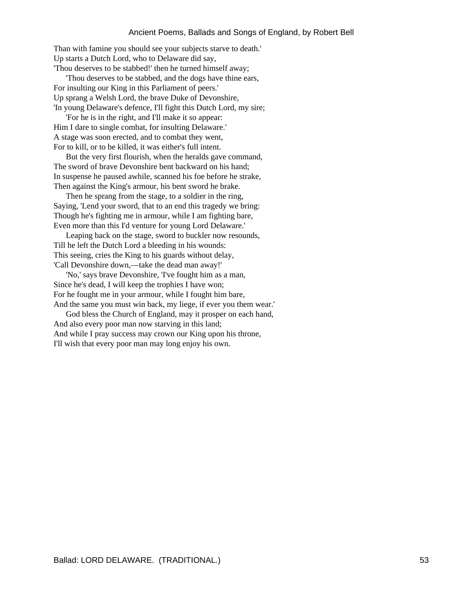Than with famine you should see your subjects starve to death.' Up starts a Dutch Lord, who to Delaware did say, 'Thou deserves to be stabbed!' then he turned himself away;

 'Thou deserves to be stabbed, and the dogs have thine ears, For insulting our King in this Parliament of peers.' Up sprang a Welsh Lord, the brave Duke of Devonshire, 'In young Delaware's defence, I'll fight this Dutch Lord, my sire;

 'For he is in the right, and I'll make it so appear: Him I dare to single combat, for insulting Delaware.' A stage was soon erected, and to combat they went, For to kill, or to be killed, it was either's full intent.

 But the very first flourish, when the heralds gave command, The sword of brave Devonshire bent backward on his hand; In suspense he paused awhile, scanned his foe before he strake, Then against the King's armour, his bent sword he brake.

 Then he sprang from the stage, to a soldier in the ring, Saying, 'Lend your sword, that to an end this tragedy we bring: Though he's fighting me in armour, while I am fighting bare, Even more than this I'd venture for young Lord Delaware.'

 Leaping back on the stage, sword to buckler now resounds, Till he left the Dutch Lord a bleeding in his wounds: This seeing, cries the King to his guards without delay, 'Call Devonshire down,—take the dead man away!'

 'No,' says brave Devonshire, 'I've fought him as a man, Since he's dead, I will keep the trophies I have won; For he fought me in your armour, while I fought him bare, And the same you must win back, my liege, if ever you them wear.'

 God bless the Church of England, may it prosper on each hand, And also every poor man now starving in this land; And while I pray success may crown our King upon his throne, I'll wish that every poor man may long enjoy his own.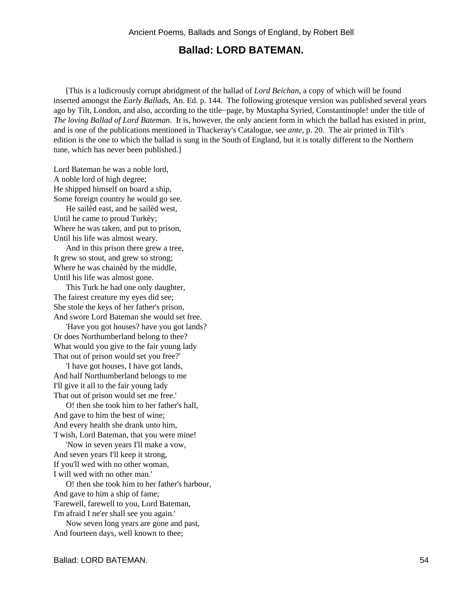### **Ballad: LORD BATEMAN.**

 [This is a ludicrously corrupt abridgment of the ballad of *Lord Beichan*, a copy of which will be found inserted amongst the *Early Ballads*, An. Ed. p. 144. The following grotesque version was published several years ago by Tilt, London, and also, according to the title−page, by Mustapha Syried, Constantinople! under the title of *The loving Ballad of Lord Bateman*. It is, however, the only ancient form in which the ballad has existed in print, and is one of the publications mentioned in Thackeray's Catalogue, see *ante*, p. 20. The air printed in Tilt's edition is the one to which the ballad is sung in the South of England, but it is totally different to the Northern tune, which has never been published.]

Lord Bateman he was a noble lord, A noble lord of high degree; He shipped himself on board a ship, Some foreign country he would go see.

 He sailèd east, and he sailèd west, Until he came to proud Turkèy; Where he was taken, and put to prison, Until his life was almost weary.

 And in this prison there grew a tree, It grew so stout, and grew so strong; Where he was chainèd by the middle, Until his life was almost gone.

 This Turk he had one only daughter, The fairest creature my eyes did see; She stole the keys of her father's prison, And swore Lord Bateman she would set free.

 'Have you got houses? have you got lands? Or does Northumberland belong to thee? What would you give to the fair young lady That out of prison would set you free?'

 'I have got houses, I have got lands, And half Northumberland belongs to me I'll give it all to the fair young lady That out of prison would set me free.'

 O! then she took him to her father's hall, And gave to him the best of wine; And every health she drank unto him, 'I wish, Lord Bateman, that you were mine!

 'Now in seven years I'll make a vow, And seven years I'll keep it strong, If you'll wed with no other woman, I will wed with no other man.'

 O! then she took him to her father's harbour, And gave to him a ship of fame; 'Farewell, farewell to you, Lord Bateman, I'm afraid I ne'er shall see you again.'

 Now seven long years are gone and past, And fourteen days, well known to thee;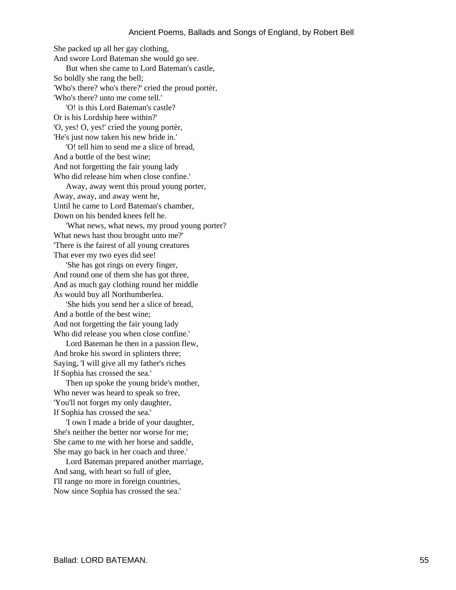She packed up all her gay clothing, And swore Lord Bateman she would go see. But when she came to Lord Bateman's castle, So boldly she rang the bell; 'Who's there? who's there?' cried the proud portèr, 'Who's there? unto me come tell.' 'O! is this Lord Bateman's castle? Or is his Lordship here within?' 'O, yes! O, yes!' cried the young portèr, 'He's just now taken his new bride in.' 'O! tell him to send me a slice of bread, And a bottle of the best wine; And not forgetting the fair young lady Who did release him when close confine.' Away, away went this proud young porter, Away, away, and away went he, Until he came to Lord Bateman's chamber, Down on his bended knees fell he. 'What news, what news, my proud young porter?

What news hast thou brought unto me?' 'There is the fairest of all young creatures That ever my two eyes did see!

 'She has got rings on every finger, And round one of them she has got three, And as much gay clothing round her middle As would buy all Northumberlea.

 'She bids you send her a slice of bread, And a bottle of the best wine; And not forgetting the fair young lady Who did release you when close confine.'

 Lord Bateman he then in a passion flew, And broke his sword in splinters three; Saying, 'I will give all my father's riches If Sophia has crossed the sea.'

 Then up spoke the young bride's mother, Who never was heard to speak so free, 'You'll not forget my only daughter, If Sophia has crossed the sea.'

 'I own I made a bride of your daughter, She's neither the better nor worse for me; She came to me with her horse and saddle, She may go back in her coach and three.'

 Lord Bateman prepared another marriage, And sang, with heart so full of glee, I'll range no more in foreign countries, Now since Sophia has crossed the sea.'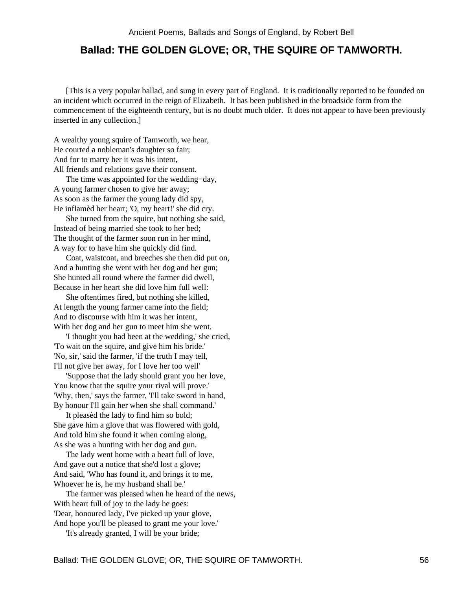#### Ancient Poems, Ballads and Songs of England, by Robert Bell

# **Ballad: THE GOLDEN GLOVE; OR, THE SQUIRE OF TAMWORTH.**

 [This is a very popular ballad, and sung in every part of England. It is traditionally reported to be founded on an incident which occurred in the reign of Elizabeth. It has been published in the broadside form from the commencement of the eighteenth century, but is no doubt much older. It does not appear to have been previously inserted in any collection.]

A wealthy young squire of Tamworth, we hear, He courted a nobleman's daughter so fair; And for to marry her it was his intent, All friends and relations gave their consent.

 The time was appointed for the wedding−day, A young farmer chosen to give her away; As soon as the farmer the young lady did spy, He inflamèd her heart; 'O, my heart!' she did cry.

 She turned from the squire, but nothing she said, Instead of being married she took to her bed; The thought of the farmer soon run in her mind, A way for to have him she quickly did find.

 Coat, waistcoat, and breeches she then did put on, And a hunting she went with her dog and her gun; She hunted all round where the farmer did dwell, Because in her heart she did love him full well:

 She oftentimes fired, but nothing she killed, At length the young farmer came into the field; And to discourse with him it was her intent, With her dog and her gun to meet him she went.

 'I thought you had been at the wedding,' she cried, 'To wait on the squire, and give him his bride.' 'No, sir,' said the farmer, 'if the truth I may tell, I'll not give her away, for I love her too well'

 'Suppose that the lady should grant you her love, You know that the squire your rival will prove.' 'Why, then,' says the farmer, 'I'll take sword in hand, By honour I'll gain her when she shall command.'

 It pleasèd the lady to find him so bold; She gave him a glove that was flowered with gold, And told him she found it when coming along, As she was a hunting with her dog and gun.

 The lady went home with a heart full of love, And gave out a notice that she'd lost a glove; And said, 'Who has found it, and brings it to me, Whoever he is, he my husband shall be.'

 The farmer was pleased when he heard of the news, With heart full of joy to the lady he goes: 'Dear, honoured lady, I've picked up your glove, And hope you'll be pleased to grant me your love.'

'It's already granted, I will be your bride;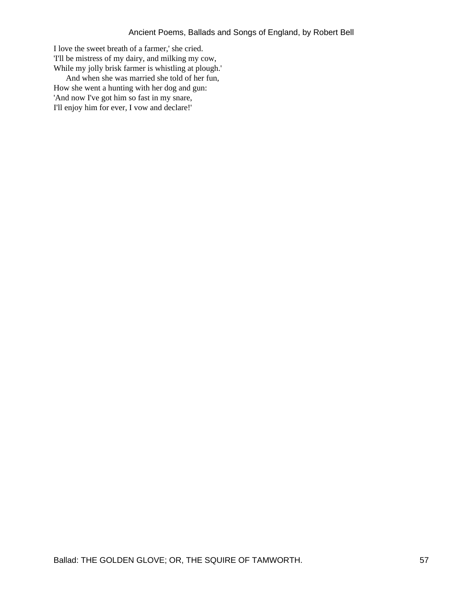I love the sweet breath of a farmer,' she cried. 'I'll be mistress of my dairy, and milking my cow, While my jolly brisk farmer is whistling at plough.'

 And when she was married she told of her fun, How she went a hunting with her dog and gun: 'And now I've got him so fast in my snare, I'll enjoy him for ever, I vow and declare!'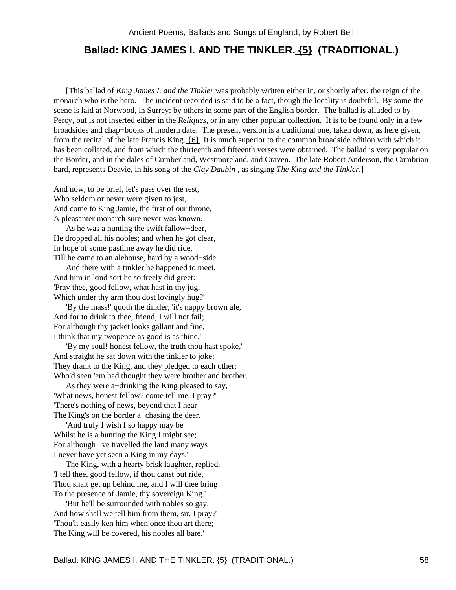# **Ballad: KING JAMES I. AND THE TINKLER. [{5}](#page-212-3) (TRADITIONAL.)**

 [This ballad of *King James I. and the Tinkler* was probably written either in, or shortly after, the reign of the monarch who is the hero. The incident recorded is said to be a fact, though the locality is doubtful. By some the scene is laid at Norwood, in Surrey; by others in some part of the English border. The ballad is alluded to by Percy, but is not inserted either in the *Reliques*, or in any other popular collection. It is to be found only in a few broadsides and chap−books of modern date. The present version is a traditional one, taken down, as here given, from the recital of the late Francis King[. {6}](#page-212-4) It is much superior to the common broadside edition with which it has been collated, and from which the thirteenth and fifteenth verses were obtained. The ballad is very popular on the Border, and in the dales of Cumberland, Westmoreland, and Craven. The late Robert Anderson, the Cumbrian bard, represents Deavie, in his song of the *Clay Daubin* , as singing *The King and the Tinkler*.]

And now, to be brief, let's pass over the rest, Who seldom or never were given to jest, And come to King Jamie, the first of our throne, A pleasanter monarch sure never was known.

 As he was a hunting the swift fallow−deer, He dropped all his nobles; and when he got clear, In hope of some pastime away he did ride, Till he came to an alehouse, hard by a wood−side.

 And there with a tinkler he happened to meet, And him in kind sort he so freely did greet: 'Pray thee, good fellow, what hast in thy jug, Which under thy arm thou dost lovingly hug?'

 'By the mass!' quoth the tinkler, 'it's nappy brown ale, And for to drink to thee, friend, I will not fail; For although thy jacket looks gallant and fine, I think that my twopence as good is as thine.'

 'By my soul! honest fellow, the truth thou hast spoke,' And straight he sat down with the tinkler to joke; They drank to the King, and they pledged to each other; Who'd seen 'em had thought they were brother and brother.

 As they were a−drinking the King pleased to say, 'What news, honest fellow? come tell me, I pray?' 'There's nothing of news, beyond that I hear The King's on the border a−chasing the deer.

 'And truly I wish I so happy may be Whilst he is a hunting the King I might see; For although I've travelled the land many ways I never have yet seen a King in my days.'

 The King, with a hearty brisk laughter, replied, 'I tell thee, good fellow, if thou canst but ride, Thou shalt get up behind me, and I will thee bring To the presence of Jamie, thy sovereign King.'

 'But he'll be surrounded with nobles so gay, And how shall we tell him from them, sir, I pray?' 'Thou'lt easily ken him when once thou art there; The King will be covered, his nobles all bare.'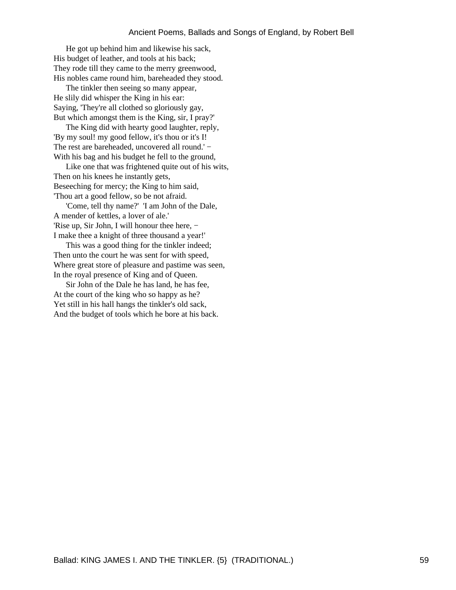He got up behind him and likewise his sack, His budget of leather, and tools at his back; They rode till they came to the merry greenwood, His nobles came round him, bareheaded they stood.

 The tinkler then seeing so many appear, He slily did whisper the King in his ear: Saying, 'They're all clothed so gloriously gay, But which amongst them is the King, sir, I pray?'

 The King did with hearty good laughter, reply, 'By my soul! my good fellow, it's thou or it's I! The rest are bareheaded, uncovered all round.' – With his bag and his budget he fell to the ground,

 Like one that was frightened quite out of his wits, Then on his knees he instantly gets, Beseeching for mercy; the King to him said, 'Thou art a good fellow, so be not afraid.

 'Come, tell thy name?' 'I am John of the Dale, A mender of kettles, a lover of ale.' 'Rise up, Sir John, I will honour thee here, − I make thee a knight of three thousand a year!'

 This was a good thing for the tinkler indeed; Then unto the court he was sent for with speed, Where great store of pleasure and pastime was seen, In the royal presence of King and of Queen.

 Sir John of the Dale he has land, he has fee, At the court of the king who so happy as he? Yet still in his hall hangs the tinkler's old sack, And the budget of tools which he bore at his back.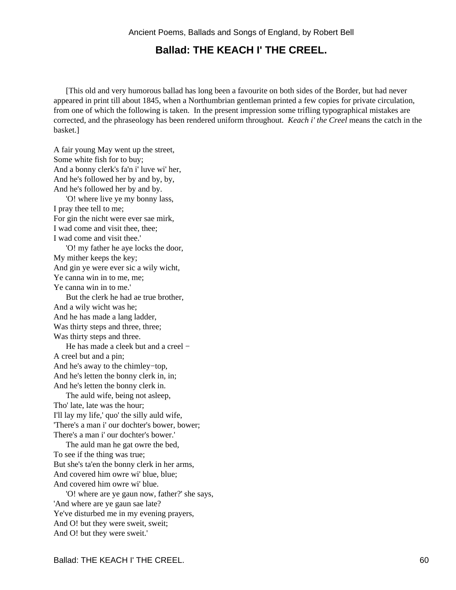## **Ballad: THE KEACH I' THE CREEL.**

 [This old and very humorous ballad has long been a favourite on both sides of the Border, but had never appeared in print till about 1845, when a Northumbrian gentleman printed a few copies for private circulation, from one of which the following is taken. In the present impression some trifling typographical mistakes are corrected, and the phraseology has been rendered uniform throughout. *Keach i' the Creel* means the catch in the basket.]

A fair young May went up the street, Some white fish for to buy; And a bonny clerk's fa'n i' luve wi' her, And he's followed her by and by, by, And he's followed her by and by. 'O! where live ye my bonny lass, I pray thee tell to me; For gin the nicht were ever sae mirk, I wad come and visit thee, thee; I wad come and visit thee.' 'O! my father he aye locks the door, My mither keeps the key; And gin ye were ever sic a wily wicht, Ye canna win in to me, me; Ye canna win in to me.' But the clerk he had ae true brother, And a wily wicht was he; And he has made a lang ladder, Was thirty steps and three, three; Was thirty steps and three. He has made a cleek but and a creel − A creel but and a pin; And he's away to the chimley−top, And he's letten the bonny clerk in, in; And he's letten the bonny clerk in. The auld wife, being not asleep, Tho' late, late was the hour; I'll lay my life,' quo' the silly auld wife, 'There's a man i' our dochter's bower, bower; There's a man i' our dochter's bower.' The auld man he gat owre the bed, To see if the thing was true; But she's ta'en the bonny clerk in her arms, And covered him owre wi' blue, blue; And covered him owre wi' blue. 'O! where are ye gaun now, father?' she says, 'And where are ye gaun sae late? Ye've disturbed me in my evening prayers, And O! but they were sweit, sweit;

And O! but they were sweit.'

Ballad: THE KEACH I' THE CREEL. 60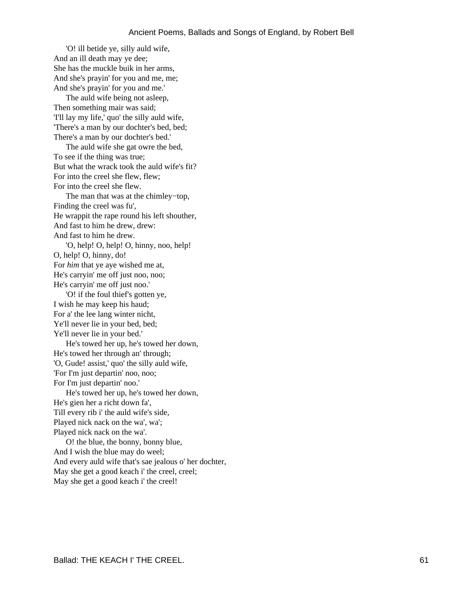'O! ill betide ye, silly auld wife, And an ill death may ye dee; She has the muckle buik in her arms, And she's prayin' for you and me, me; And she's prayin' for you and me.'

 The auld wife being not asleep, Then something mair was said; 'I'll lay my life,' quo' the silly auld wife, 'There's a man by our dochter's bed, bed; There's a man by our dochter's bed.'

 The auld wife she gat owre the bed, To see if the thing was true; But what the wrack took the auld wife's fit? For into the creel she flew, flew; For into the creel she flew.

 The man that was at the chimley−top, Finding the creel was fu', He wrappit the rape round his left shouther, And fast to him he drew, drew: And fast to him he drew.

 'O, help! O, help! O, hinny, noo, help! O, help! O, hinny, do! For *him* that ye aye wished me at, He's carryin' me off just noo, noo; He's carryin' me off just noo.'

 'O! if the foul thief's gotten ye, I wish he may keep his haud; For a' the lee lang winter nicht, Ye'll never lie in your bed, bed; Ye'll never lie in your bed.'

 He's towed her up, he's towed her down, He's towed her through an' through; 'O, Gude! assist,' quo' the silly auld wife, 'For I'm just departin' noo, noo; For I'm just departin' noo.'

 He's towed her up, he's towed her down, He's gien her a richt down fa', Till every rib i' the auld wife's side, Played nick nack on the wa', wa'; Played nick nack on the wa'.

 O! the blue, the bonny, bonny blue, And I wish the blue may do weel; And every auld wife that's sae jealous o' her dochter, May she get a good keach i' the creel, creel; May she get a good keach i' the creel!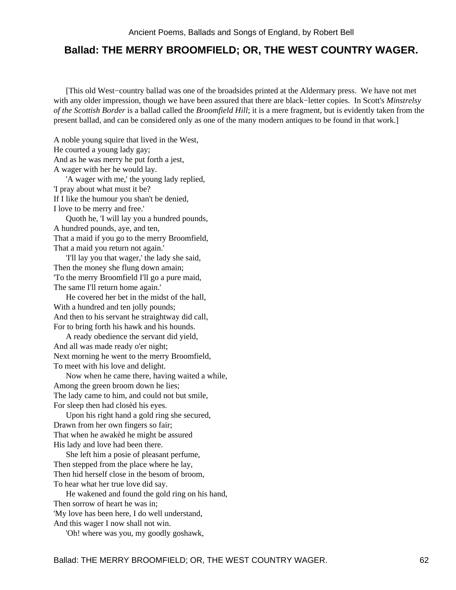#### Ancient Poems, Ballads and Songs of England, by Robert Bell

# **Ballad: THE MERRY BROOMFIELD; OR, THE WEST COUNTRY WAGER.**

 [This old West−country ballad was one of the broadsides printed at the Aldermary press. We have not met with any older impression, though we have been assured that there are black−letter copies. In Scott's *Minstrelsy of the Scottish Border* is a ballad called the *Broomfield Hill*; it is a mere fragment, but is evidently taken from the present ballad, and can be considered only as one of the many modern antiques to be found in that work.]

A noble young squire that lived in the West, He courted a young lady gay; And as he was merry he put forth a jest, A wager with her he would lay.

 'A wager with me,' the young lady replied, 'I pray about what must it be? If I like the humour you shan't be denied, I love to be merry and free.'

 Quoth he, 'I will lay you a hundred pounds, A hundred pounds, aye, and ten, That a maid if you go to the merry Broomfield, That a maid you return not again.'

 'I'll lay you that wager,' the lady she said, Then the money she flung down amain; 'To the merry Broomfield I'll go a pure maid, The same I'll return home again.'

 He covered her bet in the midst of the hall, With a hundred and ten jolly pounds; And then to his servant he straightway did call, For to bring forth his hawk and his hounds.

 A ready obedience the servant did yield, And all was made ready o'er night; Next morning he went to the merry Broomfield, To meet with his love and delight.

 Now when he came there, having waited a while, Among the green broom down he lies; The lady came to him, and could not but smile, For sleep then had closèd his eyes.

 Upon his right hand a gold ring she secured, Drawn from her own fingers so fair; That when he awakèd he might be assured His lady and love had been there.

 She left him a posie of pleasant perfume, Then stepped from the place where he lay, Then hid herself close in the besom of broom, To hear what her true love did say.

 He wakened and found the gold ring on his hand, Then sorrow of heart he was in; 'My love has been here, I do well understand, And this wager I now shall not win.

'Oh! where was you, my goodly goshawk,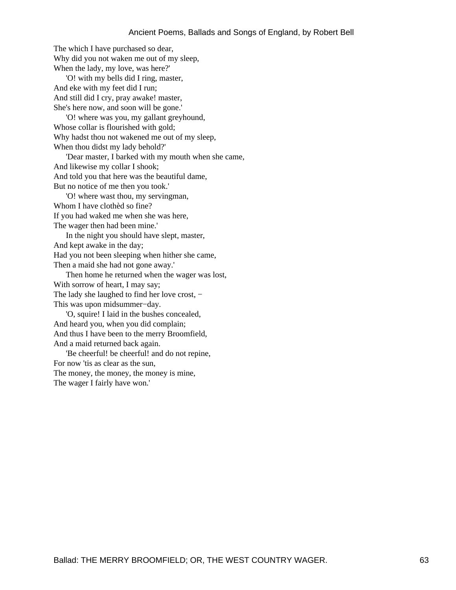The which I have purchased so dear, Why did you not waken me out of my sleep, When the lady, my love, was here?' 'O! with my bells did I ring, master, And eke with my feet did I run; And still did I cry, pray awake! master, She's here now, and soon will be gone.' 'O! where was you, my gallant greyhound, Whose collar is flourished with gold; Why hadst thou not wakened me out of my sleep, When thou didst my lady behold?' 'Dear master, I barked with my mouth when she came, And likewise my collar I shook; And told you that here was the beautiful dame, But no notice of me then you took.' 'O! where wast thou, my servingman, Whom I have clothèd so fine? If you had waked me when she was here, The wager then had been mine.' In the night you should have slept, master, And kept awake in the day; Had you not been sleeping when hither she came, Then a maid she had not gone away.' Then home he returned when the wager was lost, With sorrow of heart, I may say; The lady she laughed to find her love crost, – This was upon midsummer−day. 'O, squire! I laid in the bushes concealed, And heard you, when you did complain; And thus I have been to the merry Broomfield, And a maid returned back again.

 'Be cheerful! be cheerful! and do not repine, For now 'tis as clear as the sun, The money, the money, the money is mine, The wager I fairly have won.'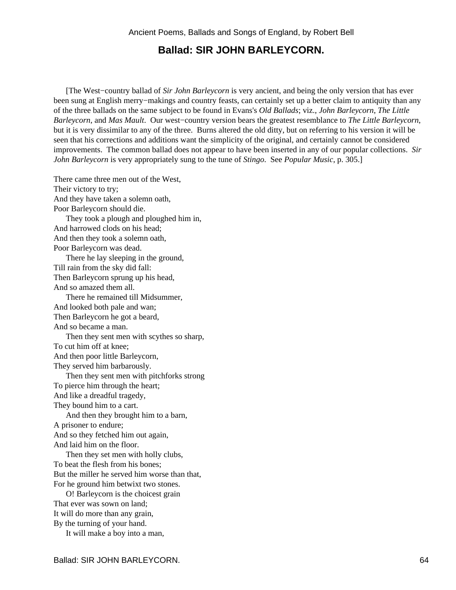### **Ballad: SIR JOHN BARLEYCORN.**

 [The West−country ballad of *Sir John Barleycorn* is very ancient, and being the only version that has ever been sung at English merry−makings and country feasts, can certainly set up a better claim to antiquity than any of the three ballads on the same subject to be found in Evans's *Old Ballads*; viz., *John Barleycorn*, *The Little Barleycorn*, and *Mas Mault*. Our west−country version bears the greatest resemblance to *The Little Barleycorn*, but it is very dissimilar to any of the three. Burns altered the old ditty, but on referring to his version it will be seen that his corrections and additions want the simplicity of the original, and certainly cannot be considered improvements. The common ballad does not appear to have been inserted in any of our popular collections. *Sir John Barleycorn* is very appropriately sung to the tune of *Stingo*. See *Popular Music*, p. 305.]

There came three men out of the West, Their victory to try; And they have taken a solemn oath, Poor Barleycorn should die.

 They took a plough and ploughed him in, And harrowed clods on his head; And then they took a solemn oath, Poor Barleycorn was dead.

 There he lay sleeping in the ground, Till rain from the sky did fall: Then Barleycorn sprung up his head, And so amazed them all.

 There he remained till Midsummer, And looked both pale and wan; Then Barleycorn he got a beard, And so became a man.

 Then they sent men with scythes so sharp, To cut him off at knee; And then poor little Barleycorn, They served him barbarously.

 Then they sent men with pitchforks strong To pierce him through the heart; And like a dreadful tragedy, They bound him to a cart.

 And then they brought him to a barn, A prisoner to endure; And so they fetched him out again, And laid him on the floor.

 Then they set men with holly clubs, To beat the flesh from his bones; But the miller he served him worse than that, For he ground him betwixt two stones.

 O! Barleycorn is the choicest grain That ever was sown on land; It will do more than any grain, By the turning of your hand. It will make a boy into a man,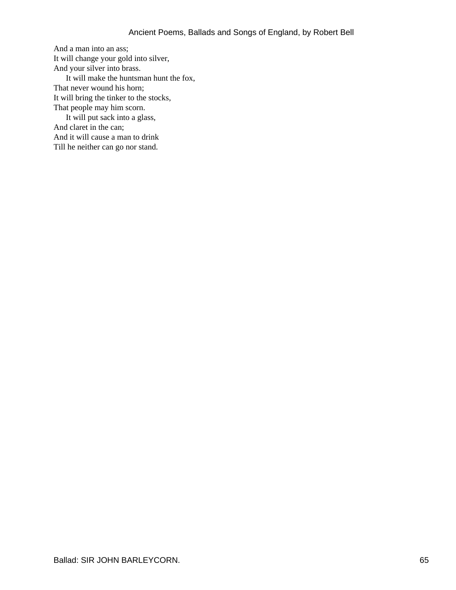And a man into an ass; It will change your gold into silver, And your silver into brass. It will make the huntsman hunt the fox, That never wound his horn; It will bring the tinker to the stocks, That people may him scorn. It will put sack into a glass, And claret in the can;

And it will cause a man to drink Till he neither can go nor stand.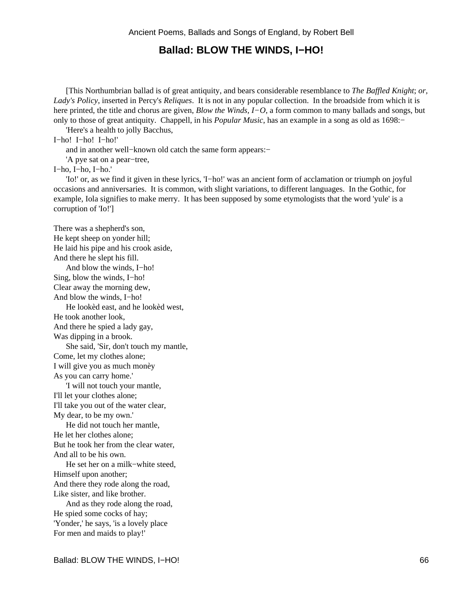### **Ballad: BLOW THE WINDS, I−HO!**

 [This Northumbrian ballad is of great antiquity, and bears considerable resemblance to *The Baffled Knight*; *or, Lady's Policy*, inserted in Percy's *Reliques*. It is not in any popular collection. In the broadside from which it is here printed, the title and chorus are given, *Blow the Winds, I−O*, a form common to many ballads and songs, but only to those of great antiquity. Chappell, in his *Popular Music*, has an example in a song as old as 1698:−

'Here's a health to jolly Bacchus,

I−ho! I−ho! I−ho!'

and in another well−known old catch the same form appears:−

'A pye sat on a pear−tree,

I−ho, I−ho, I−ho.'

 'Io!' or, as we find it given in these lyrics, 'I−ho!' was an ancient form of acclamation or triumph on joyful occasions and anniversaries. It is common, with slight variations, to different languages. In the Gothic, for example, Iola signifies to make merry. It has been supposed by some etymologists that the word 'yule' is a corruption of 'Io!']

There was a shepherd's son, He kept sheep on yonder hill; He laid his pipe and his crook aside, And there he slept his fill.

 And blow the winds, I−ho! Sing, blow the winds, I−ho! Clear away the morning dew, And blow the winds, I−ho!

He lookèd east, and he lookèd west,

He took another look,

And there he spied a lady gay, Was dipping in a brook.

She said, 'Sir, don't touch my mantle,

Come, let my clothes alone;

I will give you as much monèy

As you can carry home.'

 'I will not touch your mantle, I'll let your clothes alone; I'll take you out of the water clear,

My dear, to be my own.'

 He did not touch her mantle, He let her clothes alone; But he took her from the clear water, And all to be his own.

 He set her on a milk−white steed, Himself upon another; And there they rode along the road, Like sister, and like brother.

 And as they rode along the road, He spied some cocks of hay; 'Yonder,' he says, 'is a lovely place For men and maids to play!'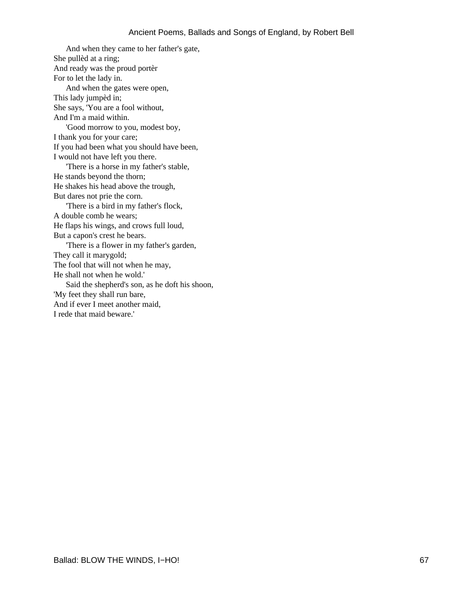And when they came to her father's gate, She pullèd at a ring; And ready was the proud portèr For to let the lady in. And when the gates were open, This lady jumpèd in; She says, 'You are a fool without, And I'm a maid within. 'Good morrow to you, modest boy, I thank you for your care; If you had been what you should have been, I would not have left you there. 'There is a horse in my father's stable, He stands beyond the thorn; He shakes his head above the trough, But dares not prie the corn. 'There is a bird in my father's flock, A double comb he wears; He flaps his wings, and crows full loud, But a capon's crest he bears. 'There is a flower in my father's garden, They call it marygold; The fool that will not when he may, He shall not when he wold.' Said the shepherd's son, as he doft his shoon, 'My feet they shall run bare, And if ever I meet another maid, I rede that maid beware.'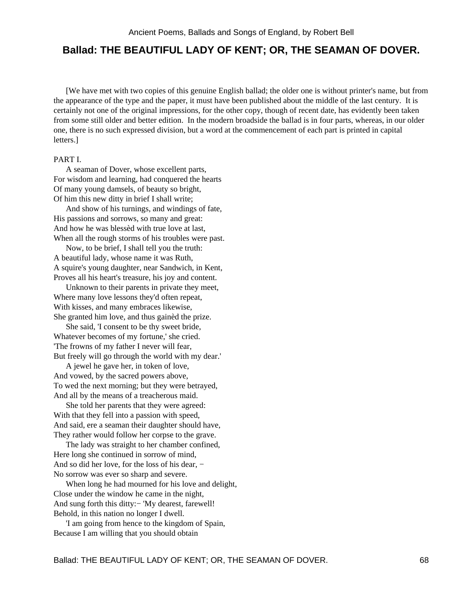#### Ancient Poems, Ballads and Songs of England, by Robert Bell

# **Ballad: THE BEAUTIFUL LADY OF KENT; OR, THE SEAMAN OF DOVER.**

 [We have met with two copies of this genuine English ballad; the older one is without printer's name, but from the appearance of the type and the paper, it must have been published about the middle of the last century. It is certainly not one of the original impressions, for the other copy, though of recent date, has evidently been taken from some still older and better edition. In the modern broadside the ballad is in four parts, whereas, in our older one, there is no such expressed division, but a word at the commencement of each part is printed in capital letters.]

#### PART I.

 A seaman of Dover, whose excellent parts, For wisdom and learning, had conquered the hearts Of many young damsels, of beauty so bright, Of him this new ditty in brief I shall write;

 And show of his turnings, and windings of fate, His passions and sorrows, so many and great: And how he was blessèd with true love at last, When all the rough storms of his troubles were past.

 Now, to be brief, I shall tell you the truth: A beautiful lady, whose name it was Ruth, A squire's young daughter, near Sandwich, in Kent, Proves all his heart's treasure, his joy and content.

 Unknown to their parents in private they meet, Where many love lessons they'd often repeat, With kisses, and many embraces likewise, She granted him love, and thus gainèd the prize.

 She said, 'I consent to be thy sweet bride, Whatever becomes of my fortune,' she cried. 'The frowns of my father I never will fear, But freely will go through the world with my dear.'

 A jewel he gave her, in token of love, And vowed, by the sacred powers above, To wed the next morning; but they were betrayed, And all by the means of a treacherous maid.

 She told her parents that they were agreed: With that they fell into a passion with speed, And said, ere a seaman their daughter should have, They rather would follow her corpse to the grave.

 The lady was straight to her chamber confined, Here long she continued in sorrow of mind, And so did her love, for the loss of his dear, − No sorrow was ever so sharp and severe.

 When long he had mourned for his love and delight, Close under the window he came in the night, And sung forth this ditty:– 'My dearest, farewell! Behold, in this nation no longer I dwell.

 'I am going from hence to the kingdom of Spain, Because I am willing that you should obtain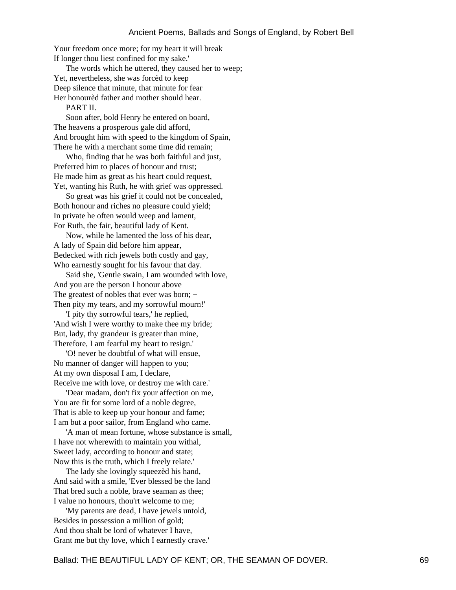Your freedom once more; for my heart it will break If longer thou liest confined for my sake.'

 The words which he uttered, they caused her to weep; Yet, nevertheless, she was forcèd to keep Deep silence that minute, that minute for fear Her honourèd father and mother should hear.

PART II.

 Soon after, bold Henry he entered on board, The heavens a prosperous gale did afford, And brought him with speed to the kingdom of Spain, There he with a merchant some time did remain;

 Who, finding that he was both faithful and just, Preferred him to places of honour and trust; He made him as great as his heart could request, Yet, wanting his Ruth, he with grief was oppressed.

 So great was his grief it could not be concealed, Both honour and riches no pleasure could yield; In private he often would weep and lament, For Ruth, the fair, beautiful lady of Kent.

 Now, while he lamented the loss of his dear, A lady of Spain did before him appear, Bedecked with rich jewels both costly and gay, Who earnestly sought for his favour that day.

 Said she, 'Gentle swain, I am wounded with love, And you are the person I honour above The greatest of nobles that ever was born; – Then pity my tears, and my sorrowful mourn!'

 'I pity thy sorrowful tears,' he replied, 'And wish I were worthy to make thee my bride; But, lady, thy grandeur is greater than mine, Therefore, I am fearful my heart to resign.'

 'O! never be doubtful of what will ensue, No manner of danger will happen to you; At my own disposal I am, I declare, Receive me with love, or destroy me with care.'

 'Dear madam, don't fix your affection on me, You are fit for some lord of a noble degree, That is able to keep up your honour and fame; I am but a poor sailor, from England who came.

 'A man of mean fortune, whose substance is small, I have not wherewith to maintain you withal, Sweet lady, according to honour and state; Now this is the truth, which I freely relate.'

 The lady she lovingly squeezèd his hand, And said with a smile, 'Ever blessed be the land That bred such a noble, brave seaman as thee; I value no honours, thou'rt welcome to me;

 'My parents are dead, I have jewels untold, Besides in possession a million of gold; And thou shalt be lord of whatever I have, Grant me but thy love, which I earnestly crave.'

Ballad: THE BEAUTIFUL LADY OF KENT; OR, THE SEAMAN OF DOVER.  $\qquad \qquad \qquad 69$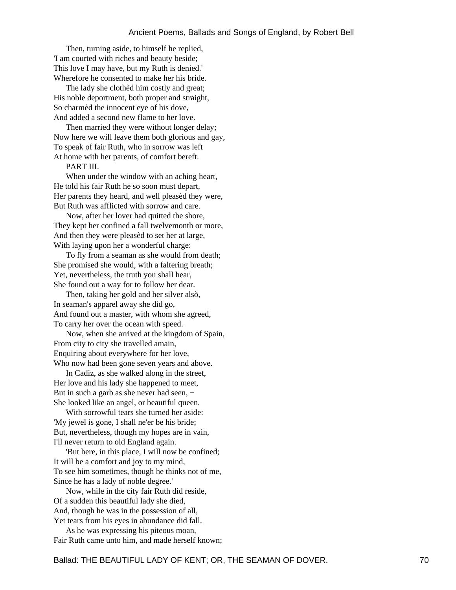Then, turning aside, to himself he replied, 'I am courted with riches and beauty beside; This love I may have, but my Ruth is denied.' Wherefore he consented to make her his bride.

 The lady she clothèd him costly and great; His noble deportment, both proper and straight, So charmèd the innocent eye of his dove, And added a second new flame to her love.

 Then married they were without longer delay; Now here we will leave them both glorious and gay, To speak of fair Ruth, who in sorrow was left At home with her parents, of comfort bereft.

PART III.

 When under the window with an aching heart, He told his fair Ruth he so soon must depart, Her parents they heard, and well pleasèd they were, But Ruth was afflicted with sorrow and care.

 Now, after her lover had quitted the shore, They kept her confined a fall twelvemonth or more, And then they were pleasèd to set her at large, With laying upon her a wonderful charge:

 To fly from a seaman as she would from death; She promised she would, with a faltering breath; Yet, nevertheless, the truth you shall hear, She found out a way for to follow her dear.

 Then, taking her gold and her silver alsò, In seaman's apparel away she did go, And found out a master, with whom she agreed, To carry her over the ocean with speed.

 Now, when she arrived at the kingdom of Spain, From city to city she travelled amain, Enquiring about everywhere for her love, Who now had been gone seven years and above.

 In Cadiz, as she walked along in the street, Her love and his lady she happened to meet, But in such a garb as she never had seen, − She looked like an angel, or beautiful queen.

 With sorrowful tears she turned her aside: 'My jewel is gone, I shall ne'er be his bride; But, nevertheless, though my hopes are in vain, I'll never return to old England again.

 'But here, in this place, I will now be confined; It will be a comfort and joy to my mind, To see him sometimes, though he thinks not of me, Since he has a lady of noble degree.'

 Now, while in the city fair Ruth did reside, Of a sudden this beautiful lady she died, And, though he was in the possession of all, Yet tears from his eyes in abundance did fall.

 As he was expressing his piteous moan, Fair Ruth came unto him, and made herself known;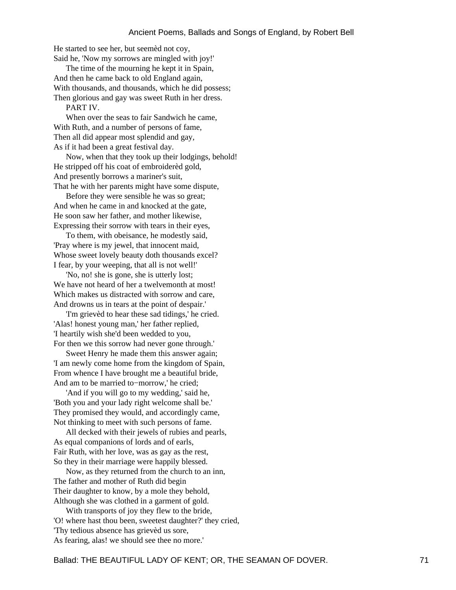He started to see her, but seemèd not coy, Said he, 'Now my sorrows are mingled with joy!'

 The time of the mourning he kept it in Spain, And then he came back to old England again, With thousands, and thousands, which he did possess; Then glorious and gay was sweet Ruth in her dress.

PART IV.

 When over the seas to fair Sandwich he came, With Ruth, and a number of persons of fame, Then all did appear most splendid and gay, As if it had been a great festival day.

 Now, when that they took up their lodgings, behold! He stripped off his coat of embroiderèd gold, And presently borrows a mariner's suit, That he with her parents might have some dispute,

 Before they were sensible he was so great; And when he came in and knocked at the gate, He soon saw her father, and mother likewise, Expressing their sorrow with tears in their eyes,

 To them, with obeisance, he modestly said, 'Pray where is my jewel, that innocent maid, Whose sweet lovely beauty doth thousands excel? I fear, by your weeping, that all is not well!'

 'No, no! she is gone, she is utterly lost; We have not heard of her a twelvemonth at most! Which makes us distracted with sorrow and care, And drowns us in tears at the point of despair.'

 'I'm grievèd to hear these sad tidings,' he cried. 'Alas! honest young man,' her father replied, 'I heartily wish she'd been wedded to you, For then we this sorrow had never gone through.'

 Sweet Henry he made them this answer again; 'I am newly come home from the kingdom of Spain, From whence I have brought me a beautiful bride, And am to be married to−morrow,' he cried;

 'And if you will go to my wedding,' said he, 'Both you and your lady right welcome shall be.' They promised they would, and accordingly came, Not thinking to meet with such persons of fame.

 All decked with their jewels of rubies and pearls, As equal companions of lords and of earls, Fair Ruth, with her love, was as gay as the rest, So they in their marriage were happily blessed.

 Now, as they returned from the church to an inn, The father and mother of Ruth did begin Their daughter to know, by a mole they behold, Although she was clothed in a garment of gold.

 With transports of joy they flew to the bride, 'O! where hast thou been, sweetest daughter?' they cried, 'Thy tedious absence has grievèd us sore, As fearing, alas! we should see thee no more.'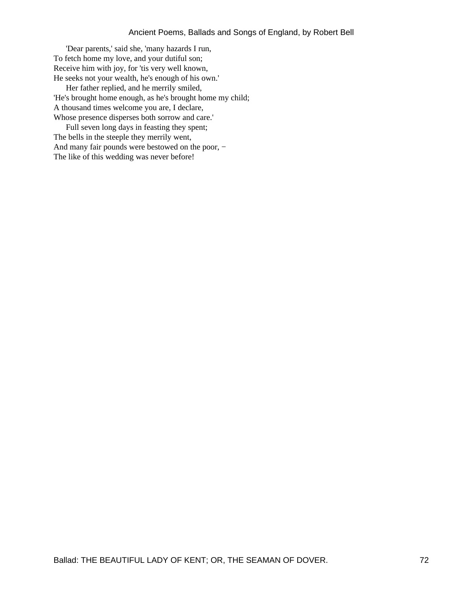'Dear parents,' said she, 'many hazards I run, To fetch home my love, and your dutiful son; Receive him with joy, for 'tis very well known, He seeks not your wealth, he's enough of his own.'

 Her father replied, and he merrily smiled, 'He's brought home enough, as he's brought home my child; A thousand times welcome you are, I declare, Whose presence disperses both sorrow and care.'

 Full seven long days in feasting they spent; The bells in the steeple they merrily went, And many fair pounds were bestowed on the poor, – The like of this wedding was never before!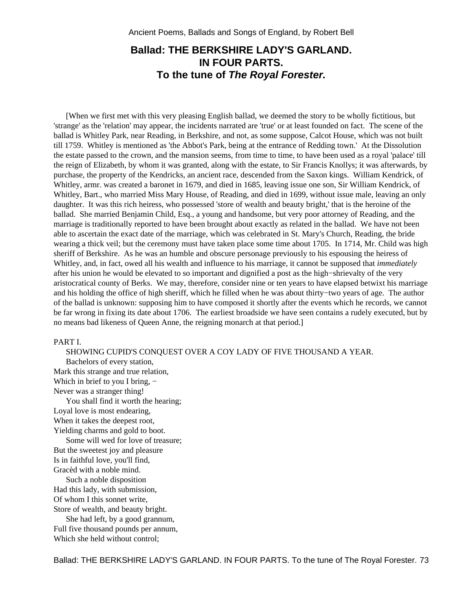# **Ballad: THE BERKSHIRE LADY'S GARLAND. IN FOUR PARTS. To the tune of The Royal Forester.**

 [When we first met with this very pleasing English ballad, we deemed the story to be wholly fictitious, but 'strange' as the 'relation' may appear, the incidents narrated are 'true' or at least founded on fact. The scene of the ballad is Whitley Park, near Reading, in Berkshire, and not, as some suppose, Calcot House, which was not built till 1759. Whitley is mentioned as 'the Abbot's Park, being at the entrance of Redding town.' At the Dissolution the estate passed to the crown, and the mansion seems, from time to time, to have been used as a royal 'palace' till the reign of Elizabeth, by whom it was granted, along with the estate, to Sir Francis Knollys; it was afterwards, by purchase, the property of the Kendricks, an ancient race, descended from the Saxon kings. William Kendrick, of Whitley, armr. was created a baronet in 1679, and died in 1685, leaving issue one son, Sir William Kendrick, of Whitley, Bart., who married Miss Mary House, of Reading, and died in 1699, without issue male, leaving an only daughter. It was this rich heiress, who possessed 'store of wealth and beauty bright,' that is the heroine of the ballad. She married Benjamin Child, Esq., a young and handsome, but very poor attorney of Reading, and the marriage is traditionally reported to have been brought about exactly as related in the ballad. We have not been able to ascertain the exact date of the marriage, which was celebrated in St. Mary's Church, Reading, the bride wearing a thick veil; but the ceremony must have taken place some time about 1705. In 1714, Mr. Child was high sheriff of Berkshire. As he was an humble and obscure personage previously to his espousing the heiress of Whitley, and, in fact, owed all his wealth and influence to his marriage, it cannot be supposed that *immediately* after his union he would be elevated to so important and dignified a post as the high−shrievalty of the very aristocratical county of Berks. We may, therefore, consider nine or ten years to have elapsed betwixt his marriage and his holding the office of high sheriff, which he filled when he was about thirty−two years of age. The author of the ballad is unknown: supposing him to have composed it shortly after the events which he records, we cannot be far wrong in fixing its date about 1706. The earliest broadside we have seen contains a rudely executed, but by no means bad likeness of Queen Anne, the reigning monarch at that period.]

#### PART I.

SHOWING CUPID'S CONQUEST OVER A COY LADY OF FIVE THOUSAND A YEAR.

 Bachelors of every station, Mark this strange and true relation,

Which in brief to you I bring, –

Never was a stranger thing!

 You shall find it worth the hearing; Loyal love is most endearing, When it takes the deepest root, Yielding charms and gold to boot.

 Some will wed for love of treasure; But the sweetest joy and pleasure Is in faithful love, you'll find, Gracèd with a noble mind.

 Such a noble disposition Had this lady, with submission, Of whom I this sonnet write, Store of wealth, and beauty bright.

 She had left, by a good grannum, Full five thousand pounds per annum, Which she held without control;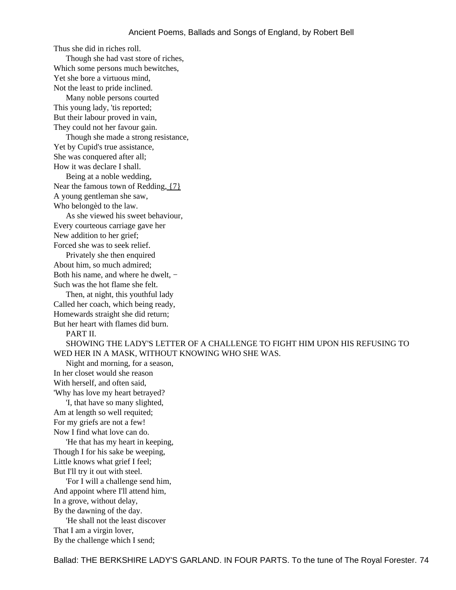Thus she did in riches roll.

 Though she had vast store of riches, Which some persons much bewitches, Yet she bore a virtuous mind, Not the least to pride inclined.

 Many noble persons courted This young lady, 'tis reported; But their labour proved in vain, They could not her favour gain.

 Though she made a strong resistance, Yet by Cupid's true assistance, She was conquered after all; How it was declare I shall.

 Being at a noble wedding, Near the famous town of Redding,  $\{7\}$ A young gentleman she saw, Who belongèd to the law.

 As she viewed his sweet behaviour, Every courteous carriage gave her New addition to her grief; Forced she was to seek relief.

 Privately she then enquired About him, so much admired; Both his name, and where he dwelt, − Such was the hot flame she felt.

 Then, at night, this youthful lady Called her coach, which being ready, Homewards straight she did return; But her heart with flames did burn.

PART II.

 SHOWING THE LADY'S LETTER OF A CHALLENGE TO FIGHT HIM UPON HIS REFUSING TO WED HER IN A MASK, WITHOUT KNOWING WHO SHE WAS.

 Night and morning, for a season, In her closet would she reason With herself, and often said, 'Why has love my heart betrayed?

 'I, that have so many slighted, Am at length so well requited; For my griefs are not a few!

Now I find what love can do.

 'He that has my heart in keeping, Though I for his sake be weeping, Little knows what grief I feel; But I'll try it out with steel.

 'For I will a challenge send him, And appoint where I'll attend him, In a grove, without delay, By the dawning of the day.

 'He shall not the least discover That I am a virgin lover, By the challenge which I send;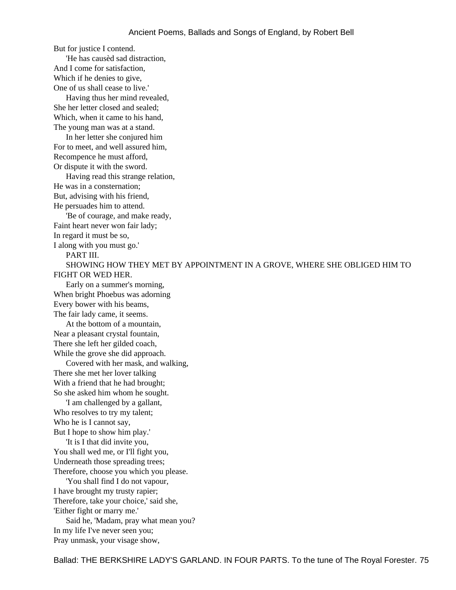But for justice I contend.

 'He has causèd sad distraction, And I come for satisfaction, Which if he denies to give, One of us shall cease to live.'

 Having thus her mind revealed, She her letter closed and sealed; Which, when it came to his hand, The young man was at a stand.

 In her letter she conjured him For to meet, and well assured him, Recompence he must afford, Or dispute it with the sword.

 Having read this strange relation, He was in a consternation; But, advising with his friend, He persuades him to attend.

 'Be of courage, and make ready, Faint heart never won fair lady; In regard it must be so, I along with you must go.'

PART III.

 SHOWING HOW THEY MET BY APPOINTMENT IN A GROVE, WHERE SHE OBLIGED HIM TO FIGHT OR WED HER.

 Early on a summer's morning, When bright Phoebus was adorning Every bower with his beams, The fair lady came, it seems.

 At the bottom of a mountain, Near a pleasant crystal fountain, There she left her gilded coach, While the grove she did approach.

 Covered with her mask, and walking, There she met her lover talking With a friend that he had brought; So she asked him whom he sought.

 'I am challenged by a gallant, Who resolves to try my talent; Who he is I cannot say, But I hope to show him play.'

 'It is I that did invite you, You shall wed me, or I'll fight you, Underneath those spreading trees; Therefore, choose you which you please.

 'You shall find I do not vapour, I have brought my trusty rapier; Therefore, take your choice,' said she, 'Either fight or marry me.'

 Said he, 'Madam, pray what mean you? In my life I've never seen you; Pray unmask, your visage show,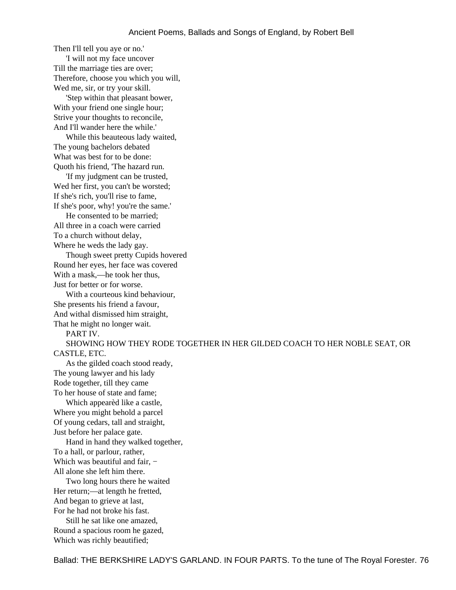Then I'll tell you aye or no.'

 'I will not my face uncover Till the marriage ties are over; Therefore, choose you which you will, Wed me, sir, or try your skill.

 'Step within that pleasant bower, With your friend one single hour; Strive your thoughts to reconcile, And I'll wander here the while.'

 While this beauteous lady waited, The young bachelors debated What was best for to be done: Quoth his friend, 'The hazard run.

 'If my judgment can be trusted, Wed her first, you can't be worsted; If she's rich, you'll rise to fame, If she's poor, why! you're the same.'

 He consented to be married; All three in a coach were carried To a church without delay, Where he weds the lady gay.

 Though sweet pretty Cupids hovered Round her eyes, her face was covered With a mask,—he took her thus, Just for better or for worse.

 With a courteous kind behaviour, She presents his friend a favour, And withal dismissed him straight, That he might no longer wait.

PART IV.

 SHOWING HOW THEY RODE TOGETHER IN HER GILDED COACH TO HER NOBLE SEAT, OR CASTLE, ETC.

 As the gilded coach stood ready, The young lawyer and his lady Rode together, till they came To her house of state and fame;

 Which appearèd like a castle, Where you might behold a parcel Of young cedars, tall and straight, Just before her palace gate.

 Hand in hand they walked together, To a hall, or parlour, rather, Which was beautiful and fair, – All alone she left him there.

 Two long hours there he waited Her return;—at length he fretted, And began to grieve at last, For he had not broke his fast.

 Still he sat like one amazed, Round a spacious room he gazed, Which was richly beautified;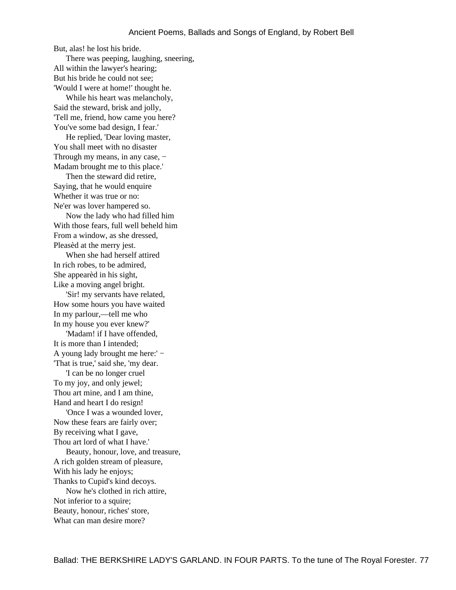But, alas! he lost his bride.

 There was peeping, laughing, sneering, All within the lawyer's hearing; But his bride he could not see; 'Would I were at home!' thought he.

 While his heart was melancholy, Said the steward, brisk and jolly, 'Tell me, friend, how came you here? You've some bad design, I fear.'

 He replied, 'Dear loving master, You shall meet with no disaster Through my means, in any case, – Madam brought me to this place.'

 Then the steward did retire, Saying, that he would enquire Whether it was true or no: Ne'er was lover hampered so.

 Now the lady who had filled him With those fears, full well beheld him From a window, as she dressed, Pleasèd at the merry jest.

 When she had herself attired In rich robes, to be admired, She appearèd in his sight, Like a moving angel bright.

 'Sir! my servants have related, How some hours you have waited In my parlour,—tell me who In my house you ever knew?'

 'Madam! if I have offended, It is more than I intended; A young lady brought me here:' − 'That is true,' said she, 'my dear.

 'I can be no longer cruel To my joy, and only jewel; Thou art mine, and I am thine, Hand and heart I do resign!

 'Once I was a wounded lover, Now these fears are fairly over; By receiving what I gave, Thou art lord of what I have.'

 Beauty, honour, love, and treasure, A rich golden stream of pleasure, With his lady he enjoys; Thanks to Cupid's kind decoys.

 Now he's clothed in rich attire, Not inferior to a squire; Beauty, honour, riches' store, What can man desire more?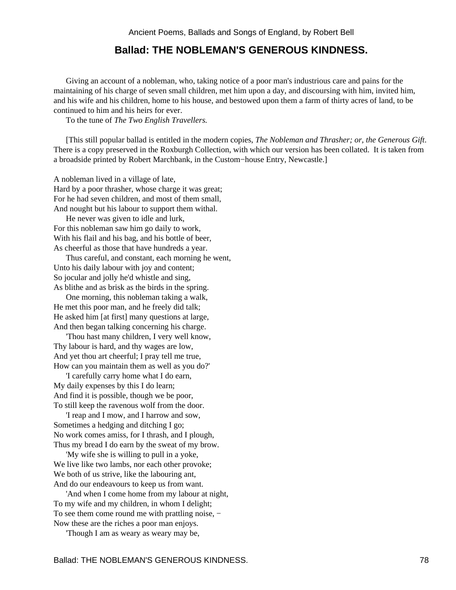#### **Ballad: THE NOBLEMAN'S GENEROUS KINDNESS.**

 Giving an account of a nobleman, who, taking notice of a poor man's industrious care and pains for the maintaining of his charge of seven small children, met him upon a day, and discoursing with him, invited him, and his wife and his children, home to his house, and bestowed upon them a farm of thirty acres of land, to be continued to him and his heirs for ever.

To the tune of *The Two English Travellers.*

 [This still popular ballad is entitled in the modern copies, *The Nobleman and Thrasher; or, the Generous Gift*. There is a copy preserved in the Roxburgh Collection, with which our version has been collated. It is taken from a broadside printed by Robert Marchbank, in the Custom−house Entry, Newcastle.]

A nobleman lived in a village of late, Hard by a poor thrasher, whose charge it was great; For he had seven children, and most of them small, And nought but his labour to support them withal.

 He never was given to idle and lurk, For this nobleman saw him go daily to work, With his flail and his bag, and his bottle of beer, As cheerful as those that have hundreds a year.

 Thus careful, and constant, each morning he went, Unto his daily labour with joy and content; So jocular and jolly he'd whistle and sing, As blithe and as brisk as the birds in the spring.

 One morning, this nobleman taking a walk, He met this poor man, and he freely did talk; He asked him [at first] many questions at large, And then began talking concerning his charge.

 'Thou hast many children, I very well know, Thy labour is hard, and thy wages are low, And yet thou art cheerful; I pray tell me true, How can you maintain them as well as you do?'

 'I carefully carry home what I do earn, My daily expenses by this I do learn; And find it is possible, though we be poor, To still keep the ravenous wolf from the door.

 'I reap and I mow, and I harrow and sow, Sometimes a hedging and ditching I go; No work comes amiss, for I thrash, and I plough, Thus my bread I do earn by the sweat of my brow.

 'My wife she is willing to pull in a yoke, We live like two lambs, nor each other provoke; We both of us strive, like the labouring ant, And do our endeavours to keep us from want.

 'And when I come home from my labour at night, To my wife and my children, in whom I delight; To see them come round me with prattling noise, – Now these are the riches a poor man enjoys.

'Though I am as weary as weary may be,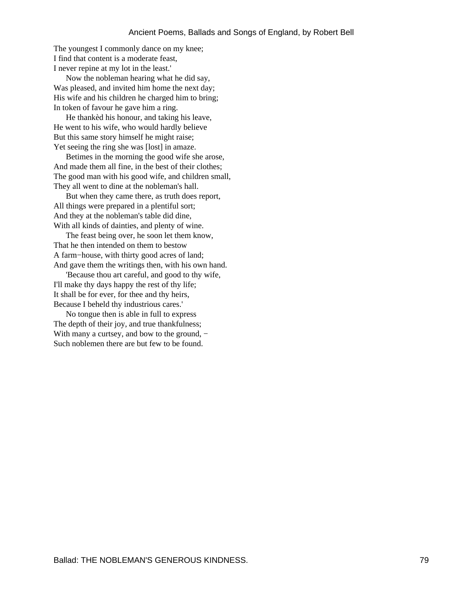The youngest I commonly dance on my knee; I find that content is a moderate feast, I never repine at my lot in the least.'

 Now the nobleman hearing what he did say, Was pleased, and invited him home the next day; His wife and his children he charged him to bring; In token of favour he gave him a ring.

 He thankèd his honour, and taking his leave, He went to his wife, who would hardly believe But this same story himself he might raise; Yet seeing the ring she was [lost] in amaze.

 Betimes in the morning the good wife she arose, And made them all fine, in the best of their clothes; The good man with his good wife, and children small, They all went to dine at the nobleman's hall.

 But when they came there, as truth does report, All things were prepared in a plentiful sort; And they at the nobleman's table did dine, With all kinds of dainties, and plenty of wine.

 The feast being over, he soon let them know, That he then intended on them to bestow A farm−house, with thirty good acres of land; And gave them the writings then, with his own hand.

 'Because thou art careful, and good to thy wife, I'll make thy days happy the rest of thy life; It shall be for ever, for thee and thy heirs, Because I beheld thy industrious cares.'

 No tongue then is able in full to express The depth of their joy, and true thankfulness; With many a curtsey, and bow to the ground, – Such noblemen there are but few to be found.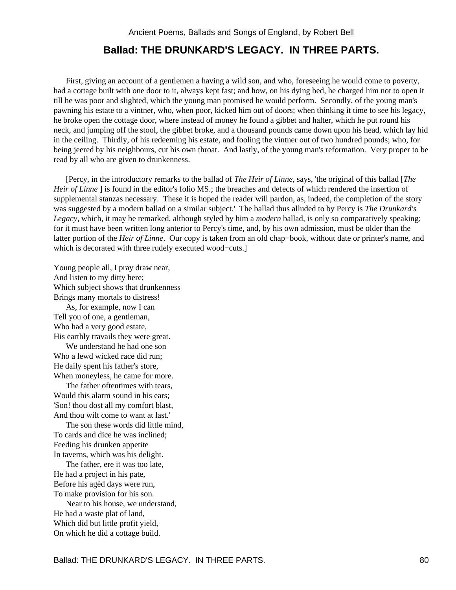### **Ballad: THE DRUNKARD'S LEGACY. IN THREE PARTS.**

 First, giving an account of a gentlemen a having a wild son, and who, foreseeing he would come to poverty, had a cottage built with one door to it, always kept fast; and how, on his dying bed, he charged him not to open it till he was poor and slighted, which the young man promised he would perform. Secondly, of the young man's pawning his estate to a vintner, who, when poor, kicked him out of doors; when thinking it time to see his legacy, he broke open the cottage door, where instead of money he found a gibbet and halter, which he put round his neck, and jumping off the stool, the gibbet broke, and a thousand pounds came down upon his head, which lay hid in the ceiling. Thirdly, of his redeeming his estate, and fooling the vintner out of two hundred pounds; who, for being jeered by his neighbours, cut his own throat. And lastly, of the young man's reformation. Very proper to be read by all who are given to drunkenness.

 [Percy, in the introductory remarks to the ballad of *The Heir of Linne*, says, 'the original of this ballad [*The Heir of Linne* ] is found in the editor's folio MS.; the breaches and defects of which rendered the insertion of supplemental stanzas necessary. These it is hoped the reader will pardon, as, indeed, the completion of the story was suggested by a modern ballad on a similar subject.' The ballad thus alluded to by Percy is *The Drunkard's Legacy*, which, it may be remarked, although styled by him a *modern* ballad, is only so comparatively speaking; for it must have been written long anterior to Percy's time, and, by his own admission, must be older than the latter portion of the *Heir of Linne*. Our copy is taken from an old chap−book, without date or printer's name, and which is decorated with three rudely executed wood−cuts.]

Young people all, I pray draw near, And listen to my ditty here; Which subject shows that drunkenness Brings many mortals to distress!

 As, for example, now I can Tell you of one, a gentleman, Who had a very good estate, His earthly travails they were great.

 We understand he had one son Who a lewd wicked race did run; He daily spent his father's store, When moneyless, he came for more.

 The father oftentimes with tears, Would this alarm sound in his ears; 'Son! thou dost all my comfort blast, And thou wilt come to want at last.'

 The son these words did little mind, To cards and dice he was inclined; Feeding his drunken appetite In taverns, which was his delight.

 The father, ere it was too late, He had a project in his pate, Before his agèd days were run, To make provision for his son.

 Near to his house, we understand, He had a waste plat of land, Which did but little profit yield, On which he did a cottage build.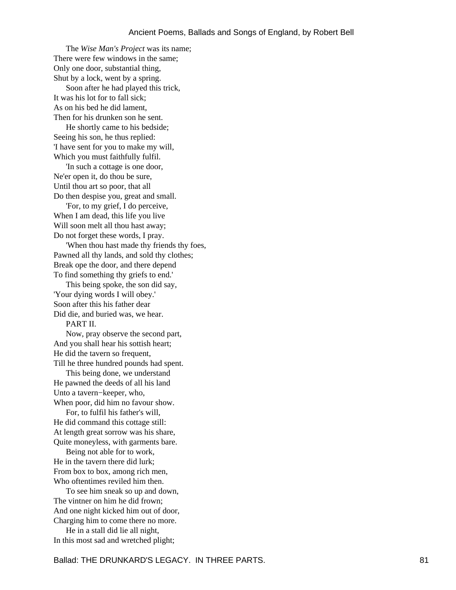The *Wise Man's Project* was its name; There were few windows in the same; Only one door, substantial thing, Shut by a lock, went by a spring.

 Soon after he had played this trick, It was his lot for to fall sick; As on his bed he did lament, Then for his drunken son he sent.

 He shortly came to his bedside; Seeing his son, he thus replied: 'I have sent for you to make my will, Which you must faithfully fulfil.

 'In such a cottage is one door, Ne'er open it, do thou be sure, Until thou art so poor, that all Do then despise you, great and small.

 'For, to my grief, I do perceive, When I am dead, this life you live Will soon melt all thou hast away; Do not forget these words, I pray.

 'When thou hast made thy friends thy foes, Pawned all thy lands, and sold thy clothes; Break ope the door, and there depend To find something thy griefs to end.'

 This being spoke, the son did say, 'Your dying words I will obey.' Soon after this his father dear Did die, and buried was, we hear.

PART II.

 Now, pray observe the second part, And you shall hear his sottish heart; He did the tavern so frequent, Till he three hundred pounds had spent.

 This being done, we understand He pawned the deeds of all his land Unto a tavern−keeper, who, When poor, did him no favour show.

 For, to fulfil his father's will, He did command this cottage still: At length great sorrow was his share, Quite moneyless, with garments bare.

 Being not able for to work, He in the tavern there did lurk; From box to box, among rich men, Who oftentimes reviled him then.

 To see him sneak so up and down, The vintner on him he did frown; And one night kicked him out of door, Charging him to come there no more.

 He in a stall did lie all night, In this most sad and wretched plight;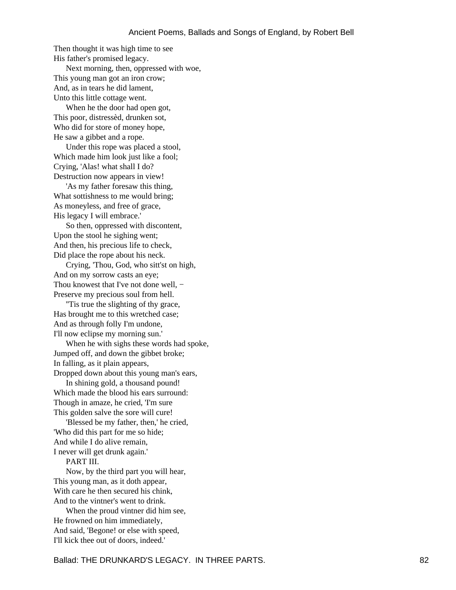Then thought it was high time to see His father's promised legacy.

 Next morning, then, oppressed with woe, This young man got an iron crow; And, as in tears he did lament, Unto this little cottage went.

 When he the door had open got, This poor, distressèd, drunken sot, Who did for store of money hope, He saw a gibbet and a rope.

 Under this rope was placed a stool, Which made him look just like a fool; Crying, 'Alas! what shall I do? Destruction now appears in view!

 'As my father foresaw this thing, What sottishness to me would bring; As moneyless, and free of grace, His legacy I will embrace.'

 So then, oppressed with discontent, Upon the stool he sighing went; And then, his precious life to check, Did place the rope about his neck.

 Crying, 'Thou, God, who sitt'st on high, And on my sorrow casts an eye; Thou knowest that I've not done well, – Preserve my precious soul from hell.

 ''Tis true the slighting of thy grace, Has brought me to this wretched case; And as through folly I'm undone, I'll now eclipse my morning sun.'

 When he with sighs these words had spoke, Jumped off, and down the gibbet broke; In falling, as it plain appears, Dropped down about this young man's ears,

 In shining gold, a thousand pound! Which made the blood his ears surround: Though in amaze, he cried, 'I'm sure This golden salve the sore will cure!

 'Blessed be my father, then,' he cried, 'Who did this part for me so hide; And while I do alive remain, I never will get drunk again.'

PART III.

 Now, by the third part you will hear, This young man, as it doth appear, With care he then secured his chink, And to the vintner's went to drink.

 When the proud vintner did him see, He frowned on him immediately, And said, 'Begone! or else with speed, I'll kick thee out of doors, indeed.'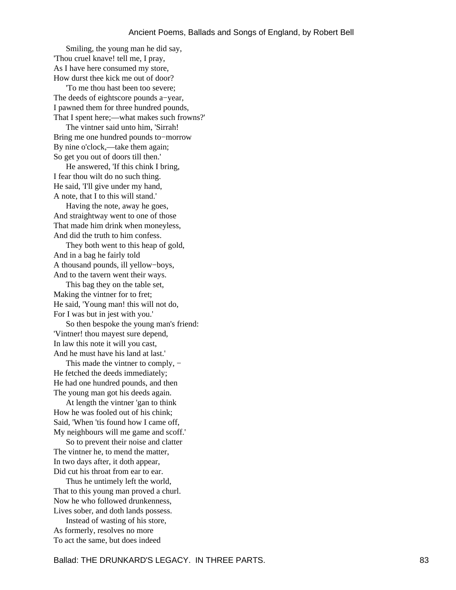Smiling, the young man he did say, 'Thou cruel knave! tell me, I pray, As I have here consumed my store, How durst thee kick me out of door?

 'To me thou hast been too severe; The deeds of eightscore pounds a−year, I pawned them for three hundred pounds, That I spent here;—what makes such frowns?'

 The vintner said unto him, 'Sirrah! Bring me one hundred pounds to−morrow By nine o'clock,—take them again; So get you out of doors till then.'

 He answered, 'If this chink I bring, I fear thou wilt do no such thing. He said, 'I'll give under my hand, A note, that I to this will stand.'

 Having the note, away he goes, And straightway went to one of those That made him drink when moneyless, And did the truth to him confess.

 They both went to this heap of gold, And in a bag he fairly told A thousand pounds, ill yellow−boys, And to the tavern went their ways.

 This bag they on the table set, Making the vintner for to fret; He said, 'Young man! this will not do, For I was but in jest with you.'

 So then bespoke the young man's friend: 'Vintner! thou mayest sure depend, In law this note it will you cast, And he must have his land at last.'

This made the vintner to comply, – He fetched the deeds immediately; He had one hundred pounds, and then The young man got his deeds again.

 At length the vintner 'gan to think How he was fooled out of his chink; Said, 'When 'tis found how I came off, My neighbours will me game and scoff.'

 So to prevent their noise and clatter The vintner he, to mend the matter, In two days after, it doth appear, Did cut his throat from ear to ear.

 Thus he untimely left the world, That to this young man proved a churl. Now he who followed drunkenness, Lives sober, and doth lands possess.

 Instead of wasting of his store, As formerly, resolves no more To act the same, but does indeed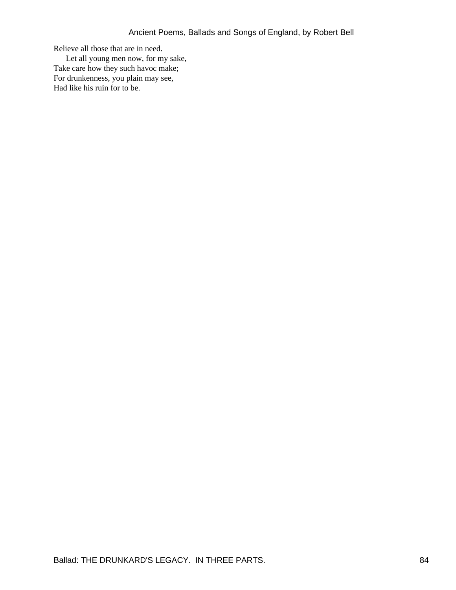Relieve all those that are in need. Let all young men now, for my sake, Take care how they such havoc make; For drunkenness, you plain may see, Had like his ruin for to be.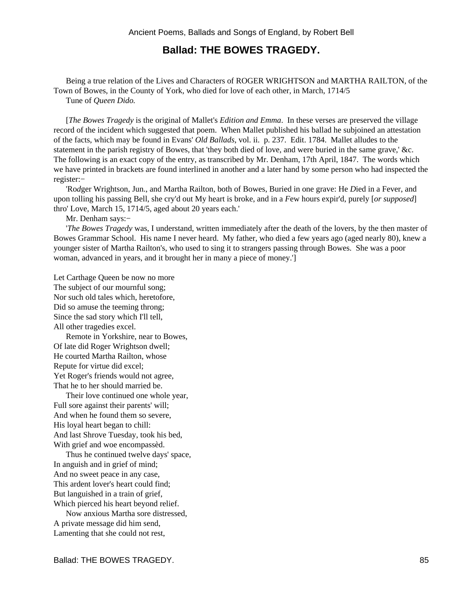### **Ballad: THE BOWES TRAGEDY.**

 Being a true relation of the Lives and Characters of ROGER WRIGHTSON and MARTHA RAILTON, of the Town of Bowes, in the County of York, who died for love of each other, in March, 1714/5 Tune of *Queen Dido.*

 [*The Bowes Tragedy* is the original of Mallet's *Edition and Emma*. In these verses are preserved the village record of the incident which suggested that poem. When Mallet published his ballad he subjoined an attestation of the facts, which may be found in Evans' *Old Ballads*, vol. ii. p. 237. Edit. 1784. Mallet alludes to the statement in the parish registry of Bowes, that 'they both died of love, and were buried in the same grave,' &c. The following is an exact copy of the entry, as transcribed by Mr. Denham, 17th April, 1847. The words which we have printed in brackets are found interlined in another and a later hand by some person who had inspected the register:−

 'Ro*d*ger Wrightson, Jun., and Martha Railton, both of Bowes, Buried in one grave: He *D*ied in a Fever, and upon tolling his passing Bell, she cry'd out My heart is broke, and in a *F*ew hours expir'd, purely [*or supposed*] thro' Love, March 15, 1714/5, aged about 20 years each.'

Mr. Denham says:−

 '*The Bowes Tragedy* was, I understand, written immediately after the death of the lovers, by the then master of Bowes Grammar School. His name I never heard. My father, who died a few years ago (aged nearly 80), knew a younger sister of Martha Railton's, who used to sing it to strangers passing through Bowes. She was a poor woman, advanced in years, and it brought her in many a piece of money.']

Let Carthage Queen be now no more The subject of our mournful song; Nor such old tales which, heretofore, Did so amuse the teeming throng; Since the sad story which I'll tell, All other tragedies excel.

 Remote in Yorkshire, near to Bowes, Of late did Roger Wrightson dwell; He courted Martha Railton, whose Repute for virtue did excel; Yet Roger's friends would not agree, That he to her should married be.

 Their love continued one whole year, Full sore against their parents' will; And when he found them so severe, His loyal heart began to chill: And last Shrove Tuesday, took his bed, With grief and woe encompassèd.

 Thus he continued twelve days' space, In anguish and in grief of mind; And no sweet peace in any case, This ardent lover's heart could find; But languished in a train of grief, Which pierced his heart beyond relief.

 Now anxious Martha sore distressed, A private message did him send, Lamenting that she could not rest,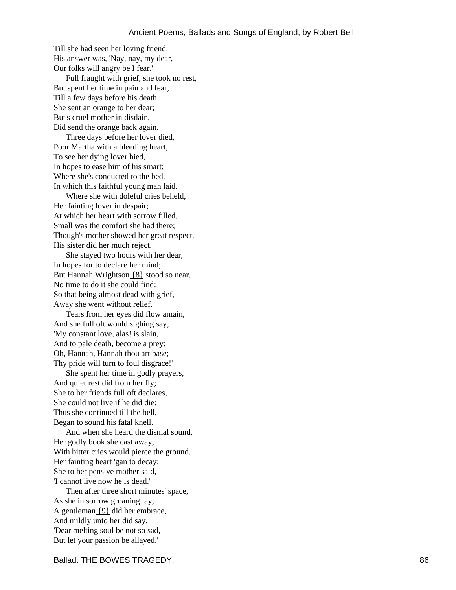Till she had seen her loving friend: His answer was, 'Nay, nay, my dear, Our folks will angry be I fear.'

 Full fraught with grief, she took no rest, But spent her time in pain and fear, Till a few days before his death She sent an orange to her dear; But's cruel mother in disdain, Did send the orange back again.

 Three days before her lover died, Poor Martha with a bleeding heart, To see her dying lover hied, In hopes to ease him of his smart; Where she's conducted to the bed, In which this faithful young man laid.

 Where she with doleful cries beheld, Her fainting lover in despair; At which her heart with sorrow filled, Small was the comfort she had there; Though's mother showed her great respect, His sister did her much reject.

 She stayed two hours with her dear, In hopes for to declare her mind; But Hannah Wrightso[n {8}](#page-212-1) stood so near, No time to do it she could find: So that being almost dead with grief, Away she went without relief.

 Tears from her eyes did flow amain, And she full oft would sighing say, 'My constant love, alas! is slain, And to pale death, become a prey: Oh, Hannah, Hannah thou art base; Thy pride will turn to foul disgrace!'

 She spent her time in godly prayers, And quiet rest did from her fly; She to her friends full oft declares, She could not live if he did die: Thus she continued till the bell, Began to sound his fatal knell.

 And when she heard the dismal sound, Her godly book she cast away, With bitter cries would pierce the ground. Her fainting heart 'gan to decay: She to her pensive mother said, 'I cannot live now he is dead.'

 Then after three short minutes' space, As she in sorrow groaning lay, A gentlema[n {9}](#page-212-2) did her embrace, And mildly unto her did say, 'Dear melting soul be not so sad, But let your passion be allayed.'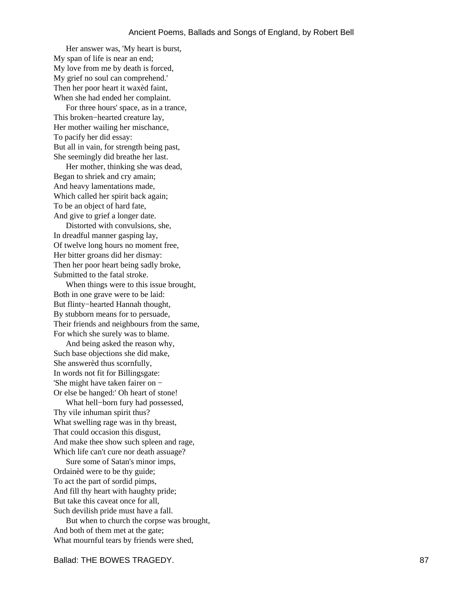Her answer was, 'My heart is burst, My span of life is near an end; My love from me by death is forced, My grief no soul can comprehend.' Then her poor heart it waxèd faint, When she had ended her complaint.

 For three hours' space, as in a trance, This broken−hearted creature lay, Her mother wailing her mischance, To pacify her did essay: But all in vain, for strength being past, She seemingly did breathe her last.

 Her mother, thinking she was dead, Began to shriek and cry amain; And heavy lamentations made, Which called her spirit back again; To be an object of hard fate, And give to grief a longer date.

 Distorted with convulsions, she, In dreadful manner gasping lay, Of twelve long hours no moment free, Her bitter groans did her dismay: Then her poor heart being sadly broke, Submitted to the fatal stroke.

 When things were to this issue brought, Both in one grave were to be laid: But flinty−hearted Hannah thought, By stubborn means for to persuade, Their friends and neighbours from the same, For which she surely was to blame.

 And being asked the reason why, Such base objections she did make, She answerèd thus scornfully, In words not fit for Billingsgate: 'She might have taken fairer on − Or else be hanged:' Oh heart of stone!

 What hell−born fury had possessed, Thy vile inhuman spirit thus? What swelling rage was in thy breast, That could occasion this disgust, And make thee show such spleen and rage, Which life can't cure nor death assuage?

 Sure some of Satan's minor imps, Ordainèd were to be thy guide; To act the part of sordid pimps, And fill thy heart with haughty pride; But take this caveat once for all, Such devilish pride must have a fall.

 But when to church the corpse was brought, And both of them met at the gate; What mournful tears by friends were shed,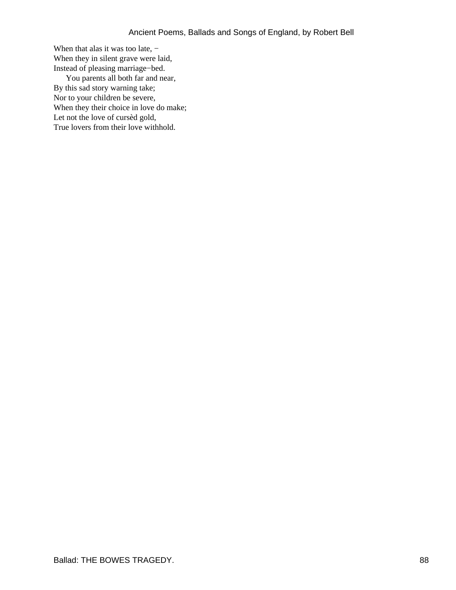When that alas it was too late, – When they in silent grave were laid, Instead of pleasing marriage−bed.

 You parents all both far and near, By this sad story warning take; Nor to your children be severe, When they their choice in love do make; Let not the love of cursèd gold, True lovers from their love withhold.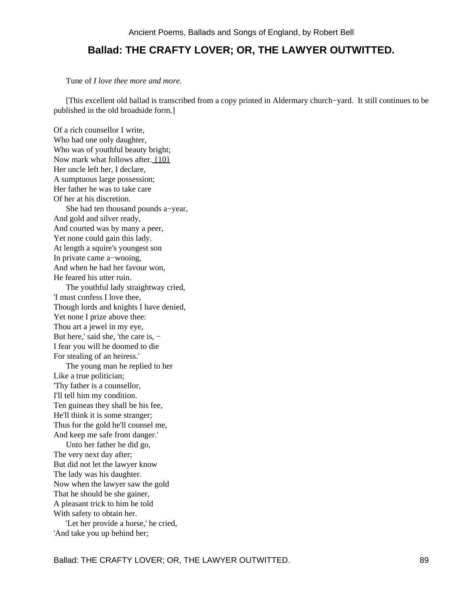## **Ballad: THE CRAFTY LOVER; OR, THE LAWYER OUTWITTED.**

Tune of *I love thee more and more*.

 [This excellent old ballad is transcribed from a copy printed in Aldermary church−yard. It still continues to be published in the old broadside form.]

Of a rich counsellor I write, Who had one only daughter, Who was of youthful beauty bright; Now mark what follows after[. {10}](#page-212-3) Her uncle left her, I declare, A sumptuous large possession; Her father he was to take care Of her at his discretion. She had ten thousand pounds a−year, And gold and silver ready, And courted was by many a peer, Yet none could gain this lady. At length a squire's youngest son In private came a−wooing, And when he had her favour won, He feared his utter ruin. The youthful lady straightway cried, 'I must confess I love thee, Though lords and knights I have denied, Yet none I prize above thee:

Thou art a jewel in my eye, But here,' said she, 'the care is, − I fear you will be doomed to die For stealing of an heiress.' The young man he replied to her

Like a true politician; 'Thy father is a counsellor, I'll tell him my condition. Ten guineas they shall be his fee, He'll think it is some stranger; Thus for the gold he'll counsel me, And keep me safe from danger.'

 Unto her father he did go, The very next day after; But did not let the lawyer know The lady was his daughter. Now when the lawyer saw the gold That he should be she gainer, A pleasant trick to him he told With safety to obtain her.

 'Let her provide a horse,' he cried, 'And take you up behind her;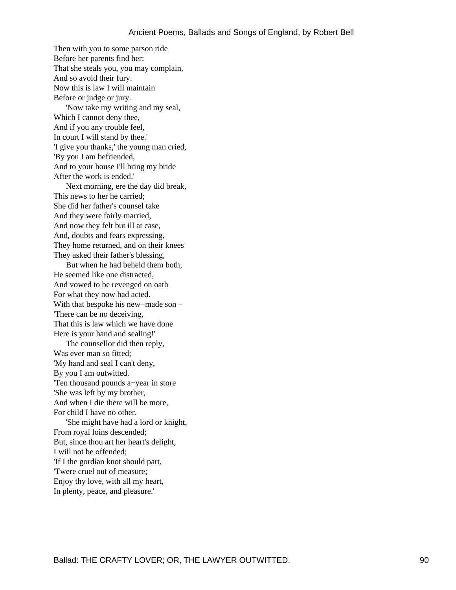Then with you to some parson ride Before her parents find her: That she steals you, you may complain, And so avoid their fury. Now this is law I will maintain Before or judge or jury.

 'Now take my writing and my seal, Which I cannot deny thee, And if you any trouble feel, In court I will stand by thee.' 'I give you thanks,' the young man cried, 'By you I am befriended, And to your house I'll bring my bride After the work is ended.'

 Next morning, ere the day did break, This news to her he carried; She did her father's counsel take And they were fairly married, And now they felt but ill at case, And, doubts and fears expressing, They home returned, and on their knees They asked their father's blessing,

 But when he had beheld them both, He seemed like one distracted, And vowed to be revenged on oath For what they now had acted. With that bespoke his new−made son − 'There can be no deceiving, That this is law which we have done Here is your hand and sealing!'

 The counsellor did then reply, Was ever man so fitted; 'My hand and seal I can't deny, By you I am outwitted. 'Ten thousand pounds a−year in store 'She was left by my brother, And when I die there will be more, For child I have no other.

 'She might have had a lord or knight, From royal loins descended; But, since thou art her heart's delight, I will not be offended; 'If I the gordian knot should part, 'Twere cruel out of measure; Enjoy thy love, with all my heart, In plenty, peace, and pleasure.'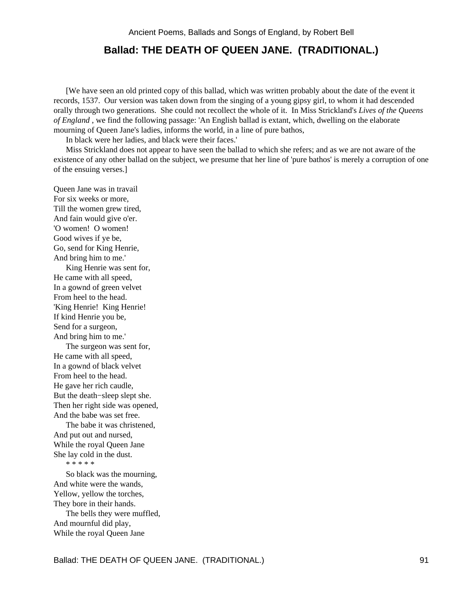# **Ballad: THE DEATH OF QUEEN JANE. (TRADITIONAL.)**

 [We have seen an old printed copy of this ballad, which was written probably about the date of the event it records, 1537. Our version was taken down from the singing of a young gipsy girl, to whom it had descended orally through two generations. She could not recollect the whole of it. In Miss Strickland's *Lives of the Queens of England* , we find the following passage: 'An English ballad is extant, which, dwelling on the elaborate mourning of Queen Jane's ladies, informs the world, in a line of pure bathos,

In black were her ladies, and black were their faces.'

 Miss Strickland does not appear to have seen the ballad to which she refers; and as we are not aware of the existence of any other ballad on the subject, we presume that her line of 'pure bathos' is merely a corruption of one of the ensuing verses.]

Queen Jane was in travail For six weeks or more, Till the women grew tired, And fain would give o'er. 'O women! O women! Good wives if ye be, Go, send for King Henrie, And bring him to me.'

 King Henrie was sent for, He came with all speed, In a gownd of green velvet From heel to the head. 'King Henrie! King Henrie! If kind Henrie you be, Send for a surgeon, And bring him to me.'

 The surgeon was sent for, He came with all speed, In a gownd of black velvet From heel to the head. He gave her rich caudle, But the death−sleep slept she. Then her right side was opened, And the babe was set free.

 The babe it was christened, And put out and nursed, While the royal Queen Jane She lay cold in the dust.

\* \* \* \* \*

 So black was the mourning, And white were the wands, Yellow, yellow the torches, They bore in their hands.

 The bells they were muffled, And mournful did play, While the royal Queen Jane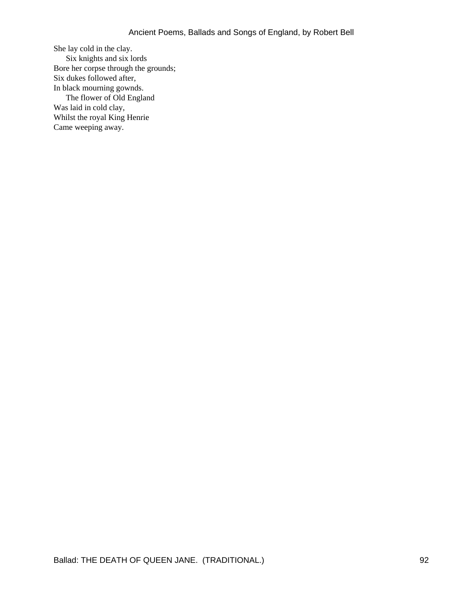She lay cold in the clay. Six knights and six lords Bore her corpse through the grounds; Six dukes followed after, In black mourning gownds. The flower of Old England Was laid in cold clay, Whilst the royal King Henrie Came weeping away.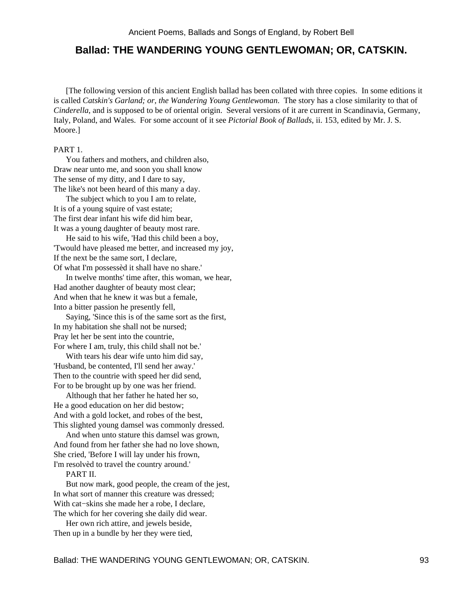### **Ballad: THE WANDERING YOUNG GENTLEWOMAN; OR, CATSKIN.**

 [The following version of this ancient English ballad has been collated with three copies. In some editions it is called *Catskin's Garland; or, the Wandering Young Gentlewoman*. The story has a close similarity to that of *Cinderella*, and is supposed to be of oriental origin. Several versions of it are current in Scandinavia, Germany, Italy, Poland, and Wales. For some account of it see *Pictorial Book of Ballads*, ii. 153, edited by Mr. J. S. Moore.]

#### PART 1.

 You fathers and mothers, and children also, Draw near unto me, and soon you shall know The sense of my ditty, and I dare to say, The like's not been heard of this many a day.

 The subject which to you I am to relate, It is of a young squire of vast estate; The first dear infant his wife did him bear, It was a young daughter of beauty most rare.

 He said to his wife, 'Had this child been a boy, 'Twould have pleased me better, and increased my joy, If the next be the same sort, I declare, Of what I'm possessèd it shall have no share.'

 In twelve months' time after, this woman, we hear, Had another daughter of beauty most clear; And when that he knew it was but a female, Into a bitter passion he presently fell,

 Saying, 'Since this is of the same sort as the first, In my habitation she shall not be nursed; Pray let her be sent into the countrie, For where I am, truly, this child shall not be.'

 With tears his dear wife unto him did say, 'Husband, be contented, I'll send her away.' Then to the countrie with speed her did send, For to be brought up by one was her friend.

 Although that her father he hated her so, He a good education on her did bestow; And with a gold locket, and robes of the best, This slighted young damsel was commonly dressed.

 And when unto stature this damsel was grown, And found from her father she had no love shown, She cried, 'Before I will lay under his frown, I'm resolvèd to travel the country around.'

PART II.

 But now mark, good people, the cream of the jest, In what sort of manner this creature was dressed; With cat−skins she made her a robe, I declare, The which for her covering she daily did wear.

 Her own rich attire, and jewels beside, Then up in a bundle by her they were tied,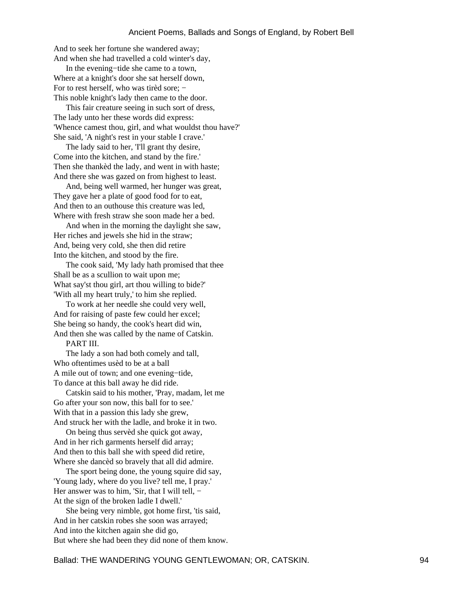And to seek her fortune she wandered away; And when she had travelled a cold winter's day,

 In the evening−tide she came to a town, Where at a knight's door she sat herself down, For to rest herself, who was tirèd sore; – This noble knight's lady then came to the door.

 This fair creature seeing in such sort of dress, The lady unto her these words did express: 'Whence camest thou, girl, and what wouldst thou have?' She said, 'A night's rest in your stable I crave.'

 The lady said to her, 'I'll grant thy desire, Come into the kitchen, and stand by the fire.' Then she thankèd the lady, and went in with haste; And there she was gazed on from highest to least.

 And, being well warmed, her hunger was great, They gave her a plate of good food for to eat, And then to an outhouse this creature was led, Where with fresh straw she soon made her a bed.

 And when in the morning the daylight she saw, Her riches and jewels she hid in the straw; And, being very cold, she then did retire Into the kitchen, and stood by the fire.

 The cook said, 'My lady hath promised that thee Shall be as a scullion to wait upon me; What say'st thou girl, art thou willing to bide?' 'With all my heart truly,' to him she replied.

 To work at her needle she could very well, And for raising of paste few could her excel; She being so handy, the cook's heart did win, And then she was called by the name of Catskin.

PART III.

 The lady a son had both comely and tall, Who oftentimes usèd to be at a ball A mile out of town; and one evening−tide, To dance at this ball away he did ride.

 Catskin said to his mother, 'Pray, madam, let me Go after your son now, this ball for to see.' With that in a passion this lady she grew, And struck her with the ladle, and broke it in two.

 On being thus servèd she quick got away, And in her rich garments herself did array; And then to this ball she with speed did retire, Where she dancèd so bravely that all did admire.

 The sport being done, the young squire did say, 'Young lady, where do you live? tell me, I pray.' Her answer was to him, 'Sir, that I will tell, – At the sign of the broken ladle I dwell.'

 She being very nimble, got home first, 'tis said, And in her catskin robes she soon was arrayed; And into the kitchen again she did go, But where she had been they did none of them know.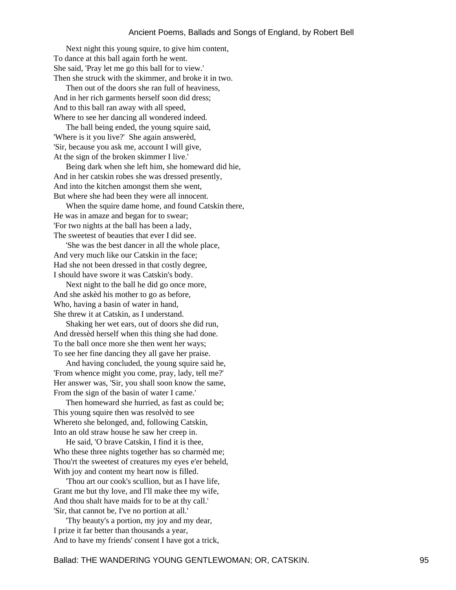Next night this young squire, to give him content, To dance at this ball again forth he went. She said, 'Pray let me go this ball for to view.' Then she struck with the skimmer, and broke it in two.

 Then out of the doors she ran full of heaviness, And in her rich garments herself soon did dress; And to this ball ran away with all speed, Where to see her dancing all wondered indeed.

 The ball being ended, the young squire said, 'Where is it you live?' She again answerèd, 'Sir, because you ask me, account I will give, At the sign of the broken skimmer I live.'

 Being dark when she left him, she homeward did hie, And in her catskin robes she was dressed presently, And into the kitchen amongst them she went, But where she had been they were all innocent.

 When the squire dame home, and found Catskin there, He was in amaze and began for to swear; 'For two nights at the ball has been a lady, The sweetest of beauties that ever I did see.

 'She was the best dancer in all the whole place, And very much like our Catskin in the face; Had she not been dressed in that costly degree, I should have swore it was Catskin's body.

 Next night to the ball he did go once more, And she askèd his mother to go as before, Who, having a basin of water in hand, She threw it at Catskin, as I understand.

 Shaking her wet ears, out of doors she did run, And dressèd herself when this thing she had done. To the ball once more she then went her ways; To see her fine dancing they all gave her praise.

 And having concluded, the young squire said he, 'From whence might you come, pray, lady, tell me?' Her answer was, 'Sir, you shall soon know the same, From the sign of the basin of water I came.'

 Then homeward she hurried, as fast as could be; This young squire then was resolvèd to see Whereto she belonged, and, following Catskin, Into an old straw house he saw her creep in.

 He said, 'O brave Catskin, I find it is thee, Who these three nights together has so charmèd me; Thou'rt the sweetest of creatures my eyes e'er beheld, With joy and content my heart now is filled.

 'Thou art our cook's scullion, but as I have life, Grant me but thy love, and I'll make thee my wife, And thou shalt have maids for to be at thy call.' 'Sir, that cannot be, I've no portion at all.'

 'Thy beauty's a portion, my joy and my dear, I prize it far better than thousands a year, And to have my friends' consent I have got a trick,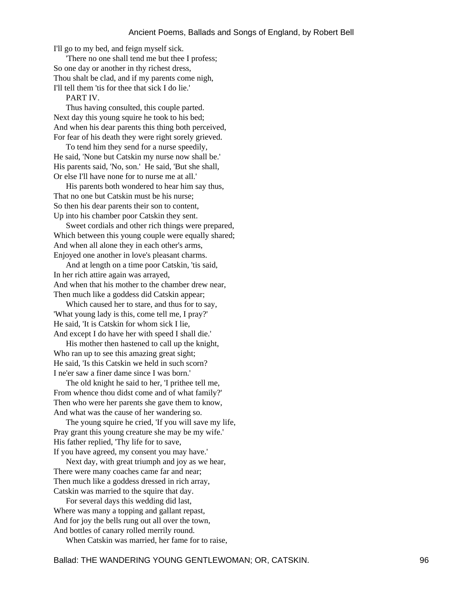I'll go to my bed, and feign myself sick.

 'There no one shall tend me but thee I profess; So one day or another in thy richest dress, Thou shalt be clad, and if my parents come nigh, I'll tell them 'tis for thee that sick I do lie.'

PART IV.

 Thus having consulted, this couple parted. Next day this young squire he took to his bed; And when his dear parents this thing both perceived, For fear of his death they were right sorely grieved.

 To tend him they send for a nurse speedily, He said, 'None but Catskin my nurse now shall be.' His parents said, 'No, son.' He said, 'But she shall, Or else I'll have none for to nurse me at all.'

 His parents both wondered to hear him say thus, That no one but Catskin must be his nurse; So then his dear parents their son to content, Up into his chamber poor Catskin they sent.

 Sweet cordials and other rich things were prepared, Which between this young couple were equally shared; And when all alone they in each other's arms, Enjoyed one another in love's pleasant charms.

 And at length on a time poor Catskin, 'tis said, In her rich attire again was arrayed, And when that his mother to the chamber drew near, Then much like a goddess did Catskin appear;

 Which caused her to stare, and thus for to say, 'What young lady is this, come tell me, I pray?' He said, 'It is Catskin for whom sick I lie, And except I do have her with speed I shall die.'

 His mother then hastened to call up the knight, Who ran up to see this amazing great sight; He said, 'Is this Catskin we held in such scorn? I ne'er saw a finer dame since I was born.'

 The old knight he said to her, 'I prithee tell me, From whence thou didst come and of what family?' Then who were her parents she gave them to know, And what was the cause of her wandering so.

 The young squire he cried, 'If you will save my life, Pray grant this young creature she may be my wife.' His father replied, 'Thy life for to save, If you have agreed, my consent you may have.'

 Next day, with great triumph and joy as we hear, There were many coaches came far and near; Then much like a goddess dressed in rich array, Catskin was married to the squire that day.

 For several days this wedding did last, Where was many a topping and gallant repast, And for joy the bells rung out all over the town, And bottles of canary rolled merrily round.

When Catskin was married, her fame for to raise,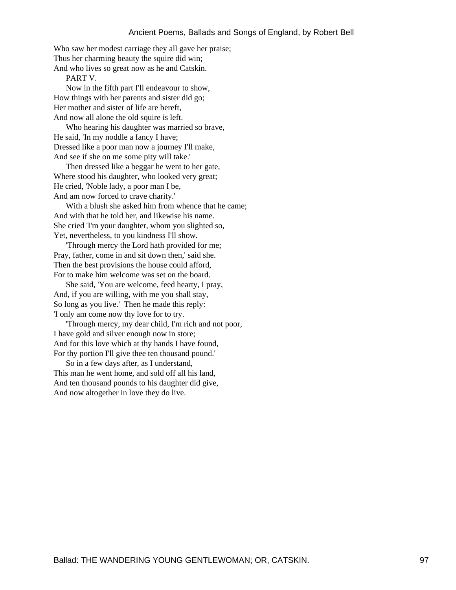Who saw her modest carriage they all gave her praise; Thus her charming beauty the squire did win; And who lives so great now as he and Catskin.

PART V.

 Now in the fifth part I'll endeavour to show, How things with her parents and sister did go; Her mother and sister of life are bereft, And now all alone the old squire is left.

 Who hearing his daughter was married so brave, He said, 'In my noddle a fancy I have; Dressed like a poor man now a journey I'll make, And see if she on me some pity will take.'

 Then dressed like a beggar he went to her gate, Where stood his daughter, who looked very great; He cried, 'Noble lady, a poor man I be, And am now forced to crave charity.'

 With a blush she asked him from whence that he came; And with that he told her, and likewise his name. She cried 'I'm your daughter, whom you slighted so, Yet, nevertheless, to you kindness I'll show.

 'Through mercy the Lord hath provided for me; Pray, father, come in and sit down then,' said she. Then the best provisions the house could afford, For to make him welcome was set on the board.

 She said, 'You are welcome, feed hearty, I pray, And, if you are willing, with me you shall stay, So long as you live.' Then he made this reply: 'I only am come now thy love for to try.

 'Through mercy, my dear child, I'm rich and not poor, I have gold and silver enough now in store; And for this love which at thy hands I have found, For thy portion I'll give thee ten thousand pound.'

 So in a few days after, as I understand, This man he went home, and sold off all his land, And ten thousand pounds to his daughter did give, And now altogether in love they do live.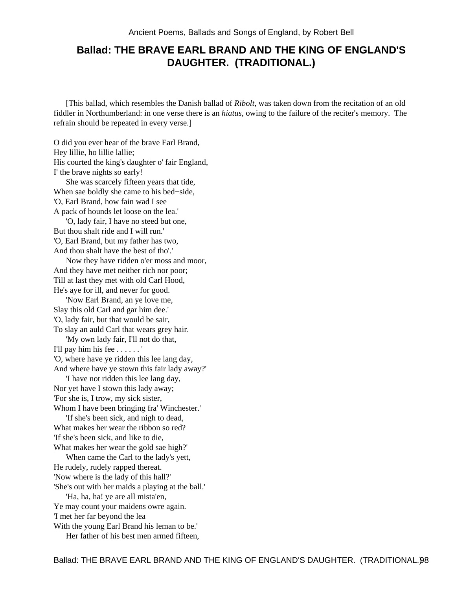## **Ballad: THE BRAVE EARL BRAND AND THE KING OF ENGLAND'S DAUGHTER. (TRADITIONAL.)**

 [This ballad, which resembles the Danish ballad of *Ribolt*, was taken down from the recitation of an old fiddler in Northumberland: in one verse there is an *hiatus*, owing to the failure of the reciter's memory. The refrain should be repeated in every verse.]

O did you ever hear of the brave Earl Brand, Hey lillie, ho lillie lallie; His courted the king's daughter o' fair England, I' the brave nights so early! She was scarcely fifteen years that tide, When sae boldly she came to his bed−side, 'O, Earl Brand, how fain wad I see A pack of hounds let loose on the lea.' 'O, lady fair, I have no steed but one, But thou shalt ride and I will run.' 'O, Earl Brand, but my father has two, And thou shalt have the best of tho'.' Now they have ridden o'er moss and moor, And they have met neither rich nor poor; Till at last they met with old Carl Hood, He's aye for ill, and never for good. 'Now Earl Brand, an ye love me, Slay this old Carl and gar him dee.' 'O, lady fair, but that would be sair, To slay an auld Carl that wears grey hair. 'My own lady fair, I'll not do that, I'll pay him his fee . . . . . . ' 'O, where have ye ridden this lee lang day, And where have ye stown this fair lady away?' 'I have not ridden this lee lang day, Nor yet have I stown this lady away; 'For she is, I trow, my sick sister, Whom I have been bringing fra' Winchester.' 'If she's been sick, and nigh to dead, What makes her wear the ribbon so red? 'If she's been sick, and like to die, What makes her wear the gold sae high?' When came the Carl to the lady's yett, He rudely, rudely rapped thereat. 'Now where is the lady of this hall?' 'She's out with her maids a playing at the ball.' 'Ha, ha, ha! ye are all mista'en, Ye may count your maidens owre again. 'I met her far beyond the lea With the young Earl Brand his leman to be.' Her father of his best men armed fifteen,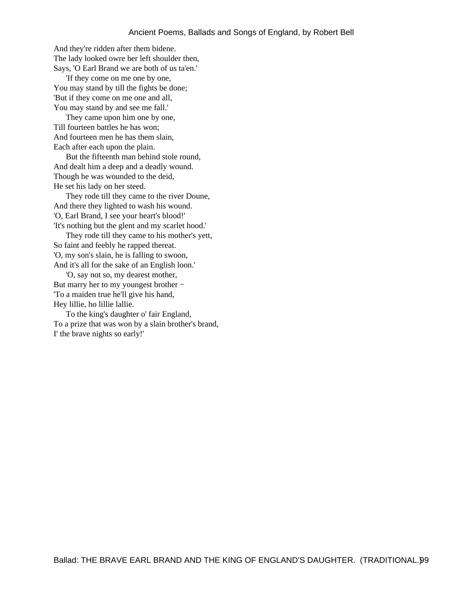And they're ridden after them bidene. The lady looked owre her left shoulder then, Says, 'O Earl Brand we are both of us ta'en.'

 'If they come on me one by one, You may stand by till the fights be done; 'But if they come on me one and all, You may stand by and see me fall.'

 They came upon him one by one, Till fourteen battles he has won; And fourteen men he has them slain, Each after each upon the plain.

 But the fifteenth man behind stole round, And dealt him a deep and a deadly wound. Though he was wounded to the deid, He set his lady on her steed.

 They rode till they came to the river Doune, And there they lighted to wash his wound. 'O, Earl Brand, I see your heart's blood!' 'It's nothing but the glent and my scarlet hood.'

 They rode till they came to his mother's yett, So faint and feebly he rapped thereat. 'O, my son's slain, he is falling to swoon, And it's all for the sake of an English loon.'

 'O, say not so, my dearest mother, But marry her to my youngest brother − 'To a maiden true he'll give his hand, Hey lillie, ho lillie lallie.

 To the king's daughter o' fair England, To a prize that was won by a slain brother's brand, I' the brave nights so early!'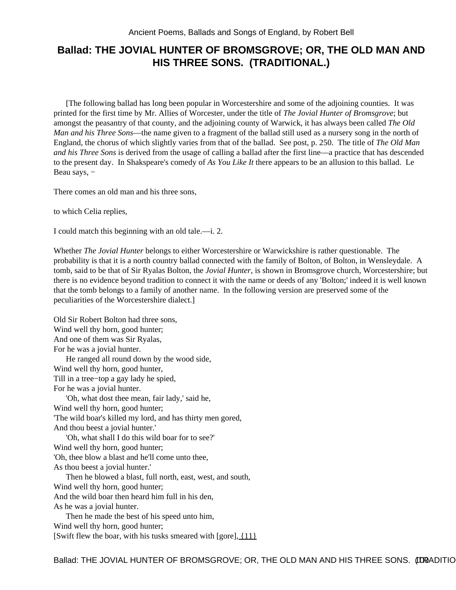# **Ballad: THE JOVIAL HUNTER OF BROMSGROVE; OR, THE OLD MAN AND HIS THREE SONS. (TRADITIONAL.)**

 [The following ballad has long been popular in Worcestershire and some of the adjoining counties. It was printed for the first time by Mr. Allies of Worcester, under the title of *The Jovial Hunter of Bromsgrove*; but amongst the peasantry of that county, and the adjoining county of Warwick, it has always been called *The Old Man and his Three Sons*—the name given to a fragment of the ballad still used as a nursery song in the north of England, the chorus of which slightly varies from that of the ballad. See post, p. 250. The title of *The Old Man and his Three Sons* is derived from the usage of calling a ballad after the first line—a practice that has descended to the present day. In Shakspeare's comedy of *As You Like It* there appears to be an allusion to this ballad. Le Beau says, −

There comes an old man and his three sons,

to which Celia replies,

I could match this beginning with an old tale.—i. 2.

Whether *The Jovial Hunter* belongs to either Worcestershire or Warwickshire is rather questionable. The probability is that it is a north country ballad connected with the family of Bolton, of Bolton, in Wensleydale. A tomb, said to be that of Sir Ryalas Bolton, the *Jovial Hunter*, is shown in Bromsgrove church, Worcestershire; but there is no evidence beyond tradition to connect it with the name or deeds of any 'Bolton;' indeed it is well known that the tomb belongs to a family of another name. In the following version are preserved some of the peculiarities of the Worcestershire dialect.]

Old Sir Robert Bolton had three sons, Wind well thy horn, good hunter; And one of them was Sir Ryalas, For he was a jovial hunter. He ranged all round down by the wood side, Wind well thy horn, good hunter, Till in a tree−top a gay lady he spied, For he was a jovial hunter. 'Oh, what dost thee mean, fair lady,' said he, Wind well thy horn, good hunter; 'The wild boar's killed my lord, and has thirty men gored, And thou beest a jovial hunter.' 'Oh, what shall I do this wild boar for to see?' Wind well thy horn, good hunter; 'Oh, thee blow a blast and he'll come unto thee, As thou beest a jovial hunter.' Then he blowed a blast, full north, east, west, and south, Wind well thy horn, good hunter; And the wild boar then heard him full in his den, As he was a jovial hunter. Then he made the best of his speed unto him, Wind well thy horn, good hunter; [Swift flew the boar, with his tusks smeared with [gore],  $\{11\}$ ]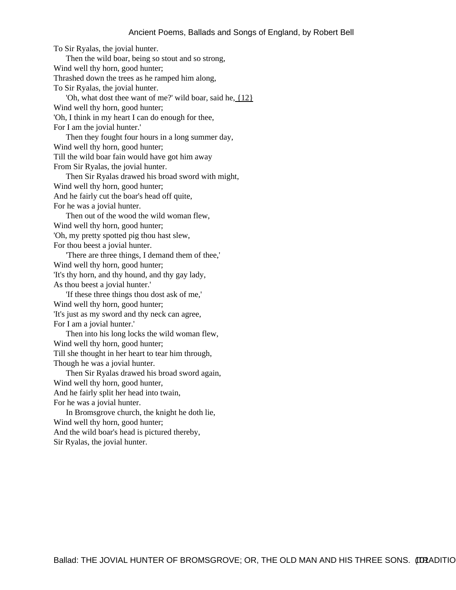To Sir Ryalas, the jovial hunter. Then the wild boar, being so stout and so strong, Wind well thy horn, good hunter; Thrashed down the trees as he ramped him along, To Sir Ryalas, the jovial hunter. 'Oh, what dost thee want of me?' wild boar, said he,  $\{12\}$ Wind well thy horn, good hunter; 'Oh, I think in my heart I can do enough for thee, For I am the jovial hunter.' Then they fought four hours in a long summer day, Wind well thy horn, good hunter; Till the wild boar fain would have got him away From Sir Ryalas, the jovial hunter. Then Sir Ryalas drawed his broad sword with might, Wind well thy horn, good hunter; And he fairly cut the boar's head off quite, For he was a jovial hunter. Then out of the wood the wild woman flew, Wind well thy horn, good hunter; 'Oh, my pretty spotted pig thou hast slew, For thou beest a jovial hunter. 'There are three things, I demand them of thee,' Wind well thy horn, good hunter; 'It's thy horn, and thy hound, and thy gay lady, As thou beest a jovial hunter.' 'If these three things thou dost ask of me,' Wind well thy horn, good hunter; 'It's just as my sword and thy neck can agree, For I am a jovial hunter.' Then into his long locks the wild woman flew, Wind well thy horn, good hunter; Till she thought in her heart to tear him through, Though he was a jovial hunter. Then Sir Ryalas drawed his broad sword again, Wind well thy horn, good hunter, And he fairly split her head into twain, For he was a jovial hunter. In Bromsgrove church, the knight he doth lie, Wind well thy horn, good hunter; And the wild boar's head is pictured thereby, Sir Ryalas, the jovial hunter.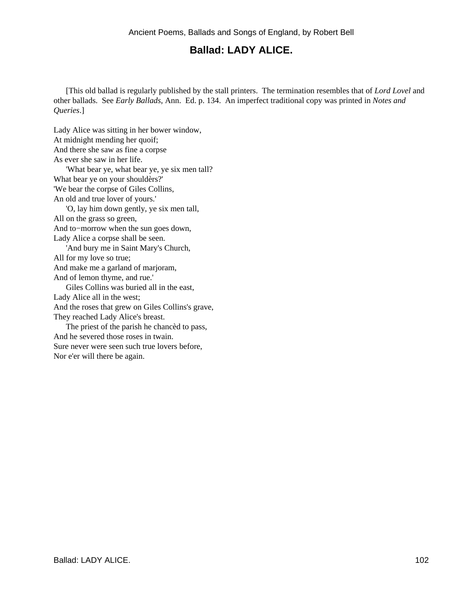### **Ballad: LADY ALICE.**

 [This old ballad is regularly published by the stall printers. The termination resembles that of *Lord Lovel* and other ballads. See *Early Ballads*, Ann. Ed. p. 134. An imperfect traditional copy was printed in *Notes and Queries*.]

Lady Alice was sitting in her bower window, At midnight mending her quoif; And there she saw as fine a corpse As ever she saw in her life. 'What bear ye, what bear ye, ye six men tall? What bear ye on your shouldèrs?' 'We bear the corpse of Giles Collins, An old and true lover of yours.' 'O, lay him down gently, ye six men tall, All on the grass so green, And to−morrow when the sun goes down, Lady Alice a corpse shall be seen. 'And bury me in Saint Mary's Church, All for my love so true; And make me a garland of marjoram, And of lemon thyme, and rue.' Giles Collins was buried all in the east, Lady Alice all in the west; And the roses that grew on Giles Collins's grave, They reached Lady Alice's breast. The priest of the parish he chancèd to pass, And he severed those roses in twain. Sure never were seen such true lovers before, Nor e'er will there be again.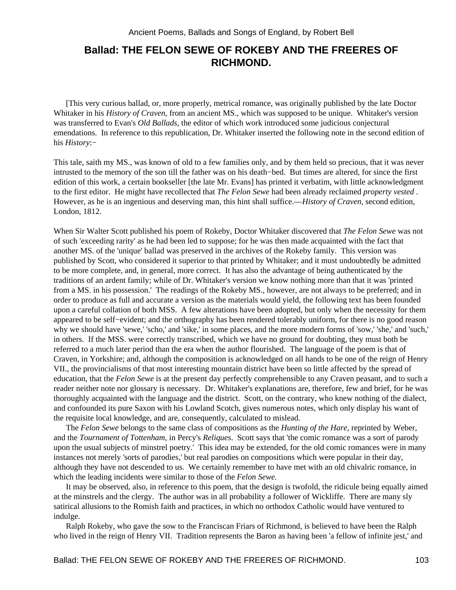## **Ballad: THE FELON SEWE OF ROKEBY AND THE FREERES OF RICHMOND.**

 [This very curious ballad, or, more properly, metrical romance, was originally published by the late Doctor Whitaker in his *History of Craven*, from an ancient MS., which was supposed to be unique. Whitaker's version was transferred to Evan's *Old Ballads*, the editor of which work introduced some judicious conjectural emendations. In reference to this republication, Dr. Whitaker inserted the following note in the second edition of his *History*:−

This tale, saith my MS., was known of old to a few families only, and by them held so precious, that it was never intrusted to the memory of the son till the father was on his death−bed. But times are altered, for since the first edition of this work, a certain bookseller [the late Mr. Evans] has printed it verbatim, with little acknowledgment to the first editor. He might have recollected that *The Felon Sewe* had been already reclaimed *property vested* . However, as he is an ingenious and deserving man, this hint shall suffice.—*History of Craven*, second edition, London, 1812.

When Sir Walter Scott published his poem of Rokeby, Doctor Whitaker discovered that *The Felon Sewe* was not of such 'exceeding rarity' as he had been led to suppose; for he was then made acquainted with the fact that another MS. of the 'unique' ballad was preserved in the archives of the Rokeby family. This version was published by Scott, who considered it superior to that printed by Whitaker; and it must undoubtedly be admitted to be more complete, and, in general, more correct. It has also the advantage of being authenticated by the traditions of an ardent family; while of Dr. Whitaker's version we know nothing more than that it was 'printed from a MS. in his possession.' The readings of the Rokeby MS., however, are not always to be preferred; and in order to produce as full and accurate a version as the materials would yield, the following text has been founded upon a careful collation of both MSS. A few alterations have been adopted, but only when the necessity for them appeared to be self−evident; and the orthography has been rendered tolerably uniform, for there is no good reason why we should have 'sewe,' 'scho,' and 'sike,' in some places, and the more modern forms of 'sow,' 'she,' and 'such,' in others. If the MSS. were correctly transcribed, which we have no ground for doubting, they must both be referred to a much later period than the era when the author flourished. The language of the poem is that of Craven, in Yorkshire; and, although the composition is acknowledged on all hands to be one of the reign of Henry VII., the provincialisms of that most interesting mountain district have been so little affected by the spread of education, that the *Felon Sewe* is at the present day perfectly comprehensible to any Craven peasant, and to such a reader neither note nor glossary is necessary. Dr. Whitaker's explanations are, therefore, few and brief, for he was thoroughly acquainted with the language and the district. Scott, on the contrary, who knew nothing of the dialect, and confounded its pure Saxon with his Lowland Scotch, gives numerous notes, which only display his want of the requisite local knowledge, and are, consequently, calculated to mislead.

 The *Felon Sewe* belongs to the same class of compositions as the *Hunting of the Hare*, reprinted by Weber, and the *Tournament of Tottenham*, in Percy's *Reliques*. Scott says that 'the comic romance was a sort of parody upon the usual subjects of minstrel poetry.' This idea may be extended, for the old comic romances were in many instances not merely 'sorts of parodies,' but real parodies on compositions which were popular in their day, although they have not descended to us. We certainly remember to have met with an old chivalric romance, in which the leading incidents were similar to those of the *Felon Sewe.*

 It may be observed, also, in reference to this poem, that the design is twofold, the ridicule being equally aimed at the minstrels and the clergy. The author was in all probability a follower of Wickliffe. There are many sly satirical allusions to the Romish faith and practices, in which no orthodox Catholic would have ventured to indulge.

 Ralph Rokeby, who gave the sow to the Franciscan Friars of Richmond, is believed to have been the Ralph who lived in the reign of Henry VII. Tradition represents the Baron as having been 'a fellow of infinite jest,' and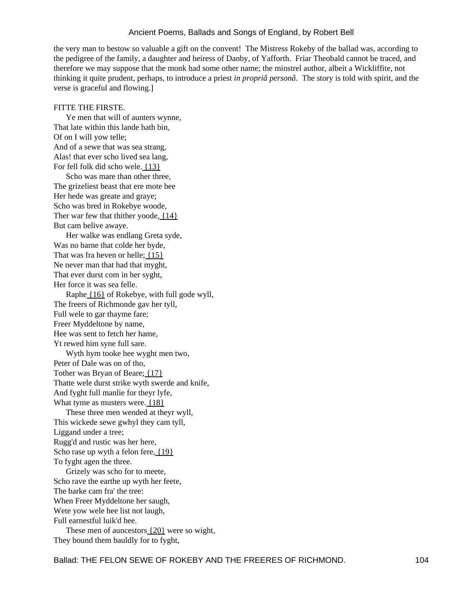### Ancient Poems, Ballads and Songs of England, by Robert Bell

the very man to bestow so valuable a gift on the convent! The Mistress Rokeby of the ballad was, according to the pedigree of the family, a daughter and heiress of Danby, of Yafforth. Friar Theobald cannot be traced, and therefore we may suppose that the monk had some other name; the minstrel author, albeit a Wickliffite, not thinking it quite prudent, perhaps, to introduce a priest *in propriâ personâ*. The story is told with spirit, and the verse is graceful and flowing.]

#### FITTE THE FIRSTE.

 Ye men that will of aunters wynne, That late within this lande hath bin, Of on I will yow telle; And of a sewe that was sea strang, Alas! that ever scho lived sea lang, For fell folk did scho wele[. {13}](#page-212-0)

 Scho was mare than other three, The grizeliest beast that ere mote bee Her hede was greate and graye; Scho was bred in Rokebye woode, Ther war few that thither yoode,  ${14}$ But cam belive awaye.

 Her walke was endlang Greta syde, Was no barne that colde her byde, That was fra heven or helle[; {15}](#page-213-1) Ne never man that had that myght, That ever durst com in her syght, Her force it was sea felle.

Raphe  ${16}$  of Rokebye, with full gode wyll, The freers of Richmonde gav her tyll, Full wele to gar thayme fare; Freer Myddeltone by name, Hee was sent to fetch her hame, Yt rewed him syne full sare.

 Wyth hym tooke hee wyght men two, Peter of Dale was on of tho, Tother was Bryan of Beare[; {17}](#page-213-3) Thatte wele durst strike wyth swerde and knife, And fyght full manlie for theyr lyfe, What tyme as musters were.  ${18}$ 

 These three men wended at theyr wyll, This wickede sewe gwhyl they cam tyll, Liggand under a tree; Rugg'd and rustic was her here, Scho rase up wyth a felon fere,  $\{19\}$ To fyght agen the three.

 Grizely was scho for to meete, Scho rave the earthe up wyth her feete, The barke cam fra' the tree: When Freer Myddeltone her saugh, Wete yow wele hee list not laugh, Full earnestful luik'd hee.

 These men of auncestors [{20}](#page-213-6) were so wight, They bound them bauldly for to fyght,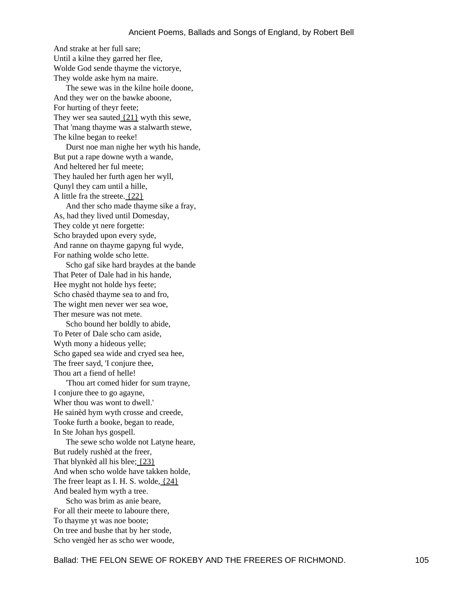And strake at her full sare; Until a kilne they garred her flee, Wolde God sende thayme the victorye, They wolde aske hym na maire.

 The sewe was in the kilne hoile doone, And they wer on the bawke aboone, For hurting of theyr feete; They wer sea sauted  $\{21\}$  wyth this sewe, That 'mang thayme was a stalwarth stewe, The kilne began to reeke!

 Durst noe man nighe her wyth his hande, But put a rape downe wyth a wande, And heltered her ful meete; They hauled her furth agen her wyll, Qunyl they cam until a hille, A little fra the streete[. {22}](#page-213-8)

 And ther scho made thayme sike a fray, As, had they lived until Domesday, They colde yt nere forgette: Scho brayded upon every syde, And ranne on thayme gapyng ful wyde, For nathing wolde scho lette.

 Scho gaf sike hard braydes at the bande That Peter of Dale had in his hande, Hee myght not holde hys feete; Scho chasèd thayme sea to and fro, The wight men never wer sea woe, Ther mesure was not mete.

 Scho bound her boldly to abide, To Peter of Dale scho cam aside, Wyth mony a hideous yelle; Scho gaped sea wide and cryed sea hee, The freer sayd, 'I conjure thee, Thou art a fiend of helle!

 'Thou art comed hider for sum trayne, I conjure thee to go agayne, Wher thou was wont to dwell.' He sainèd hym wyth crosse and creede, Tooke furth a booke, began to reade, In Ste Johan hys gospell.

 The sewe scho wolde not Latyne heare, But rudely rushèd at the freer, That blynkèd all his blee; [{23}](#page-213-9) And when scho wolde have takken holde, The freer leapt as I. H. S. wolde[, {24}](#page-213-10) And bealed hym wyth a tree.

 Scho was brim as anie beare, For all their meete to laboure there, To thayme yt was noe boote; On tree and bushe that by her stode, Scho vengèd her as scho wer woode,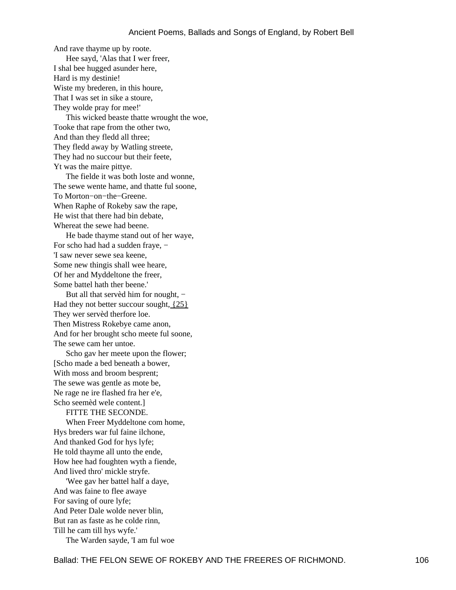And rave thayme up by roote. Hee sayd, 'Alas that I wer freer, I shal bee hugged asunder here, Hard is my destinie! Wiste my brederen, in this houre, That I was set in sike a stoure, They wolde pray for mee!'

 This wicked beaste thatte wrought the woe, Tooke that rape from the other two, And than they fledd all three; They fledd away by Watling streete, They had no succour but their feete, Yt was the maire pittye.

 The fielde it was both loste and wonne, The sewe wente hame, and thatte ful soone, To Morton−on−the−Greene. When Raphe of Rokeby saw the rape, He wist that there had bin debate, Whereat the sewe had beene.

 He bade thayme stand out of her waye, For scho had had a sudden fraye, − 'I saw never sewe sea keene, Some new thingis shall wee heare, Of her and Myddeltone the freer, Some battel hath ther beene.'

But all that servèd him for nought, – Had they not better succour sought,  $\{25\}$ They wer servèd therfore loe. Then Mistress Rokebye came anon, And for her brought scho meete ful soone, The sewe cam her untoe.

 Scho gav her meete upon the flower; [Scho made a bed beneath a bower, With moss and broom besprent; The sewe was gentle as mote be, Ne rage ne ire flashed fra her e'e, Scho seemèd wele content.]

FITTE THE SECONDE.

 When Freer Myddeltone com home, Hys breders war ful faine ilchone, And thanked God for hys lyfe; He told thayme all unto the ende, How hee had foughten wyth a fiende, And lived thro' mickle stryfe.

 'Wee gav her battel half a daye, And was faine to flee awaye For saving of oure lyfe; And Peter Dale wolde never blin, But ran as faste as he colde rinn, Till he cam till hys wyfe.' The Warden sayde, 'I am ful woe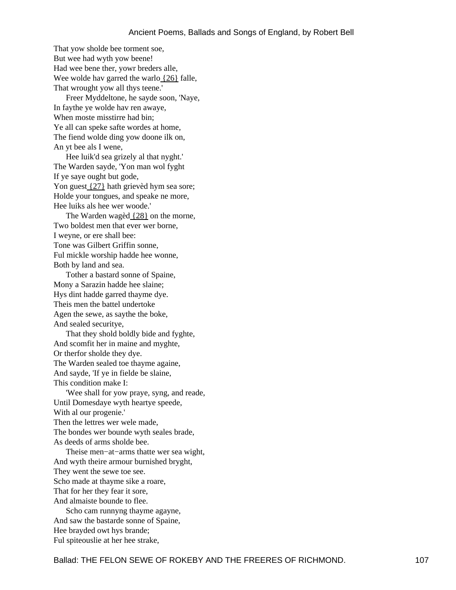That yow sholde bee torment soe, But wee had wyth yow beene! Had wee bene ther, yowr breders alle, Wee wolde hav garred the warlo  $\{26\}$  falle, That wrought yow all thys teene.'

 Freer Myddeltone, he sayde soon, 'Naye, In faythe ye wolde hav ren awaye, When moste misstirre had bin; Ye all can speke safte wordes at home, The fiend wolde ding yow doone ilk on, An yt bee als I wene,

 Hee luik'd sea grizely al that nyght.' The Warden sayde, 'Yon man wol fyght If ye saye ought but gode, Yon guest  $\{27\}$  hath grievèd hym sea sore; Holde your tongues, and speake ne more, Hee luiks als hee wer woode.'

The Warden waged  $\{28\}$  on the morne, Two boldest men that ever wer borne, I weyne, or ere shall bee: Tone was Gilbert Griffin sonne, Ful mickle worship hadde hee wonne, Both by land and sea.

 Tother a bastard sonne of Spaine, Mony a Sarazin hadde hee slaine; Hys dint hadde garred thayme dye. Theis men the battel undertoke Agen the sewe, as saythe the boke, And sealed securitye,

 That they shold boldly bide and fyghte, And scomfit her in maine and myghte, Or therfor sholde they dye. The Warden sealed toe thayme againe, And sayde, 'If ye in fielde be slaine, This condition make I:

 'Wee shall for yow praye, syng, and reade, Until Domesdaye wyth heartye speede, With al our progenie.' Then the lettres wer wele made, The bondes wer bounde wyth seales brade, As deeds of arms sholde bee.

 Theise men−at−arms thatte wer sea wight, And wyth theire armour burnished bryght, They went the sewe toe see. Scho made at thayme sike a roare, That for her they fear it sore, And almaiste bounde to flee.

 Scho cam runnyng thayme agayne, And saw the bastarde sonne of Spaine, Hee brayded owt hys brande; Ful spiteouslie at her hee strake,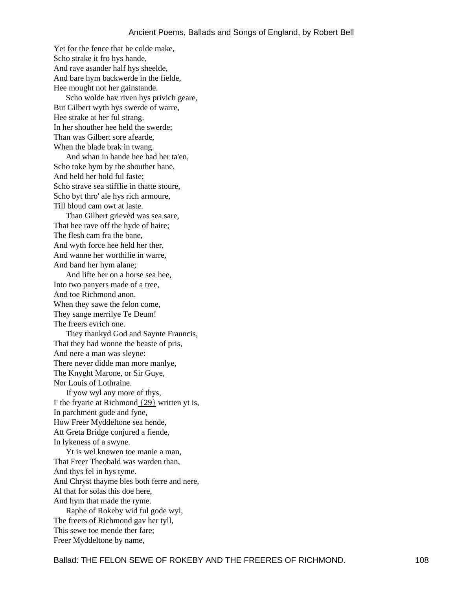Yet for the fence that he colde make, Scho strake it fro hys hande, And rave asander half hys sheelde, And bare hym backwerde in the fielde, Hee mought not her gainstande.

 Scho wolde hav riven hys privich geare, But Gilbert wyth hys swerde of warre, Hee strake at her ful strang. In her shouther hee held the swerde; Than was Gilbert sore afearde, When the blade brak in twang.

 And whan in hande hee had her ta'en, Scho toke hym by the shouther bane, And held her hold ful faste; Scho strave sea stifflie in thatte stoure, Scho byt thro' ale hys rich armoure, Till bloud cam owt at laste.

 Than Gilbert grievèd was sea sare, That hee rave off the hyde of haire; The flesh cam fra the bane, And wyth force hee held her ther, And wanne her worthilie in warre, And band her hym alane;

 And lifte her on a horse sea hee, Into two panyers made of a tree, And toe Richmond anon. When they sawe the felon come, They sange merrilye Te Deum! The freers evrich one.

 They thankyd God and Saynte Frauncis, That they had wonne the beaste of pris, And nere a man was sleyne: There never didde man more manlye, The Knyght Marone, or Sir Guye, Nor Louis of Lothraine.

 If yow wyl any more of thys, I' the fryarie at Richmond  $\{29\}$  written yt is, In parchment gude and fyne, How Freer Myddeltone sea hende, Att Greta Bridge conjured a fiende, In lykeness of a swyne.

 Yt is wel knowen toe manie a man, That Freer Theobald was warden than, And thys fel in hys tyme. And Chryst thayme bles both ferre and nere, Al that for solas this doe here, And hym that made the ryme. Raphe of Rokeby wid ful gode wyl,

The freers of Richmond gav her tyll, This sewe toe mende ther fare; Freer Myddeltone by name,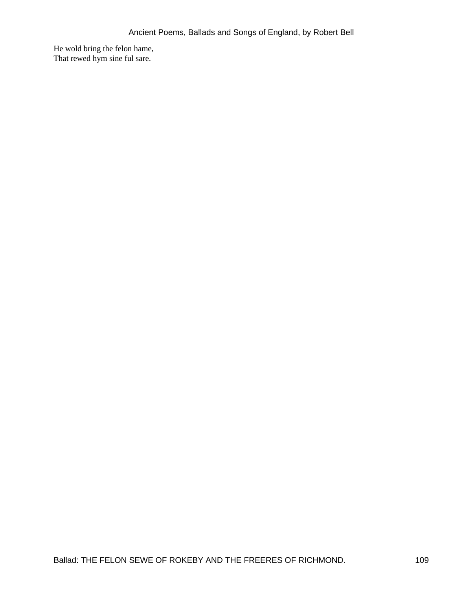He wold bring the felon hame, That rewed hym sine ful sare.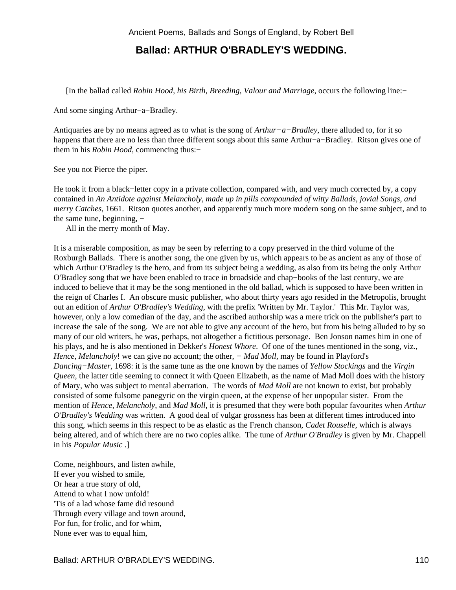# **Ballad: ARTHUR O'BRADLEY'S WEDDING.**

[In the ballad called *Robin Hood, his Birth, Breeding, Valour and Marriage*, occurs the following line:−

And some singing Arthur−a−Bradley.

Antiquaries are by no means agreed as to what is the song of *Arthur−a−Bradley*, there alluded to, for it so happens that there are no less than three different songs about this same Arthur−a−Bradley. Ritson gives one of them in his *Robin Hood*, commencing thus:−

See you not Pierce the piper.

He took it from a black–letter copy in a private collection, compared with, and very much corrected by, a copy contained in *An Antidote against Melancholy, made up in pills compounded of witty Ballads, jovial Songs, and merry Catches*, 1661. Ritson quotes another, and apparently much more modern song on the same subject, and to the same tune, beginning, −

All in the merry month of May.

It is a miserable composition, as may be seen by referring to a copy preserved in the third volume of the Roxburgh Ballads. There is another song, the one given by us, which appears to be as ancient as any of those of which Arthur O'Bradley is the hero, and from its subject being a wedding, as also from its being the only Arthur O'Bradley song that we have been enabled to trace in broadside and chap−books of the last century, we are induced to believe that it may be the song mentioned in the old ballad, which is supposed to have been written in the reign of Charles I. An obscure music publisher, who about thirty years ago resided in the Metropolis, brought out an edition of *Arthur O'Bradley's Wedding*, with the prefix 'Written by Mr. Taylor.' This Mr. Taylor was, however, only a low comedian of the day, and the ascribed authorship was a mere trick on the publisher's part to increase the sale of the song. We are not able to give any account of the hero, but from his being alluded to by so many of our old writers, he was, perhaps, not altogether a fictitious personage. Ben Jonson names him in one of his plays, and he is also mentioned in Dekker's *Honest Whore*. Of one of the tunes mentioned in the song, viz., *Hence, Melancholy!* we can give no account; the other, *− Mad Moll*, may be found in Playford's *Dancing−Master*, 1698: it is the same tune as the one known by the names of *Yellow Stockings* and the *Virgin Queen*, the latter title seeming to connect it with Queen Elizabeth, as the name of Mad Moll does with the history of Mary, who was subject to mental aberration. The words of *Mad Moll* are not known to exist, but probably consisted of some fulsome panegyric on the virgin queen, at the expense of her unpopular sister. From the mention of *Hence, Melancholy*, and *Mad Moll*, it is presumed that they were both popular favourites when *Arthur O'Bradley's Wedding* was written. A good deal of vulgar grossness has been at different times introduced into this song, which seems in this respect to be as elastic as the French chanson, *Cadet Rouselle*, which is always being altered, and of which there are no two copies alike. The tune of *Arthur O'Bradley* is given by Mr. Chappell in his *Popular Music* .]

Come, neighbours, and listen awhile, If ever you wished to smile, Or hear a true story of old, Attend to what I now unfold! 'Tis of a lad whose fame did resound Through every village and town around, For fun, for frolic, and for whim, None ever was to equal him,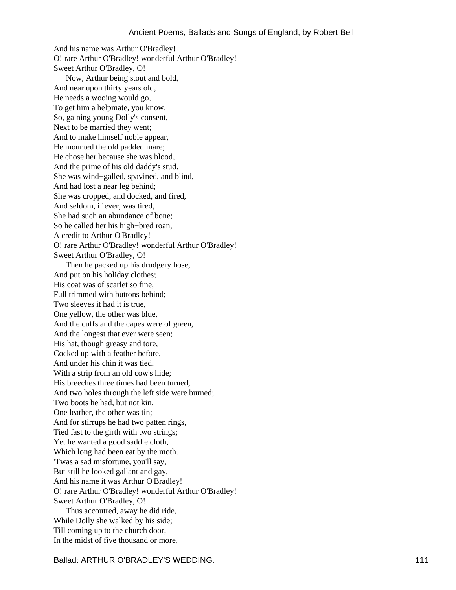And his name was Arthur O'Bradley! O! rare Arthur O'Bradley! wonderful Arthur O'Bradley! Sweet Arthur O'Bradley, O! Now, Arthur being stout and bold, And near upon thirty years old, He needs a wooing would go, To get him a helpmate, you know. So, gaining young Dolly's consent, Next to be married they went; And to make himself noble appear, He mounted the old padded mare; He chose her because she was blood, And the prime of his old daddy's stud. She was wind−galled, spavined, and blind, And had lost a near leg behind; She was cropped, and docked, and fired, And seldom, if ever, was tired, She had such an abundance of bone; So he called her his high−bred roan, A credit to Arthur O'Bradley! O! rare Arthur O'Bradley! wonderful Arthur O'Bradley! Sweet Arthur O'Bradley, O! Then he packed up his drudgery hose, And put on his holiday clothes; His coat was of scarlet so fine, Full trimmed with buttons behind; Two sleeves it had it is true, One yellow, the other was blue, And the cuffs and the capes were of green, And the longest that ever were seen; His hat, though greasy and tore, Cocked up with a feather before, And under his chin it was tied, With a strip from an old cow's hide; His breeches three times had been turned, And two holes through the left side were burned; Two boots he had, but not kin, One leather, the other was tin; And for stirrups he had two patten rings, Tied fast to the girth with two strings; Yet he wanted a good saddle cloth, Which long had been eat by the moth. 'Twas a sad misfortune, you'll say, But still he looked gallant and gay, And his name it was Arthur O'Bradley! O! rare Arthur O'Bradley! wonderful Arthur O'Bradley! Sweet Arthur O'Bradley, O! Thus accoutred, away he did ride, While Dolly she walked by his side; Till coming up to the church door,

In the midst of five thousand or more,

Ballad: ARTHUR O'BRADLEY'S WEDDING. The contract of the contract of the contract of the contract of the contract of the contract of the contract of the contract of the contract of the contract of the contract of the contra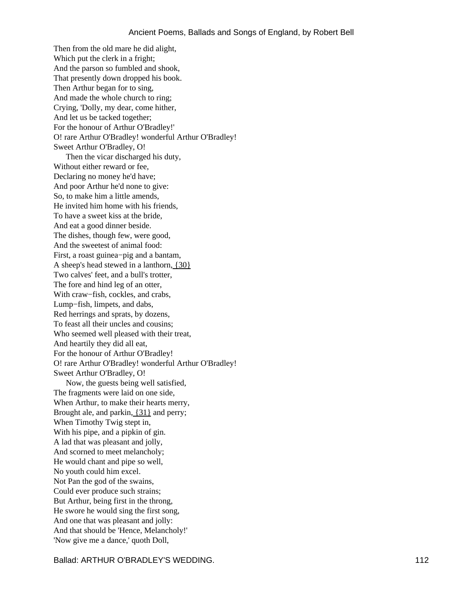Then from the old mare he did alight, Which put the clerk in a fright; And the parson so fumbled and shook, That presently down dropped his book. Then Arthur began for to sing, And made the whole church to ring; Crying, 'Dolly, my dear, come hither, And let us be tacked together; For the honour of Arthur O'Bradley!' O! rare Arthur O'Bradley! wonderful Arthur O'Bradley! Sweet Arthur O'Bradley, O! Then the vicar discharged his duty, Without either reward or fee, Declaring no money he'd have; And poor Arthur he'd none to give: So, to make him a little amends, He invited him home with his friends, To have a sweet kiss at the bride, And eat a good dinner beside. The dishes, though few, were good, And the sweetest of animal food: First, a roast guinea−pig and a bantam, A sheep's head stewed in a lanthorn, [{30}](#page-213-16) Two calves' feet, and a bull's trotter, The fore and hind leg of an otter, With craw−fish, cockles, and crabs, Lump−fish, limpets, and dabs, Red herrings and sprats, by dozens, To feast all their uncles and cousins; Who seemed well pleased with their treat, And heartily they did all eat, For the honour of Arthur O'Bradley! O! rare Arthur O'Bradley! wonderful Arthur O'Bradley! Sweet Arthur O'Bradley, O! Now, the guests being well satisfied, The fragments were laid on one side, When Arthur, to make their hearts merry, Brought ale, and parkin,  $\{31\}$  and perry; When Timothy Twig stept in, With his pipe, and a pipkin of gin. A lad that was pleasant and jolly, And scorned to meet melancholy; He would chant and pipe so well, No youth could him excel. Not Pan the god of the swains, Could ever produce such strains; But Arthur, being first in the throng, He swore he would sing the first song, And one that was pleasant and jolly: And that should be 'Hence, Melancholy!' 'Now give me a dance,' quoth Doll,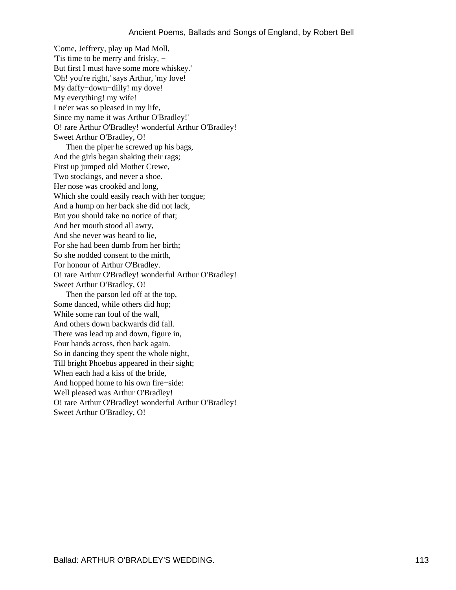'Come, Jeffrery, play up Mad Moll, 'Tis time to be merry and frisky, − But first I must have some more whiskey.' 'Oh! you're right,' says Arthur, 'my love! My daffy−down−dilly! my dove! My everything! my wife! I ne'er was so pleased in my life, Since my name it was Arthur O'Bradley!' O! rare Arthur O'Bradley! wonderful Arthur O'Bradley! Sweet Arthur O'Bradley, O! Then the piper he screwed up his bags, And the girls began shaking their rags; First up jumped old Mother Crewe, Two stockings, and never a shoe. Her nose was crookèd and long, Which she could easily reach with her tongue; And a hump on her back she did not lack, But you should take no notice of that; And her mouth stood all awry, And she never was heard to lie, For she had been dumb from her birth; So she nodded consent to the mirth, For honour of Arthur O'Bradley. O! rare Arthur O'Bradley! wonderful Arthur O'Bradley! Sweet Arthur O'Bradley, O! Then the parson led off at the top, Some danced, while others did hop; While some ran foul of the wall, And others down backwards did fall. There was lead up and down, figure in, Four hands across, then back again. So in dancing they spent the whole night, Till bright Phoebus appeared in their sight; When each had a kiss of the bride, And hopped home to his own fire−side: Well pleased was Arthur O'Bradley! O! rare Arthur O'Bradley! wonderful Arthur O'Bradley! Sweet Arthur O'Bradley, O!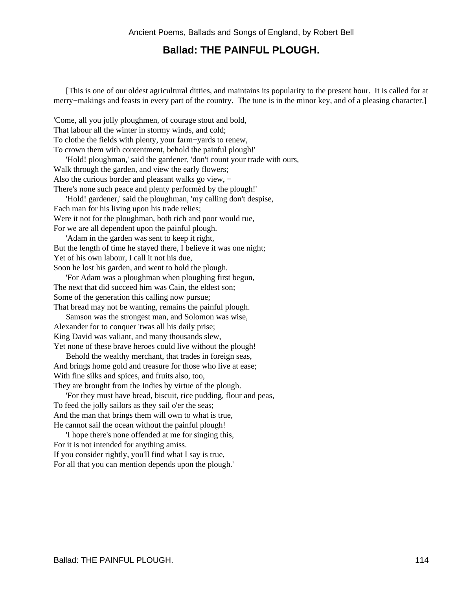## **Ballad: THE PAINFUL PLOUGH.**

 [This is one of our oldest agricultural ditties, and maintains its popularity to the present hour. It is called for at merry−makings and feasts in every part of the country. The tune is in the minor key, and of a pleasing character.]

'Come, all you jolly ploughmen, of courage stout and bold, That labour all the winter in stormy winds, and cold; To clothe the fields with plenty, your farm−yards to renew, To crown them with contentment, behold the painful plough!'

 'Hold! ploughman,' said the gardener, 'don't count your trade with ours, Walk through the garden, and view the early flowers; Also the curious border and pleasant walks go view, − There's none such peace and plenty performèd by the plough!'

 'Hold! gardener,' said the ploughman, 'my calling don't despise, Each man for his living upon his trade relies; Were it not for the ploughman, both rich and poor would rue, For we are all dependent upon the painful plough.

 'Adam in the garden was sent to keep it right, But the length of time he stayed there, I believe it was one night; Yet of his own labour, I call it not his due, Soon he lost his garden, and went to hold the plough.

 'For Adam was a ploughman when ploughing first begun, The next that did succeed him was Cain, the eldest son; Some of the generation this calling now pursue; That bread may not be wanting, remains the painful plough.

 Samson was the strongest man, and Solomon was wise, Alexander for to conquer 'twas all his daily prise; King David was valiant, and many thousands slew, Yet none of these brave heroes could live without the plough!

 Behold the wealthy merchant, that trades in foreign seas, And brings home gold and treasure for those who live at ease; With fine silks and spices, and fruits also, too, They are brought from the Indies by virtue of the plough.

 'For they must have bread, biscuit, rice pudding, flour and peas, To feed the jolly sailors as they sail o'er the seas; And the man that brings them will own to what is true, He cannot sail the ocean without the painful plough!

 'I hope there's none offended at me for singing this, For it is not intended for anything amiss. If you consider rightly, you'll find what I say is true, For all that you can mention depends upon the plough.'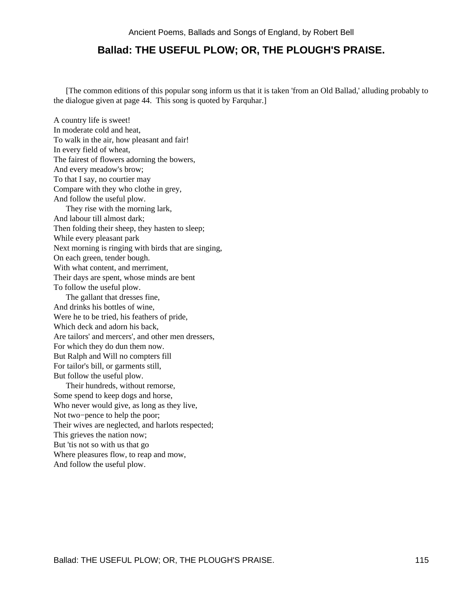### Ancient Poems, Ballads and Songs of England, by Robert Bell

# **Ballad: THE USEFUL PLOW; OR, THE PLOUGH'S PRAISE.**

 [The common editions of this popular song inform us that it is taken 'from an Old Ballad,' alluding probably to the dialogue given at page 44. This song is quoted by Farquhar.]

A country life is sweet! In moderate cold and heat, To walk in the air, how pleasant and fair! In every field of wheat, The fairest of flowers adorning the bowers, And every meadow's brow; To that I say, no courtier may Compare with they who clothe in grey, And follow the useful plow. They rise with the morning lark, And labour till almost dark; Then folding their sheep, they hasten to sleep; While every pleasant park Next morning is ringing with birds that are singing, On each green, tender bough. With what content, and merriment, Their days are spent, whose minds are bent To follow the useful plow. The gallant that dresses fine, And drinks his bottles of wine, Were he to be tried, his feathers of pride, Which deck and adorn his back, Are tailors' and mercers', and other men dressers, For which they do dun them now. But Ralph and Will no compters fill For tailor's bill, or garments still, But follow the useful plow. Their hundreds, without remorse, Some spend to keep dogs and horse, Who never would give, as long as they live, Not two−pence to help the poor; Their wives are neglected, and harlots respected; This grieves the nation now; But 'tis not so with us that go

Where pleasures flow, to reap and mow,

And follow the useful plow.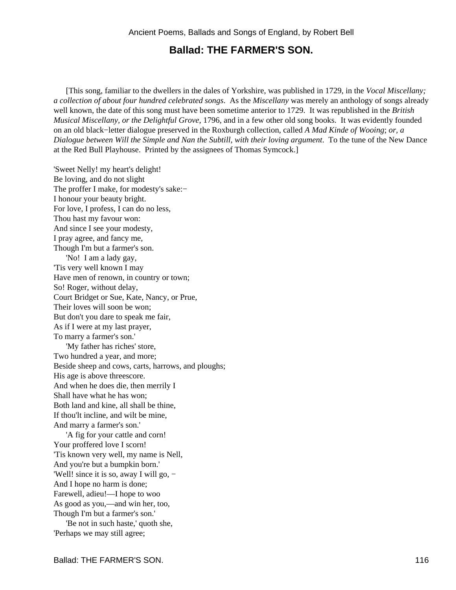# **Ballad: THE FARMER'S SON.**

 [This song, familiar to the dwellers in the dales of Yorkshire, was published in 1729, in the *Vocal Miscellany; a collection of about four hundred celebrated songs*. As the *Miscellany* was merely an anthology of songs already well known, the date of this song must have been sometime anterior to 1729. It was republished in the *British Musical Miscellany, or the Delightful Grove*, 1796, and in a few other old song books. It was evidently founded on an old black−letter dialogue preserved in the Roxburgh collection, called *A Mad Kinde of Wooing*; *or, a Dialogue between Will the Simple and Nan the Subtill, with their loving argument*. To the tune of the New Dance at the Red Bull Playhouse. Printed by the assignees of Thomas Symcock.]

'Sweet Nelly! my heart's delight! Be loving, and do not slight The proffer I make, for modesty's sake:− I honour your beauty bright. For love, I profess, I can do no less, Thou hast my favour won: And since I see your modesty, I pray agree, and fancy me, Though I'm but a farmer's son. 'No! I am a lady gay, 'Tis very well known I may Have men of renown, in country or town; So! Roger, without delay, Court Bridget or Sue, Kate, Nancy, or Prue, Their loves will soon be won; But don't you dare to speak me fair, As if I were at my last prayer, To marry a farmer's son.' 'My father has riches' store, Two hundred a year, and more; Beside sheep and cows, carts, harrows, and ploughs; His age is above threescore. And when he does die, then merrily I Shall have what he has won; Both land and kine, all shall be thine, If thou'lt incline, and wilt be mine, And marry a farmer's son.' 'A fig for your cattle and corn! Your proffered love I scorn! 'Tis known very well, my name is Nell, And you're but a bumpkin born.' 'Well! since it is so, away I will go, − And I hope no harm is done; Farewell, adieu!—I hope to woo As good as you,—and win her, too, Though I'm but a farmer's son.' 'Be not in such haste,' quoth she,

'Perhaps we may still agree;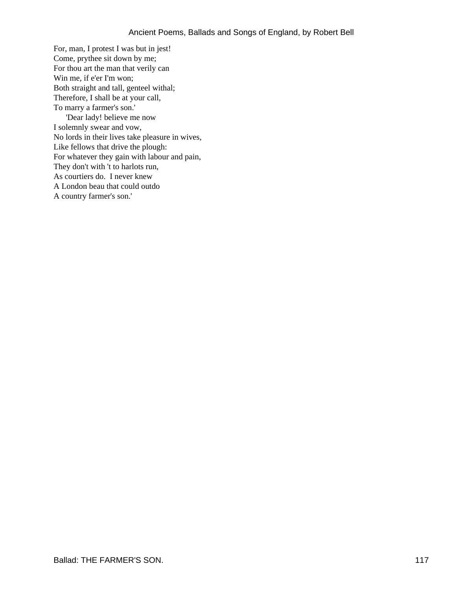For, man, I protest I was but in jest! Come, prythee sit down by me; For thou art the man that verily can Win me, if e'er I'm won; Both straight and tall, genteel withal; Therefore, I shall be at your call, To marry a farmer's son.' 'Dear lady! believe me now I solemnly swear and vow, No lords in their lives take pleasure in wives, Like fellows that drive the plough: For whatever they gain with labour and pain,

They don't with 't to harlots run, As courtiers do. I never knew

A London beau that could outdo

A country farmer's son.'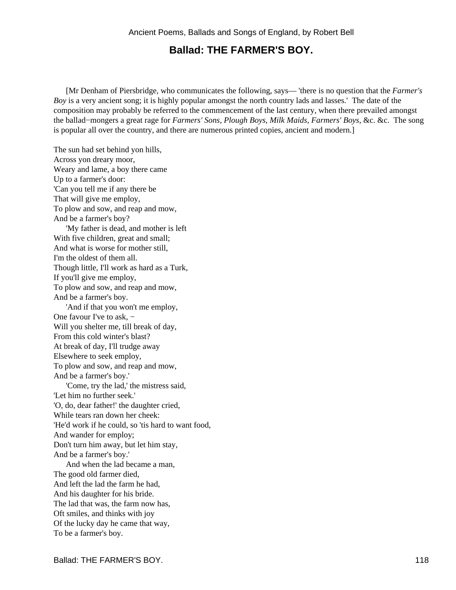# **Ballad: THE FARMER'S BOY.**

 [Mr Denham of Piersbridge, who communicates the following, says— 'there is no question that the *Farmer's Boy* is a very ancient song; it is highly popular amongst the north country lads and lasses.' The date of the composition may probably be referred to the commencement of the last century, when there prevailed amongst the ballad−mongers a great rage for *Farmers' Sons, Plough Boys, Milk Maids, Farmers' Boys*, &c. &c. The song is popular all over the country, and there are numerous printed copies, ancient and modern.]

The sun had set behind yon hills, Across yon dreary moor, Weary and lame, a boy there came Up to a farmer's door: 'Can you tell me if any there be That will give me employ, To plow and sow, and reap and mow, And be a farmer's boy? 'My father is dead, and mother is left With five children, great and small; And what is worse for mother still, I'm the oldest of them all. Though little, I'll work as hard as a Turk, If you'll give me employ, To plow and sow, and reap and mow, And be a farmer's boy. 'And if that you won't me employ, One favour I've to ask, – Will you shelter me, till break of day, From this cold winter's blast? At break of day, I'll trudge away Elsewhere to seek employ, To plow and sow, and reap and mow, And be a farmer's boy.' 'Come, try the lad,' the mistress said, 'Let him no further seek.' 'O, do, dear father!' the daughter cried, While tears ran down her cheek: 'He'd work if he could, so 'tis hard to want food, And wander for employ; Don't turn him away, but let him stay, And be a farmer's boy.' And when the lad became a man, The good old farmer died, And left the lad the farm he had, And his daughter for his bride. The lad that was, the farm now has, Oft smiles, and thinks with joy Of the lucky day he came that way, To be a farmer's boy.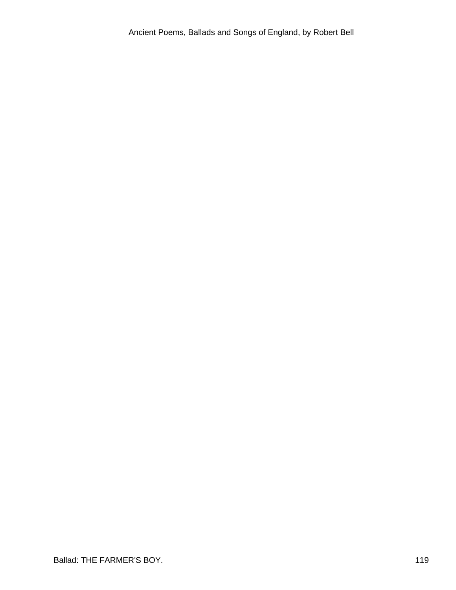Ballad: THE FARMER'S BOY. 119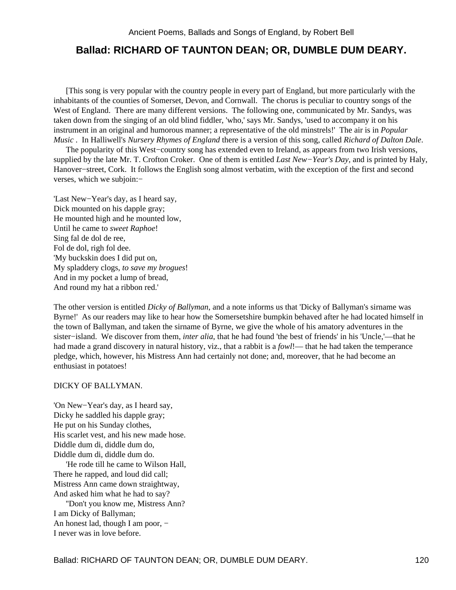### Ancient Poems, Ballads and Songs of England, by Robert Bell

# **Ballad: RICHARD OF TAUNTON DEAN; OR, DUMBLE DUM DEARY.**

 [This song is very popular with the country people in every part of England, but more particularly with the inhabitants of the counties of Somerset, Devon, and Cornwall. The chorus is peculiar to country songs of the West of England. There are many different versions. The following one, communicated by Mr. Sandys, was taken down from the singing of an old blind fiddler, 'who,' says Mr. Sandys, 'used to accompany it on his instrument in an original and humorous manner; a representative of the old minstrels!' The air is in *Popular Music* . In Halliwell's *Nursery Rhymes of England* there is a version of this song, called *Richard of Dalton Dale*.

The popularity of this West–country song has extended even to Ireland, as appears from two Irish versions, supplied by the late Mr. T. Crofton Croker. One of them is entitled *Last New−Year's Day*, and is printed by Haly, Hanover−street, Cork. It follows the English song almost verbatim, with the exception of the first and second verses, which we subjoin:−

'Last New−Year's day, as I heard say, Dick mounted on his dapple gray; He mounted high and he mounted low, Until he came to *sweet Raphoe*! Sing fal de dol de ree, Fol de dol, righ fol dee. 'My buckskin does I did put on, My spladdery clogs, *to save my brogues*! And in my pocket a lump of bread, And round my hat a ribbon red.'

The other version is entitled *Dicky of Ballyman*, and a note informs us that 'Dicky of Ballyman's sirname was Byrne!' As our readers may like to hear how the Somersetshire bumpkin behaved after he had located himself in the town of Ballyman, and taken the sirname of Byrne, we give the whole of his amatory adventures in the sister−island. We discover from them, *inter alia*, that he had found 'the best of friends' in his 'Uncle,'—that he had made a grand discovery in natural history, viz., that a rabbit is a *fowl*!— that he had taken the temperance pledge, which, however, his Mistress Ann had certainly not done; and, moreover, that he had become an enthusiast in potatoes!

### DICKY OF BALLYMAN.

'On New−Year's day, as I heard say, Dicky he saddled his dapple gray; He put on his Sunday clothes, His scarlet vest, and his new made hose. Diddle dum di, diddle dum do, Diddle dum di, diddle dum do.

 'He rode till he came to Wilson Hall, There he rapped, and loud did call; Mistress Ann came down straightway, And asked him what he had to say? ''Don't you know me, Mistress Ann? I am Dicky of Ballyman; An honest lad, though I am poor, −

I never was in love before.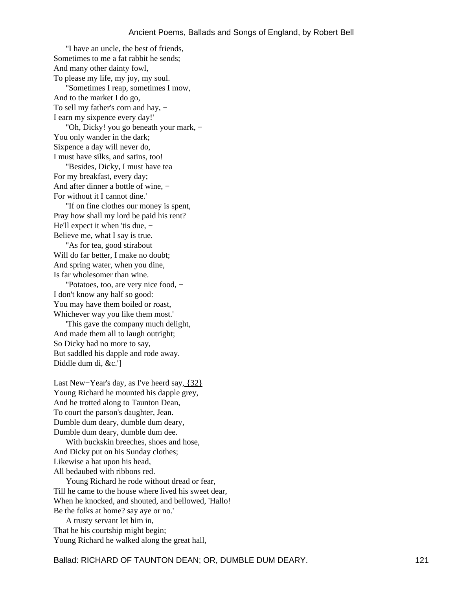''I have an uncle, the best of friends, Sometimes to me a fat rabbit he sends; And many other dainty fowl, To please my life, my joy, my soul. ''Sometimes I reap, sometimes I mow, And to the market I do go, To sell my father's corn and hay, − I earn my sixpence every day!' ''Oh, Dicky! you go beneath your mark, − You only wander in the dark; Sixpence a day will never do, I must have silks, and satins, too! ''Besides, Dicky, I must have tea For my breakfast, every day;

And after dinner a bottle of wine, – For without it I cannot dine.'

 ''If on fine clothes our money is spent, Pray how shall my lord be paid his rent? He'll expect it when 'tis due,  $-$ Believe me, what I say is true.

 ''As for tea, good stirabout Will do far better, I make no doubt; And spring water, when you dine, Is far wholesomer than wine.

 ''Potatoes, too, are very nice food, − I don't know any half so good: You may have them boiled or roast, Whichever way you like them most.'

 'This gave the company much delight, And made them all to laugh outright; So Dicky had no more to say, But saddled his dapple and rode away. Diddle dum di, &c.']

Last New−Year's day, as I've heerd say, [{32}](#page-213-18) Young Richard he mounted his dapple grey, And he trotted along to Taunton Dean, To court the parson's daughter, Jean. Dumble dum deary, dumble dum deary, Dumble dum deary, dumble dum dee.

 With buckskin breeches, shoes and hose, And Dicky put on his Sunday clothes; Likewise a hat upon his head, All bedaubed with ribbons red.

 Young Richard he rode without dread or fear, Till he came to the house where lived his sweet dear, When he knocked, and shouted, and bellowed, 'Hallo! Be the folks at home? say aye or no.'

 A trusty servant let him in, That he his courtship might begin; Young Richard he walked along the great hall,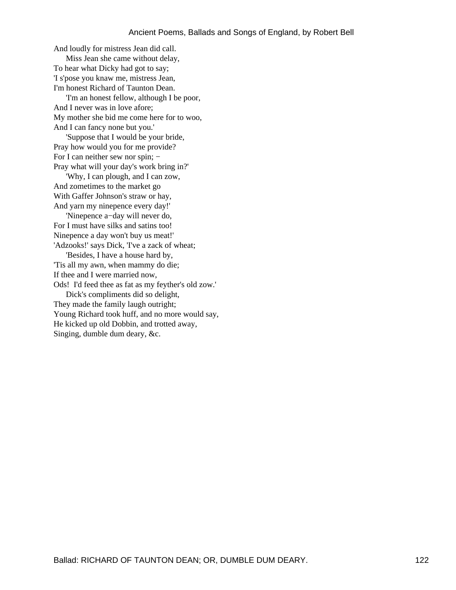And loudly for mistress Jean did call.

 Miss Jean she came without delay, To hear what Dicky had got to say; 'I s'pose you knaw me, mistress Jean, I'm honest Richard of Taunton Dean.

 'I'm an honest fellow, although I be poor, And I never was in love afore; My mother she bid me come here for to woo, And I can fancy none but you.'

 'Suppose that I would be your bride, Pray how would you for me provide? For I can neither sew nor spin; – Pray what will your day's work bring in?'

 'Why, I can plough, and I can zow, And zometimes to the market go With Gaffer Johnson's straw or hay, And yarn my ninepence every day!'

 'Ninepence a−day will never do, For I must have silks and satins too! Ninepence a day won't buy us meat!' 'Adzooks!' says Dick, 'I've a zack of wheat;

 'Besides, I have a house hard by, 'Tis all my awn, when mammy do die; If thee and I were married now,

Ods! I'd feed thee as fat as my feyther's old zow.' Dick's compliments did so delight, They made the family laugh outright; Young Richard took huff, and no more would say, He kicked up old Dobbin, and trotted away, Singing, dumble dum deary, &c.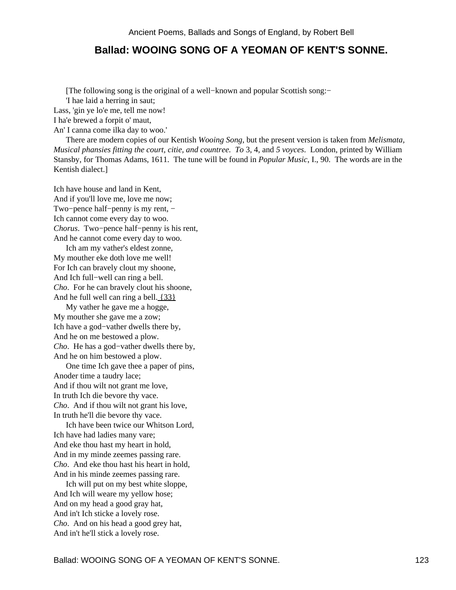### **Ballad: WOOING SONG OF A YEOMAN OF KENT'S SONNE.**

[The following song is the original of a well−known and popular Scottish song:−

'I hae laid a herring in saut;

Lass, 'gin ye lo'e me, tell me now!

I ha'e brewed a forpit o' maut,

An' I canna come ilka day to woo.'

 There are modern copies of our Kentish *Wooing Song*, but the present version is taken from *Melismata, Musical phansies fitting the court, citie, and countree. To* 3, 4, and *5 voyces*. London, printed by William Stansby, for Thomas Adams, 1611. The tune will be found in *Popular Music*, I., 90. The words are in the Kentish dialect.]

Ich have house and land in Kent, And if you'll love me, love me now; Two–pence half–penny is my rent, – Ich cannot come every day to woo. *Chorus*. Two−pence half−penny is his rent, And he cannot come every day to woo.

 Ich am my vather's eldest zonne, My mouther eke doth love me well! For Ich can bravely clout my shoone, And Ich full−well can ring a bell. *Cho*. For he can bravely clout his shoone, And he full well can ring a bell. [{33}](#page-213-19)

 My vather he gave me a hogge, My mouther she gave me a zow; Ich have a god−vather dwells there by, And he on me bestowed a plow. *Cho*. He has a god−vather dwells there by, And he on him bestowed a plow.

 One time Ich gave thee a paper of pins, Anoder time a taudry lace; And if thou wilt not grant me love, In truth Ich die bevore thy vace. *Cho*. And if thou wilt not grant his love, In truth he'll die bevore thy vace.

 Ich have been twice our Whitson Lord, Ich have had ladies many vare; And eke thou hast my heart in hold, And in my minde zeemes passing rare. *Cho*. And eke thou hast his heart in hold, And in his minde zeemes passing rare.

 Ich will put on my best white sloppe, And Ich will weare my yellow hose; And on my head a good gray hat, And in't Ich sticke a lovely rose. *Cho*. And on his head a good grey hat, And in't he'll stick a lovely rose.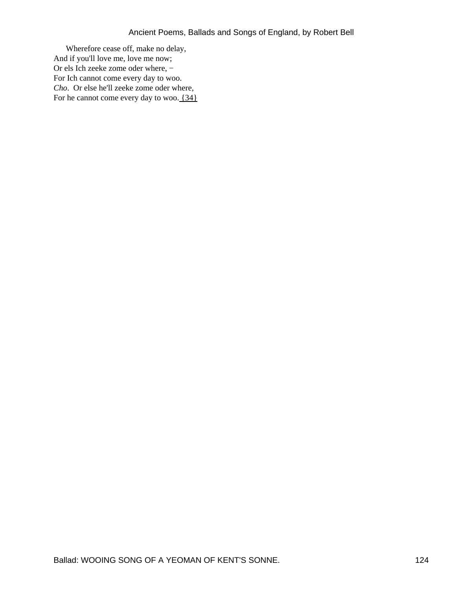Wherefore cease off, make no delay, And if you'll love me, love me now; Or els Ich zeeke zome oder where, − For Ich cannot come every day to woo. *Cho*. Or else he'll zeeke zome oder where, For he cannot come every day to woo.  $\{34\}$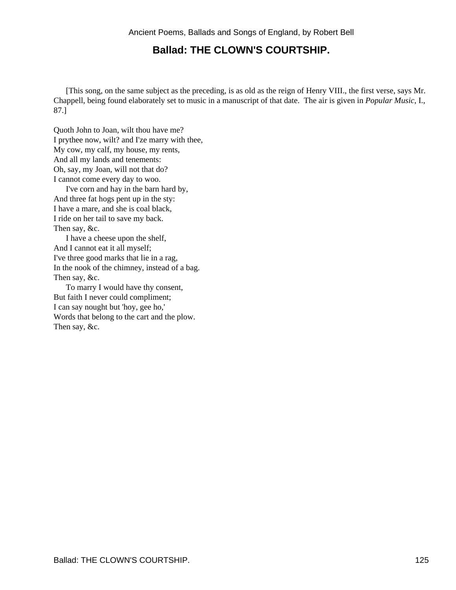# **Ballad: THE CLOWN'S COURTSHIP.**

 [This song, on the same subject as the preceding, is as old as the reign of Henry VIII., the first verse, says Mr. Chappell, being found elaborately set to music in a manuscript of that date. The air is given in *Popular Music*, I., 87.]

Quoth John to Joan, wilt thou have me? I prythee now, wilt? and I'ze marry with thee, My cow, my calf, my house, my rents, And all my lands and tenements: Oh, say, my Joan, will not that do? I cannot come every day to woo.

 I've corn and hay in the barn hard by, And three fat hogs pent up in the sty: I have a mare, and she is coal black, I ride on her tail to save my back. Then say, &c.

 I have a cheese upon the shelf, And I cannot eat it all myself; I've three good marks that lie in a rag, In the nook of the chimney, instead of a bag. Then say, &c.

 To marry I would have thy consent, But faith I never could compliment; I can say nought but 'hoy, gee ho,' Words that belong to the cart and the plow. Then say, &c.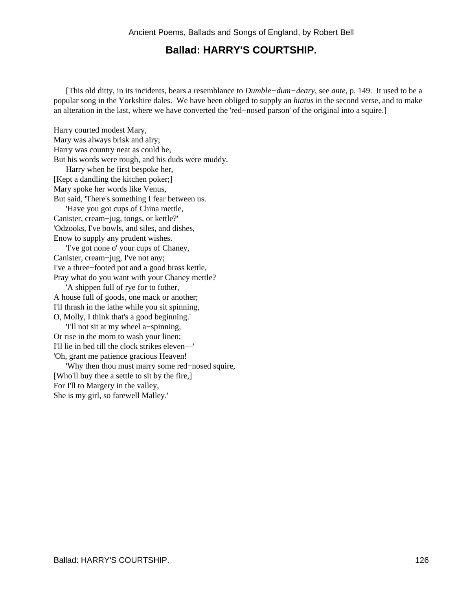# **Ballad: HARRY'S COURTSHIP.**

 [This old ditty, in its incidents, bears a resemblance to *Dumble−dum−deary*, see *ante*, p. 149. It used to be a popular song in the Yorkshire dales. We have been obliged to supply an *hiatus* in the second verse, and to make an alteration in the last, where we have converted the 'red−nosed parson' of the original into a squire.]

Harry courted modest Mary, Mary was always brisk and airy; Harry was country neat as could be, But his words were rough, and his duds were muddy. Harry when he first bespoke her, [Kept a dandling the kitchen poker;] Mary spoke her words like Venus, But said, 'There's something I fear between us. 'Have you got cups of China mettle, Canister, cream−jug, tongs, or kettle?' 'Odzooks, I've bowls, and siles, and dishes, Enow to supply any prudent wishes. 'I've got none o' your cups of Chaney, Canister, cream−jug, I've not any; I've a three−footed pot and a good brass kettle, Pray what do you want with your Chaney mettle? 'A shippen full of rye for to fother, A house full of goods, one mack or another; I'll thrash in the lathe while you sit spinning, O, Molly, I think that's a good beginning.' 'I'll not sit at my wheel a−spinning, Or rise in the morn to wash your linen; I'll lie in bed till the clock strikes eleven—' 'Oh, grant me patience gracious Heaven! 'Why then thou must marry some red−nosed squire, [Who'll buy thee a settle to sit by the fire,] For I'll to Margery in the valley, She is my girl, so farewell Malley.'

Ballad: HARRY'S COURTSHIP. 126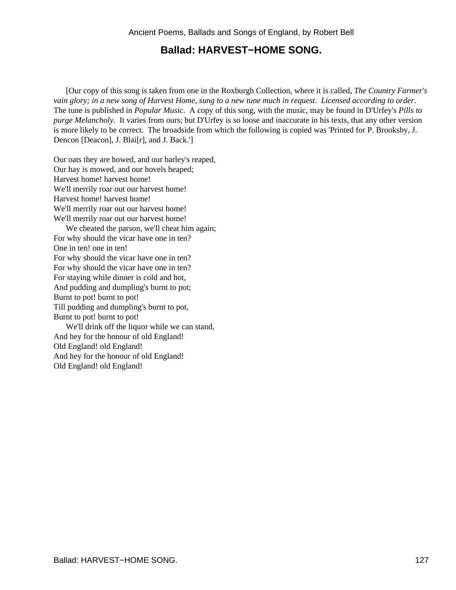# **Ballad: HARVEST−HOME SONG.**

 [Our copy of this song is taken from one in the Roxburgh Collection, where it is called, *The Country Farmer's vain glory; in a new song of Harvest Home, sung to a new tune much in request*. *Licensed according to order*. The tune is published in *Popular Music*. A copy of this song, with the music, may be found in D'Urfey's *Pills to purge Melancholy*. It varies from ours; but D'Urfey is so loose and inaccurate in his texts, that any other version is more likely to be correct. The broadside from which the following is copied was 'Printed for P. Brooksby, J. Dencon [Deacon], J. Blai[r], and J. Back.']

Our oats they are howed, and our barley's reaped, Our hay is mowed, and our hovels heaped; Harvest home! harvest home! We'll merrily roar out our harvest home! Harvest home! harvest home! We'll merrily roar out our harvest home! We'll merrily roar out our harvest home! We cheated the parson, we'll cheat him again; For why should the vicar have one in ten? One in ten! one in ten! For why should the vicar have one in ten? For why should the vicar have one in ten? For staying while dinner is cold and hot, And pudding and dumpling's burnt to pot; Burnt to pot! burnt to pot! Till pudding and dumpling's burnt to pot, Burnt to pot! burnt to pot! We'll drink off the liquor while we can stand, And hey for the honour of old England!

Old England! old England! And hey for the honour of old England! Old England! old England!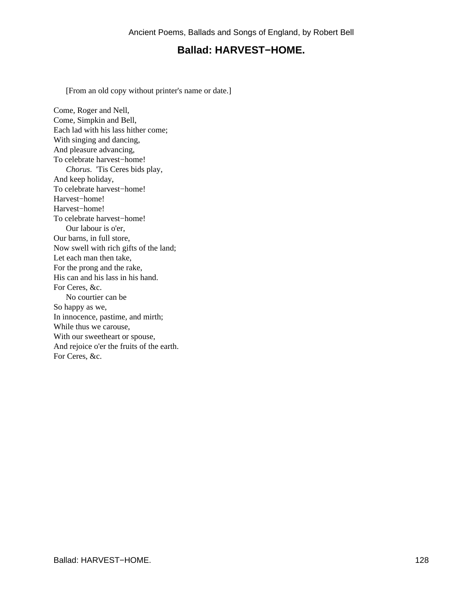# **Ballad: HARVEST−HOME.**

[From an old copy without printer's name or date.]

Come, Roger and Nell, Come, Simpkin and Bell, Each lad with his lass hither come; With singing and dancing, And pleasure advancing, To celebrate harvest−home!  *Chorus*. 'Tis Ceres bids play, And keep holiday, To celebrate harvest−home! Harvest−home! Harvest−home! To celebrate harvest−home! Our labour is o'er, Our barns, in full store, Now swell with rich gifts of the land; Let each man then take, For the prong and the rake, His can and his lass in his hand. For Ceres, &c. No courtier can be So happy as we, In innocence, pastime, and mirth; While thus we carouse, With our sweetheart or spouse, And rejoice o'er the fruits of the earth. For Ceres, &c.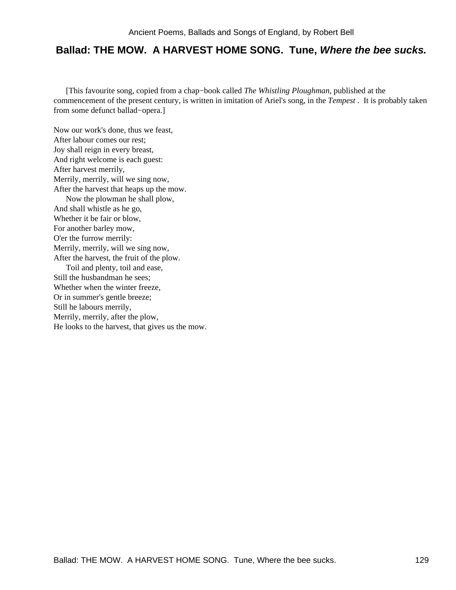#### Ancient Poems, Ballads and Songs of England, by Robert Bell

# **Ballad: THE MOW. A HARVEST HOME SONG. Tune, Where the bee sucks.**

 [This favourite song, copied from a chap−book called *The Whistling Ploughman*, published at the commencement of the present century, is written in imitation of Ariel's song, in the *Tempest* . It is probably taken from some defunct ballad−opera.]

Now our work's done, thus we feast, After labour comes our rest; Joy shall reign in every breast, And right welcome is each guest: After harvest merrily, Merrily, merrily, will we sing now, After the harvest that heaps up the mow. Now the plowman he shall plow, And shall whistle as he go, Whether it be fair or blow, For another barley mow, O'er the furrow merrily: Merrily, merrily, will we sing now, After the harvest, the fruit of the plow. Toil and plenty, toil and ease, Still the husbandman he sees; Whether when the winter freeze, Or in summer's gentle breeze; Still he labours merrily, Merrily, merrily, after the plow, He looks to the harvest, that gives us the mow.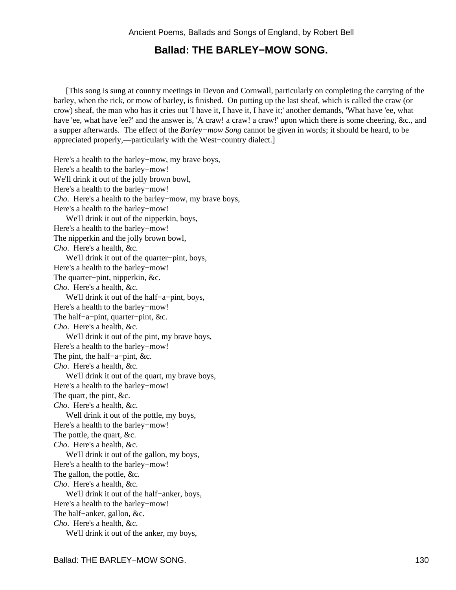## **Ballad: THE BARLEY−MOW SONG.**

 [This song is sung at country meetings in Devon and Cornwall, particularly on completing the carrying of the barley, when the rick, or mow of barley, is finished. On putting up the last sheaf, which is called the craw (or crow) sheaf, the man who has it cries out 'I have it, I have it, I have it;' another demands, 'What have 'ee, what have 'ee, what have 'ee?' and the answer is, 'A craw! a craw! a craw!' upon which there is some cheering, &c., and a supper afterwards. The effect of the *Barley−mow Song* cannot be given in words; it should be heard, to be appreciated properly,—particularly with the West−country dialect.]

Here's a health to the barley−mow, my brave boys, Here's a health to the barley−mow! We'll drink it out of the jolly brown bowl, Here's a health to the barley−mow! *Cho*. Here's a health to the barley−mow, my brave boys, Here's a health to the barley−mow! We'll drink it out of the nipperkin, boys, Here's a health to the barley−mow! The nipperkin and the jolly brown bowl, *Cho*. Here's a health, &c. We'll drink it out of the quarter−pint, boys, Here's a health to the barley−mow! The quarter−pint, nipperkin, &c. *Cho*. Here's a health, &c. We'll drink it out of the half−a−pint, boys, Here's a health to the barley−mow! The half−a−pint, quarter−pint, &c. *Cho*. Here's a health, &c. We'll drink it out of the pint, my brave boys, Here's a health to the barley−mow! The pint, the half−a−pint, &c. *Cho*. Here's a health, &c. We'll drink it out of the quart, my brave boys, Here's a health to the barley−mow! The quart, the pint, &c. *Cho*. Here's a health, &c. Well drink it out of the pottle, my boys, Here's a health to the barley−mow! The pottle, the quart, &c. *Cho*. Here's a health, &c. We'll drink it out of the gallon, my boys, Here's a health to the barley−mow! The gallon, the pottle, &c. *Cho*. Here's a health, &c. We'll drink it out of the half−anker, boys, Here's a health to the barley−mow! The half−anker, gallon, &c. *Cho*. Here's a health, &c. We'll drink it out of the anker, my boys,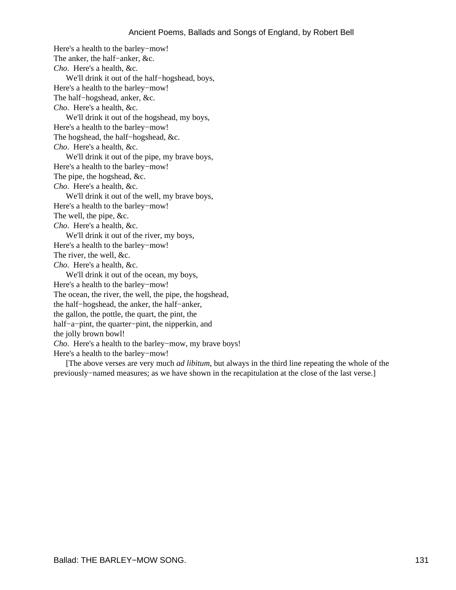Here's a health to the barley−mow! The anker, the half−anker, &c. *Cho*. Here's a health, &c. We'll drink it out of the half−hogshead, boys, Here's a health to the barley−mow! The half−hogshead, anker, &c. *Cho*. Here's a health, &c. We'll drink it out of the hogshead, my boys, Here's a health to the barley−mow! The hogshead, the half−hogshead, &c. *Cho*. Here's a health, &c. We'll drink it out of the pipe, my brave boys, Here's a health to the barley−mow! The pipe, the hogshead, &c. *Cho*. Here's a health, &c. We'll drink it out of the well, my brave boys, Here's a health to the barley−mow! The well, the pipe, &c. *Cho*. Here's a health, &c. We'll drink it out of the river, my boys, Here's a health to the barley−mow! The river, the well, &c. *Cho*. Here's a health, &c. We'll drink it out of the ocean, my boys, Here's a health to the barley−mow! The ocean, the river, the well, the pipe, the hogshead, the half−hogshead, the anker, the half−anker, the gallon, the pottle, the quart, the pint, the half−a−pint, the quarter−pint, the nipperkin, and the jolly brown bowl! *Cho*. Here's a health to the barley−mow, my brave boys! Here's a health to the barley−mow!

 [The above verses are very much *ad libitum*, but always in the third line repeating the whole of the previously−named measures; as we have shown in the recapitulation at the close of the last verse.]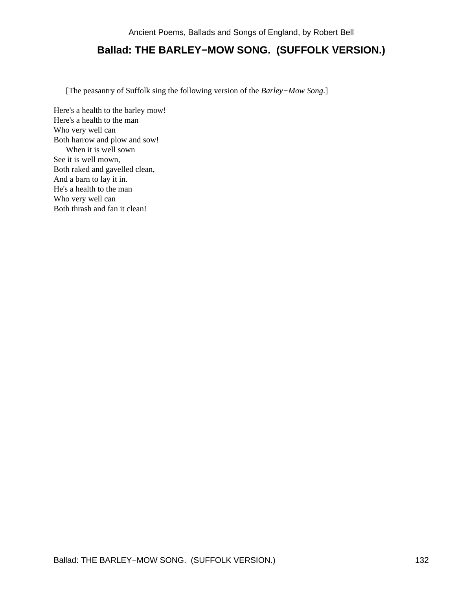# **Ballad: THE BARLEY−MOW SONG. (SUFFOLK VERSION.)**

[The peasantry of Suffolk sing the following version of the *Barley−Mow Song*.]

Here's a health to the barley mow! Here's a health to the man Who very well can Both harrow and plow and sow! When it is well sown See it is well mown, Both raked and gavelled clean, And a barn to lay it in. He's a health to the man Who very well can Both thrash and fan it clean!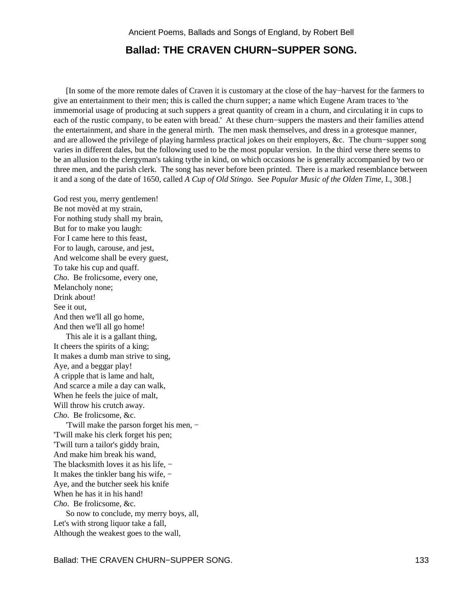# **Ballad: THE CRAVEN CHURN−SUPPER SONG.**

 [In some of the more remote dales of Craven it is customary at the close of the hay−harvest for the farmers to give an entertainment to their men; this is called the churn supper; a name which Eugene Aram traces to 'the immemorial usage of producing at such suppers a great quantity of cream in a churn, and circulating it in cups to each of the rustic company, to be eaten with bread.' At these churn−suppers the masters and their families attend the entertainment, and share in the general mirth. The men mask themselves, and dress in a grotesque manner, and are allowed the privilege of playing harmless practical jokes on their employers, &c. The churn−supper song varies in different dales, but the following used to be the most popular version. In the third verse there seems to be an allusion to the clergyman's taking tythe in kind, on which occasions he is generally accompanied by two or three men, and the parish clerk. The song has never before been printed. There is a marked resemblance between it and a song of the date of 1650, called *A Cup of Old Stingo*. See *Popular Music of the Olden Time*, I., 308.]

God rest you, merry gentlemen! Be not movèd at my strain, For nothing study shall my brain, But for to make you laugh: For I came here to this feast, For to laugh, carouse, and jest, And welcome shall be every guest, To take his cup and quaff. *Cho*. Be frolicsome, every one, Melancholy none; Drink about! See it out, And then we'll all go home, And then we'll all go home! This ale it is a gallant thing, It cheers the spirits of a king; It makes a dumb man strive to sing, Aye, and a beggar play! A cripple that is lame and halt, And scarce a mile a day can walk, When he feels the juice of malt, Will throw his crutch away. *Cho*. Be frolicsome, &c. 'Twill make the parson forget his men, − 'Twill make his clerk forget his pen; 'Twill turn a tailor's giddy brain, And make him break his wand, The blacksmith loves it as his life, – It makes the tinkler bang his wife, − Aye, and the butcher seek his knife When he has it in his hand! *Cho*. Be frolicsome, &c. So now to conclude, my merry boys, all, Let's with strong liquor take a fall, Although the weakest goes to the wall,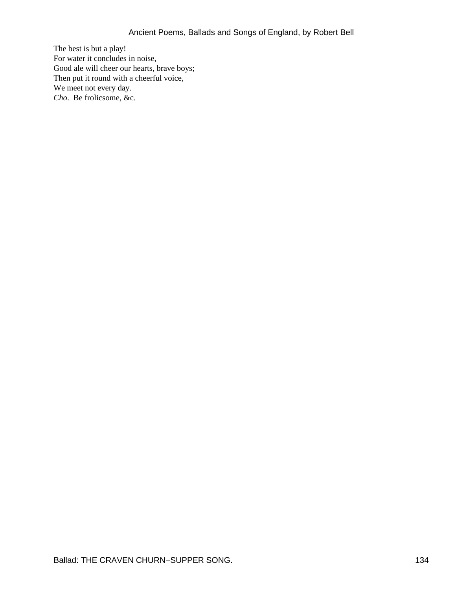The best is but a play! For water it concludes in noise, Good ale will cheer our hearts, brave boys; Then put it round with a cheerful voice, We meet not every day. *Cho*. Be frolicsome, &c.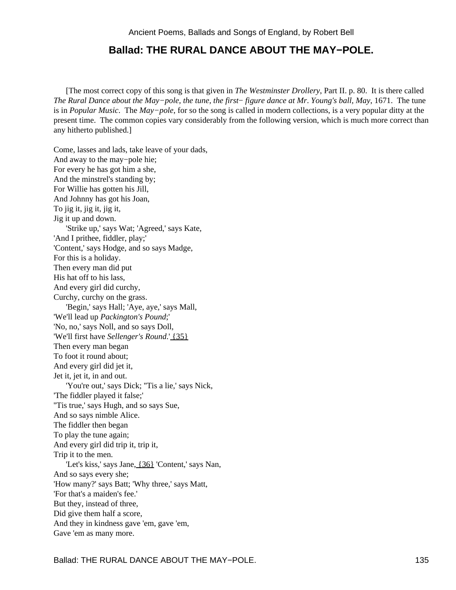### Ancient Poems, Ballads and Songs of England, by Robert Bell

## **Ballad: THE RURAL DANCE ABOUT THE MAY−POLE.**

 [The most correct copy of this song is that given in *The Westminster Drollery*, Part II. p. 80. It is there called *The Rural Dance about the May−pole, the tune, the first*− *figure dance at Mr*. *Young's ball, May*, 1671. The tune is in *Popular Music*. The *May−pole*, for so the song is called in modern collections, is a very popular ditty at the present time. The common copies vary considerably from the following version, which is much more correct than any hitherto published.]

Come, lasses and lads, take leave of your dads, And away to the may−pole hie; For every he has got him a she, And the minstrel's standing by; For Willie has gotten his Jill, And Johnny has got his Joan, To jig it, jig it, jig it, Jig it up and down. 'Strike up,' says Wat; 'Agreed,' says Kate, 'And I prithee, fiddler, play;' 'Content,' says Hodge, and so says Madge, For this is a holiday. Then every man did put His hat off to his lass, And every girl did curchy, Curchy, curchy on the grass. 'Begin,' says Hall; 'Aye, aye,' says Mall, 'We'll lead up *Packington's Pound*;' 'No, no,' says Noll, and so says Doll, 'We'll first have *Sellenger's Round*.[' {35}](#page-213-21) Then every man began To foot it round about; And every girl did jet it, Jet it, jet it, in and out. 'You're out,' says Dick; ''Tis a lie,' says Nick, 'The fiddler played it false;' ''Tis true,' says Hugh, and so says Sue, And so says nimble Alice. The fiddler then began To play the tune again; And every girl did trip it, trip it, Trip it to the men. 'Let's kiss,' says Jane, [{36}](#page-213-22) 'Content,' says Nan, And so says every she; 'How many?' says Batt; 'Why three,' says Matt, 'For that's a maiden's fee.' But they, instead of three, Did give them half a score, And they in kindness gave 'em, gave 'em, Gave 'em as many more.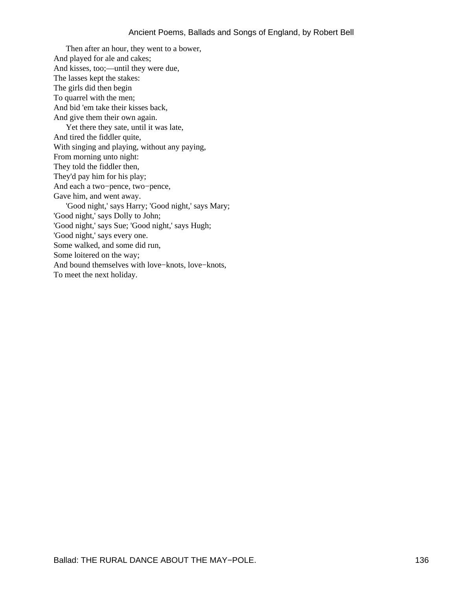Then after an hour, they went to a bower, And played for ale and cakes; And kisses, too;—until they were due, The lasses kept the stakes: The girls did then begin To quarrel with the men; And bid 'em take their kisses back, And give them their own again. Yet there they sate, until it was late, And tired the fiddler quite, With singing and playing, without any paying, From morning unto night: They told the fiddler then, They'd pay him for his play; And each a two−pence, two−pence, Gave him, and went away. 'Good night,' says Harry; 'Good night,' says Mary; 'Good night,' says Dolly to John; 'Good night,' says Sue; 'Good night,' says Hugh; 'Good night,' says every one. Some walked, and some did run, Some loitered on the way; And bound themselves with love−knots, love−knots, To meet the next holiday.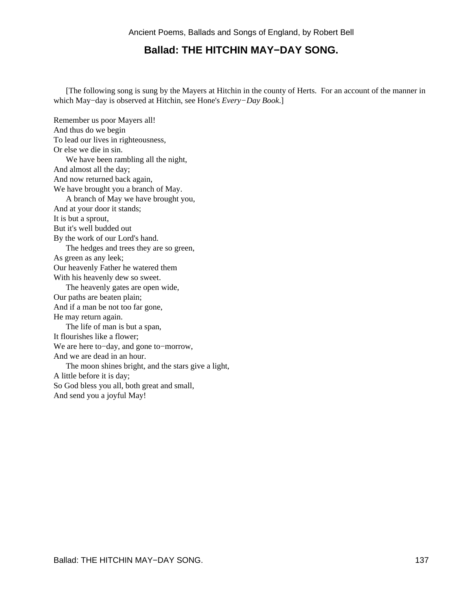# **Ballad: THE HITCHIN MAY−DAY SONG.**

 [The following song is sung by the Mayers at Hitchin in the county of Herts. For an account of the manner in which May−day is observed at Hitchin, see Hone's *Every−Day Book*.]

Remember us poor Mayers all! And thus do we begin To lead our lives in righteousness, Or else we die in sin. We have been rambling all the night, And almost all the day; And now returned back again, We have brought you a branch of May. A branch of May we have brought you, And at your door it stands; It is but a sprout, But it's well budded out By the work of our Lord's hand. The hedges and trees they are so green, As green as any leek; Our heavenly Father he watered them With his heavenly dew so sweet. The heavenly gates are open wide, Our paths are beaten plain; And if a man be not too far gone, He may return again. The life of man is but a span, It flourishes like a flower; We are here to−day, and gone to−morrow, And we are dead in an hour. The moon shines bright, and the stars give a light, A little before it is day; So God bless you all, both great and small, And send you a joyful May!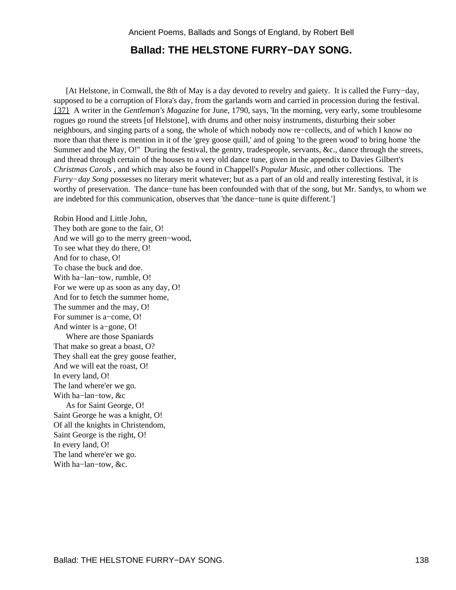# **Ballad: THE HELSTONE FURRY−DAY SONG.**

 [At Helstone, in Cornwall, the 8th of May is a day devoted to revelry and gaiety. It is called the Furry−day, supposed to be a corruption of Flora's day, from the garlands worn and carried in procession during the festival. [{37}](#page-213-23) A writer in the *Gentleman's Magazine* for June, 1790, says, 'In the morning, very early, some troublesome rogues go round the streets [of Helstone], with drums and other noisy instruments, disturbing their sober neighbours, and singing parts of a song, the whole of which nobody now re−collects, and of which I know no more than that there is mention in it of the 'grey goose quill,' and of going 'to the green wood' to bring home 'the Summer and the May, O!" During the festival, the gentry, tradespeople, servants, &c., dance through the streets, and thread through certain of the houses to a very old dance tune, given in the appendix to Davies Gilbert's *Christmas Carols* , and which may also be found in Chappell's *Popular Music*, and other collections. The *Furry−day Song* possesses no literary merit whatever; but as a part of an old and really interesting festival, it is worthy of preservation. The dance−tune has been confounded with that of the song, but Mr. Sandys, to whom we are indebted for this communication, observes that 'the dance−tune is quite different.']

Robin Hood and Little John, They both are gone to the fair, O! And we will go to the merry green−wood, To see what they do there, O! And for to chase, O! To chase the buck and doe. With ha−lan−tow, rumble, O! For we were up as soon as any day, O! And for to fetch the summer home, The summer and the may, O! For summer is a−come, O! And winter is a−gone, O! Where are those Spaniards That make so great a boast, O? They shall eat the grey goose feather, And we will eat the roast, O! In every land, O! The land where'er we go. With ha−lan−tow, &c As for Saint George, O! Saint George he was a knight, O! Of all the knights in Christendom, Saint George is the right, O! In every land, O! The land where'er we go. With ha−lan−tow, &c.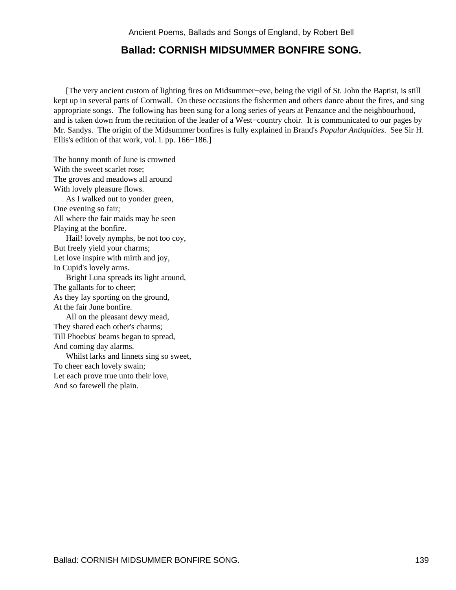### **Ballad: CORNISH MIDSUMMER BONFIRE SONG.**

 [The very ancient custom of lighting fires on Midsummer−eve, being the vigil of St. John the Baptist, is still kept up in several parts of Cornwall. On these occasions the fishermen and others dance about the fires, and sing appropriate songs. The following has been sung for a long series of years at Penzance and the neighbourhood, and is taken down from the recitation of the leader of a West−country choir. It is communicated to our pages by Mr. Sandys. The origin of the Midsummer bonfires is fully explained in Brand's *Popular Antiquities*. See Sir H. Ellis's edition of that work, vol. i. pp. 166−186.]

The bonny month of June is crowned With the sweet scarlet rose; The groves and meadows all around With lovely pleasure flows.

 As I walked out to yonder green, One evening so fair; All where the fair maids may be seen

Playing at the bonfire.

 Hail! lovely nymphs, be not too coy, But freely yield your charms; Let love inspire with mirth and joy, In Cupid's lovely arms.

 Bright Luna spreads its light around, The gallants for to cheer; As they lay sporting on the ground, At the fair June bonfire.

 All on the pleasant dewy mead, They shared each other's charms; Till Phoebus' beams began to spread, And coming day alarms. Whilst larks and linnets sing so sweet,

To cheer each lovely swain; Let each prove true unto their love, And so farewell the plain.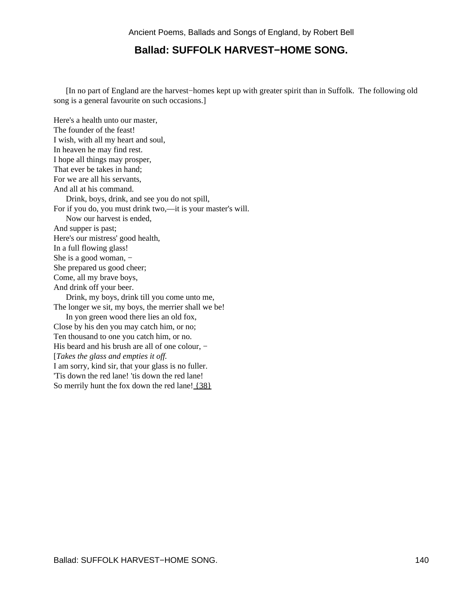## **Ballad: SUFFOLK HARVEST−HOME SONG.**

 [In no part of England are the harvest−homes kept up with greater spirit than in Suffolk. The following old song is a general favourite on such occasions.]

Here's a health unto our master, The founder of the feast! I wish, with all my heart and soul, In heaven he may find rest. I hope all things may prosper, That ever be takes in hand; For we are all his servants, And all at his command. Drink, boys, drink, and see you do not spill, For if you do, you must drink two,—it is your master's will. Now our harvest is ended, And supper is past; Here's our mistress' good health, In a full flowing glass! She is a good woman, − She prepared us good cheer; Come, all my brave boys, And drink off your beer. Drink, my boys, drink till you come unto me, The longer we sit, my boys, the merrier shall we be! In yon green wood there lies an old fox, Close by his den you may catch him, or no; Ten thousand to one you catch him, or no. His beard and his brush are all of one colour. − [*Takes the glass and empties it off.* I am sorry, kind sir, that your glass is no fuller. 'Tis down the red lane! 'tis down the red lane!

So merrily hunt the fox down the red lane! [{38}](#page-213-0)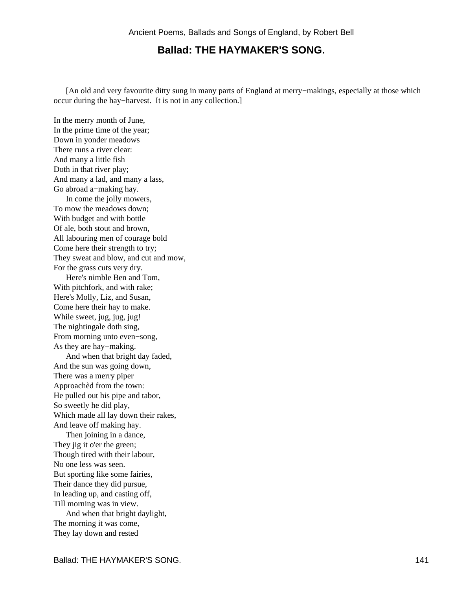## **Ballad: THE HAYMAKER'S SONG.**

 [An old and very favourite ditty sung in many parts of England at merry−makings, especially at those which occur during the hay−harvest. It is not in any collection.]

In the merry month of June, In the prime time of the year; Down in yonder meadows There runs a river clear: And many a little fish Doth in that river play; And many a lad, and many a lass, Go abroad a−making hay.

 In come the jolly mowers, To mow the meadows down; With budget and with bottle Of ale, both stout and brown, All labouring men of courage bold Come here their strength to try; They sweat and blow, and cut and mow, For the grass cuts very dry.

 Here's nimble Ben and Tom, With pitchfork, and with rake; Here's Molly, Liz, and Susan, Come here their hay to make. While sweet, jug, jug, jug! The nightingale doth sing, From morning unto even−song, As they are hay−making.

 And when that bright day faded, And the sun was going down, There was a merry piper Approachèd from the town: He pulled out his pipe and tabor, So sweetly he did play, Which made all lay down their rakes, And leave off making hay.

 Then joining in a dance, They jig it o'er the green; Though tired with their labour, No one less was seen. But sporting like some fairies, Their dance they did pursue, In leading up, and casting off, Till morning was in view.

 And when that bright daylight, The morning it was come, They lay down and rested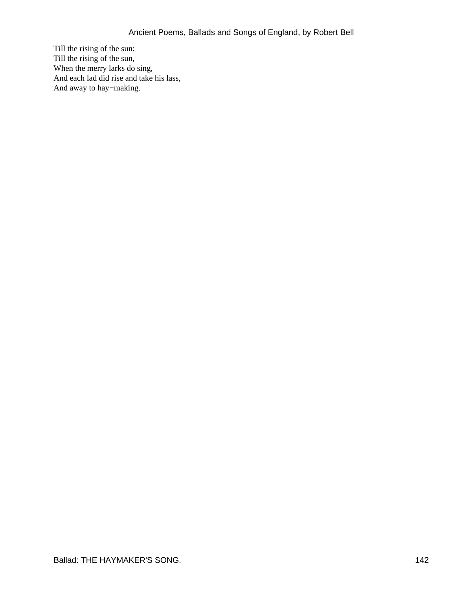Till the rising of the sun: Till the rising of the sun, When the merry larks do sing, And each lad did rise and take his lass, And away to hay−making.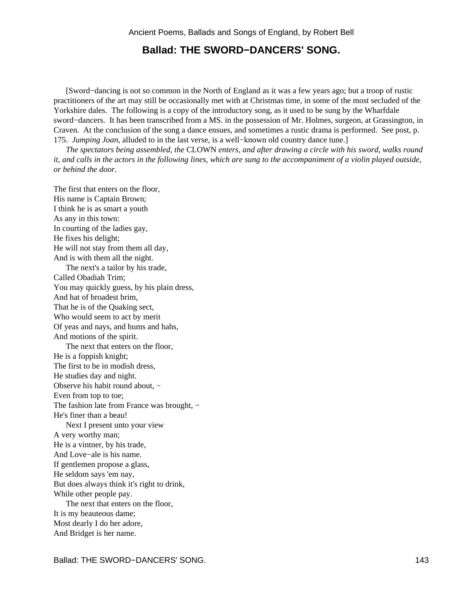## **Ballad: THE SWORD−DANCERS' SONG.**

 [Sword−dancing is not so common in the North of England as it was a few years ago; but a troop of rustic practitioners of the art may still be occasionally met with at Christmas time, in some of the most secluded of the Yorkshire dales. The following is a copy of the introductory song, as it used to be sung by the Wharfdale sword−dancers. It has been transcribed from a MS. in the possession of Mr. Holmes, surgeon, at Grassington, in Craven. At the conclusion of the song a dance ensues, and sometimes a rustic drama is performed. See post, p. 175. *Jumping Joan*, alluded to in the last verse, is a well−known old country dance tune.]

 *The spectators being assembled, the* CLOWN *enters, and after drawing a circle with his sword, walks round it, and calls in the actors in the following lines, which are sung to the accompaniment of a violin played outside, or behind the door.*

The first that enters on the floor, His name is Captain Brown; I think he is as smart a youth As any in this town: In courting of the ladies gay, He fixes his delight; He will not stay from them all day, And is with them all the night. The next's a tailor by his trade, Called Obadiah Trim; You may quickly guess, by his plain dress, And hat of broadest brim, That he is of the Quaking sect, Who would seem to act by merit Of yeas and nays, and hums and hahs, And motions of the spirit. The next that enters on the floor, He is a foppish knight; The first to be in modish dress, He studies day and night. Observe his habit round about, − Even from top to toe; The fashion late from France was brought, – He's finer than a beau! Next I present unto your view A very worthy man; He is a vintner, by his trade, And Love−ale is his name. If gentlemen propose a glass, He seldom says 'em nay, But does always think it's right to drink, While other people pay. The next that enters on the floor, It is my beauteous dame; Most dearly I do her adore, And Bridget is her name.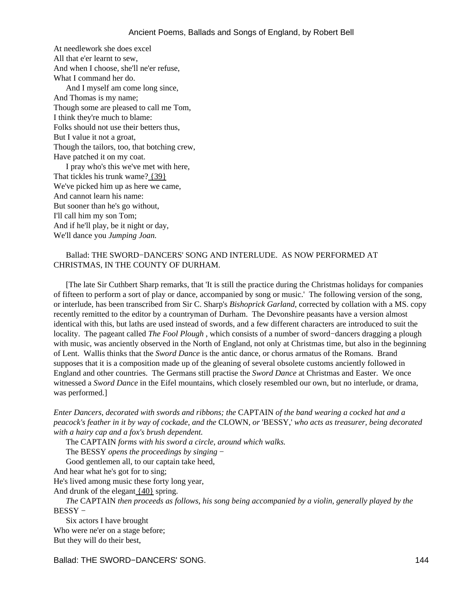At needlework she does excel All that e'er learnt to sew, And when I choose, she'll ne'er refuse, What I command her do.

 And I myself am come long since, And Thomas is my name; Though some are pleased to call me Tom, I think they're much to blame: Folks should not use their betters thus, But I value it not a groat, Though the tailors, too, that botching crew, Have patched it on my coat.

 I pray who's this we've met with here, That tickles his trunk wame[? {39}](#page-214-0) We've picked him up as here we came, And cannot learn his name: But sooner than he's go without, I'll call him my son Tom; And if he'll play, be it night or day, We'll dance you *Jumping Joan.*

### Ballad: THE SWORD−DANCERS' SONG AND INTERLUDE. AS NOW PERFORMED AT CHRISTMAS, IN THE COUNTY OF DURHAM.

 [The late Sir Cuthbert Sharp remarks, that 'It is still the practice during the Christmas holidays for companies of fifteen to perform a sort of play or dance, accompanied by song or music.' The following version of the song, or interlude, has been transcribed from Sir C. Sharp's *Bishoprick Garland*, corrected by collation with a MS. copy recently remitted to the editor by a countryman of Durham. The Devonshire peasants have a version almost identical with this, but laths are used instead of swords, and a few different characters are introduced to suit the locality. The pageant called *The Fool Plough* , which consists of a number of sword−dancers dragging a plough with music, was anciently observed in the North of England, not only at Christmas time, but also in the beginning of Lent. Wallis thinks that the *Sword Dance* is the antic dance, or chorus armatus of the Romans. Brand supposes that it is a composition made up of the gleaning of several obsolete customs anciently followed in England and other countries. The Germans still practise the *Sword Dance* at Christmas and Easter. We once witnessed a *Sword Dance* in the Eifel mountains, which closely resembled our own, but no interlude, or drama, was performed.]

*Enter Dancers, decorated with swords and ribbons; the* CAPTAIN *of the band wearing a cocked hat and a peacock's feather in it by way of cockade, and the* CLOWN*, or* 'BESSY,' *who acts as treasurer, being decorated with a hairy cap and a fox's brush dependent.*

The CAPTAIN *forms with his sword a circle, around which walks.*

The BESSY *opens the proceedings by singing* −

Good gentlemen all, to our captain take heed,

And hear what he's got for to sing;

He's lived among music these forty long year,

And drunk of the elegant  $\{40\}$  spring.

 *The* CAPTAIN *then proceeds as follows, his song being accompanied by a violin, generally played by the* BESSY −

 Six actors I have brought Who were ne'er on a stage before; But they will do their best,

Ballad: THE SWORD−DANCERS' SONG. 144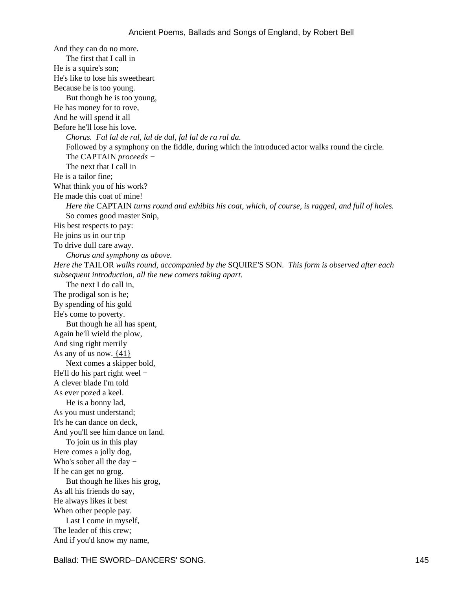And they can do no more. The first that I call in He is a squire's son; He's like to lose his sweetheart Because he is too young. But though he is too young, He has money for to rove, And he will spend it all Before he'll lose his love.  *Chorus. Fal lal de ral, lal de dal, fal lal de ra ral da.* Followed by a symphony on the fiddle, during which the introduced actor walks round the circle. The CAPTAIN *proceeds −* The next that I call in He is a tailor fine; What think you of his work? He made this coat of mine!  *Here the* CAPTAIN *turns round and exhibits his coat, which, of course, is ragged, and full of holes.* So comes good master Snip, His best respects to pay: He joins us in our trip To drive dull care away.  *Chorus and symphony as above. Here the* TAILOR *walks round*, *accompanied by the* SQUIRE'S SON*. This form is observed after each subsequent introduction, all the new comers taking apart.* The next I do call in, The prodigal son is he; By spending of his gold He's come to poverty. But though he all has spent, Again he'll wield the plow, And sing right merrily As any of us now. [{41}](#page-214-2) Next comes a skipper bold, He'll do his part right weel − A clever blade I'm told As ever pozed a keel. He is a bonny lad, As you must understand; It's he can dance on deck, And you'll see him dance on land. To join us in this play Here comes a jolly dog, Who's sober all the day  $-$ If he can get no grog. But though he likes his grog, As all his friends do say, He always likes it best When other people pay. Last I come in myself, The leader of this crew; And if you'd know my name,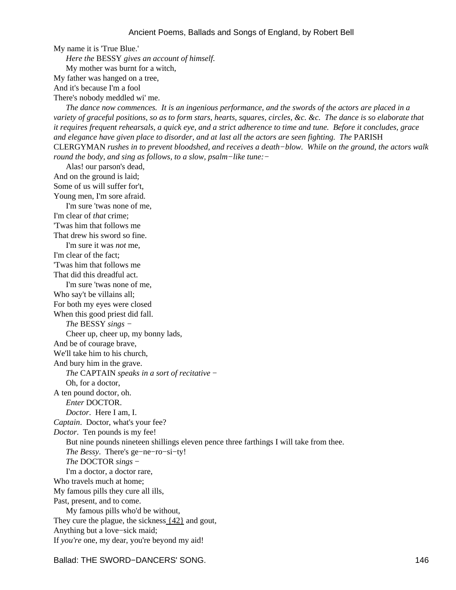My name it is 'True Blue.'

 *Here the* BESSY *gives an account of himself.* My mother was burnt for a witch, My father was hanged on a tree, And it's because I'm a fool There's nobody meddled wi' me.

 *The dance now commences. It is an ingenious performance, and the swords of the actors are placed in a variety of graceful positions, so as to form stars, hearts, squares, circles, &c. &c. The dance is so elaborate that it requires frequent rehearsals, a quick eye, and a strict adherence to time and tune. Before it concludes, grace and elegance have given place to disorder, and at last all the actors are seen fighting. The* PARISH CLERGYMAN *rushes in to prevent bloodshed, and receives a death−blow. While on the ground, the actors walk round the body, and sing as follows, to a slow, psalm−like tune:−*

 Alas! our parson's dead, And on the ground is laid; Some of us will suffer for't, Young men, I'm sore afraid. I'm sure 'twas none of me, I'm clear of *that* crime; 'Twas him that follows me That drew his sword so fine. I'm sure it was *not* me, I'm clear of the fact; 'Twas him that follows me That did this dreadful act. I'm sure 'twas none of me, Who say't be villains all; For both my eyes were closed When this good priest did fall.  *The* BESSY *sings −* Cheer up, cheer up, my bonny lads, And be of courage brave, We'll take him to his church, And bury him in the grave.  *The* CAPTAIN *speaks in a sort of recitative* − Oh, for a doctor, A ten pound doctor, oh.  *Enter* DOCTOR.  *Doctor*. Here I am, I. *Captain*. Doctor, what's your fee? *Doctor*. Ten pounds is my fee! But nine pounds nineteen shillings eleven pence three farthings I will take from thee.  *The Bessy*. There's ge−ne−ro−si−ty!  *The* DOCTOR *sings* − I'm a doctor, a doctor rare, Who travels much at home; My famous pills they cure all ills, Past, present, and to come. My famous pills who'd be without, They cure the plague, the sickness  $\{42\}$  and gout, Anything but a love−sick maid;

```
If you're one, my dear, you're beyond my aid!
```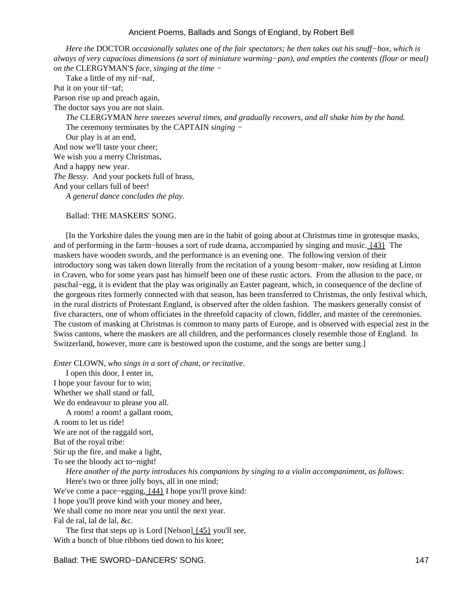### Ancient Poems, Ballads and Songs of England, by Robert Bell

 *Here the* DOCTOR *occasionally salutes one of the fair spectators; he then takes out his snuff−box, which is always of very capacious dimensions (a sort of miniature warming−pan), and empties the contents (flour or meal) on the* CLERGYMAN'S *face, singing at the time −*

 Take a little of my nif−naf, Put it on your tif−taf; Parson rise up and preach again, The doctor says you are not slain.  *The* CLERGYMAN *here sneezes several times, and gradually recovers, and all shake him by the hand.* The ceremony terminates by the CAPTAIN *singing −* Our play is at an end, And now we'll taste your cheer; We wish you a merry Christmas, And a happy new year. *The Bessy*. And your pockets full of brass, And your cellars full of beer!  *A general dance concludes the play.*

Ballad: THE MASKERS' SONG.

 [In the Yorkshire dales the young men are in the habit of going about at Christmas time in grotesque masks, and of performing in the farm−houses a sort of rude drama, accompanied by singing and music[. {43}](#page-214-4) The maskers have wooden swords, and the performance is an evening one. The following version of their introductory song was taken down literally from the recitation of a young besom−maker, now residing at Linton in Craven, who for some years past has himself been one of these rustic actors. From the allusion to the pace, or paschal−egg, it is evident that the play was originally an Easter pageant, which, in consequence of the decline of the gorgeous rites formerly connected with that season, has been transferred to Christmas, the only festival which, in the rural districts of Protestant England, is observed after the olden fashion. The maskers generally consist of five characters, one of whom officiates in the threefold capacity of clown, fiddler, and master of the ceremonies. The custom of masking at Christmas is common to many parts of Europe, and is observed with especial zest in the Swiss cantons, where the maskers are all children, and the performances closely resemble those of England. In Switzerland, however, more care is bestowed upon the costume, and the songs are better sung.]

*Enter* CLOWN, *who sings in a sort of chant, or recitative.*

 I open this door, I enter in, I hope your favour for to win; Whether we shall stand or fall, We do endeavour to please you all. A room! a room! a gallant room, A room to let us ride! We are not of the raggald sort, But of the royal tribe: Stir up the fire, and make a light, To see the bloody act to−night!  *Here another of the party introduces his companions by singing to a violin accompaniment, as follows*: Here's two or three jolly boys, all in one mind; We've come a pace−egging, [{44}](#page-214-5) I hope you'll prove kind: I hope you'll prove kind with your money and beer,

We shall come no more near you until the next year.

Fal de ral, lal de lal, &c.

The first that steps up is Lord [Nelson]  $\{45\}$  you'll see, With a bunch of blue ribbons tied down to his knee;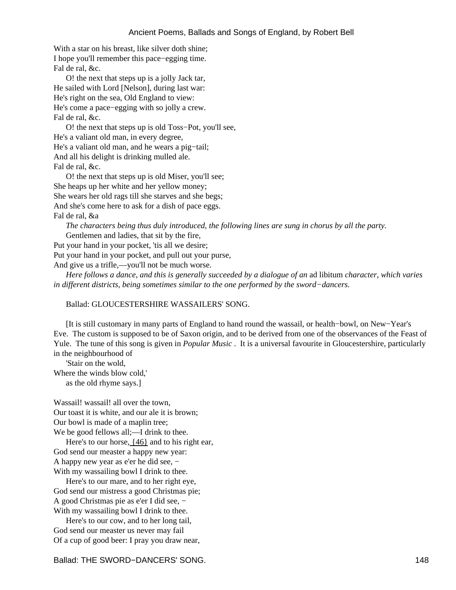With a star on his breast, like silver doth shine; I hope you'll remember this pace−egging time. Fal de ral, &c.

 O! the next that steps up is a jolly Jack tar, He sailed with Lord [Nelson], during last war: He's right on the sea, Old England to view: He's come a pace−egging with so jolly a crew. Fal de ral, &c.

 O! the next that steps up is old Toss−Pot, you'll see, He's a valiant old man, in every degree, He's a valiant old man, and he wears a pig−tail; And all his delight is drinking mulled ale. Fal de ral, &c.

 O! the next that steps up is old Miser, you'll see; She heaps up her white and her yellow money; She wears her old rags till she starves and she begs; And she's come here to ask for a dish of pace eggs. Fal de ral, &a

 *The characters being thus duly introduced, the following lines are sung in chorus by all the party.* Gentlemen and ladies, that sit by the fire,

Put your hand in your pocket, 'tis all we desire; Put your hand in your pocket, and pull out your purse, And give us a trifle,—you'll not be much worse.

 *Here follows a dance, and this is generally succeeded by a dialogue of an* ad libitum *character, which varies in different districts, being sometimes similar to the one performed by the sword−dancers.*

### Ballad: GLOUCESTERSHIRE WASSAILERS' SONG.

 [It is still customary in many parts of England to hand round the wassail, or health−bowl, on New−Year's Eve. The custom is supposed to be of Saxon origin, and to be derived from one of the observances of the Feast of Yule. The tune of this song is given in *Popular Music* . It is a universal favourite in Gloucestershire, particularly in the neighbourhood of

 'Stair on the wold, Where the winds blow cold,' as the old rhyme says.]

Wassail! wassail! all over the town, Our toast it is white, and our ale it is brown; Our bowl is made of a maplin tree; We be good fellows all:—I drink to thee.

Here's to our horse,  $[46]$  and to his right ear, God send our measter a happy new year: A happy new year as e'er he did see, − With my wassailing bowl I drink to thee.

 Here's to our mare, and to her right eye, God send our mistress a good Christmas pie; A good Christmas pie as e'er I did see, − With my wassailing bowl I drink to thee.

 Here's to our cow, and to her long tail, God send our measter us never may fail Of a cup of good beer: I pray you draw near,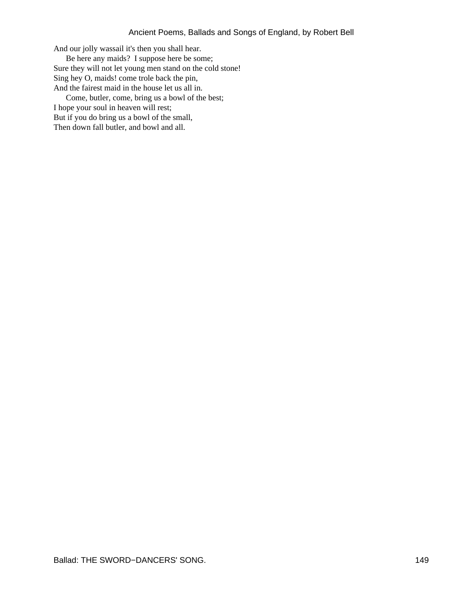And our jolly wassail it's then you shall hear.

 Be here any maids? I suppose here be some; Sure they will not let young men stand on the cold stone! Sing hey O, maids! come trole back the pin, And the fairest maid in the house let us all in.

 Come, butler, come, bring us a bowl of the best; I hope your soul in heaven will rest; But if you do bring us a bowl of the small, Then down fall butler, and bowl and all.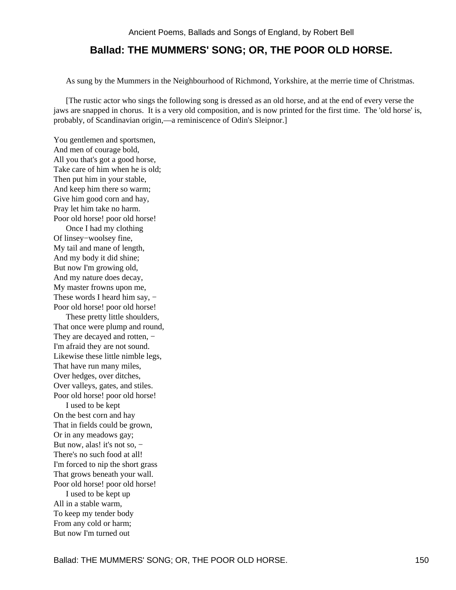## **Ballad: THE MUMMERS' SONG; OR, THE POOR OLD HORSE.**

As sung by the Mummers in the Neighbourhood of Richmond, Yorkshire, at the merrie time of Christmas.

 [The rustic actor who sings the following song is dressed as an old horse, and at the end of every verse the jaws are snapped in chorus. It is a very old composition, and is now printed for the first time. The 'old horse' is, probably, of Scandinavian origin,—a reminiscence of Odin's Sleipnor.]

You gentlemen and sportsmen, And men of courage bold, All you that's got a good horse, Take care of him when he is old; Then put him in your stable, And keep him there so warm; Give him good corn and hay, Pray let him take no harm. Poor old horse! poor old horse!

 Once I had my clothing Of linsey−woolsey fine, My tail and mane of length, And my body it did shine; But now I'm growing old, And my nature does decay, My master frowns upon me, These words I heard him say, – Poor old horse! poor old horse!

 These pretty little shoulders, That once were plump and round, They are decayed and rotten,  $−$ I'm afraid they are not sound. Likewise these little nimble legs, That have run many miles, Over hedges, over ditches, Over valleys, gates, and stiles. Poor old horse! poor old horse!

 I used to be kept On the best corn and hay That in fields could be grown, Or in any meadows gay; But now, alas! it's not so, – There's no such food at all! I'm forced to nip the short grass That grows beneath your wall. Poor old horse! poor old horse!

 I used to be kept up All in a stable warm, To keep my tender body From any cold or harm; But now I'm turned out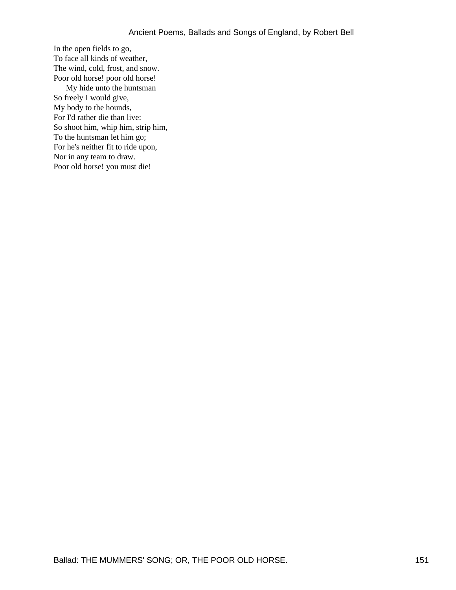In the open fields to go, To face all kinds of weather, The wind, cold, frost, and snow. Poor old horse! poor old horse!

 My hide unto the huntsman So freely I would give, My body to the hounds, For I'd rather die than live: So shoot him, whip him, strip him, To the huntsman let him go; For he's neither fit to ride upon, Nor in any team to draw. Poor old horse! you must die!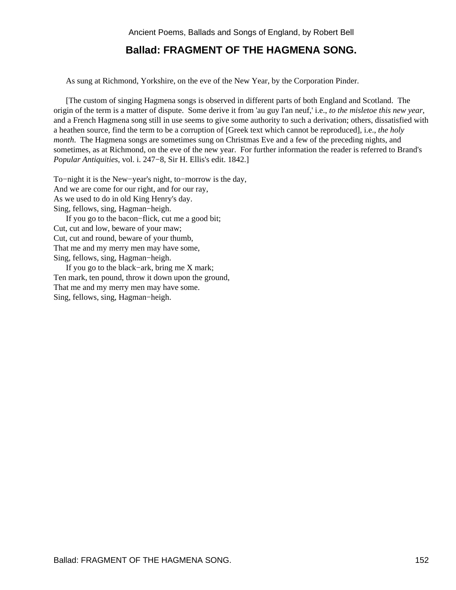## **Ballad: FRAGMENT OF THE HAGMENA SONG.**

As sung at Richmond, Yorkshire, on the eve of the New Year, by the Corporation Pinder.

 [The custom of singing Hagmena songs is observed in different parts of both England and Scotland. The origin of the term is a matter of dispute. Some derive it from 'au guy l'an neuf,' i.e., *to the misletoe this new year*, and a French Hagmena song still in use seems to give some authority to such a derivation; others, dissatisfied with a heathen source, find the term to be a corruption of [Greek text which cannot be reproduced], i.e., *the holy month*. The Hagmena songs are sometimes sung on Christmas Eve and a few of the preceding nights, and sometimes, as at Richmond, on the eve of the new year. For further information the reader is referred to Brand's *Popular Antiquities*, vol. i. 247−8, Sir H. Ellis's edit. 1842.]

To−night it is the New−year's night, to−morrow is the day, And we are come for our right, and for our ray, As we used to do in old King Henry's day. Sing, fellows, sing, Hagman−heigh.

 If you go to the bacon−flick, cut me a good bit; Cut, cut and low, beware of your maw; Cut, cut and round, beware of your thumb, That me and my merry men may have some, Sing, fellows, sing, Hagman−heigh.

 If you go to the black−ark, bring me X mark; Ten mark, ten pound, throw it down upon the ground, That me and my merry men may have some. Sing, fellows, sing, Hagman−heigh.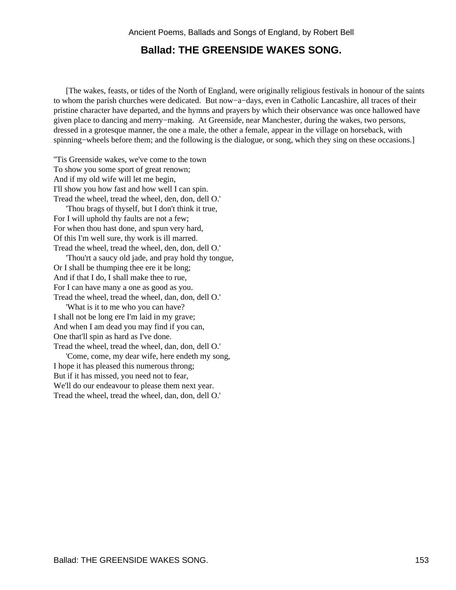## **Ballad: THE GREENSIDE WAKES SONG.**

 [The wakes, feasts, or tides of the North of England, were originally religious festivals in honour of the saints to whom the parish churches were dedicated. But now−a−days, even in Catholic Lancashire, all traces of their pristine character have departed, and the hymns and prayers by which their observance was once hallowed have given place to dancing and merry−making. At Greenside, near Manchester, during the wakes, two persons, dressed in a grotesque manner, the one a male, the other a female, appear in the village on horseback, with spinning–wheels before them; and the following is the dialogue, or song, which they sing on these occasions.]

''Tis Greenside wakes, we've come to the town To show you some sport of great renown; And if my old wife will let me begin, I'll show you how fast and how well I can spin. Tread the wheel, tread the wheel, den, don, dell O.'

 'Thou brags of thyself, but I don't think it true, For I will uphold thy faults are not a few; For when thou hast done, and spun very hard, Of this I'm well sure, thy work is ill marred. Tread the wheel, tread the wheel, den, don, dell O.'

 'Thou'rt a saucy old jade, and pray hold thy tongue, Or I shall be thumping thee ere it be long; And if that I do, I shall make thee to rue, For I can have many a one as good as you. Tread the wheel, tread the wheel, dan, don, dell O.'

 'What is it to me who you can have? I shall not be long ere I'm laid in my grave; And when I am dead you may find if you can, One that'll spin as hard as I've done. Tread the wheel, tread the wheel, dan, don, dell O.'

 'Come, come, my dear wife, here endeth my song, I hope it has pleased this numerous throng; But if it has missed, you need not to fear, We'll do our endeavour to please them next year. Tread the wheel, tread the wheel, dan, don, dell O.'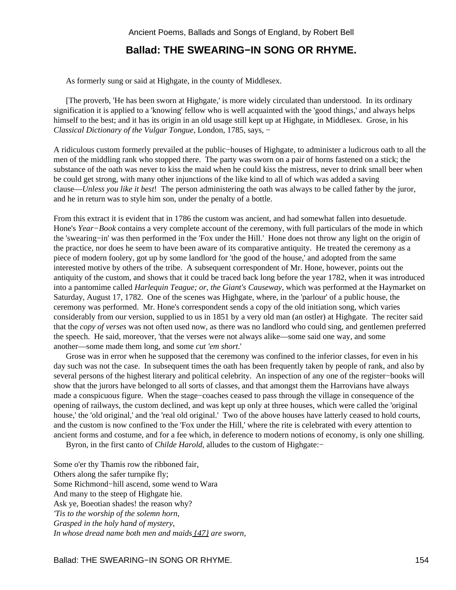## **Ballad: THE SWEARING−IN SONG OR RHYME.**

As formerly sung or said at Highgate, in the county of Middlesex.

 [The proverb, 'He has been sworn at Highgate,' is more widely circulated than understood. In its ordinary signification it is applied to a 'knowing' fellow who is well acquainted with the 'good things,' and always helps himself to the best; and it has its origin in an old usage still kept up at Highgate, in Middlesex. Grose, in his *Classical Dictionary of the Vulgar Tongue*, London, 1785, says, −

A ridiculous custom formerly prevailed at the public−houses of Highgate, to administer a ludicrous oath to all the men of the middling rank who stopped there. The party was sworn on a pair of horns fastened on a stick; the substance of the oath was never to kiss the maid when he could kiss the mistress, never to drink small beer when be could get strong, with many other injunctions of the like kind to all of which was added a saving clause—*Unless you like it best*! The person administering the oath was always to be called father by the juror, and he in return was to style him son, under the penalty of a bottle.

From this extract it is evident that in 1786 the custom was ancient, and had somewhat fallen into desuetude. Hone's *Year−Book* contains a very complete account of the ceremony, with full particulars of the mode in which the 'swearing−in' was then performed in the 'Fox under the Hill.' Hone does not throw any light on the origin of the practice, nor does he seem to have been aware of its comparative antiquity. He treated the ceremony as a piece of modern foolery, got up by some landlord for 'the good of the house,' and adopted from the same interested motive by others of the tribe. A subsequent correspondent of Mr. Hone, however, points out the antiquity of the custom, and shows that it could be traced back long before the year 1782, when it was introduced into a pantomime called *Harlequin Teague; or, the Giant's Causeway*, which was performed at the Haymarket on Saturday, August 17, 1782. One of the scenes was Highgate, where, in the 'parlour' of a public house, the ceremony was performed. Mr. Hone's correspondent sends a copy of the old initiation song, which varies considerably from our version, supplied to us in 1851 by a very old man (an ostler) at Highgate. The reciter said that the *copy of verses* was not often used now, as there was no landlord who could sing, and gentlemen preferred the speech. He said, moreover, 'that the verses were not always alike—some said one way, and some another—some made them long, and some *cut 'em short*.'

 Grose was in error when he supposed that the ceremony was confined to the inferior classes, for even in his day such was not the case. In subsequent times the oath has been frequently taken by people of rank, and also by several persons of the highest literary and political celebrity. An inspection of any one of the register−books will show that the jurors have belonged to all sorts of classes, and that amongst them the Harrovians have always made a conspicuous figure. When the stage−coaches ceased to pass through the village in consequence of the opening of railways, the custom declined, and was kept up only at three houses, which were called the 'original house,' the 'old original,' and the 'real old original.' Two of the above houses have latterly ceased to hold courts, and the custom is now confined to the 'Fox under the Hill,' where the rite is celebrated with every attention to ancient forms and costume, and for a fee which, in deference to modern notions of economy, is only one shilling.

Byron, in the first canto of *Childe Harold*, alludes to the custom of Highgate:−

Some o'er thy Thamis row the ribboned fair, Others along the safer turnpike fly; Some Richmond−hill ascend, some wend to Wara And many to the steep of Highgate hie. Ask ye, Boeotian shades! the reason why? *'Tis to the worship of the solemn horn, Grasped in the holy hand of mystery, In whose dread name both men and maid[s {47}](#page-214-8) are sworn,*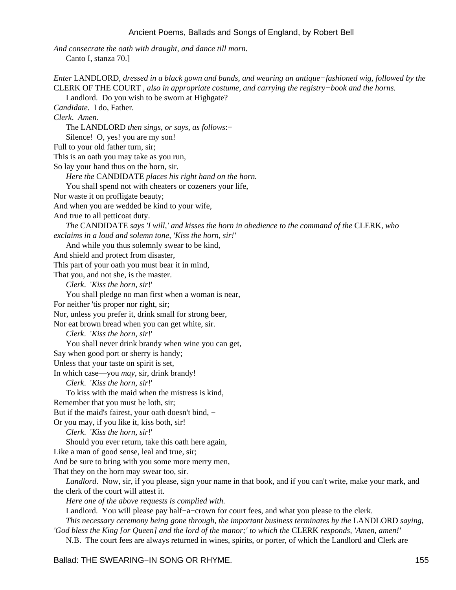### Ancient Poems, Ballads and Songs of England, by Robert Bell

*And consecrate the oath with draught, and dance till morn.* Canto I, stanza 70.]

*Enter* LANDLORD*, dressed in a black gown and bands, and wearing an antique−fashioned wig, followed by the* CLERK OF THE COURT *, also in appropriate costume, and carrying the registry−book and the horns.* Landlord. Do you wish to be sworn at Highgate?

*Candidate*. I do, Father.

*Clerk*. *Amen.*

The LANDLORD *then sings, or says, as follows*:−

Silence! O, yes! you are my son!

Full to your old father turn, sir;

This is an oath you may take as you run,

So lay your hand thus on the horn, sir.

 *Here the* CANDIDATE *places his right hand on the horn.*

You shall spend not with cheaters or cozeners your life,

Nor waste it on profligate beauty;

And when you are wedded be kind to your wife,

And true to all petticoat duty.

 *The* CANDIDATE *says 'I will,' and kisses the horn in obedience to the command of the* CLERK*, who exclaims in a loud and solemn tone, 'Kiss the horn, sir!'*

And while you thus solemnly swear to be kind,

And shield and protect from disaster,

This part of your oath you must bear it in mind,

That you, and not she, is the master.

 *Clerk*. '*Kiss the horn, sir*!'

You shall pledge no man first when a woman is near,

For neither 'tis proper nor right, sir;

Nor, unless you prefer it, drink small for strong beer,

Nor eat brown bread when you can get white, sir.

 *Clerk*. '*Kiss the horn, sir*!'

You shall never drink brandy when wine you can get,

Say when good port or sherry is handy;

Unless that your taste on spirit is set,

In which case—you *may*, sir, drink brandy!

 *Clerk*. '*Kiss the horn, sir*!'

To kiss with the maid when the mistress is kind,

Remember that you must be loth, sir;

But if the maid's fairest, your oath doesn't bind, −

Or you may, if you like it, kiss both, sir!

 *Clerk*. '*Kiss the horn, sir*!'

Should you ever return, take this oath here again,

Like a man of good sense, leal and true, sir;

And be sure to bring with you some more merry men,

That they on the horn may swear too, sir.

 *Landlord*. Now, sir, if you please, sign your name in that book, and if you can't write, make your mark, and the clerk of the court will attest it.

 *Here one of the above requests is complied with.*

Landlord. You will please pay half−a−crown for court fees, and what you please to the clerk.

 *This necessary ceremony being gone through, the important business terminates by the* LANDLORD *saying, 'God bless the King [or Queen] and the lord of the manor;' to which the* CLERK *responds, 'Amen, amen!'*

N.B. The court fees are always returned in wines, spirits, or porter, of which the Landlord and Clerk are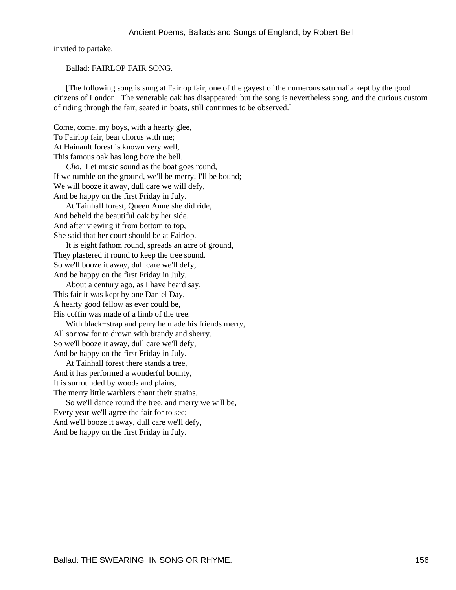invited to partake.

#### Ballad: FAIRLOP FAIR SONG.

 [The following song is sung at Fairlop fair, one of the gayest of the numerous saturnalia kept by the good citizens of London. The venerable oak has disappeared; but the song is nevertheless song, and the curious custom of riding through the fair, seated in boats, still continues to be observed.]

Come, come, my boys, with a hearty glee, To Fairlop fair, bear chorus with me; At Hainault forest is known very well, This famous oak has long bore the bell.  *Cho*. Let music sound as the boat goes round, If we tumble on the ground, we'll be merry, I'll be bound; We will booze it away, dull care we will defy, And be happy on the first Friday in July.

 At Tainhall forest, Queen Anne she did ride, And beheld the beautiful oak by her side, And after viewing it from bottom to top, She said that her court should be at Fairlop.

 It is eight fathom round, spreads an acre of ground, They plastered it round to keep the tree sound. So we'll booze it away, dull care we'll defy, And be happy on the first Friday in July.

 About a century ago, as I have heard say, This fair it was kept by one Daniel Day, A hearty good fellow as ever could be, His coffin was made of a limb of the tree.

 With black−strap and perry he made his friends merry, All sorrow for to drown with brandy and sherry. So we'll booze it away, dull care we'll defy, And be happy on the first Friday in July.

 At Tainhall forest there stands a tree, And it has performed a wonderful bounty, It is surrounded by woods and plains, The merry little warblers chant their strains.

 So we'll dance round the tree, and merry we will be, Every year we'll agree the fair for to see; And we'll booze it away, dull care we'll defy, And be happy on the first Friday in July.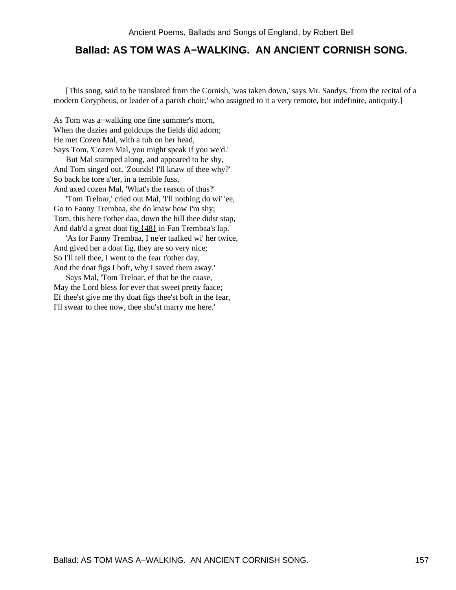### Ancient Poems, Ballads and Songs of England, by Robert Bell

## **Ballad: AS TOM WAS A−WALKING. AN ANCIENT CORNISH SONG.**

 [This song, said to be translated from the Cornish, 'was taken down,' says Mr. Sandys, 'from the recital of a modern Corypheus, or leader of a parish choir,' who assigned to it a very remote, but indefinite, antiquity.]

As Tom was a−walking one fine summer's morn, When the dazies and goldcups the fields did adorn; He met Cozen Mal, with a tub on her head, Says Tom, 'Cozen Mal, you might speak if you we'd.'

 But Mal stamped along, and appeared to be shy, And Tom singed out, 'Zounds! I'll knaw of thee why?' So back he tore a'ter, in a terrible fuss, And axed cozen Mal, 'What's the reason of thus?'

 'Tom Treloar,' cried out Mal, 'I'll nothing do wi' 'ee, Go to Fanny Trembaa, she do knaw how I'm shy; Tom, this here t'other daa, down the hill thee didst stap, And dab'd a great doat fi[g {48}](#page-214-9) in Fan Trembaa's lap.'

 'As for Fanny Trembaa, I ne'er taalked wi' her twice, And gived her a doat fig, they are so very nice; So I'll tell thee, I went to the fear t'other day, And the doat figs I boft, why I saved them away.'

 Says Mal, 'Tom Treloar, ef that be the caase, May the Lord bless for ever that sweet pretty faace; Ef thee'st give me thy doat figs thee'st boft in the fear, I'll swear to thee now, thee shu'st marry me here.'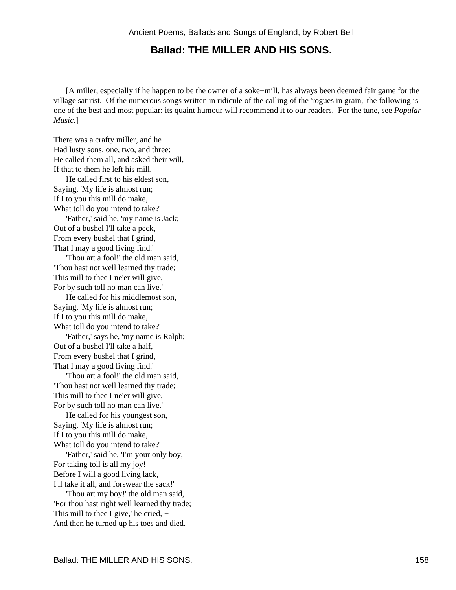## **Ballad: THE MILLER AND HIS SONS.**

 [A miller, especially if he happen to be the owner of a soke−mill, has always been deemed fair game for the village satirist. Of the numerous songs written in ridicule of the calling of the 'rogues in grain,' the following is one of the best and most popular: its quaint humour will recommend it to our readers. For the tune, see *Popular Music*.]

There was a crafty miller, and he Had lusty sons, one, two, and three: He called them all, and asked their will, If that to them he left his mill.

 He called first to his eldest son, Saying, 'My life is almost run; If I to you this mill do make, What toll do you intend to take?'

 'Father,' said he, 'my name is Jack; Out of a bushel I'll take a peck, From every bushel that I grind, That I may a good living find.'

 'Thou art a fool!' the old man said, 'Thou hast not well learned thy trade; This mill to thee I ne'er will give, For by such toll no man can live.'

 He called for his middlemost son, Saying, 'My life is almost run; If I to you this mill do make, What toll do you intend to take?'

 'Father,' says he, 'my name is Ralph; Out of a bushel I'll take a half, From every bushel that I grind, That I may a good living find.'

 'Thou art a fool!' the old man said, 'Thou hast not well learned thy trade; This mill to thee I ne'er will give, For by such toll no man can live.'

 He called for his youngest son, Saying, 'My life is almost run; If I to you this mill do make, What toll do you intend to take?'

 'Father,' said he, 'I'm your only boy, For taking toll is all my joy! Before I will a good living lack, I'll take it all, and forswear the sack!'

 'Thou art my boy!' the old man said, 'For thou hast right well learned thy trade; This mill to thee I give,' he cried, – And then he turned up his toes and died.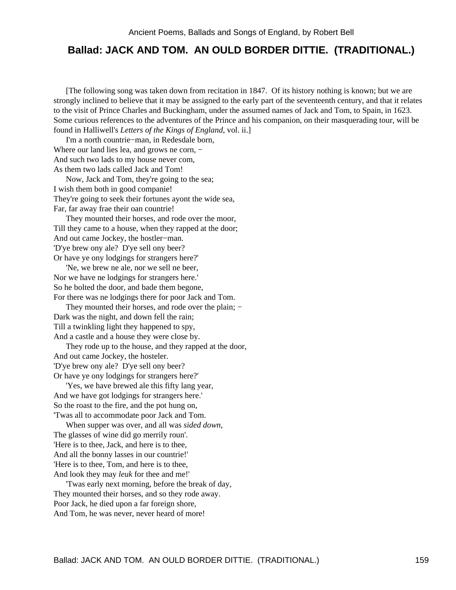### Ancient Poems, Ballads and Songs of England, by Robert Bell

# **Ballad: JACK AND TOM. AN OULD BORDER DITTIE. (TRADITIONAL.)**

 [The following song was taken down from recitation in 1847. Of its history nothing is known; but we are strongly inclined to believe that it may be assigned to the early part of the seventeenth century, and that it relates to the visit of Prince Charles and Buckingham, under the assumed names of Jack and Tom, to Spain, in 1623. Some curious references to the adventures of the Prince and his companion, on their masquerading tour, will be found in Halliwell's *Letters of the Kings of England*, vol. ii.]

 I'm a north countrie−man, in Redesdale born, Where our land lies lea, and grows ne corn, – And such two lads to my house never com, As them two lads called Jack and Tom!

 Now, Jack and Tom, they're going to the sea; I wish them both in good companie! They're going to seek their fortunes ayont the wide sea, Far, far away frae their oan countrie!

 They mounted their horses, and rode over the moor, Till they came to a house, when they rapped at the door; And out came Jockey, the hostler−man. 'D'ye brew ony ale? D'ye sell ony beer? Or have ye ony lodgings for strangers here?'

 'Ne, we brew ne ale, nor we sell ne beer, Nor we have ne lodgings for strangers here.' So he bolted the door, and bade them begone, For there was ne lodgings there for poor Jack and Tom.

They mounted their horses, and rode over the plain; – Dark was the night, and down fell the rain; Till a twinkling light they happened to spy, And a castle and a house they were close by.

 They rode up to the house, and they rapped at the door, And out came Jockey, the hosteler. 'D'ye brew ony ale? D'ye sell ony beer? Or have ye ony lodgings for strangers here?'

 'Yes, we have brewed ale this fifty lang year, And we have got lodgings for strangers here.' So the roast to the fire, and the pot hung on, 'Twas all to accommodate poor Jack and Tom.

 When supper was over, and all was *sided down,* The glasses of wine did go merrily roun'. 'Here is to thee, Jack, and here is to thee, And all the bonny lasses in our countrie!' 'Here is to thee, Tom, and here is to thee, And look they may *leuk* for thee and me!'

 'Twas early next morning, before the break of day, They mounted their horses, and so they rode away. Poor Jack, he died upon a far foreign shore, And Tom, he was never, never heard of more!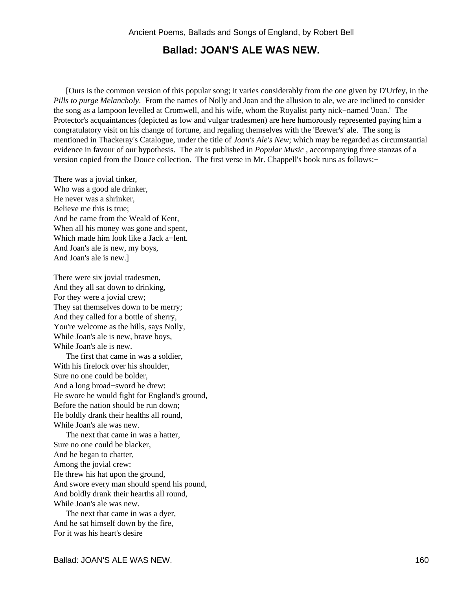## **Ballad: JOAN'S ALE WAS NEW.**

 [Ours is the common version of this popular song; it varies considerably from the one given by D'Urfey, in the *Pills to purge Melancholy*. From the names of Nolly and Joan and the allusion to ale, we are inclined to consider the song as a lampoon levelled at Cromwell, and his wife, whom the Royalist party nick−named 'Joan.' The Protector's acquaintances (depicted as low and vulgar tradesmen) are here humorously represented paying him a congratulatory visit on his change of fortune, and regaling themselves with the 'Brewer's' ale. The song is mentioned in Thackeray's Catalogue, under the title of *Joan's Ale's New*; which may be regarded as circumstantial evidence in favour of our hypothesis. The air is published in *Popular Music* , accompanying three stanzas of a version copied from the Douce collection. The first verse in Mr. Chappell's book runs as follows:−

There was a jovial tinker, Who was a good ale drinker, He never was a shrinker, Believe me this is true; And he came from the Weald of Kent, When all his money was gone and spent, Which made him look like a Jack a−lent. And Joan's ale is new, my boys, And Joan's ale is new.]

There were six jovial tradesmen, And they all sat down to drinking, For they were a jovial crew; They sat themselves down to be merry; And they called for a bottle of sherry, You're welcome as the hills, says Nolly, While Joan's ale is new, brave boys, While Joan's ale is new.

 The first that came in was a soldier, With his firelock over his shoulder, Sure no one could be bolder, And a long broad−sword he drew: He swore he would fight for England's ground, Before the nation should be run down; He boldly drank their healths all round, While Joan's ale was new.

 The next that came in was a hatter, Sure no one could be blacker, And he began to chatter, Among the jovial crew: He threw his hat upon the ground, And swore every man should spend his pound, And boldly drank their hearths all round, While Joan's ale was new.

 The next that came in was a dyer, And he sat himself down by the fire, For it was his heart's desire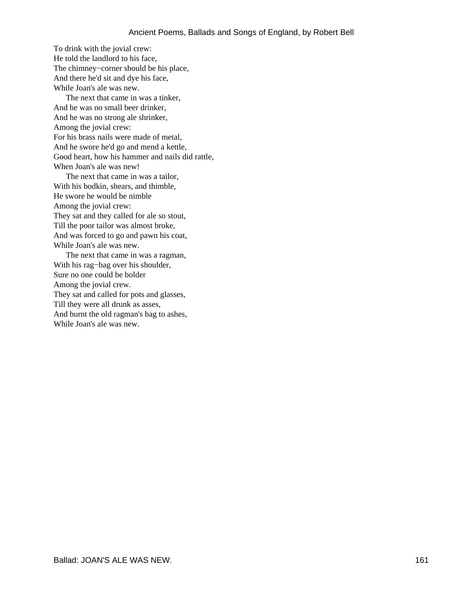To drink with the jovial crew: He told the landlord to his face, The chimney−corner should be his place, And there he'd sit and dye his face, While Joan's ale was new.

 The next that came in was a tinker, And he was no small beer drinker, And he was no strong ale shrinker, Among the jovial crew: For his brass nails were made of metal, And he swore he'd go and mend a kettle, Good heart, how his hammer and nails did rattle, When Joan's ale was new!

 The next that came in was a tailor, With his bodkin, shears, and thimble, He swore he would be nimble Among the jovial crew: They sat and they called for ale so stout, Till the poor tailor was almost broke, And was forced to go and pawn his coat, While Joan's ale was new.

 The next that came in was a ragman, With his rag−bag over his shoulder, Sure no one could be bolder Among the jovial crew. They sat and called for pots and glasses, Till they were all drunk as asses, And burnt the old ragman's bag to ashes, While Joan's ale was new.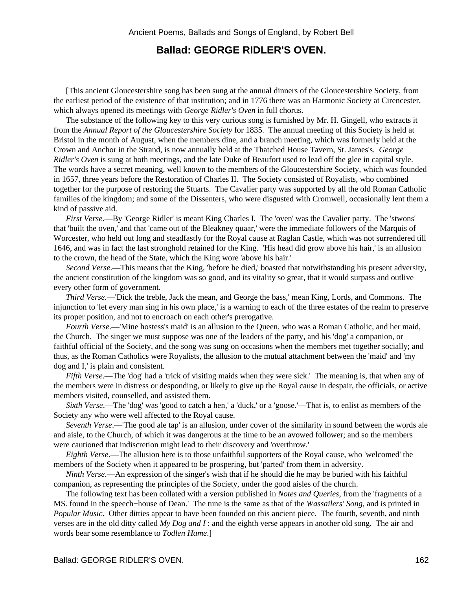## **Ballad: GEORGE RIDLER'S OVEN.**

 [This ancient Gloucestershire song has been sung at the annual dinners of the Gloucestershire Society, from the earliest period of the existence of that institution; and in 1776 there was an Harmonic Society at Cirencester, which always opened its meetings with *George Ridler's Oven* in full chorus.

 The substance of the following key to this very curious song is furnished by Mr. H. Gingell, who extracts it from the *Annual Report of the Gloucestershire Society* for 1835. The annual meeting of this Society is held at Bristol in the month of August, when the members dine, and a branch meeting, which was formerly held at the Crown and Anchor in the Strand, is now annually held at the Thatched House Tavern, St. James's. *George Ridler's Oven* is sung at both meetings, and the late Duke of Beaufort used to lead off the glee in capital style. The words have a secret meaning, well known to the members of the Gloucestershire Society, which was founded in 1657, three years before the Restoration of Charles II. The Society consisted of Royalists, who combined together for the purpose of restoring the Stuarts. The Cavalier party was supported by all the old Roman Catholic families of the kingdom; and some of the Dissenters, who were disgusted with Cromwell, occasionally lent them a kind of passive aid.

 *First Verse*.—By 'George Ridler' is meant King Charles I. The 'oven' was the Cavalier party. The 'stwons' that 'built the oven,' and that 'came out of the Bleakney quaar,' were the immediate followers of the Marquis of Worcester, who held out long and steadfastly for the Royal cause at Raglan Castle, which was not surrendered till 1646, and was in fact the last stronghold retained for the King. 'His head did grow above his hair,' is an allusion to the crown, the head of the State, which the King wore 'above his hair.'

 *Second Verse*.—This means that the King, 'before he died,' boasted that notwithstanding his present adversity, the ancient constitution of the kingdom was so good, and its vitality so great, that it would surpass and outlive every other form of government.

 *Third Verse*.—'Dick the treble, Jack the mean, and George the bass,' mean King, Lords, and Commons. The injunction to 'let every man sing in his own place,' is a warning to each of the three estates of the realm to preserve its proper position, and not to encroach on each other's prerogative.

 *Fourth Verse*.—'Mine hostess's maid' is an allusion to the Queen, who was a Roman Catholic, and her maid, the Church. The singer we must suppose was one of the leaders of the party, and his 'dog' a companion, or faithful official of the Society, and the song was sung on occasions when the members met together socially; and thus, as the Roman Catholics were Royalists, the allusion to the mutual attachment between the 'maid' and 'my dog and I,' is plain and consistent.

 *Fifth Verse*.—The 'dog' had a 'trick of visiting maids when they were sick.' The meaning is, that when any of the members were in distress or desponding, or likely to give up the Royal cause in despair, the officials, or active members visited, counselled, and assisted them.

 *Sixth Verse*.—The 'dog' was 'good to catch a hen,' a 'duck,' or a 'goose.'—That is, to enlist as members of the Society any who were well affected to the Royal cause.

 *Seventh Verse*.—'The good ale tap' is an allusion, under cover of the similarity in sound between the words ale and aisle, to the Church, of which it was dangerous at the time to be an avowed follower; and so the members were cautioned that indiscretion might lead to their discovery and 'overthrow.'

 *Eighth Verse*.—The allusion here is to those unfaithful supporters of the Royal cause, who 'welcomed' the members of the Society when it appeared to be prospering, but 'parted' from them in adversity.

 *Ninth Verse*.—An expression of the singer's wish that if he should die he may be buried with his faithful companion, as representing the principles of the Society, under the good aisles of the church.

 The following text has been collated with a version published in *Notes and Queries*, from the 'fragments of a MS. found in the speech−house of Dean.' The tune is the same as that of the *Wassailers' Song*, and is printed in *Popular Music*. Other ditties appear to have been founded on this ancient piece. The fourth, seventh, and ninth verses are in the old ditty called *My Dog and I* : and the eighth verse appears in another old song. The air and words bear some resemblance to *Todlen Hame*.]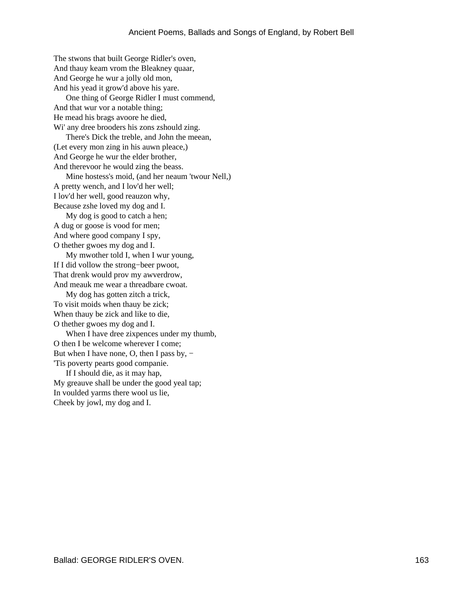The stwons that built George Ridler's oven, And thauy keam vrom the Bleakney quaar, And George he wur a jolly old mon, And his yead it grow'd above his yare.

 One thing of George Ridler I must commend, And that wur vor a notable thing; He mead his brags avoore he died, Wi' any dree brooders his zons zshould zing.

 There's Dick the treble, and John the meean, (Let every mon zing in his auwn pleace,) And George he wur the elder brother, And therevoor he would zing the beass.

 Mine hostess's moid, (and her neaum 'twour Nell,) A pretty wench, and I lov'd her well; I lov'd her well, good reauzon why, Because zshe loved my dog and I.

 My dog is good to catch a hen; A dug or goose is vood for men; And where good company I spy*,* O thether gwoes my dog and I.

 My mwother told I, when I wur young, If I did vollow the strong−beer pwoot, That drenk would prov my awverdrow, And meauk me wear a threadbare cwoat.

 My dog has gotten zitch a trick, To visit moids when thauy be zick; When thauy be zick and like to die, O thether gwoes my dog and I.

When I have dree zixpences under my thumb, O then I be welcome wherever I come; But when I have none, O, then I pass by,  $-$ 'Tis poverty pearts good companie.

 If I should die, as it may hap, My greauve shall be under the good yeal tap; In voulded yarms there wool us lie, Cheek by jowl, my dog and I.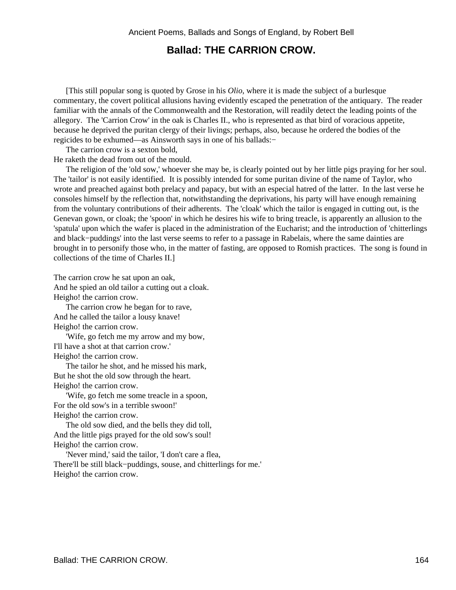## **Ballad: THE CARRION CROW.**

 [This still popular song is quoted by Grose in his *Olio*, where it is made the subject of a burlesque commentary, the covert political allusions having evidently escaped the penetration of the antiquary. The reader familiar with the annals of the Commonwealth and the Restoration, will readily detect the leading points of the allegory. The 'Carrion Crow' in the oak is Charles II., who is represented as that bird of voracious appetite, because he deprived the puritan clergy of their livings; perhaps, also, because he ordered the bodies of the regicides to be exhumed—as Ainsworth says in one of his ballads:−

 The carrion crow is a sexton bold, He raketh the dead from out of the mould.

 The religion of the 'old sow,' whoever she may be, is clearly pointed out by her little pigs praying for her soul. The 'tailor' is not easily identified. It is possibly intended for some puritan divine of the name of Taylor, who wrote and preached against both prelacy and papacy, but with an especial hatred of the latter. In the last verse he consoles himself by the reflection that, notwithstanding the deprivations, his party will have enough remaining from the voluntary contributions of their adherents. The 'cloak' which the tailor is engaged in cutting out, is the Genevan gown, or cloak; the 'spoon' in which he desires his wife to bring treacle, is apparently an allusion to the 'spatula' upon which the wafer is placed in the administration of the Eucharist; and the introduction of 'chitterlings and black−puddings' into the last verse seems to refer to a passage in Rabelais, where the same dainties are brought in to personify those who, in the matter of fasting, are opposed to Romish practices. The song is found in collections of the time of Charles II.]

The carrion crow he sat upon an oak, And he spied an old tailor a cutting out a cloak. Heigho! the carrion crow.

 The carrion crow he began for to rave, And he called the tailor a lousy knave! Heigho! the carrion crow.

 'Wife, go fetch me my arrow and my bow, I'll have a shot at that carrion crow.' Heigho! the carrion crow.

 The tailor he shot, and he missed his mark, But he shot the old sow through the heart. Heigho! the carrion crow.

 'Wife, go fetch me some treacle in a spoon, For the old sow's in a terrible swoon!' Heigho! the carrion crow.

 The old sow died, and the bells they did toll, And the little pigs prayed for the old sow's soul! Heigho! the carrion crow.

 'Never mind,' said the tailor, 'I don't care a flea, There'll be still black−puddings, souse, and chitterlings for me.' Heigho! the carrion crow.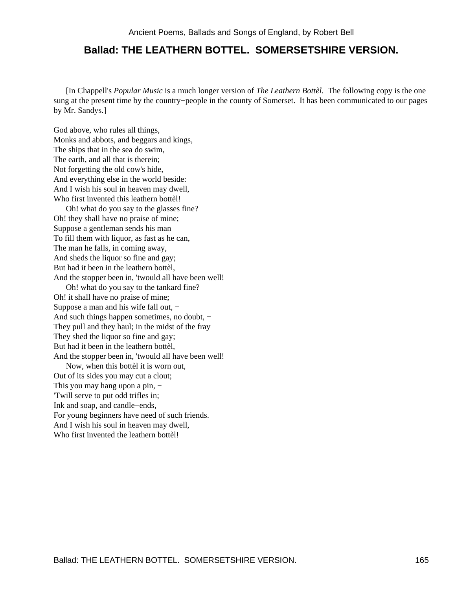## **Ballad: THE LEATHERN BOTTEL. SOMERSETSHIRE VERSION.**

 [In Chappell's *Popular Music* is a much longer version of *The Leathern Bottèl*. The following copy is the one sung at the present time by the country−people in the county of Somerset. It has been communicated to our pages by Mr. Sandys.]

God above, who rules all things, Monks and abbots, and beggars and kings, The ships that in the sea do swim, The earth, and all that is therein; Not forgetting the old cow's hide, And everything else in the world beside: And I wish his soul in heaven may dwell, Who first invented this leathern bottèl!

 Oh! what do you say to the glasses fine? Oh! they shall have no praise of mine; Suppose a gentleman sends his man To fill them with liquor, as fast as he can, The man he falls, in coming away, And sheds the liquor so fine and gay; But had it been in the leathern bottèl, And the stopper been in, 'twould all have been well!

 Oh! what do you say to the tankard fine? Oh! it shall have no praise of mine; Suppose a man and his wife fall out, − And such things happen sometimes, no doubt, − They pull and they haul; in the midst of the fray They shed the liquor so fine and gay; But had it been in the leathern bottèl, And the stopper been in, 'twould all have been well! Now, when this bottèl it is worn out, Out of its sides you may cut a clout;

This you may hang upon a pin, – 'Twill serve to put odd trifles in; Ink and soap, and candle−ends, For young beginners have need of such friends. And I wish his soul in heaven may dwell, Who first invented the leathern bottèl!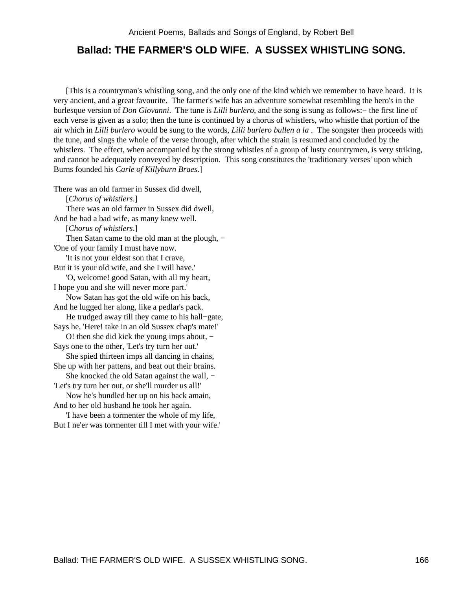### Ancient Poems, Ballads and Songs of England, by Robert Bell

## **Ballad: THE FARMER'S OLD WIFE. A SUSSEX WHISTLING SONG.**

 [This is a countryman's whistling song, and the only one of the kind which we remember to have heard. It is very ancient, and a great favourite. The farmer's wife has an adventure somewhat resembling the hero's in the burlesque version of *Don Giovanni*. The tune is *Lilli burlero*, and the song is sung as follows:− the first line of each verse is given as a solo; then the tune is continued by a chorus of whistlers, who whistle that portion of the air which in *Lilli burlero* would be sung to the words, *Lilli burlero bullen a la* . The songster then proceeds with the tune, and sings the whole of the verse through, after which the strain is resumed and concluded by the whistlers. The effect, when accompanied by the strong whistles of a group of lusty countrymen, is very striking, and cannot be adequately conveyed by description. This song constitutes the 'traditionary verses' upon which Burns founded his *Carle of Killyburn Braes*.]

There was an old farmer in Sussex did dwell,

[*Chorus of whistlers*.]

There was an old farmer in Sussex did dwell,

And he had a bad wife, as many knew well. [*Chorus of whistlers*.]

Then Satan came to the old man at the plough, –

'One of your family I must have now.

 'It is not your eldest son that I crave, But it is your old wife, and she I will have.'

 'O, welcome! good Satan, with all my heart, I hope you and she will never more part.'

 Now Satan has got the old wife on his back, And he lugged her along, like a pedlar's pack.

 He trudged away till they came to his hall−gate, Says he, 'Here! take in an old Sussex chap's mate!'

 O! then she did kick the young imps about, − Says one to the other, 'Let's try turn her out.'

 She spied thirteen imps all dancing in chains, She up with her pattens, and beat out their brains.

 She knocked the old Satan against the wall, − 'Let's try turn her out, or she'll murder us all!'

 Now he's bundled her up on his back amain, And to her old husband he took her again.

 'I have been a tormenter the whole of my life, But I ne'er was tormenter till I met with your wife.'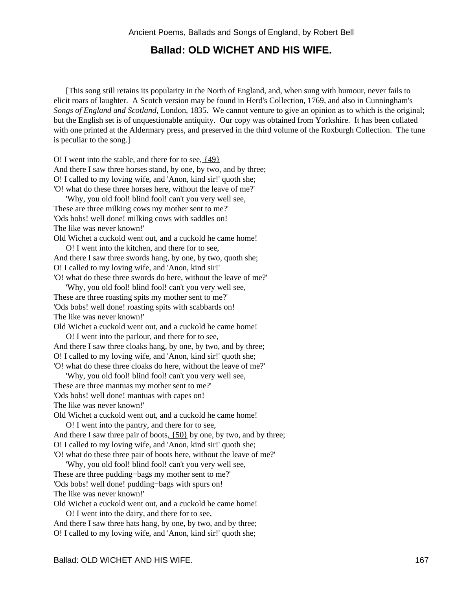## **Ballad: OLD WICHET AND HIS WIFE.**

 [This song still retains its popularity in the North of England, and, when sung with humour, never fails to elicit roars of laughter. A Scotch version may be found in Herd's Collection, 1769, and also in Cunningham's *Songs of England and Scotland*, London, 1835. We cannot venture to give an opinion as to which is the original; but the English set is of unquestionable antiquity. Our copy was obtained from Yorkshire. It has been collated with one printed at the Aldermary press, and preserved in the third volume of the Roxburgh Collection. The tune is peculiar to the song.]

O! I went into the stable, and there for to see,  $\{49\}$ 

And there I saw three horses stand, by one, by two, and by three; O! I called to my loving wife, and 'Anon, kind sir!' quoth she; 'O! what do these three horses here, without the leave of me?'

 'Why, you old fool! blind fool! can't you very well see, These are three milking cows my mother sent to me?' 'Ods bobs! well done! milking cows with saddles on! The like was never known!'

Old Wichet a cuckold went out, and a cuckold he came home! O! I went into the kitchen, and there for to see,

And there I saw three swords hang, by one, by two, quoth she; O! I called to my loving wife, and 'Anon, kind sir!'

'O! what do these three swords do here, without the leave of me?'

'Why, you old fool! blind fool! can't you very well see,

These are three roasting spits my mother sent to me?' 'Ods bobs! well done! roasting spits with scabbards on!

The like was never known!'

Old Wichet a cuckold went out, and a cuckold he came home!

 O! I went into the parlour, and there for to see, And there I saw three cloaks hang, by one, by two, and by three; O! I called to my loving wife, and 'Anon, kind sir!' quoth she; 'O! what do these three cloaks do here, without the leave of me?'

 'Why, you old fool! blind fool! can't you very well see, These are three mantuas my mother sent to me?' 'Ods bobs! well done! mantuas with capes on! The like was never known!'

Old Wichet a cuckold went out, and a cuckold he came home!

 O! I went into the pantry, and there for to see, And there I saw three pair of boots,  $\{50\}$  by one, by two, and by three; O! I called to my loving wife, and 'Anon, kind sir!' quoth she; 'O! what do these three pair of boots here, without the leave of me?'

 'Why, you old fool! blind fool! can't you very well see, These are three pudding−bags my mother sent to me?' 'Ods bobs! well done! pudding−bags with spurs on! The like was never known!'

Old Wichet a cuckold went out, and a cuckold he came home! O! I went into the dairy, and there for to see,

And there I saw three hats hang, by one, by two, and by three; O! I called to my loving wife, and 'Anon, kind sir!' quoth she;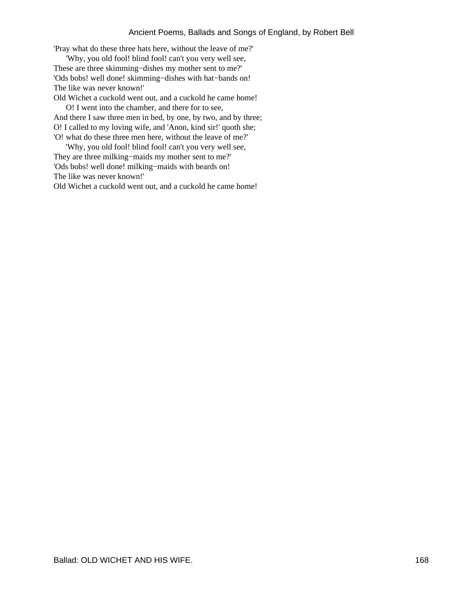'Pray what do these three hats here, without the leave of me?'

 'Why, you old fool! blind fool! can't you very well see, These are three skimming−dishes my mother sent to me?' 'Ods bobs! well done! skimming−dishes with hat−bands on! The like was never known!'

Old Wichet a cuckold went out, and a cuckold he came home! O! I went into the chamber, and there for to see, And there I saw three men in bed, by one, by two, and by three;

O! I called to my loving wife, and 'Anon, kind sir!' quoth she; 'O! what do these three men here, without the leave of me?'

 'Why, you old fool! blind fool! can't you very well see, They are three milking−maids my mother sent to me?' 'Ods bobs! well done! milking−maids with beards on! The like was never known!'

Old Wichet a cuckold went out, and a cuckold he came home!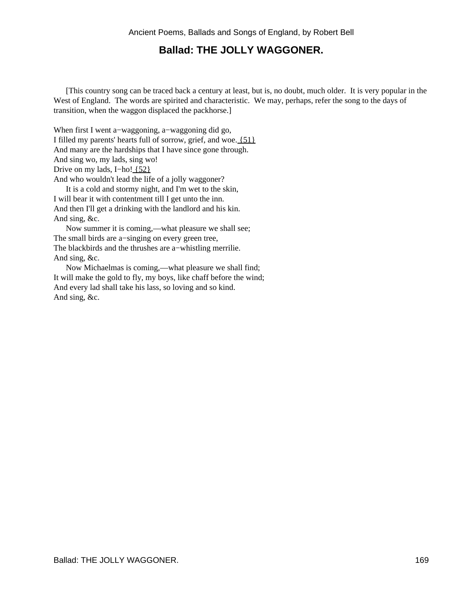## **Ballad: THE JOLLY WAGGONER.**

 [This country song can be traced back a century at least, but is, no doubt, much older. It is very popular in the West of England. The words are spirited and characteristic. We may, perhaps, refer the song to the days of transition, when the waggon displaced the packhorse.]

When first I went a−waggoning, a−waggoning did go, I filled my parents' hearts full of sorrow, grief, and woe. [{51}](#page-214-12) And many are the hardships that I have since gone through. And sing wo, my lads, sing wo! Drive on my lads, I–ho[! {52}](#page-214-13) And who wouldn't lead the life of a jolly waggoner? It is a cold and stormy night, and I'm wet to the skin,

I will bear it with contentment till I get unto the inn. And then I'll get a drinking with the landlord and his kin. And sing, &c.

 Now summer it is coming,—what pleasure we shall see; The small birds are a−singing on every green tree, The blackbirds and the thrushes are a−whistling merrilie. And sing, &c.

 Now Michaelmas is coming,—what pleasure we shall find; It will make the gold to fly, my boys, like chaff before the wind; And every lad shall take his lass, so loving and so kind. And sing, &c.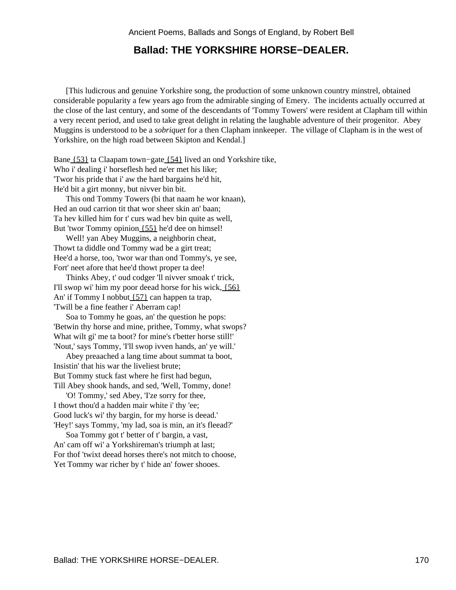## **Ballad: THE YORKSHIRE HORSE−DEALER.**

 [This ludicrous and genuine Yorkshire song, the production of some unknown country minstrel, obtained considerable popularity a few years ago from the admirable singing of Emery. The incidents actually occurred at the close of the last century, and some of the descendants of 'Tommy Towers' were resident at Clapham till within a very recent period, and used to take great delight in relating the laughable adventure of their progenitor. Abey Muggins is understood to be a *sobriquet* for a then Clapham innkeeper. The village of Clapham is in the west of Yorkshire, on the high road between Skipton and Kendal.]

Bane [{53}](#page-214-14) ta Claapam town−gate [{54}](#page-215-0) lived an ond Yorkshire tike, Who i' dealing i' horseflesh hed ne'er met his like; 'Twor his pride that i' aw the hard bargains he'd hit, He'd bit a girt monny, but nivver bin bit.

 This ond Tommy Towers (bi that naam he wor knaan), Hed an oud carrion tit that wor sheer skin an' baan; Ta hev killed him for t' curs wad hev bin quite as well, But 'twor Tommy opinion [{55}](#page-215-1) he'd dee on himsel!

 Well! yan Abey Muggins, a neighborin cheat, Thowt ta diddle ond Tommy wad be a girt treat; Hee'd a horse, too, 'twor war than ond Tommy's, ye see, Fort' neet afore that hee'd thowt proper ta dee!

 Thinks Abey, t' oud codger 'll nivver smoak t' trick, I'll swop wi' him my poor deead horse for his wick,  $\{56\}$ An' if Tommy I nobbu[t {57}](#page-215-3) can happen ta trap, 'Twill be a fine feather i' Aberram cap!

 Soa to Tommy he goas, an' the question he pops: 'Betwin thy horse and mine, prithee, Tommy, what swops? What wilt gi' me ta boot? for mine's t'better horse still!' 'Nout,' says Tommy, 'I'll swop ivven hands, an' ye will.'

 Abey preaached a lang time about summat ta boot, Insistin' that his war the liveliest brute; But Tommy stuck fast where he first had begun, Till Abey shook hands, and sed, 'Well, Tommy, done!

'O! Tommy,' sed Abey, Tze sorry for thee, I thowt thou'd a hadden mair white i' thy 'ee; Good luck's wi' thy bargin, for my horse is deead.' 'Hey!' says Tommy, 'my lad, soa is min, an it's fleead?'

 Soa Tommy got t' better of t' bargin, a vast, An' cam off wi' a Yorkshireman's triumph at last; For thof 'twixt deead horses there's not mitch to choose, Yet Tommy war richer by t' hide an' fower shooes.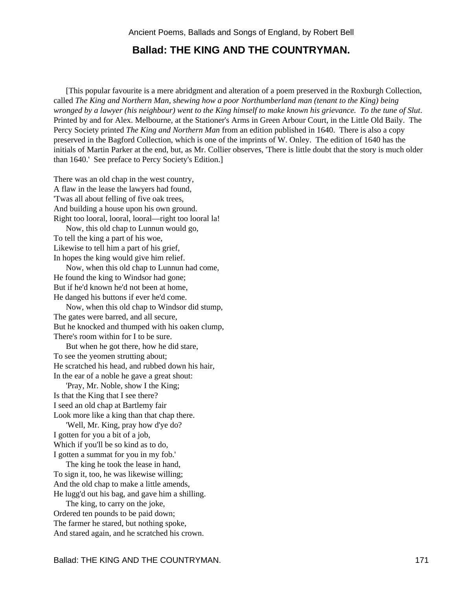## **Ballad: THE KING AND THE COUNTRYMAN.**

 [This popular favourite is a mere abridgment and alteration of a poem preserved in the Roxburgh Collection, called *The King and Northern Man, shewing how a poor Northumberland man (tenant to the King) being wronged by a lawyer (his neighbour) went to the King himself to make known his grievance. To the tune of Slut*. Printed by and for Alex. Melbourne, at the Stationer's Arms in Green Arbour Court, in the Little Old Baily. The Percy Society printed *The King and Northern Man* from an edition published in 1640. There is also a copy preserved in the Bagford Collection, which is one of the imprints of W. Onley. The edition of 1640 has the initials of Martin Parker at the end, but, as Mr. Collier observes, 'There is little doubt that the story is much older than 1640.' See preface to Percy Society's Edition.]

There was an old chap in the west country, A flaw in the lease the lawyers had found, 'Twas all about felling of five oak trees, And building a house upon his own ground. Right too looral, looral, looral—right too looral la! Now, this old chap to Lunnun would go, To tell the king a part of his woe, Likewise to tell him a part of his grief, In hopes the king would give him relief. Now, when this old chap to Lunnun had come, He found the king to Windsor had gone;

But if he'd known he'd not been at home, He danged his buttons if ever he'd come. Now, when this old chap to Windsor did stump,

The gates were barred, and all secure, But he knocked and thumped with his oaken clump, There's room within for I to be sure.

 But when he got there, how he did stare, To see the yeomen strutting about; He scratched his head, and rubbed down his hair, In the ear of a noble he gave a great shout:

 'Pray, Mr. Noble, show I the King; Is that the King that I see there? I seed an old chap at Bartlemy fair Look more like a king than that chap there.

 'Well, Mr. King, pray how d'ye do? I gotten for you a bit of a job, Which if you'll be so kind as to do, I gotten a summat for you in my fob.'

 The king he took the lease in hand, To sign it, too, he was likewise willing; And the old chap to make a little amends, He lugg'd out his bag, and gave him a shilling.

 The king, to carry on the joke, Ordered ten pounds to be paid down; The farmer he stared, but nothing spoke, And stared again, and he scratched his crown.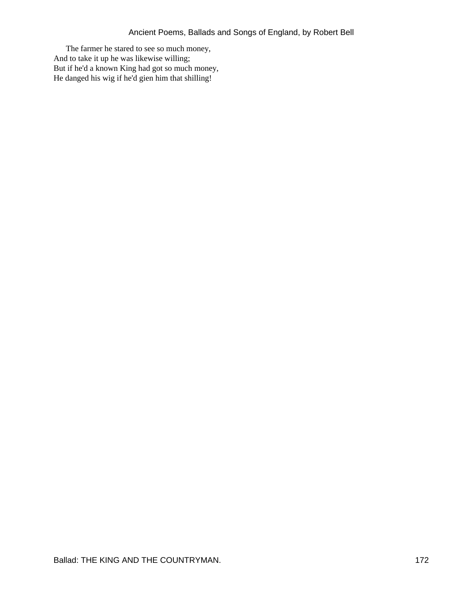The farmer he stared to see so much money, And to take it up he was likewise willing; But if he'd a known King had got so much money, He danged his wig if he'd gien him that shilling!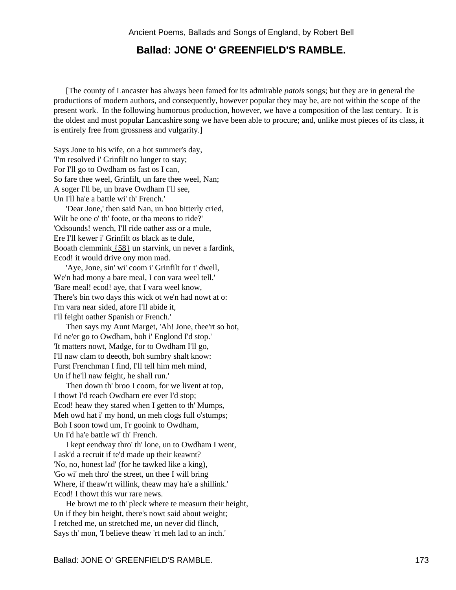### Ancient Poems, Ballads and Songs of England, by Robert Bell

## **Ballad: JONE O' GREENFIELD'S RAMBLE.**

 [The county of Lancaster has always been famed for its admirable *patois* songs; but they are in general the productions of modern authors, and consequently, however popular they may be, are not within the scope of the present work. In the following humorous production, however, we have a composition of the last century. It is the oldest and most popular Lancashire song we have been able to procure; and, unlike most pieces of its class, it is entirely free from grossness and vulgarity.]

Says Jone to his wife, on a hot summer's day, 'I'm resolved i' Grinfilt no lunger to stay; For I'll go to Owdham os fast os I can, So fare thee weel, Grinfilt, un fare thee weel, Nan; A soger I'll be, un brave Owdham I'll see, Un I'll ha'e a battle wi' th' French.'

 'Dear Jone,' then said Nan, un hoo bitterly cried, Wilt be one o' th' foote, or tha meons to ride?' 'Odsounds! wench, I'll ride oather ass or a mule, Ere I'll kewer i' Grinfilt os black as te dule, Booath clemmin[k {58}](#page-215-4) un starvink, un never a fardink, Ecod! it would drive ony mon mad.

 'Aye, Jone, sin' wi' coom i' Grinfilt for t' dwell, We'n had mony a bare meal, I con vara weel tell.' 'Bare meal! ecod! aye, that I vara weel know, There's bin two days this wick ot we'n had nowt at o: I'm vara near sided, afore I'll abide it, I'll feight oather Spanish or French.'

 Then says my Aunt Marget, 'Ah! Jone, thee'rt so hot, I'd ne'er go to Owdham, boh i' Englond I'd stop.' 'It matters nowt, Madge, for to Owdham I'll go, I'll naw clam to deeoth, boh sumbry shalt know: Furst Frenchman I find, I'll tell him meh mind, Un if he'll naw feight, he shall run.'

 Then down th' broo I coom, for we livent at top, I thowt I'd reach Owdharn ere ever I'd stop; Ecod! heaw they stared when I getten to th' Mumps, Meh owd hat i' my hond, un meh clogs full o'stumps; Boh I soon towd um, I'r gooink to Owdham, Un I'd ha'e battle wi' th' French.

 I kept eendway thro' th' lone, un to Owdham I went, I ask'd a recruit if te'd made up their keawnt? 'No, no, honest lad' (for he tawked like a king), 'Go wi' meh thro' the street, un thee I will bring Where, if theaw'rt willink, theaw may ha'e a shillink.' Ecod! I thowt this wur rare news.

 He browt me to th' pleck where te measurn their height, Un if they bin height, there's nowt said about weight; I retched me, un stretched me, un never did flinch, Says th' mon, 'I believe theaw 'rt meh lad to an inch.'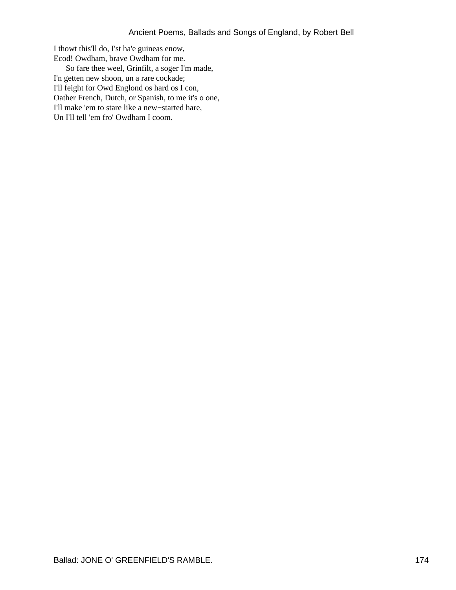I thowt this'll do, I'st ha'e guineas enow, Ecod! Owdham, brave Owdham for me. So fare thee weel, Grinfilt, a soger I'm made, I'n getten new shoon, un a rare cockade; I'll feight for Owd Englond os hard os I con, Oather French, Dutch, or Spanish, to me it's o one, I'll make 'em to stare like a new−started hare, Un I'll tell 'em fro' Owdham I coom.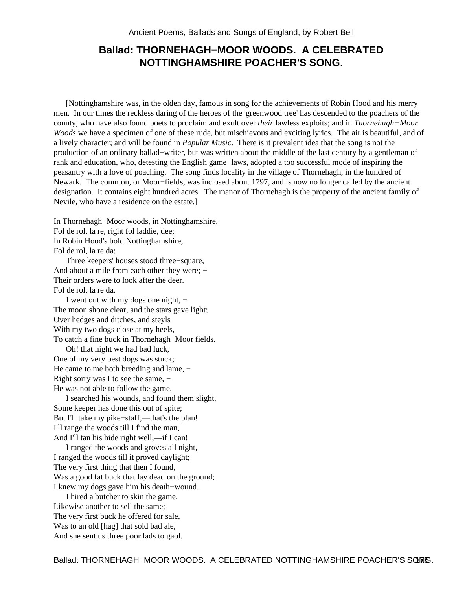# **Ballad: THORNEHAGH−MOOR WOODS. A CELEBRATED NOTTINGHAMSHIRE POACHER'S SONG.**

 [Nottinghamshire was, in the olden day, famous in song for the achievements of Robin Hood and his merry men. In our times the reckless daring of the heroes of the 'greenwood tree' has descended to the poachers of the county, who have also found poets to proclaim and exult over *their* lawless exploits; and in *Thornehagh−Moor Woods* we have a specimen of one of these rude, but mischievous and exciting lyrics. The air is beautiful, and of a lively character; and will be found in *Popular Music*. There is it prevalent idea that the song is not the production of an ordinary ballad−writer, but was written about the middle of the last century by a gentleman of rank and education, who, detesting the English game−laws, adopted a too successful mode of inspiring the peasantry with a love of poaching. The song finds locality in the village of Thornehagh, in the hundred of Newark. The common, or Moor−fields, was inclosed about 1797, and is now no longer called by the ancient designation. It contains eight hundred acres. The manor of Thornehagh is the property of the ancient family of Nevile, who have a residence on the estate.]

In Thornehagh−Moor woods, in Nottinghamshire, Fol de rol, la re, right fol laddie, dee; In Robin Hood's bold Nottinghamshire, Fol de rol, la re da;

 Three keepers' houses stood three−square, And about a mile from each other they were; – Their orders were to look after the deer. Fol de rol, la re da.

 I went out with my dogs one night, − The moon shone clear, and the stars gave light; Over hedges and ditches, and steyls With my two dogs close at my heels, To catch a fine buck in Thornehagh−Moor fields.

 Oh! that night we had bad luck, One of my very best dogs was stuck; He came to me both breeding and lame, – Right sorry was I to see the same, − He was not able to follow the game.

 I searched his wounds, and found them slight, Some keeper has done this out of spite; But I'll take my pike−staff,—that's the plan! I'll range the woods till I find the man, And I'll tan his hide right well,—if I can!

 I ranged the woods and groves all night, I ranged the woods till it proved daylight; The very first thing that then I found, Was a good fat buck that lay dead on the ground; I knew my dogs gave him his death−wound.

 I hired a butcher to skin the game, Likewise another to sell the same; The very first buck he offered for sale, Was to an old [hag] that sold bad ale, And she sent us three poor lads to gaol.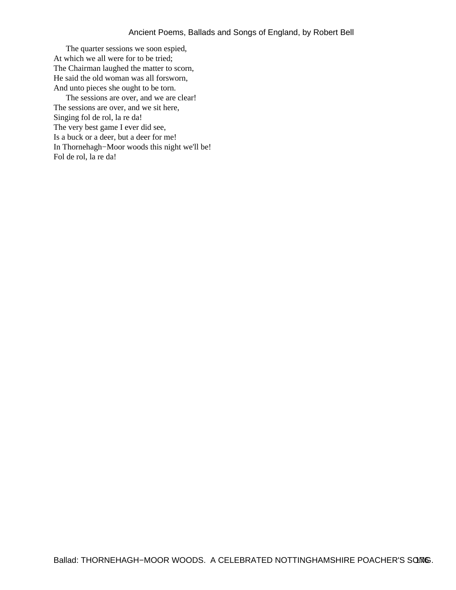The quarter sessions we soon espied, At which we all were for to be tried; The Chairman laughed the matter to scorn, He said the old woman was all forsworn, And unto pieces she ought to be torn.

 The sessions are over, and we are clear! The sessions are over, and we sit here, Singing fol de rol, la re da! The very best game I ever did see, Is a buck or a deer, but a deer for me! In Thornehagh−Moor woods this night we'll be! Fol de rol, la re da!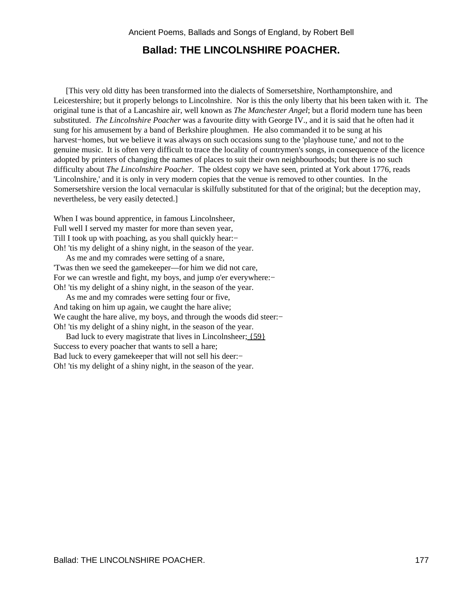### **Ballad: THE LINCOLNSHIRE POACHER.**

 [This very old ditty has been transformed into the dialects of Somersetshire, Northamptonshire, and Leicestershire; but it properly belongs to Lincolnshire. Nor is this the only liberty that his been taken with it. The original tune is that of a Lancashire air, well known as *The Manchester Angel*; but a florid modern tune has been substituted. *The Lincolnshire Poacher* was a favourite ditty with George IV., and it is said that he often had it sung for his amusement by a band of Berkshire ploughmen. He also commanded it to be sung at his harvest−homes, but we believe it was always on such occasions sung to the 'playhouse tune,' and not to the genuine music. It is often very difficult to trace the locality of countrymen's songs, in consequence of the licence adopted by printers of changing the names of places to suit their own neighbourhoods; but there is no such difficulty about *The Lincolnshire Poacher*. The oldest copy we have seen, printed at York about 1776, reads 'Lincolnshire,' and it is only in very modern copies that the venue is removed to other counties. In the Somersetshire version the local vernacular is skilfully substituted for that of the original; but the deception may, nevertheless, be very easily detected.]

When I was bound apprentice, in famous Lincolnsheer, Full well I served my master for more than seven year, Till I took up with poaching, as you shall quickly hear:− Oh! 'tis my delight of a shiny night, in the season of the year.

 As me and my comrades were setting of a snare, 'Twas then we seed the gamekeeper—for him we did not care, For we can wrestle and fight, my boys, and jump o'er everywhere:− Oh! 'tis my delight of a shiny night, in the season of the year.

 As me and my comrades were setting four or five, And taking on him up again, we caught the hare alive; We caught the hare alive, my boys, and through the woods did steer:− Oh! 'tis my delight of a shiny night, in the season of the year.

<span id="page-181-0"></span> Bad luck to every magistrate that lives in Lincolnsheer[; {59}](#page-215-0) Success to every poacher that wants to sell a hare; Bad luck to every gamekeeper that will not sell his deer:− Oh! 'tis my delight of a shiny night, in the season of the year.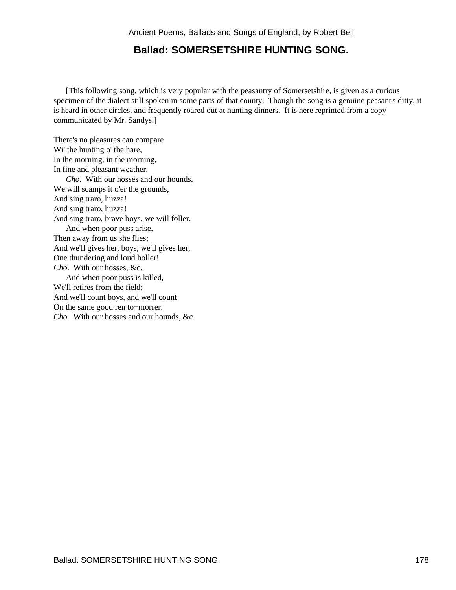#### Ancient Poems, Ballads and Songs of England, by Robert Bell

#### **Ballad: SOMERSETSHIRE HUNTING SONG.**

 [This following song, which is very popular with the peasantry of Somersetshire, is given as a curious specimen of the dialect still spoken in some parts of that county. Though the song is a genuine peasant's ditty, it is heard in other circles, and frequently roared out at hunting dinners. It is here reprinted from a copy communicated by Mr. Sandys.]

There's no pleasures can compare Wi' the hunting o' the hare, In the morning, in the morning, In fine and pleasant weather.  *Cho*. With our hosses and our hounds, We will scamps it o'er the grounds, And sing traro, huzza! And sing traro, huzza! And sing traro, brave boys, we will foller. And when poor puss arise, Then away from us she flies; And we'll gives her, boys, we'll gives her, One thundering and loud holler! *Cho*. With our hosses, &c. And when poor puss is killed, We'll retires from the field; And we'll count boys, and we'll count On the same good ren to−morrer. *Cho*. With our bosses and our hounds, &c.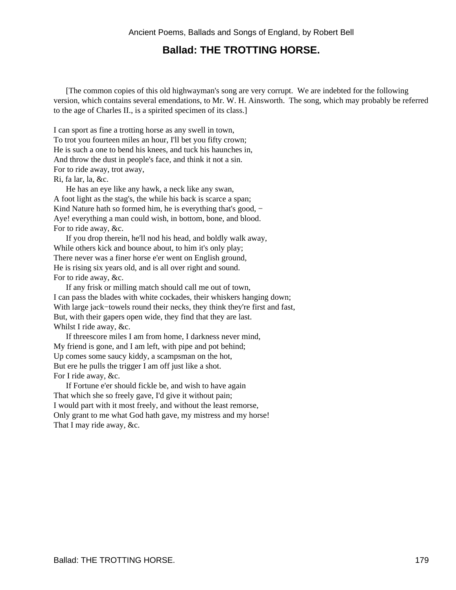#### **Ballad: THE TROTTING HORSE.**

 [The common copies of this old highwayman's song are very corrupt. We are indebted for the following version, which contains several emendations, to Mr. W. H. Ainsworth. The song, which may probably be referred to the age of Charles II., is a spirited specimen of its class.]

I can sport as fine a trotting horse as any swell in town, To trot you fourteen miles an hour, I'll bet you fifty crown; He is such a one to bend his knees, and tuck his haunches in, And throw the dust in people's face, and think it not a sin. For to ride away, trot away,

Ri, fa lar, la, &c.

 He has an eye like any hawk, a neck like any swan, A foot light as the stag's, the while his back is scarce a span; Kind Nature hath so formed him, he is everything that's good, – Aye! everything a man could wish, in bottom, bone, and blood. For to ride away, &c.

 If you drop therein, he'll nod his head, and boldly walk away, While others kick and bounce about, to him it's only play; There never was a finer horse e'er went on English ground, He is rising six years old, and is all over right and sound. For to ride away, &c.

 If any frisk or milling match should call me out of town, I can pass the blades with white cockades, their whiskers hanging down; With large jack−towels round their necks, they think they're first and fast, But, with their gapers open wide, they find that they are last. Whilst I ride away, &c.

 If threescore miles I am from home, I darkness never mind, My friend is gone, and I am left, with pipe and pot behind; Up comes some saucy kiddy, a scampsman on the hot, But ere he pulls the trigger I am off just like a shot. For I ride away, &c.

 If Fortune e'er should fickle be, and wish to have again That which she so freely gave, I'd give it without pain; I would part with it most freely, and without the least remorse, Only grant to me what God hath gave, my mistress and my horse! That I may ride away, &c.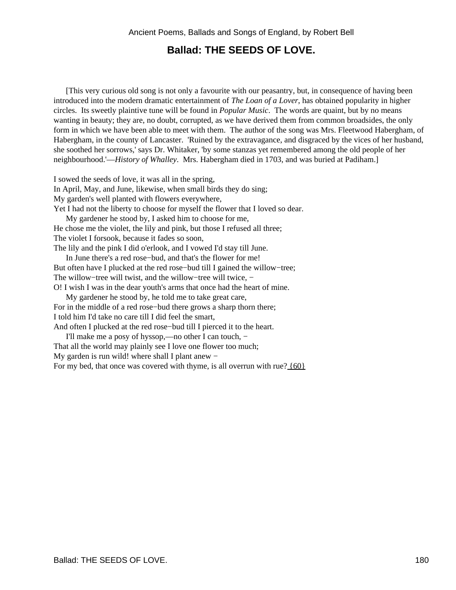### **Ballad: THE SEEDS OF LOVE.**

 [This very curious old song is not only a favourite with our peasantry, but, in consequence of having been introduced into the modern dramatic entertainment of *The Loan of a Lover*, has obtained popularity in higher circles. Its sweetly plaintive tune will be found in *Popular Music*. The words are quaint, but by no means wanting in beauty; they are, no doubt, corrupted, as we have derived them from common broadsides, the only form in which we have been able to meet with them. The author of the song was Mrs. Fleetwood Habergham, of Habergham, in the county of Lancaster. 'Ruined by the extravagance, and disgraced by the vices of her husband, she soothed her sorrows,' says Dr. Whitaker, 'by some stanzas yet remembered among the old people of her neighbourhood.'—*History of Whalley*. Mrs. Habergham died in 1703, and was buried at Padiham.]

I sowed the seeds of love, it was all in the spring, In April, May, and June, likewise, when small birds they do sing; My garden's well planted with flowers everywhere, Yet I had not the liberty to choose for myself the flower that I loved so dear. My gardener he stood by, I asked him to choose for me, He chose me the violet, the lily and pink, but those I refused all three; The violet I forsook, because it fades so soon, The lily and the pink I did o'erlook, and I vowed I'd stay till June. In June there's a red rose−bud, and that's the flower for me! But often have I plucked at the red rose−bud till I gained the willow−tree; The willow-tree will twist, and the willow-tree will twice, –

O! I wish I was in the dear youth's arms that once had the heart of mine.

 My gardener he stood by, he told me to take great care, For in the middle of a red rose−bud there grows a sharp thorn there; I told him I'd take no care till I did feel the smart, And often I plucked at the red rose−bud till I pierced it to the heart.

<span id="page-184-0"></span> I'll make me a posy of hyssop,—no other I can touch, − That all the world may plainly see I love one flower too much; My garden is run wild! where shall I plant anew − For my bed, that once was covered with thyme, is all overrun with rue?  $\{60\}$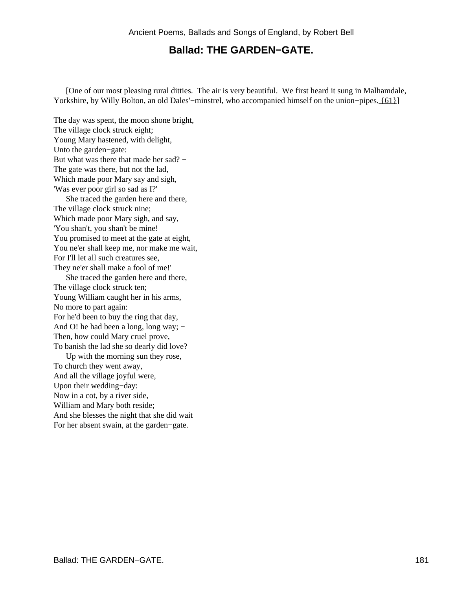#### **Ballad: THE GARDEN−GATE.**

<span id="page-185-0"></span> [One of our most pleasing rural ditties. The air is very beautiful. We first heard it sung in Malhamdale, Yorkshire, by Willy Bolton, an old Dales'−minstrel, who accompanied himself on the union–pipes. [{61}\]](#page-215-2)

The day was spent, the moon shone bright, The village clock struck eight; Young Mary hastened, with delight, Unto the garden−gate: But what was there that made her sad? – The gate was there, but not the lad, Which made poor Mary say and sigh, 'Was ever poor girl so sad as I?' She traced the garden here and there, The village clock struck nine; Which made poor Mary sigh, and say, 'You shan't, you shan't be mine! You promised to meet at the gate at eight, You ne'er shall keep me, nor make me wait, For I'll let all such creatures see, They ne'er shall make a fool of me!' She traced the garden here and there, The village clock struck ten; Young William caught her in his arms, No more to part again: For he'd been to buy the ring that day, And O! he had been a long, long way; – Then, how could Mary cruel prove, To banish the lad she so dearly did love? Up with the morning sun they rose, To church they went away, And all the village joyful were, Upon their wedding−day: Now in a cot, by a river side, William and Mary both reside; And she blesses the night that she did wait For her absent swain, at the garden−gate.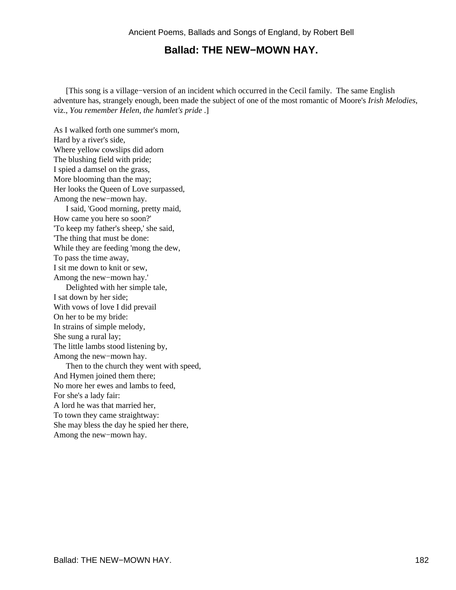### **Ballad: THE NEW−MOWN HAY.**

 [This song is a village−version of an incident which occurred in the Cecil family. The same English adventure has, strangely enough, been made the subject of one of the most romantic of Moore's *Irish Melodies*, viz., *You remember Helen, the hamlet's pride* .]

As I walked forth one summer's morn, Hard by a river's side, Where yellow cowslips did adorn The blushing field with pride; I spied a damsel on the grass, More blooming than the may; Her looks the Queen of Love surpassed, Among the new−mown hay. I said, 'Good morning, pretty maid, How came you here so soon?' 'To keep my father's sheep,' she said, 'The thing that must be done: While they are feeding 'mong the dew, To pass the time away, I sit me down to knit or sew, Among the new−mown hay.' Delighted with her simple tale, I sat down by her side; With vows of love I did prevail On her to be my bride: In strains of simple melody, She sung a rural lay; The little lambs stood listening by, Among the new−mown hay. Then to the church they went with speed, And Hymen joined them there; No more her ewes and lambs to feed, For she's a lady fair: A lord he was that married her, To town they came straightway: She may bless the day he spied her there, Among the new−mown hay.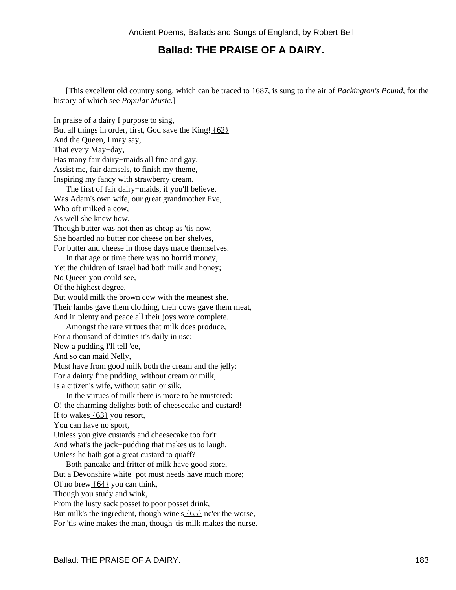#### **Ballad: THE PRAISE OF A DAIRY.**

 [This excellent old country song, which can be traced to 1687, is sung to the air of *Packington's Pound*, for the history of which see *Popular Music*.]

<span id="page-187-3"></span><span id="page-187-2"></span><span id="page-187-1"></span><span id="page-187-0"></span>In praise of a dairy I purpose to sing, But all things in order, first, God save the King[! {62}](#page-215-3) And the Queen, I may say, That every May−day, Has many fair dairy−maids all fine and gay. Assist me, fair damsels, to finish my theme, Inspiring my fancy with strawberry cream. The first of fair dairy−maids, if you'll believe, Was Adam's own wife, our great grandmother Eve, Who oft milked a cow, As well she knew how. Though butter was not then as cheap as 'tis now, She hoarded no butter nor cheese on her shelves, For butter and cheese in those days made themselves. In that age or time there was no horrid money, Yet the children of Israel had both milk and honey; No Queen you could see, Of the highest degree, But would milk the brown cow with the meanest she. Their lambs gave them clothing, their cows gave them meat, And in plenty and peace all their joys wore complete. Amongst the rare virtues that milk does produce, For a thousand of dainties it's daily in use: Now a pudding I'll tell 'ee, And so can maid Nelly, Must have from good milk both the cream and the jelly: For a dainty fine pudding, without cream or milk, Is a citizen's wife, without satin or silk. In the virtues of milk there is more to be mustered: O! the charming delights both of cheesecake and custard! If to wakes  $\{63\}$  you resort, You can have no sport, Unless you give custards and cheesecake too for't: And what's the jack−pudding that makes us to laugh, Unless he hath got a great custard to quaff? Both pancake and fritter of milk have good store, But a Devonshire white−pot must needs have much more; Of no bre[w {64}](#page-215-5) you can think, Though you study and wink, From the lusty sack posset to poor posset drink, But milk's the ingredient, though wine's  ${65}$  ne'er the worse, For 'tis wine makes the man, though 'tis milk makes the nurse.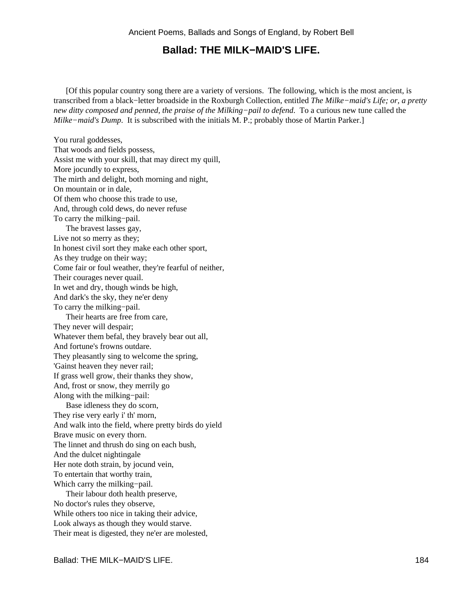### **Ballad: THE MILK−MAID'S LIFE.**

 [Of this popular country song there are a variety of versions. The following, which is the most ancient, is transcribed from a black−letter broadside in the Roxburgh Collection, entitled *The Milke−maid's Life; or, a pretty new ditty composed and penned, the praise of the Milking−pail to defend*. To a curious new tune called the *Milke−maid's Dump*. It is subscribed with the initials M. P.; probably those of Martin Parker.]

You rural goddesses, That woods and fields possess, Assist me with your skill, that may direct my quill, More jocundly to express, The mirth and delight, both morning and night, On mountain or in dale, Of them who choose this trade to use, And, through cold dews, do never refuse To carry the milking−pail. The bravest lasses gay, Live not so merry as they; In honest civil sort they make each other sport, As they trudge on their way; Come fair or foul weather, they're fearful of neither, Their courages never quail. In wet and dry, though winds be high, And dark's the sky, they ne'er deny To carry the milking−pail. Their hearts are free from care, They never will despair; Whatever them befal, they bravely bear out all, And fortune's frowns outdare. They pleasantly sing to welcome the spring, 'Gainst heaven they never rail; If grass well grow, their thanks they show, And, frost or snow, they merrily go Along with the milking−pail: Base idleness they do scorn, They rise very early i' th' morn, And walk into the field, where pretty birds do yield Brave music on every thorn. The linnet and thrush do sing on each bush, And the dulcet nightingale Her note doth strain, by jocund vein, To entertain that worthy train, Which carry the milking−pail. Their labour doth health preserve, No doctor's rules they observe, While others too nice in taking their advice, Look always as though they would starve. Their meat is digested, they ne'er are molested,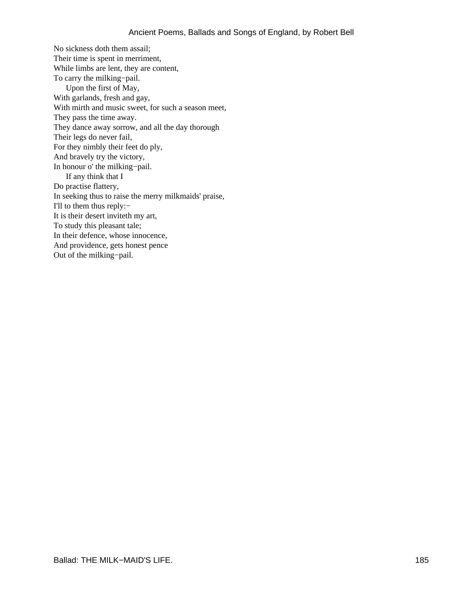No sickness doth them assail; Their time is spent in merriment, While limbs are lent, they are content, To carry the milking−pail. Upon the first of May, With garlands, fresh and gay, With mirth and music sweet, for such a season meet, They pass the time away. They dance away sorrow, and all the day thorough Their legs do never fail, For they nimbly their feet do ply, And bravely try the victory, In honour o' the milking−pail. If any think that I Do practise flattery, In seeking thus to raise the merry milkmaids' praise, I'll to them thus reply:− It is their desert inviteth my art, To study this pleasant tale; In their defence, whose innocence, And providence, gets honest pence Out of the milking−pail.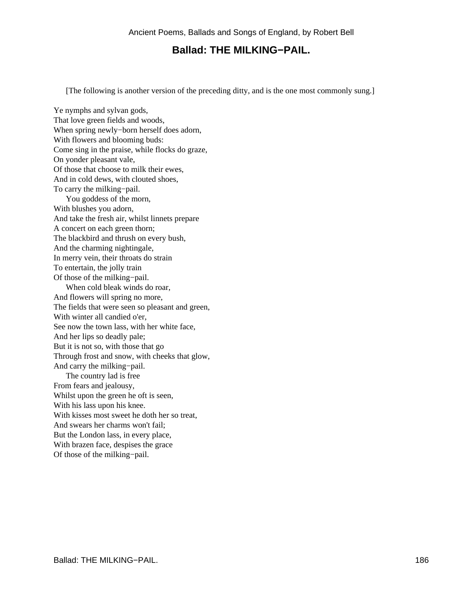### **Ballad: THE MILKING−PAIL.**

[The following is another version of the preceding ditty, and is the one most commonly sung.]

Ye nymphs and sylvan gods, That love green fields and woods, When spring newly−born herself does adorn, With flowers and blooming buds: Come sing in the praise, while flocks do graze, On yonder pleasant vale, Of those that choose to milk their ewes, And in cold dews, with clouted shoes, To carry the milking−pail. You goddess of the morn, With blushes you adorn, And take the fresh air, whilst linnets prepare A concert on each green thorn; The blackbird and thrush on every bush, And the charming nightingale, In merry vein, their throats do strain To entertain, the jolly train Of those of the milking−pail. When cold bleak winds do roar, And flowers will spring no more, The fields that were seen so pleasant and green, With winter all candied o'er. See now the town lass, with her white face, And her lips so deadly pale; But it is not so, with those that go Through frost and snow, with cheeks that glow, And carry the milking−pail. The country lad is free From fears and jealousy, Whilst upon the green he oft is seen, With his lass upon his knee. With kisses most sweet he doth her so treat, And swears her charms won't fail; But the London lass, in every place, With brazen face, despises the grace Of those of the milking−pail.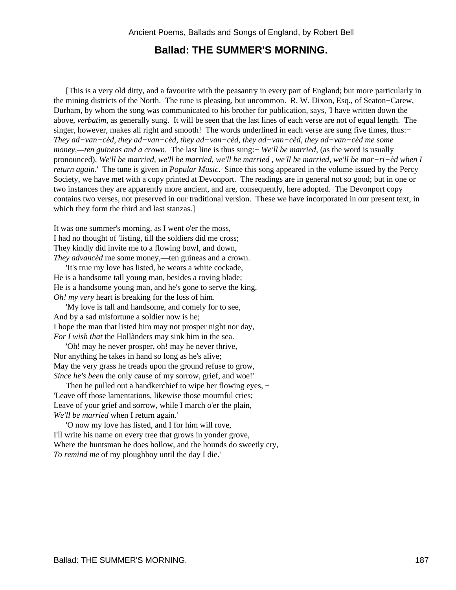#### **Ballad: THE SUMMER'S MORNING.**

 [This is a very old ditty, and a favourite with the peasantry in every part of England; but more particularly in the mining districts of the North. The tune is pleasing, but uncommon. R. W. Dixon, Esq., of Seaton−Carew, Durham, by whom the song was communicated to his brother for publication, says, 'I have written down the above, *verbatim*, as generally sung. It will be seen that the last lines of each verse are not of equal length. The singer, however, makes all right and smooth! The words underlined in each verse are sung five times, thus:− *They ad−van−cèd, they ad−van−cèd, they ad−van−cèd, they ad−van−cèd, they ad−van−cèd me some money,—ten guineas and a crown.* The last line is thus sung:− We'll be married, (as the word is usually pronounced), *We'll be married, we'll be married, we'll be married* , *we'll be married, we'll be mar−ri−èd when I return again*.' The tune is given in *Popular Music*. Since this song appeared in the volume issued by the Percy Society, we have met with a copy printed at Devonport. The readings are in general not so good; but in one or two instances they are apparently more ancient, and are, consequently, here adopted. The Devonport copy contains two verses, not preserved in our traditional version. These we have incorporated in our present text, in which they form the third and last stanzas.]

It was one summer's morning, as I went o'er the moss, I had no thought of 'listing, till the soldiers did me cross; They kindly did invite me to a flowing bowl, and down, *They advancèd* me some money,—ten guineas and a crown.

 'It's true my love has listed, he wears a white cockade, He is a handsome tall young man, besides a roving blade; He is a handsome young man, and he's gone to serve the king, *Oh! my very* heart is breaking for the loss of him.

 'My love is tall and handsome, and comely for to see, And by a sad misfortune a soldier now is he; I hope the man that listed him may not prosper night nor day, *For I wish that* the Hollànders may sink him in the sea.

 'Oh! may he never prosper, oh! may he never thrive, Nor anything he takes in hand so long as he's alive; May the very grass he treads upon the ground refuse to grow, *Since he's been* the only cause of my sorrow, grief, and woe!'

Then he pulled out a handkerchief to wipe her flowing eyes, – 'Leave off those lamentations, likewise those mournful cries; Leave of your grief and sorrow, while I march o'er the plain, *We'll be married* when I return again.'

 'O now my love has listed, and I for him will rove, I'll write his name on every tree that grows in yonder grove, Where the huntsman he does hollow, and the hounds do sweetly cry, *To remind me* of my ploughboy until the day I die.'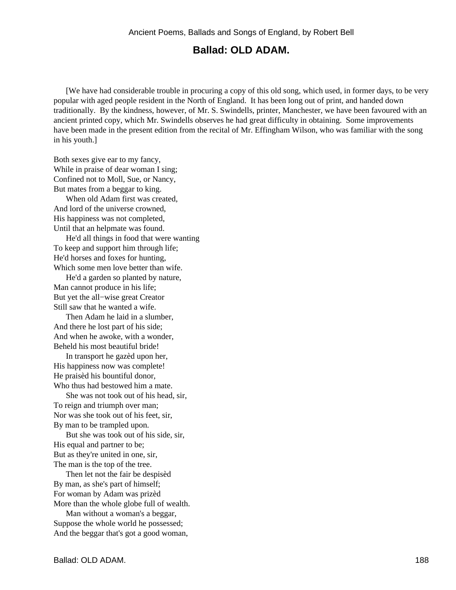#### **Ballad: OLD ADAM.**

 [We have had considerable trouble in procuring a copy of this old song, which used, in former days, to be very popular with aged people resident in the North of England. It has been long out of print, and handed down traditionally. By the kindness, however, of Mr. S. Swindells, printer, Manchester, we have been favoured with an ancient printed copy, which Mr. Swindells observes he had great difficulty in obtaining. Some improvements have been made in the present edition from the recital of Mr. Effingham Wilson, who was familiar with the song in his youth.]

Both sexes give ear to my fancy, While in praise of dear woman I sing; Confined not to Moll, Sue, or Nancy, But mates from a beggar to king.

 When old Adam first was created, And lord of the universe crowned, His happiness was not completed, Until that an helpmate was found.

 He'd all things in food that were wanting To keep and support him through life; He'd horses and foxes for hunting, Which some men love better than wife.

 He'd a garden so planted by nature, Man cannot produce in his life; But yet the all−wise great Creator Still saw that he wanted a wife.

 Then Adam he laid in a slumber, And there he lost part of his side; And when he awoke, with a wonder, Beheld his most beautiful bride!

 In transport he gazèd upon her, His happiness now was complete! He praisèd his bountiful donor, Who thus had bestowed him a mate.

 She was not took out of his head, sir, To reign and triumph over man; Nor was she took out of his feet, sir, By man to be trampled upon.

 But she was took out of his side, sir, His equal and partner to be; But as they're united in one, sir, The man is the top of the tree.

 Then let not the fair be despisèd By man, as she's part of himself; For woman by Adam was prizèd More than the whole globe full of wealth.

 Man without a woman's a beggar, Suppose the whole world he possessed; And the beggar that's got a good woman,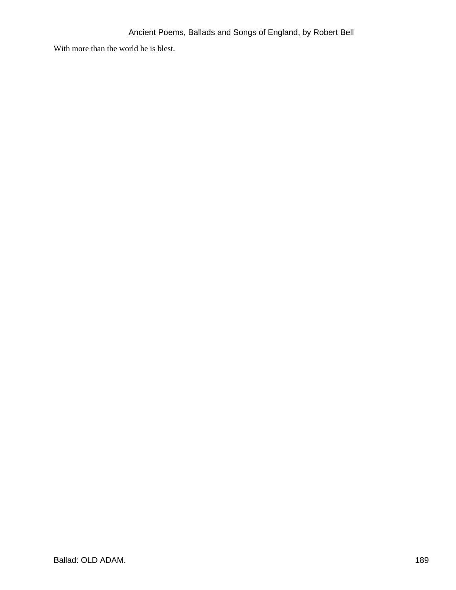With more than the world he is blest.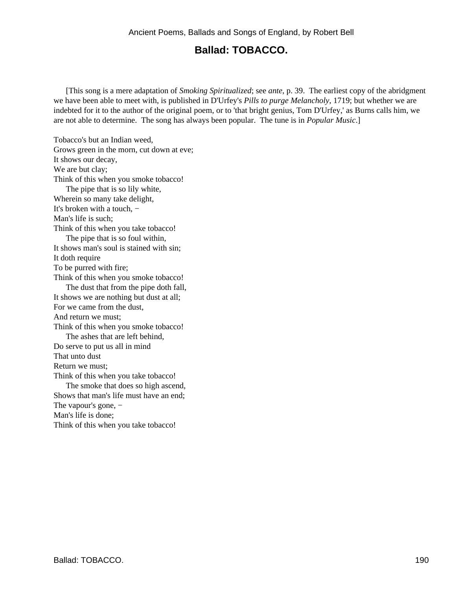## **Ballad: TOBACCO.**

 [This song is a mere adaptation of *Smoking Spiritualized*; see *ante*, p. 39. The earliest copy of the abridgment we have been able to meet with, is published in D'Urfey's *Pills to purge Melancholy*, 1719; but whether we are indebted for it to the author of the original poem, or to 'that bright genius, Tom D'Urfey,' as Burns calls him, we are not able to determine. The song has always been popular. The tune is in *Popular Music*.]

Tobacco's but an Indian weed, Grows green in the morn, cut down at eve; It shows our decay, We are but clay; Think of this when you smoke tobacco! The pipe that is so lily white, Wherein so many take delight, It's broken with a touch, − Man's life is such; Think of this when you take tobacco! The pipe that is so foul within, It shows man's soul is stained with sin; It doth require To be purred with fire; Think of this when you smoke tobacco! The dust that from the pipe doth fall, It shows we are nothing but dust at all; For we came from the dust, And return we must; Think of this when you smoke tobacco! The ashes that are left behind, Do serve to put us all in mind That unto dust Return we must; Think of this when you take tobacco! The smoke that does so high ascend, Shows that man's life must have an end; The vapour's gone, − Man's life is done; Think of this when you take tobacco!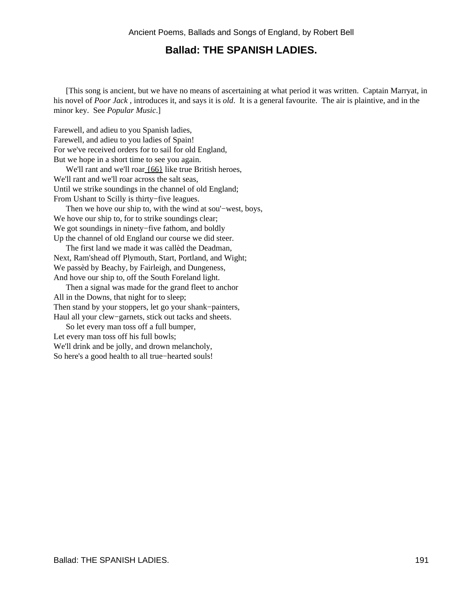#### **Ballad: THE SPANISH LADIES.**

 [This song is ancient, but we have no means of ascertaining at what period it was written. Captain Marryat, in his novel of *Poor Jack* , introduces it, and says it is *old*. It is a general favourite. The air is plaintive, and in the minor key. See *Popular Music*.]

Farewell, and adieu to you Spanish ladies, Farewell, and adieu to you ladies of Spain! For we've received orders for to sail for old England, But we hope in a short time to see you again.

We'll rant and we'll roa[r {66}](#page-216-0) like true British heroes, We'll rant and we'll roar across the salt seas, Until we strike soundings in the channel of old England; From Ushant to Scilly is thirty−five leagues.

Then we hove our ship to, with the wind at sou'−west, boys, We hove our ship to, for to strike soundings clear; We got soundings in ninety−five fathom, and boldly Up the channel of old England our course we did steer.

 The first land we made it was callèd the Deadman, Next, Ram'shead off Plymouth, Start, Portland, and Wight; We passèd by Beachy, by Fairleigh, and Dungeness, And hove our ship to, off the South Foreland light.

 Then a signal was made for the grand fleet to anchor All in the Downs, that night for to sleep; Then stand by your stoppers, let go your shank−painters, Haul all your clew−garnets, stick out tacks and sheets.

 So let every man toss off a full bumper, Let every man toss off his full bowls; We'll drink and be jolly, and drown melancholy, So here's a good health to all true−hearted souls!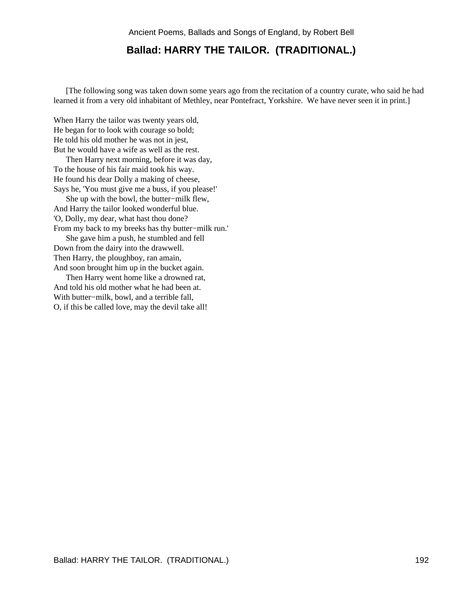#### Ancient Poems, Ballads and Songs of England, by Robert Bell

# **Ballad: HARRY THE TAILOR. (TRADITIONAL.)**

 [The following song was taken down some years ago from the recitation of a country curate, who said he had learned it from a very old inhabitant of Methley, near Pontefract, Yorkshire. We have never seen it in print.]

When Harry the tailor was twenty years old, He began for to look with courage so bold; He told his old mother he was not in jest, But he would have a wife as well as the rest.

 Then Harry next morning, before it was day, To the house of his fair maid took his way. He found his dear Dolly a making of cheese, Says he, 'You must give me a buss, if you please!'

 She up with the bowl, the butter−milk flew, And Harry the tailor looked wonderful blue. 'O, Dolly, my dear, what hast thou done? From my back to my breeks has thy butter−milk run.'

 She gave him a push, he stumbled and fell Down from the dairy into the drawwell. Then Harry, the ploughboy, ran amain, And soon brought him up in the bucket again.

 Then Harry went home like a drowned rat, And told his old mother what he had been at. With butter−milk, bowl, and a terrible fall, O, if this be called love, may the devil take all!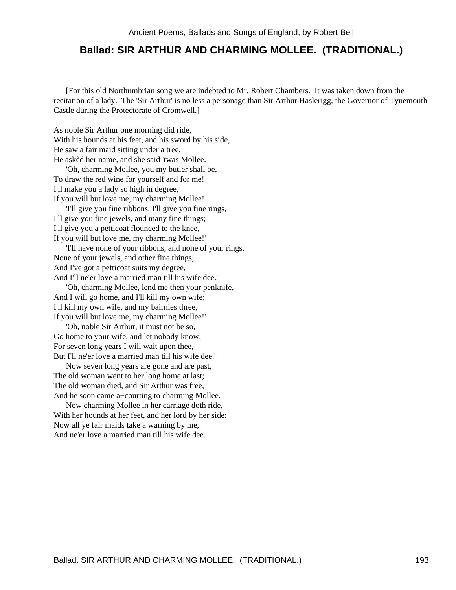#### Ancient Poems, Ballads and Songs of England, by Robert Bell

## **Ballad: SIR ARTHUR AND CHARMING MOLLEE. (TRADITIONAL.)**

 [For this old Northumbrian song we are indebted to Mr. Robert Chambers. It was taken down from the recitation of a lady. The 'Sir Arthur' is no less a personage than Sir Arthur Haslerigg, the Governor of Tynemouth Castle during the Protectorate of Cromwell.]

As noble Sir Arthur one morning did ride, With his hounds at his feet, and his sword by his side, He saw a fair maid sitting under a tree, He askèd her name, and she said 'twas Mollee.

 'Oh, charming Mollee, you my butler shall be, To draw the red wine for yourself and for me! I'll make you a lady so high in degree, If you will but love me, my charming Mollee!

 'I'll give you fine ribbons, I'll give you fine rings, I'll give you fine jewels, and many fine things; I'll give you a petticoat flounced to the knee, If you will but love me, my charming Mollee!'

 'I'll have none of your ribbons, and none of your rings, None of your jewels, and other fine things; And I've got a petticoat suits my degree, And I'll ne'er love a married man till his wife dee.'

 'Oh, charming Mollee, lend me then your penknife, And I will go home, and I'll kill my own wife; I'll kill my own wife, and my bairnies three, If you will but love me, my charming Mollee!'

 'Oh, noble Sir Arthur, it must not be so, Go home to your wife, and let nobody know; For seven long years I will wait upon thee, But I'll ne'er love a married man till his wife dee.'

 Now seven long years are gone and are past, The old woman went to her long home at last; The old woman died, and Sir Arthur was free, And he soon came a−courting to charming Mollee.

 Now charming Mollee in her carriage doth ride, With her hounds at her feet, and her lord by her side: Now all ye fair maids take a warning by me, And ne'er love a married man till his wife dee.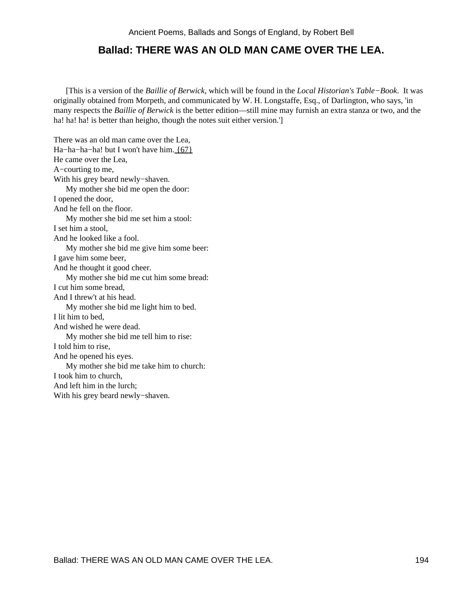### **Ballad: THERE WAS AN OLD MAN CAME OVER THE LEA.**

 [This is a version of the *Baillie of Berwick*, which will be found in the *Local Historian's Table−Book*. It was originally obtained from Morpeth, and communicated by W. H. Longstaffe, Esq., of Darlington, who says, 'in many respects the *Baillie of Berwick* is the better edition—still mine may furnish an extra stanza or two, and the ha! ha! ha! is better than heigho, though the notes suit either version.']

There was an old man came over the Lea, Ha−ha−ha−ha! but I won't have him[. {67}](#page-216-1) He came over the Lea, A−courting to me, With his grey beard newly−shaven. My mother she bid me open the door: I opened the door, And he fell on the floor. My mother she bid me set him a stool: I set him a stool, And he looked like a fool. My mother she bid me give him some beer: I gave him some beer, And he thought it good cheer. My mother she bid me cut him some bread: I cut him some bread, And I threw't at his head. My mother she bid me light him to bed. I lit him to bed, And wished he were dead. My mother she bid me tell him to rise: I told him to rise, And he opened his eyes. My mother she bid me take him to church: I took him to church, And left him in the lurch; With his grey beard newly−shaven.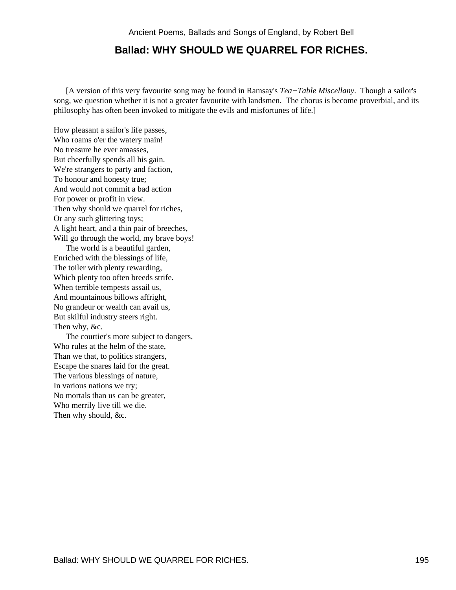### **Ballad: WHY SHOULD WE QUARREL FOR RICHES.**

 [A version of this very favourite song may be found in Ramsay's *Tea−Table Miscellany*. Though a sailor's song, we question whether it is not a greater favourite with landsmen. The chorus is become proverbial, and its philosophy has often been invoked to mitigate the evils and misfortunes of life.]

How pleasant a sailor's life passes, Who roams o'er the watery main! No treasure he ever amasses, But cheerfully spends all his gain. We're strangers to party and faction, To honour and honesty true; And would not commit a bad action For power or profit in view. Then why should we quarrel for riches, Or any such glittering toys; A light heart, and a thin pair of breeches, Will go through the world, my brave boys! The world is a beautiful garden, Enriched with the blessings of life, The toiler with plenty rewarding, Which plenty too often breeds strife. When terrible tempests assail us, And mountainous billows affright, No grandeur or wealth can avail us, But skilful industry steers right. Then why, &c. The courtier's more subject to dangers,

Who rules at the helm of the state, Than we that, to politics strangers, Escape the snares laid for the great. The various blessings of nature, In various nations we try; No mortals than us can be greater, Who merrily live till we die. Then why should, &c.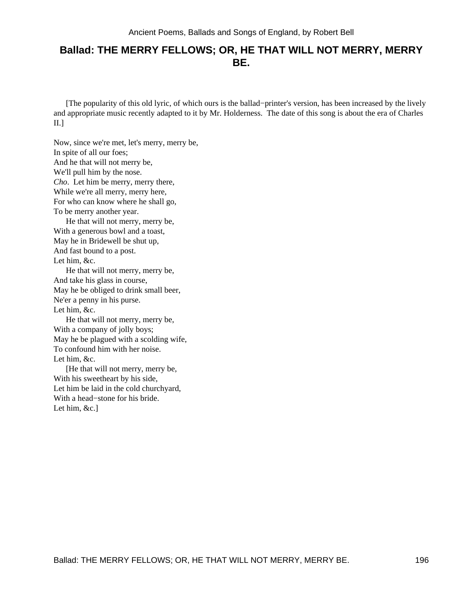# **Ballad: THE MERRY FELLOWS; OR, HE THAT WILL NOT MERRY, MERRY BE.**

 [The popularity of this old lyric, of which ours is the ballad−printer's version, has been increased by the lively and appropriate music recently adapted to it by Mr. Holderness. The date of this song is about the era of Charles II.]

Now, since we're met, let's merry, merry be, In spite of all our foes; And he that will not merry be, We'll pull him by the nose. *Cho*. Let him be merry, merry there, While we're all merry, merry here, For who can know where he shall go, To be merry another year. He that will not merry, merry be, With a generous bowl and a toast, May he in Bridewell be shut up, And fast bound to a post. Let him, &c. He that will not merry, merry be, And take his glass in course, May he be obliged to drink small beer, Ne'er a penny in his purse. Let him, &c. He that will not merry, merry be, With a company of jolly boys; May he be plagued with a scolding wife, To confound him with her noise. Let him, &c. [He that will not merry, merry be, With his sweetheart by his side, Let him be laid in the cold churchyard, With a head−stone for his bride. Let him, &c.]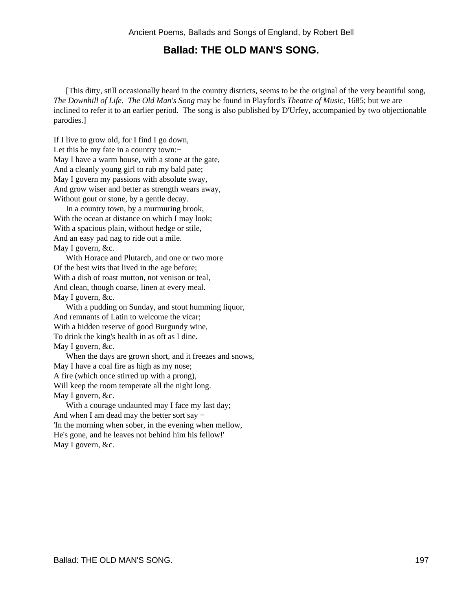### **Ballad: THE OLD MAN'S SONG.**

 [This ditty, still occasionally heard in the country districts, seems to be the original of the very beautiful song, *The Downhill of Life. The Old Man's Song* may be found in Playford's *Theatre of Music*, 1685; but we are inclined to refer it to an earlier period. The song is also published by D'Urfey, accompanied by two objectionable parodies.]

If I live to grow old, for I find I go down, Let this be my fate in a country town:− May I have a warm house, with a stone at the gate, And a cleanly young girl to rub my bald pate; May I govern my passions with absolute sway, And grow wiser and better as strength wears away, Without gout or stone, by a gentle decay.

 In a country town, by a murmuring brook, With the ocean at distance on which I may look; With a spacious plain, without hedge or stile, And an easy pad nag to ride out a mile. May I govern, &c.

 With Horace and Plutarch, and one or two more Of the best wits that lived in the age before; With a dish of roast mutton, not venison or teal, And clean, though coarse, linen at every meal. May I govern, &c.

 With a pudding on Sunday, and stout humming liquor, And remnants of Latin to welcome the vicar; With a hidden reserve of good Burgundy wine, To drink the king's health in as oft as I dine. May I govern, &c.

 When the days are grown short, and it freezes and snows, May I have a coal fire as high as my nose; A fire (which once stirred up with a prong), Will keep the room temperate all the night long. May I govern, &c.

 With a courage undaunted may I face my last day; And when I am dead may the better sort say − 'In the morning when sober, in the evening when mellow, He's gone, and he leaves not behind him his fellow!' May I govern, &c.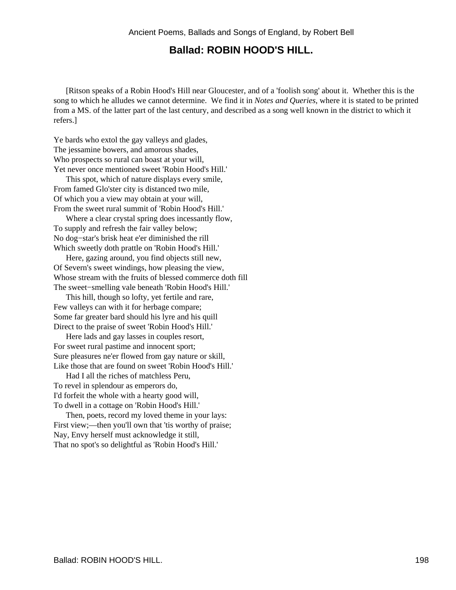#### **Ballad: ROBIN HOOD'S HILL.**

 [Ritson speaks of a Robin Hood's Hill near Gloucester, and of a 'foolish song' about it. Whether this is the song to which he alludes we cannot determine. We find it in *Notes and Queries*, where it is stated to be printed from a MS. of the latter part of the last century, and described as a song well known in the district to which it refers.]

Ye bards who extol the gay valleys and glades, The jessamine bowers, and amorous shades, Who prospects so rural can boast at your will, Yet never once mentioned sweet 'Robin Hood's Hill.'

 This spot, which of nature displays every smile, From famed Glo'ster city is distanced two mile, Of which you a view may obtain at your will, From the sweet rural summit of 'Robin Hood's Hill.'

 Where a clear crystal spring does incessantly flow, To supply and refresh the fair valley below; No dog−star's brisk heat e'er diminished the rill Which sweetly doth prattle on 'Robin Hood's Hill.'

 Here, gazing around, you find objects still new, Of Severn's sweet windings, how pleasing the view, Whose stream with the fruits of blessed commerce doth fill The sweet−smelling vale beneath 'Robin Hood's Hill.'

 This hill, though so lofty, yet fertile and rare, Few valleys can with it for herbage compare; Some far greater bard should his lyre and his quill Direct to the praise of sweet 'Robin Hood's Hill.'

 Here lads and gay lasses in couples resort, For sweet rural pastime and innocent sport; Sure pleasures ne'er flowed from gay nature or skill, Like those that are found on sweet 'Robin Hood's Hill.'

 Had I all the riches of matchless Peru, To revel in splendour as emperors do, I'd forfeit the whole with a hearty good will, To dwell in a cottage on 'Robin Hood's Hill.'

 Then, poets, record my loved theme in your lays: First view;—then you'll own that 'tis worthy of praise; Nay, Envy herself must acknowledge it still, That no spot's so delightful as 'Robin Hood's Hill.'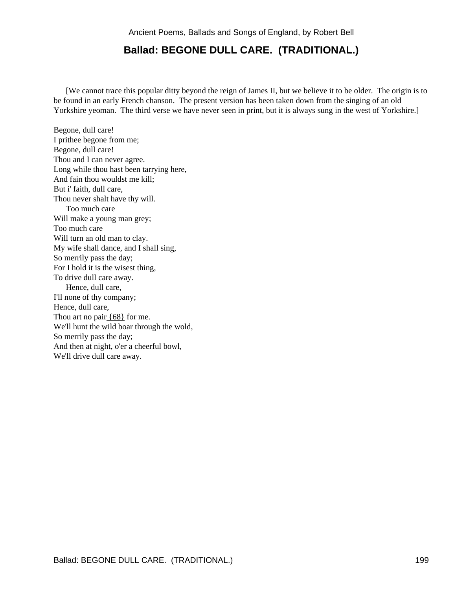# **Ballad: BEGONE DULL CARE. (TRADITIONAL.)**

 [We cannot trace this popular ditty beyond the reign of James II, but we believe it to be older. The origin is to be found in an early French chanson. The present version has been taken down from the singing of an old Yorkshire yeoman. The third verse we have never seen in print, but it is always sung in the west of Yorkshire.]

Begone, dull care! I prithee begone from me; Begone, dull care! Thou and I can never agree. Long while thou hast been tarrying here, And fain thou wouldst me kill; But i' faith, dull care, Thou never shalt have thy will. Too much care Will make a young man grey; Too much care Will turn an old man to clay. My wife shall dance, and I shall sing, So merrily pass the day; For I hold it is the wisest thing, To drive dull care away. Hence, dull care, I'll none of thy company; Hence, dull care, Thou art no pair  ${68}$  for me. We'll hunt the wild boar through the wold, So merrily pass the day; And then at night, o'er a cheerful bowl, We'll drive dull care away.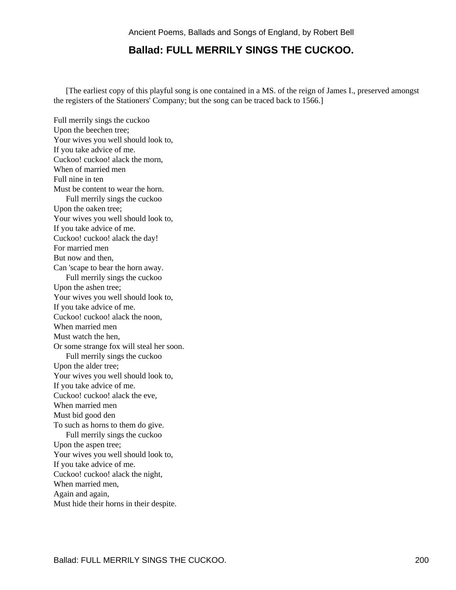#### Ancient Poems, Ballads and Songs of England, by Robert Bell

#### **Ballad: FULL MERRILY SINGS THE CUCKOO.**

 [The earliest copy of this playful song is one contained in a MS. of the reign of James I., preserved amongst the registers of the Stationers' Company; but the song can be traced back to 1566.]

Full merrily sings the cuckoo Upon the beechen tree; Your wives you well should look to, If you take advice of me. Cuckoo! cuckoo! alack the morn, When of married men Full nine in ten Must be content to wear the horn. Full merrily sings the cuckoo Upon the oaken tree; Your wives you well should look to, If you take advice of me. Cuckoo! cuckoo! alack the day! For married men But now and then, Can 'scape to bear the horn away. Full merrily sings the cuckoo Upon the ashen tree; Your wives you well should look to, If you take advice of me. Cuckoo! cuckoo! alack the noon, When married men Must watch the hen, Or some strange fox will steal her soon. Full merrily sings the cuckoo Upon the alder tree; Your wives you well should look to, If you take advice of me. Cuckoo! cuckoo! alack the eve, When married men Must bid good den To such as horns to them do give. Full merrily sings the cuckoo Upon the aspen tree; Your wives you well should look to, If you take advice of me. Cuckoo! cuckoo! alack the night, When married men, Again and again, Must hide their horns in their despite.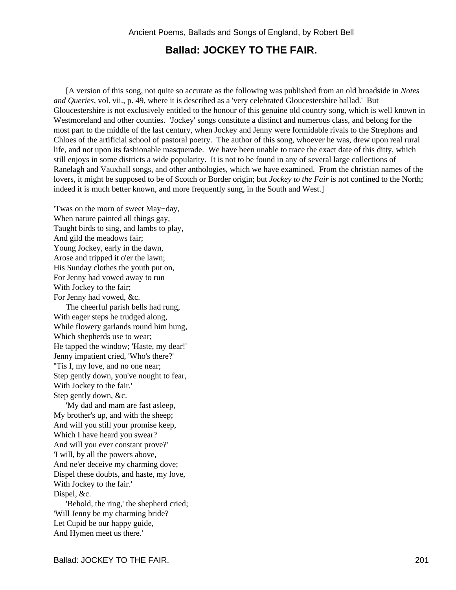## **Ballad: JOCKEY TO THE FAIR.**

 [A version of this song, not quite so accurate as the following was published from an old broadside in *Notes and Queries*, vol. vii., p. 49, where it is described as a 'very celebrated Gloucestershire ballad.' But Gloucestershire is not exclusively entitled to the honour of this genuine old country song, which is well known in Westmoreland and other counties. 'Jockey' songs constitute a distinct and numerous class, and belong for the most part to the middle of the last century, when Jockey and Jenny were formidable rivals to the Strephons and Chloes of the artificial school of pastoral poetry. The author of this song, whoever he was, drew upon real rural life, and not upon its fashionable masquerade. We have been unable to trace the exact date of this ditty, which still enjoys in some districts a wide popularity. It is not to be found in any of several large collections of Ranelagh and Vauxhall songs, and other anthologies, which we have examined. From the christian names of the lovers, it might be supposed to be of Scotch or Border origin; but *Jockey to the Fair* is not confined to the North; indeed it is much better known, and more frequently sung, in the South and West.]

'Twas on the morn of sweet May−day, When nature painted all things gay, Taught birds to sing, and lambs to play, And gild the meadows fair; Young Jockey, early in the dawn, Arose and tripped it o'er the lawn; His Sunday clothes the youth put on, For Jenny had vowed away to run With Jockey to the fair; For Jenny had vowed, &c.

 The cheerful parish bells had rung, With eager steps he trudged along, While flowery garlands round him hung, Which shepherds use to wear; He tapped the window; 'Haste, my dear!' Jenny impatient cried, 'Who's there?' ''Tis I, my love, and no one near; Step gently down, you've nought to fear, With Jockey to the fair.' Step gently down, &c.

 'My dad and mam are fast asleep, My brother's up, and with the sheep; And will you still your promise keep, Which I have heard you swear? And will you ever constant prove?' 'I will, by all the powers above, And ne'er deceive my charming dove; Dispel these doubts, and haste, my love, With Jockey to the fair.' Dispel, &c.

 'Behold, the ring,' the shepherd cried; 'Will Jenny be my charming bride? Let Cupid be our happy guide, And Hymen meet us there.'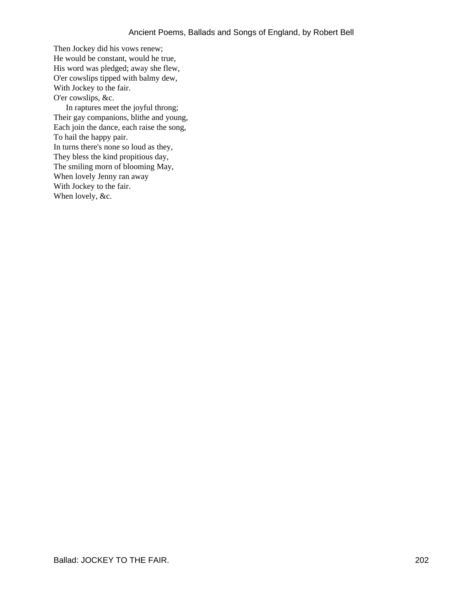Then Jockey did his vows renew; He would be constant, would he true, His word was pledged; away she flew, O'er cowslips tipped with balmy dew, With Jockey to the fair. O'er cowslips, &c. In raptures meet the joyful throng;

Their gay companions, blithe and young, Each join the dance, each raise the song, To hail the happy pair. In turns there's none so loud as they, They bless the kind propitious day, The smiling morn of blooming May, When lovely Jenny ran away With Jockey to the fair. When lovely, &c.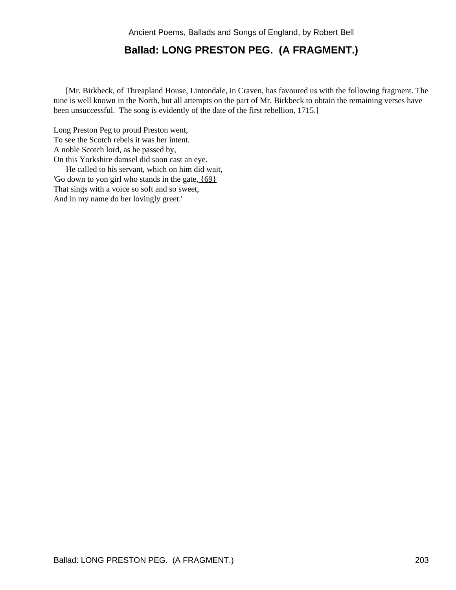# **Ballad: LONG PRESTON PEG. (A FRAGMENT.)**

 [Mr. Birkbeck, of Threapland House, Lintondale, in Craven, has favoured us with the following fragment. The tune is well known in the North, but all attempts on the part of Mr. Birkbeck to obtain the remaining verses have been unsuccessful. The song is evidently of the date of the first rebellion, 1715.]

Long Preston Peg to proud Preston went, To see the Scotch rebels it was her intent. A noble Scotch lord, as he passed by, On this Yorkshire damsel did soon cast an eye. He called to his servant, which on him did wait,

'Go down to yon girl who stands in the gate,  ${69}$ That sings with a voice so soft and so sweet, And in my name do her lovingly greet.'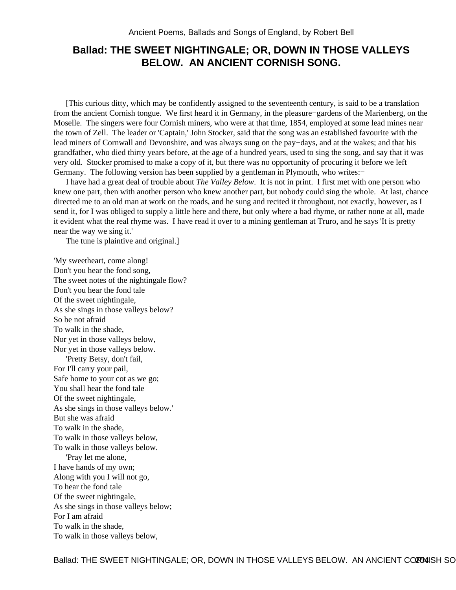# **Ballad: THE SWEET NIGHTINGALE; OR, DOWN IN THOSE VALLEYS BELOW. AN ANCIENT CORNISH SONG.**

 [This curious ditty, which may be confidently assigned to the seventeenth century, is said to be a translation from the ancient Cornish tongue. We first heard it in Germany, in the pleasure−gardens of the Marienberg, on the Moselle. The singers were four Cornish miners, who were at that time, 1854, employed at some lead mines near the town of Zell. The leader or 'Captain,' John Stocker, said that the song was an established favourite with the lead miners of Cornwall and Devonshire, and was always sung on the pay−days, and at the wakes; and that his grandfather, who died thirty years before, at the age of a hundred years, used to sing the song, and say that it was very old. Stocker promised to make a copy of it, but there was no opportunity of procuring it before we left Germany. The following version has been supplied by a gentleman in Plymouth, who writes:−

 I have had a great deal of trouble about *The Valley Below*. It is not in print. I first met with one person who knew one part, then with another person who knew another part, but nobody could sing the whole. At last, chance directed me to an old man at work on the roads, and he sung and recited it throughout, not exactly, however, as I send it, for I was obliged to supply a little here and there, but only where a bad rhyme, or rather none at all, made it evident what the real rhyme was. I have read it over to a mining gentleman at Truro, and he says 'It is pretty near the way we sing it.'

The tune is plaintive and original.]

'My sweetheart, come along! Don't you hear the fond song, The sweet notes of the nightingale flow? Don't you hear the fond tale Of the sweet nightingale, As she sings in those valleys below? So be not afraid To walk in the shade, Nor yet in those valleys below, Nor yet in those valleys below. 'Pretty Betsy, don't fail, For I'll carry your pail, Safe home to your cot as we go; You shall hear the fond tale Of the sweet nightingale, As she sings in those valleys below.' But she was afraid To walk in the shade, To walk in those valleys below, To walk in those valleys below. 'Pray let me alone, I have hands of my own; Along with you I will not go, To hear the fond tale Of the sweet nightingale, As she sings in those valleys below; For I am afraid To walk in the shade, To walk in those valleys below,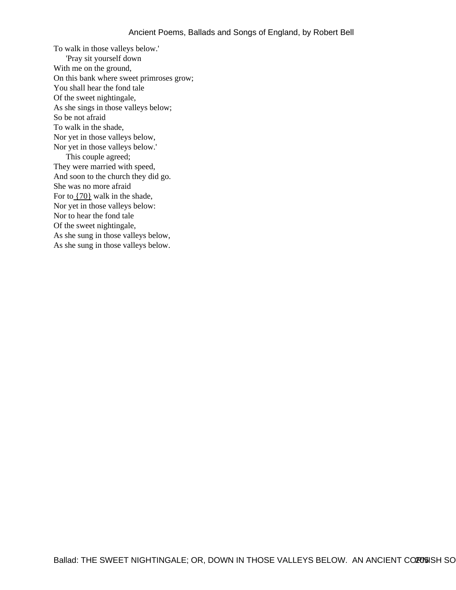To walk in those valleys below.' 'Pray sit yourself down With me on the ground, On this bank where sweet primroses grow; You shall hear the fond tale Of the sweet nightingale, As she sings in those valleys below; So be not afraid To walk in the shade, Nor yet in those valleys below, Nor yet in those valleys below.' This couple agreed; They were married with speed, And soon to the church they did go. She was no more afraid For to [{70}](#page-216-4) walk in the shade, Nor yet in those valleys below: Nor to hear the fond tale Of the sweet nightingale, As she sung in those valleys below, As she sung in those valleys below.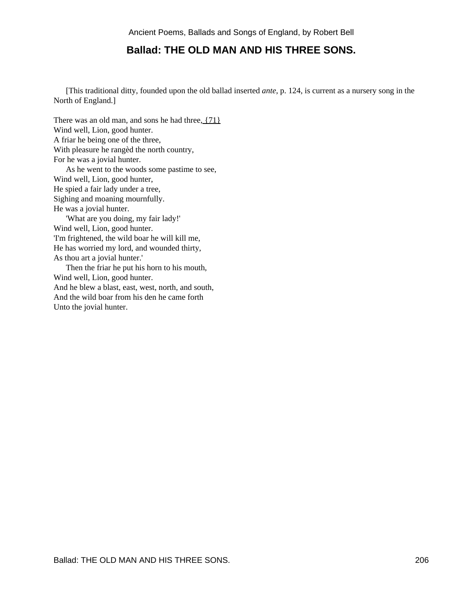## **Ballad: THE OLD MAN AND HIS THREE SONS.**

 [This traditional ditty, founded upon the old ballad inserted *ante*, p. 124, is current as a nursery song in the North of England.]

There was an old man, and sons he had three,  $\{71\}$ Wind well, Lion, good hunter. A friar he being one of the three, With pleasure he rangèd the north country, For he was a jovial hunter. As he went to the woods some pastime to see, Wind well, Lion, good hunter, He spied a fair lady under a tree, Sighing and moaning mournfully. He was a jovial hunter. 'What are you doing, my fair lady!' Wind well, Lion, good hunter. 'I'm frightened, the wild boar he will kill me, He has worried my lord, and wounded thirty, As thou art a jovial hunter.'

 Then the friar he put his horn to his mouth, Wind well, Lion, good hunter. And he blew a blast, east, west, north, and south, And the wild boar from his den he came forth Unto the jovial hunter.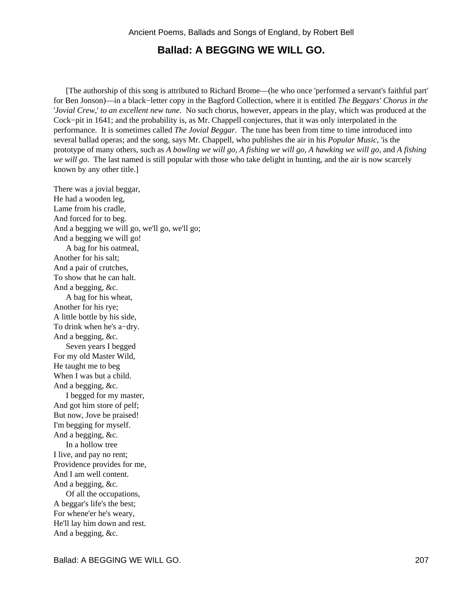#### **Ballad: A BEGGING WE WILL GO.**

 [The authorship of this song is attributed to Richard Brome—(he who once 'performed a servant's faithful part' for Ben Jonson)—in a black−letter copy in the Bagford Collection, where it is entitled *The Beggars' Chorus in the* '*Jovial Crew*,' *to an excellent new tune*. No such chorus, however, appears in the play, which was produced at the Cock−pit in 1641; and the probability is, as Mr. Chappell conjectures, that it was only interpolated in the performance. It is sometimes called *The Jovial Beggar*. The tune has been from time to time introduced into several ballad operas; and the song, says Mr. Chappell, who publishes the air in his *Popular Music*, 'is the prototype of many others, such as *A bowling we will go, A fishing we will go, A hawking we will go*, and *A fishing we will go*. The last named is still popular with those who take delight in hunting, and the air is now scarcely known by any other title.]

There was a jovial beggar, He had a wooden leg, Lame from his cradle, And forced for to beg. And a begging we will go, we'll go, we'll go; And a begging we will go! A bag for his oatmeal, Another for his salt; And a pair of crutches, To show that he can halt. And a begging, &c. A bag for his wheat, Another for his rye; A little bottle by his side, To drink when he's a−dry. And a begging, &c. Seven years I begged For my old Master Wild, He taught me to beg When I was but a child. And a begging, &c. I begged for my master, And got him store of pelf; But now, Jove be praised! I'm begging for myself. And a begging, &c. In a hollow tree I live, and pay no rent; Providence provides for me, And I am well content. And a begging, &c. Of all the occupations, A beggar's life's the best; For whene'er he's weary, He'll lay him down and rest. And a begging, &c.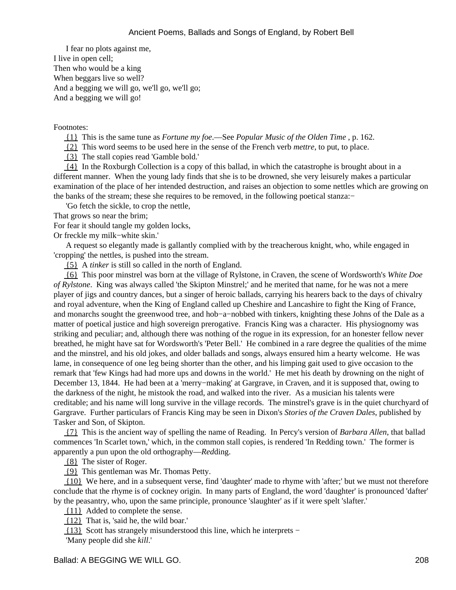I fear no plots against me, I live in open cell; Then who would be a king When beggars live so well? And a begging we will go, we'll go, we'll go; And a begging we will go!

Footnotes:

 [{1}](#page-23-0) This is the same tune as *Fortune my foe*.—See *Popular Music of the Olden Time* , p. 162.

 [{2}](#page-45-0) This word seems to be used here in the sense of the French verb *mettre*, to put, to place.

 [{3}](#page-53-0) The stall copies read 'Gamble bold.'

 [{4}](#page-55-0) In the Roxburgh Collection is a copy of this ballad, in which the catastrophe is brought about in a different manner. When the young lady finds that she is to be drowned, she very leisurely makes a particular examination of the place of her intended destruction, and raises an objection to some nettles which are growing on the banks of the stream; these she requires to be removed, in the following poetical stanza:−

'Go fetch the sickle, to crop the nettle,

That grows so near the brim;

For fear it should tangle my golden locks,

Or freckle my milk−white skin.'

 A request so elegantly made is gallantly complied with by the treacherous knight, who, while engaged in 'cropping' the nettles, is pushed into the stream.

 [{5}](#page-62-0) A *tinker* is still so called in the north of England.

 [{6}](#page-62-1) This poor minstrel was born at the village of Rylstone, in Craven, the scene of Wordsworth's *White Doe of Rylstone*. King was always called 'the Skipton Minstrel;' and he merited that name, for he was not a mere player of jigs and country dances, but a singer of heroic ballads, carrying his hearers back to the days of chivalry and royal adventure, when the King of England called up Cheshire and Lancashire to fight the King of France, and monarchs sought the greenwood tree, and hob−a−nobbed with tinkers, knighting these Johns of the Dale as a matter of poetical justice and high sovereign prerogative. Francis King was a character. His physiognomy was striking and peculiar; and, although there was nothing of the rogue in its expression, for an honester fellow never breathed, he might have sat for Wordsworth's 'Peter Bell.' He combined in a rare degree the qualities of the mime and the minstrel, and his old jokes, and older ballads and songs, always ensured him a hearty welcome. He was lame, in consequence of one leg being shorter than the other, and his limping gait used to give occasion to the remark that 'few Kings had had more ups and downs in the world.' He met his death by drowning on the night of December 13, 1844. He had been at a 'merry−making' at Gargrave, in Craven, and it is supposed that, owing to the darkness of the night, he mistook the road, and walked into the river. As a musician his talents were creditable; and his name will long survive in the village records. The minstrel's grave is in the quiet churchyard of Gargrave. Further particulars of Francis King may be seen in Dixon's *Stories of the Craven Dales*, published by Tasker and Son, of Skipton.

 [{7}](#page-78-0) This is the ancient way of spelling the name of Reading. In Percy's version of *Barbara Allen*, that ballad commences 'In Scarlet town,' which, in the common stall copies, is rendered 'In Redding town.' The former is apparently a pun upon the old orthography—*Red*ding.

 [{8}](#page-90-0) The sister of Roger.

 [{9}](#page-90-1) This gentleman was Mr. Thomas Petty.

 [{10}](#page-93-0) We here, and in a subsequent verse, find 'daughter' made to rhyme with 'after;' but we must not therefore conclude that the rhyme is of cockney origin. In many parts of England, the word 'daughter' is pronounced 'dafter' by the peasantry, who, upon the same principle, pronounce 'slaughter' as if it were spelt 'slafter.'

 [{11}](#page-104-0) Added to complete the sense.

 [{12}](#page-105-0) That is, 'said he, the wild boar.'

 [{13}](#page-108-0) Scott has strangely misunderstood this line, which he interprets −

'Many people did she *kill*.'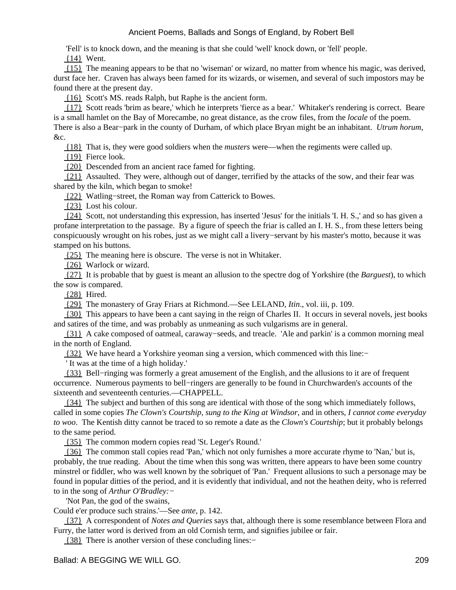#### Ancient Poems, Ballads and Songs of England, by Robert Bell

'Fell' is to knock down, and the meaning is that she could 'well' knock down, or 'fell' people.

 [{14}](#page-108-1) Went.

 [{15}](#page-108-2) The meaning appears to be that no 'wiseman' or wizard, no matter from whence his magic, was derived, durst face her. Craven has always been famed for its wizards, or wisemen, and several of such impostors may be found there at the present day.

 [{16}](#page-108-3) Scott's MS. reads Ralph, but Raphe is the ancient form.

 [{17}](#page-108-4) Scott reads 'brim as beare,' which he interprets 'fierce as a bear.' Whitaker's rendering is correct. Beare is a small hamlet on the Bay of Morecambe, no great distance, as the crow files, from the *locale* of the poem. There is also a Bear−park in the county of Durham, of which place Bryan might be an inhabitant. *Utrum horum*, &c.

 [{18}](#page-108-5) That is, they were good soldiers when the *musters* were—when the regiments were called up.

 [{19}](#page-108-6) Fierce look.

 [{20}](#page-108-7) Descended from an ancient race famed for fighting.

 [{21}](#page-109-0) Assaulted. They were, although out of danger, terrified by the attacks of the sow, and their fear was shared by the kiln, which began to smoke!

 [{22}](#page-109-1) Watling−street, the Roman way from Catterick to Bowes.

 [{23}](#page-109-2) Lost his colour.

 [{24}](#page-109-3) Scott, not understanding this expression, has inserted 'Jesus' for the initials 'I. H. S.,' and so has given a profane interpretation to the passage. By a figure of speech the friar is called an I. H. S., from these letters being conspicuously wrought on his robes, just as we might call a livery−servant by his master's motto, because it was stamped on his buttons.

 [{25}](#page-110-0) The meaning here is obscure. The verse is not in Whitaker.

 [{26}](#page-111-0) Warlock or wizard.

 [{27}](#page-111-1) It is probable that by guest is meant an allusion to the spectre dog of Yorkshire (the *Barguest*), to which the sow is compared.

 [{28}](#page-111-2) Hired.

 [{29}](#page-112-0) The monastery of Gray Friars at Richmond.—See LELAND, *Itin*., vol. iii, p. 109.

 [{30}](#page-116-0) This appears to have been a cant saying in the reign of Charles II. It occurs in several novels, jest books and satires of the time, and was probably as unmeaning as such vulgarisms are in general.

 [{31}](#page-116-1) A cake composed of oatmeal, caraway−seeds, and treacle. 'Ale and parkin' is a common morning meal in the north of England.

 [{32}](#page-125-0) We have heard a Yorkshire yeoman sing a version, which commenced with this line:−

' It was at the time of a high holiday.'

 [{33}](#page-127-0) Bell−ringing was formerly a great amusement of the English, and the allusions to it are of frequent occurrence. Numerous payments to bell−ringers are generally to be found in Churchwarden's accounts of the sixteenth and seventeenth centuries.—CHAPPELL.

 [{34}](#page-128-0) The subject and burthen of this song are identical with those of the song which immediately follows, called in some copies *The Clown's Courtship, sung to the King at Windsor*, and in others, *I cannot come everyday to woo*. The Kentish ditty cannot be traced to so remote a date as the *Clown's Courtship*; but it probably belongs to the same period.

 [{35}](#page-139-0) The common modern copies read 'St. Leger's Round.'

 [{36}](#page-139-1) The common stall copies read 'Pan,' which not only furnishes a more accurate rhyme to 'Nan,' but is, probably, the true reading. About the time when this song was written, there appears to have been some country minstrel or fiddler, who was well known by the sobriquet of 'Pan.' Frequent allusions to such a personage may be found in popular ditties of the period, and it is evidently that individual, and not the heathen deity, who is referred to in the song of *Arthur O'Bradley:−*

'Not Pan, the god of the swains,

Could e'er produce such strains.'—See *ante*, p. 142.

 [{37}](#page-142-0) A correspondent of *Notes and Queries* says that, although there is some resemblance between Flora and Furry, the latter word is derived from an old Cornish term, and signifies jubilee or fair.

 [{38}](#page-144-0) There is another version of these concluding lines:−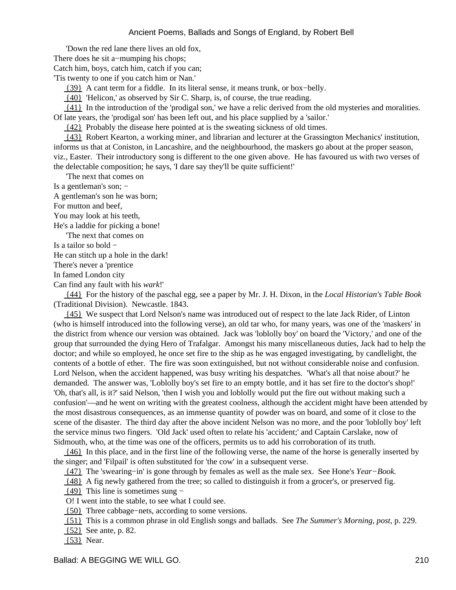'Down the red lane there lives an old fox,

There does he sit a−mumping his chops;

Catch him, boys, catch him, catch if you can;

'Tis twenty to one if you catch him or Nan.'

 [{39}](#page-148-0) A cant term for a fiddle. In its literal sense, it means trunk, or box−belly.

 [{40}](#page-148-1) 'Helicon,' as observed by Sir C. Sharp, is, of course, the true reading.

 [{41}](#page-149-0) In the introduction of the 'prodigal son,' we have a relic derived from the old mysteries and moralities. Of late years, the 'prodigal son' has been left out, and his place supplied by a 'sailor.'

 [{42}](#page-150-0) Probably the disease here pointed at is the sweating sickness of old times.

 [{43}](#page-151-0) Robert Kearton, a working miner, and librarian and lecturer at the Grassington Mechanics' institution, informs us that at Coniston, in Lancashire, and the neighbourhood, the maskers go about at the proper season, viz., Easter. Their introductory song is different to the one given above. He has favoured us with two verses of the delectable composition; he says, 'I dare say they'll be quite sufficient!'

'The next that comes on

Is a gentleman's son; −

A gentleman's son he was born;

For mutton and beef,

You may look at his teeth,

He's a laddie for picking a bone!

'The next that comes on

Is a tailor so bold −

He can stitch up a hole in the dark!

There's never a 'prentice

In famed London city

Can find any fault with his *wark*!'

 [{44}](#page-151-1) For the history of the paschal egg, see a paper by Mr. J. H. Dixon, in the *Local Historian's Table Book* (Traditional Division). Newcastle. 1843.

 [{45}](#page-151-2) We suspect that Lord Nelson's name was introduced out of respect to the late Jack Rider, of Linton (who is himself introduced into the following verse), an old tar who, for many years, was one of the 'maskers' in the district from whence our version was obtained. Jack was 'loblolly boy' on board the 'Victory,' and one of the group that surrounded the dying Hero of Trafalgar. Amongst his many miscellaneous duties, Jack had to help the doctor; and while so employed, he once set fire to the ship as he was engaged investigating, by candlelight, the contents of a bottle of ether. The fire was soon extinguished, but not without considerable noise and confusion. Lord Nelson, when the accident happened, was busy writing his despatches. 'What's all that noise about?' he demanded. The answer was, 'Loblolly boy's set fire to an empty bottle, and it has set fire to the doctor's shop!' 'Oh, that's all, is it?' said Nelson, 'then I wish you and loblolly would put the fire out without making such a confusion'—and he went on writing with the greatest coolness, although the accident might have been attended by the most disastrous consequences, as an immense quantity of powder was on board, and some of it close to the scene of the disaster. The third day after the above incident Nelson was no more, and the poor 'loblolly boy' left the service minus two fingers. 'Old Jack' used often to relate his 'accident;' and Captain Carslake, now of Sidmouth, who, at the time was one of the officers, permits us to add his corroboration of its truth.

 [{46}](#page-152-0) In this place, and in the first line of the following verse, the name of the horse is generally inserted by the singer; and 'Filpail' is often substituted for 'the cow' in a subsequent verse.

 [{47}](#page-158-0) The 'swearing−in' is gone through by females as well as the male sex. See Hone's *Year−Book.*

 [{48}](#page-161-0) A fig newly gathered from the tree; so called to distinguish it from a grocer's, or preserved fig.

 [{49}](#page-171-0) This line is sometimes sung −

O! I went into the stable, to see what I could see.

 [{50}](#page-171-1) Three cabbage−nets, according to some versions.

 [{51}](#page-173-0) This is a common phrase in old English songs and ballads. See *The Summer's Morning, post*, p. 229.

 [{52}](#page-173-1) See ante, p. 82.

 [{53}](#page-174-0) Near.

Ballad: A BEGGING WE WILL GO. 210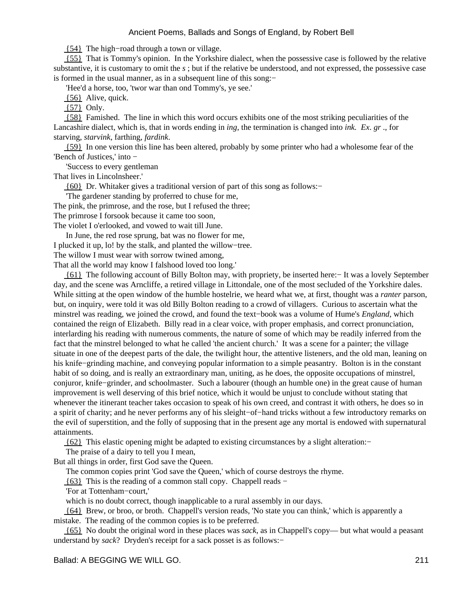#### Ancient Poems, Ballads and Songs of England, by Robert Bell

 [{54}](#page-174-0) The high−road through a town or village.

 [{55}](#page-174-1) That is Tommy's opinion. In the Yorkshire dialect, when the possessive case is followed by the relative substantive, it is customary to omit the *s* ; but if the relative be understood, and not expressed, the possessive case is formed in the usual manner, as in a subsequent line of this song:−

'Hee'd a horse, too, 'twor war than ond Tommy's, ye see.'

 [{56}](#page-174-2) Alive, quick.

 [{57}](#page-174-3) Only.

 [{58}](#page-177-0) Famished. The line in which this word occurs exhibits one of the most striking peculiarities of the Lancashire dialect, which is, that in words ending in *ing*, the termination is changed into *ink. Ex*. *gr* ., for starving, *starvink*, farthing, *fardink*.

<span id="page-215-0"></span> [{59}](#page-181-0) In one version this line has been altered, probably by some printer who had a wholesome fear of the 'Bench of Justices,' into −

'Success to every gentleman

<span id="page-215-1"></span>That lives in Lincolnsheer.'

 [{60}](#page-184-0) Dr. Whitaker gives a traditional version of part of this song as follows:−

'The gardener standing by proferred to chuse for me,

The pink, the primrose, and the rose, but I refused the three;

The primrose I forsook because it came too soon,

The violet I o'erlooked, and vowed to wait till June.

In June, the red rose sprung, bat was no flower for me,

I plucked it up, lo! by the stalk, and planted the willow−tree.

The willow I must wear with sorrow twined among,

That all the world may know I falshood loved too long.'

<span id="page-215-2"></span> [{61}](#page-185-0) The following account of Billy Bolton may, with propriety, be inserted here:− It was a lovely September day, and the scene was Arncliffe, a retired village in Littondale, one of the most secluded of the Yorkshire dales. While sitting at the open window of the humble hostelrie, we heard what we, at first, thought was a *ranter* parson, but, on inquiry, were told it was old Billy Bolton reading to a crowd of villagers. Curious to ascertain what the minstrel was reading, we joined the crowd, and found the text−book was a volume of Hume's *England*, which contained the reign of Elizabeth. Billy read in a clear voice, with proper emphasis, and correct pronunciation, interlarding his reading with numerous comments, the nature of some of which may be readily inferred from the fact that the minstrel belonged to what he called 'the ancient church.' It was a scene for a painter; the village situate in one of the deepest parts of the dale, the twilight hour, the attentive listeners, and the old man, leaning on his knife−grinding machine, and conveying popular information to a simple peasantry. Bolton is in the constant habit of so doing, and is really an extraordinary man, uniting, as he does, the opposite occupations of minstrel, conjuror, knife−grinder, and schoolmaster. Such a labourer (though an humble one) in the great cause of human improvement is well deserving of this brief notice, which it would be unjust to conclude without stating that whenever the itinerant teacher takes occasion to speak of his own creed, and contrast it with others, he does so in a spirit of charity; and he never performs any of his sleight−of−hand tricks without a few introductory remarks on the evil of superstition, and the folly of supposing that in the present age any mortal is endowed with supernatural attainments.

 [{62}](#page-187-0) This elastic opening might be adapted to existing circumstances by a slight alteration:−

The praise of a dairy to tell you I mean,

<span id="page-215-4"></span><span id="page-215-3"></span>But all things in order, first God save the Queen.

The common copies print 'God save the Queen,' which of course destroys the rhyme.

 [{63}](#page-187-1) This is the reading of a common stall copy. Chappell reads −

'For at Tottenham−court,'

which is no doubt correct, though inapplicable to a rural assembly in our days.

<span id="page-215-5"></span> [{64}](#page-187-2) Brew, or broo, or broth. Chappell's version reads, 'No state you can think,' which is apparently a mistake. The reading of the common copies is to be preferred.

<span id="page-215-6"></span> [{65}](#page-187-3) No doubt the original word in these places was *sack*, as in Chappell's copy— but what would a peasant understand by *sack*? Dryden's receipt for a sack posset is as follows:−